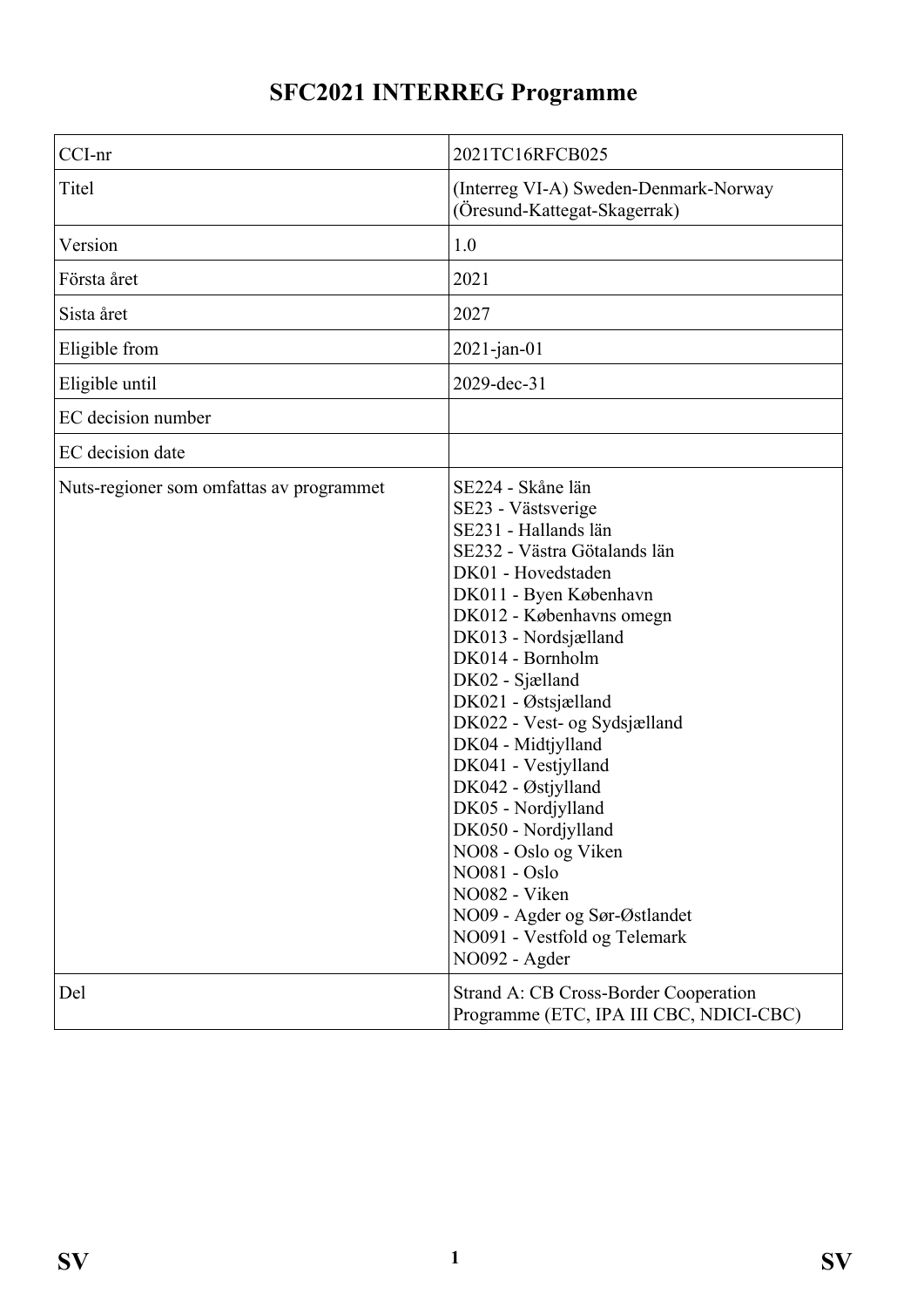# **SFC2021 INTERREG Programme**

| CCI-nr                                   | 2021TC16RFCB025                                                                                                                                                                                                                                                                                                                                                                                                                                                                                                                                                     |
|------------------------------------------|---------------------------------------------------------------------------------------------------------------------------------------------------------------------------------------------------------------------------------------------------------------------------------------------------------------------------------------------------------------------------------------------------------------------------------------------------------------------------------------------------------------------------------------------------------------------|
| Titel                                    | (Interreg VI-A) Sweden-Denmark-Norway<br>(Öresund-Kattegat-Skagerrak)                                                                                                                                                                                                                                                                                                                                                                                                                                                                                               |
| Version                                  | 1.0                                                                                                                                                                                                                                                                                                                                                                                                                                                                                                                                                                 |
| Första året                              | 2021                                                                                                                                                                                                                                                                                                                                                                                                                                                                                                                                                                |
| Sista året                               | 2027                                                                                                                                                                                                                                                                                                                                                                                                                                                                                                                                                                |
| Eligible from                            | $2021$ -jan-01                                                                                                                                                                                                                                                                                                                                                                                                                                                                                                                                                      |
| Eligible until                           | 2029-dec-31                                                                                                                                                                                                                                                                                                                                                                                                                                                                                                                                                         |
| EC decision number                       |                                                                                                                                                                                                                                                                                                                                                                                                                                                                                                                                                                     |
| EC decision date                         |                                                                                                                                                                                                                                                                                                                                                                                                                                                                                                                                                                     |
| Nuts-regioner som omfattas av programmet | SE224 - Skåne län<br>SE23 - Västsverige<br>SE231 - Hallands län<br>SE232 - Västra Götalands län<br>DK01 - Hovedstaden<br>DK011 - Byen København<br>DK012 - Københavns omegn<br>DK013 - Nordsjælland<br>DK014 - Bornholm<br>DK02 - Sjælland<br>DK021 - Østsjælland<br>DK022 - Vest- og Sydsjælland<br>DK04 - Midtjylland<br>DK041 - Vestjylland<br>DK042 - Østjylland<br>DK05 - Nordjylland<br>DK050 - Nordjylland<br>NO08 - Oslo og Viken<br><b>NO081 - Oslo</b><br>NO082 - Viken<br>NO09 - Agder og Sør-Østlandet<br>NO091 - Vestfold og Telemark<br>NO092 - Agder |
| Del                                      | Strand A: CB Cross-Border Cooperation<br>Programme (ETC, IPA III CBC, NDICI-CBC)                                                                                                                                                                                                                                                                                                                                                                                                                                                                                    |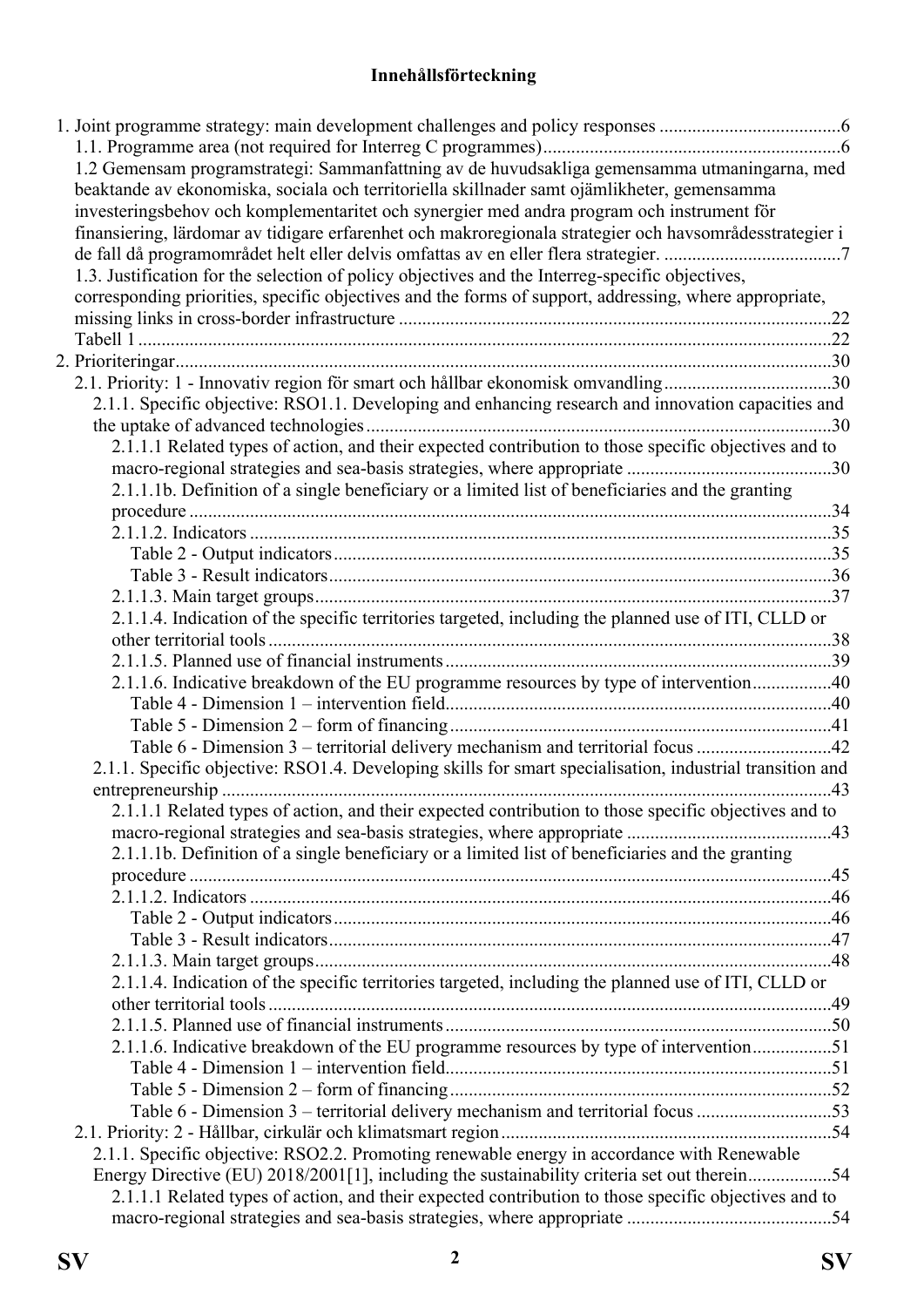# **Innehållsförteckning**

| 1.2 Gemensam programstrategi: Sammanfattning av de huvudsakliga gemensamma utmaningarna, med<br>beaktande av ekonomiska, sociala och territoriella skillnader samt ojämlikheter, gemensamma<br>investeringsbehov och komplementaritet och synergier med andra program och instrument för |  |
|------------------------------------------------------------------------------------------------------------------------------------------------------------------------------------------------------------------------------------------------------------------------------------------|--|
| finansiering, lärdomar av tidigare erfarenhet och makroregionala strategier och havsområdesstrategier i                                                                                                                                                                                  |  |
| 1.3. Justification for the selection of policy objectives and the Interreg-specific objectives,                                                                                                                                                                                          |  |
| corresponding priorities, specific objectives and the forms of support, addressing, where appropriate,                                                                                                                                                                                   |  |
|                                                                                                                                                                                                                                                                                          |  |
|                                                                                                                                                                                                                                                                                          |  |
|                                                                                                                                                                                                                                                                                          |  |
| 2.1. Priority: 1 - Innovativ region för smart och hållbar ekonomisk omvandling30                                                                                                                                                                                                         |  |
| 2.1.1. Specific objective: RSO1.1. Developing and enhancing research and innovation capacities and                                                                                                                                                                                       |  |
|                                                                                                                                                                                                                                                                                          |  |
| 2.1.1.1 Related types of action, and their expected contribution to those specific objectives and to                                                                                                                                                                                     |  |
|                                                                                                                                                                                                                                                                                          |  |
| 2.1.1.1b. Definition of a single beneficiary or a limited list of beneficiaries and the granting                                                                                                                                                                                         |  |
|                                                                                                                                                                                                                                                                                          |  |
|                                                                                                                                                                                                                                                                                          |  |
|                                                                                                                                                                                                                                                                                          |  |
|                                                                                                                                                                                                                                                                                          |  |
|                                                                                                                                                                                                                                                                                          |  |
| 2.1.1.4. Indication of the specific territories targeted, including the planned use of ITI, CLLD or                                                                                                                                                                                      |  |
|                                                                                                                                                                                                                                                                                          |  |
|                                                                                                                                                                                                                                                                                          |  |
| 2.1.1.6. Indicative breakdown of the EU programme resources by type of intervention40                                                                                                                                                                                                    |  |
|                                                                                                                                                                                                                                                                                          |  |
|                                                                                                                                                                                                                                                                                          |  |
| Table 6 - Dimension 3 – territorial delivery mechanism and territorial focus 42                                                                                                                                                                                                          |  |
| 2.1.1. Specific objective: RSO1.4. Developing skills for smart specialisation, industrial transition and                                                                                                                                                                                 |  |
|                                                                                                                                                                                                                                                                                          |  |
| 2.1.1.1 Related types of action, and their expected contribution to those specific objectives and to                                                                                                                                                                                     |  |
|                                                                                                                                                                                                                                                                                          |  |
| 2.1.1.1b. Definition of a single beneficiary or a limited list of beneficiaries and the granting                                                                                                                                                                                         |  |
|                                                                                                                                                                                                                                                                                          |  |
|                                                                                                                                                                                                                                                                                          |  |
|                                                                                                                                                                                                                                                                                          |  |
|                                                                                                                                                                                                                                                                                          |  |
|                                                                                                                                                                                                                                                                                          |  |
| 2.1.1.4. Indication of the specific territories targeted, including the planned use of ITI, CLLD or                                                                                                                                                                                      |  |
|                                                                                                                                                                                                                                                                                          |  |
|                                                                                                                                                                                                                                                                                          |  |
| 2.1.1.6. Indicative breakdown of the EU programme resources by type of intervention51                                                                                                                                                                                                    |  |
|                                                                                                                                                                                                                                                                                          |  |
|                                                                                                                                                                                                                                                                                          |  |
| Table 6 - Dimension 3 – territorial delivery mechanism and territorial focus 53                                                                                                                                                                                                          |  |
|                                                                                                                                                                                                                                                                                          |  |
| 2.1.1. Specific objective: RSO2.2. Promoting renewable energy in accordance with Renewable                                                                                                                                                                                               |  |
| Energy Directive (EU) 2018/2001[1], including the sustainability criteria set out therein54                                                                                                                                                                                              |  |
| 2.1.1.1 Related types of action, and their expected contribution to those specific objectives and to                                                                                                                                                                                     |  |
|                                                                                                                                                                                                                                                                                          |  |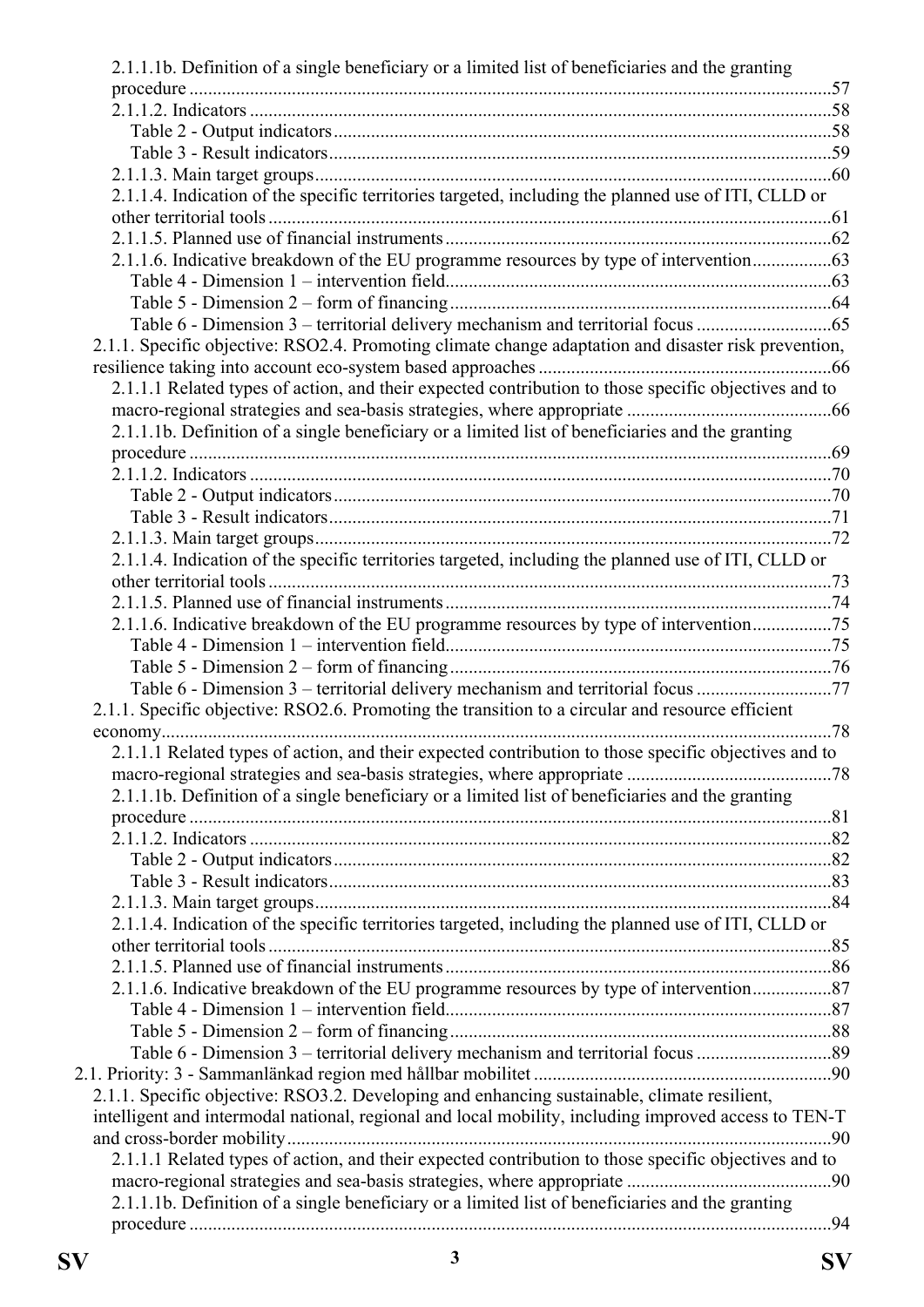| 2.1.1.1b. Definition of a single beneficiary or a limited list of beneficiaries and the granting     |  |
|------------------------------------------------------------------------------------------------------|--|
|                                                                                                      |  |
|                                                                                                      |  |
|                                                                                                      |  |
|                                                                                                      |  |
|                                                                                                      |  |
| 2.1.1.4. Indication of the specific territories targeted, including the planned use of ITI, CLLD or  |  |
|                                                                                                      |  |
|                                                                                                      |  |
| 2.1.1.6. Indicative breakdown of the EU programme resources by type of intervention                  |  |
|                                                                                                      |  |
|                                                                                                      |  |
|                                                                                                      |  |
| 2.1.1. Specific objective: RSO2.4. Promoting climate change adaptation and disaster risk prevention, |  |
|                                                                                                      |  |
| 2.1.1.1 Related types of action, and their expected contribution to those specific objectives and to |  |
|                                                                                                      |  |
| 2.1.1.1b. Definition of a single beneficiary or a limited list of beneficiaries and the granting     |  |
|                                                                                                      |  |
|                                                                                                      |  |
|                                                                                                      |  |
|                                                                                                      |  |
|                                                                                                      |  |
| 2.1.1.4. Indication of the specific territories targeted, including the planned use of ITI, CLLD or  |  |
|                                                                                                      |  |
|                                                                                                      |  |
| 2.1.1.6. Indicative breakdown of the EU programme resources by type of intervention75                |  |
|                                                                                                      |  |
|                                                                                                      |  |
| Table 6 - Dimension 3 – territorial delivery mechanism and territorial focus 77                      |  |
| 2.1.1. Specific objective: RSO2.6. Promoting the transition to a circular and resource efficient     |  |
|                                                                                                      |  |
| 2.1.1.1 Related types of action, and their expected contribution to those specific objectives and to |  |
|                                                                                                      |  |
| 2.1.1.1b. Definition of a single beneficiary or a limited list of beneficiaries and the granting     |  |
|                                                                                                      |  |
|                                                                                                      |  |
|                                                                                                      |  |
|                                                                                                      |  |
|                                                                                                      |  |
| 2.1.1.4. Indication of the specific territories targeted, including the planned use of ITI, CLLD or  |  |
|                                                                                                      |  |
|                                                                                                      |  |
| 2.1.1.6. Indicative breakdown of the EU programme resources by type of intervention87                |  |
|                                                                                                      |  |
|                                                                                                      |  |
|                                                                                                      |  |
|                                                                                                      |  |
| 2.1.1. Specific objective: RSO3.2. Developing and enhancing sustainable, climate resilient,          |  |
| intelligent and intermodal national, regional and local mobility, including improved access to TEN-T |  |
|                                                                                                      |  |
| 2.1.1.1 Related types of action, and their expected contribution to those specific objectives and to |  |
|                                                                                                      |  |
| 2.1.1.1b. Definition of a single beneficiary or a limited list of beneficiaries and the granting     |  |
|                                                                                                      |  |
|                                                                                                      |  |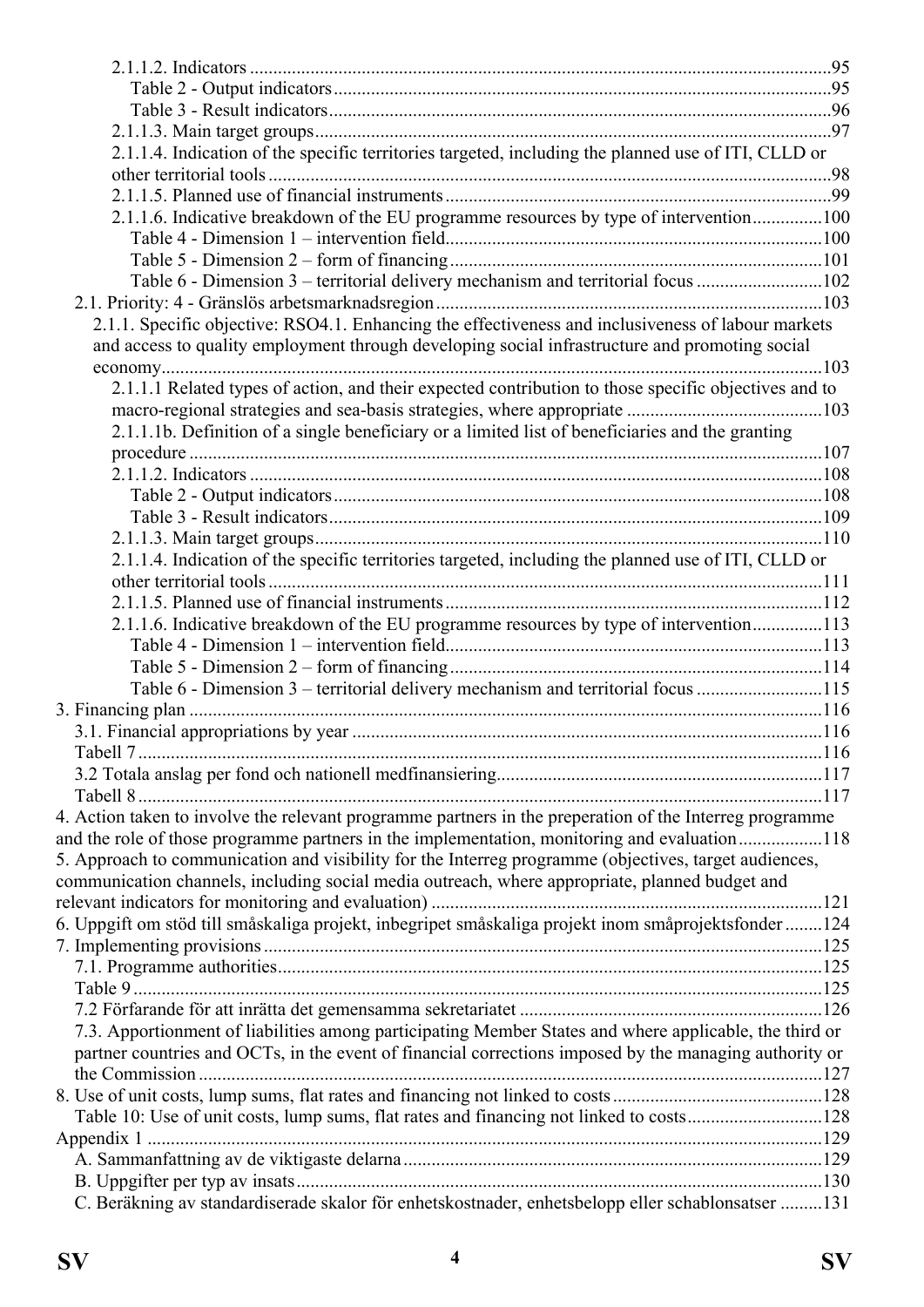| 2.1.1.4. Indication of the specific territories targeted, including the planned use of ITI, CLLD or                                                                                                     |  |
|---------------------------------------------------------------------------------------------------------------------------------------------------------------------------------------------------------|--|
|                                                                                                                                                                                                         |  |
|                                                                                                                                                                                                         |  |
| 2.1.1.6. Indicative breakdown of the EU programme resources by type of intervention100                                                                                                                  |  |
|                                                                                                                                                                                                         |  |
|                                                                                                                                                                                                         |  |
| Table 6 - Dimension 3 - territorial delivery mechanism and territorial focus 102                                                                                                                        |  |
|                                                                                                                                                                                                         |  |
| 2.1.1. Specific objective: RSO4.1. Enhancing the effectiveness and inclusiveness of labour markets                                                                                                      |  |
| and access to quality employment through developing social infrastructure and promoting social                                                                                                          |  |
|                                                                                                                                                                                                         |  |
| 2.1.1.1 Related types of action, and their expected contribution to those specific objectives and to                                                                                                    |  |
|                                                                                                                                                                                                         |  |
| 2.1.1.1b. Definition of a single beneficiary or a limited list of beneficiaries and the granting                                                                                                        |  |
|                                                                                                                                                                                                         |  |
|                                                                                                                                                                                                         |  |
|                                                                                                                                                                                                         |  |
|                                                                                                                                                                                                         |  |
|                                                                                                                                                                                                         |  |
| 2.1.1.4. Indication of the specific territories targeted, including the planned use of ITI, CLLD or                                                                                                     |  |
|                                                                                                                                                                                                         |  |
|                                                                                                                                                                                                         |  |
| 2.1.1.6. Indicative breakdown of the EU programme resources by type of intervention113                                                                                                                  |  |
|                                                                                                                                                                                                         |  |
|                                                                                                                                                                                                         |  |
| Table 6 - Dimension 3 – territorial delivery mechanism and territorial focus 115                                                                                                                        |  |
|                                                                                                                                                                                                         |  |
|                                                                                                                                                                                                         |  |
|                                                                                                                                                                                                         |  |
|                                                                                                                                                                                                         |  |
|                                                                                                                                                                                                         |  |
| 4. Action taken to involve the relevant programme partners in the preperation of the Interreg programme                                                                                                 |  |
| and the role of those programme partners in the implementation, monitoring and evaluation118                                                                                                            |  |
| 5. Approach to communication and visibility for the Interreg programme (objectives, target audiences,<br>communication channels, including social media outreach, where appropriate, planned budget and |  |
|                                                                                                                                                                                                         |  |
| 6. Uppgift om stöd till småskaliga projekt, inbegripet småskaliga projekt inom småprojektsfonder 124                                                                                                    |  |
|                                                                                                                                                                                                         |  |
|                                                                                                                                                                                                         |  |
|                                                                                                                                                                                                         |  |
|                                                                                                                                                                                                         |  |
| 7.3. Apportionment of liabilities among participating Member States and where applicable, the third or                                                                                                  |  |
| partner countries and OCTs, in the event of financial corrections imposed by the managing authority or                                                                                                  |  |
|                                                                                                                                                                                                         |  |
|                                                                                                                                                                                                         |  |
| Table 10: Use of unit costs, lump sums, flat rates and financing not linked to costs128                                                                                                                 |  |
|                                                                                                                                                                                                         |  |
|                                                                                                                                                                                                         |  |
|                                                                                                                                                                                                         |  |
| C. Beräkning av standardiserade skalor för enhetskostnader, enhetsbelopp eller schablonsatser 131                                                                                                       |  |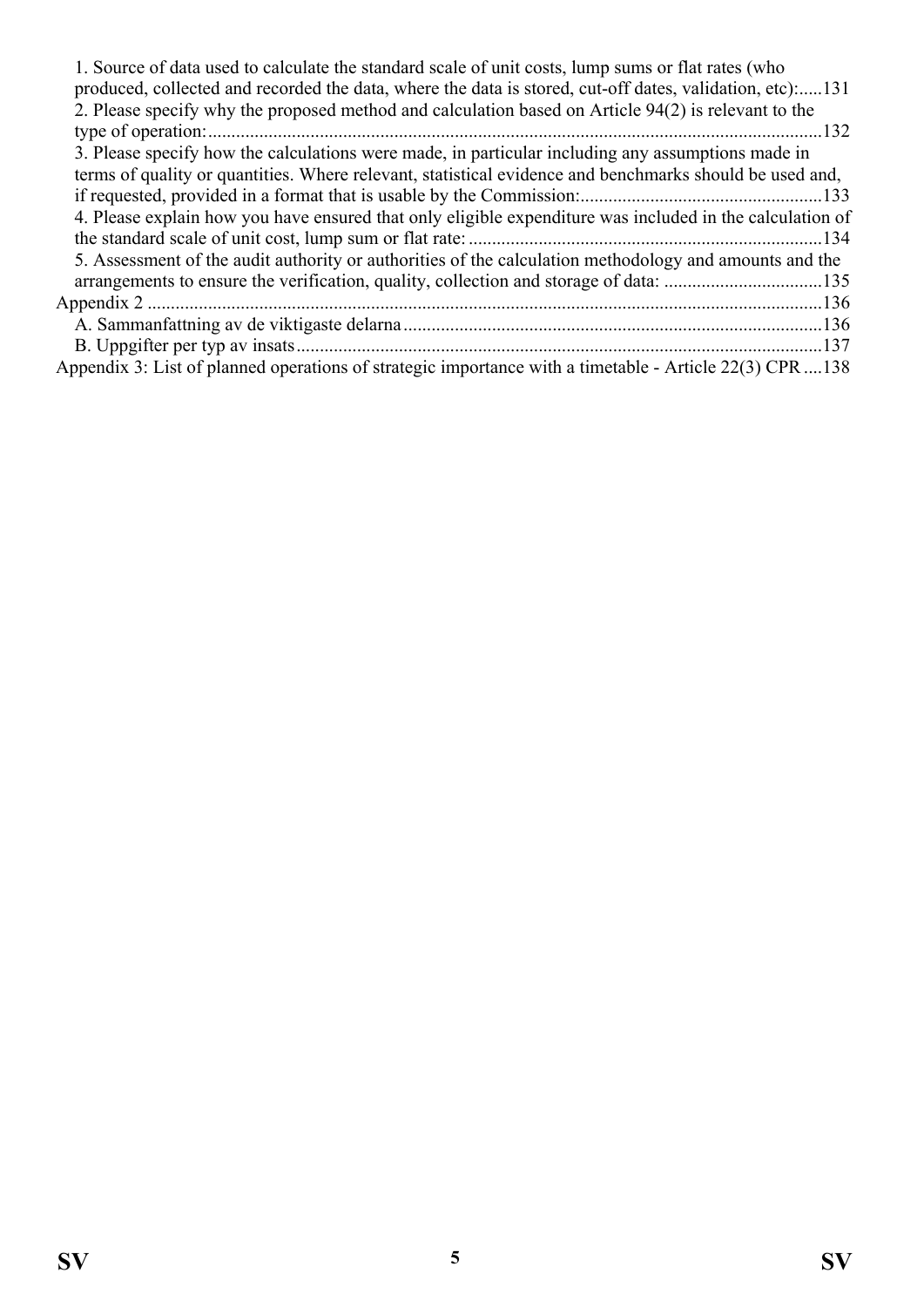| 1. Source of data used to calculate the standard scale of unit costs, lump sums or flat rates (who<br>produced, collected and recorded the data, where the data is stored, cut-off dates, validation, etc131 |      |
|--------------------------------------------------------------------------------------------------------------------------------------------------------------------------------------------------------------|------|
| 2. Please specify why the proposed method and calculation based on Article 94(2) is relevant to the                                                                                                          |      |
| type of operation:                                                                                                                                                                                           | .132 |
| 3. Please specify how the calculations were made, in particular including any assumptions made in                                                                                                            |      |
| terms of quality or quantities. Where relevant, statistical evidence and benchmarks should be used and,                                                                                                      |      |
|                                                                                                                                                                                                              |      |
| 4. Please explain how you have ensured that only eligible expenditure was included in the calculation of                                                                                                     |      |
|                                                                                                                                                                                                              |      |
| 5. Assessment of the audit authority or authorities of the calculation methodology and amounts and the                                                                                                       |      |
|                                                                                                                                                                                                              |      |
|                                                                                                                                                                                                              |      |
|                                                                                                                                                                                                              |      |
|                                                                                                                                                                                                              |      |
| Appendix 3: List of planned operations of strategic importance with a timetable - Article 22(3) CPR 138                                                                                                      |      |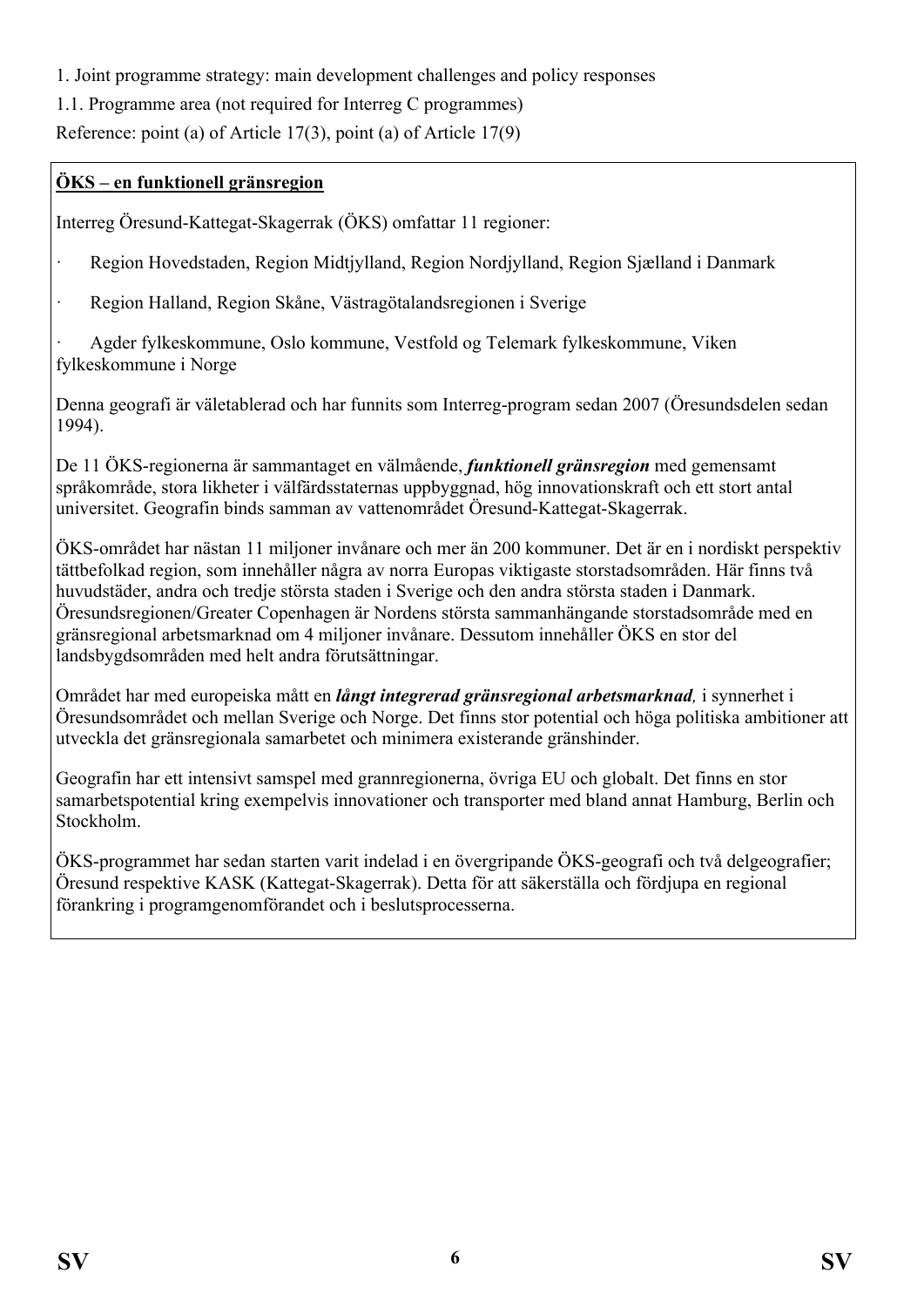<span id="page-5-0"></span>1. Joint programme strategy: main development challenges and policy responses

<span id="page-5-1"></span>1.1. Programme area (not required for Interreg C programmes)

Reference: point (a) of Article 17(3), point (a) of Article 17(9)

#### **ÖKS – en funktionell gränsregion**

Interreg Öresund-Kattegat-Skagerrak (ÖKS) omfattar 11 regioner:

- · Region Hovedstaden, Region Midtjylland, Region Nordjylland, Region Sjælland i Danmark
- · Region Halland, Region Skåne, Västragötalandsregionen i Sverige

· Agder fylkeskommune, Oslo kommune, Vestfold og Telemark fylkeskommune, Viken fylkeskommune i Norge

Denna geografi är väletablerad och har funnits som Interreg-program sedan 2007 (Öresundsdelen sedan 1994).

De 11 ÖKS-regionerna är sammantaget en välmående, *funktionell gränsregion* med gemensamt språkområde, stora likheter i välfärdsstaternas uppbyggnad, hög innovationskraft och ett stort antal universitet. Geografin binds samman av vattenområdet Öresund-Kattegat-Skagerrak.

ÖKS-området har nästan 11 miljoner invånare och mer än 200 kommuner. Det är en i nordiskt perspektiv tättbefolkad region, som innehåller några av norra Europas viktigaste storstadsområden. Här finns två huvudstäder, andra och tredje största staden i Sverige och den andra största staden i Danmark. Öresundsregionen/Greater Copenhagen är Nordens största sammanhängande storstadsområde med en gränsregional arbetsmarknad om 4 miljoner invånare. Dessutom innehåller ÖKS en stor del landsbygdsområden med helt andra förutsättningar.

Området har med europeiska mått en *långt integrerad gränsregional arbetsmarknad,* i synnerhet i Öresundsområdet och mellan Sverige och Norge. Det finns stor potential och höga politiska ambitioner att utveckla det gränsregionala samarbetet och minimera existerande gränshinder.

Geografin har ett intensivt samspel med grannregionerna, övriga EU och globalt. Det finns en stor samarbetspotential kring exempelvis innovationer och transporter med bland annat Hamburg, Berlin och Stockholm.

ÖKS-programmet har sedan starten varit indelad i en övergripande ÖKS-geografi och två delgeografier; Öresund respektive KASK (Kattegat-Skagerrak). Detta för att säkerställa och fördjupa en regional förankring i programgenomförandet och i beslutsprocesserna.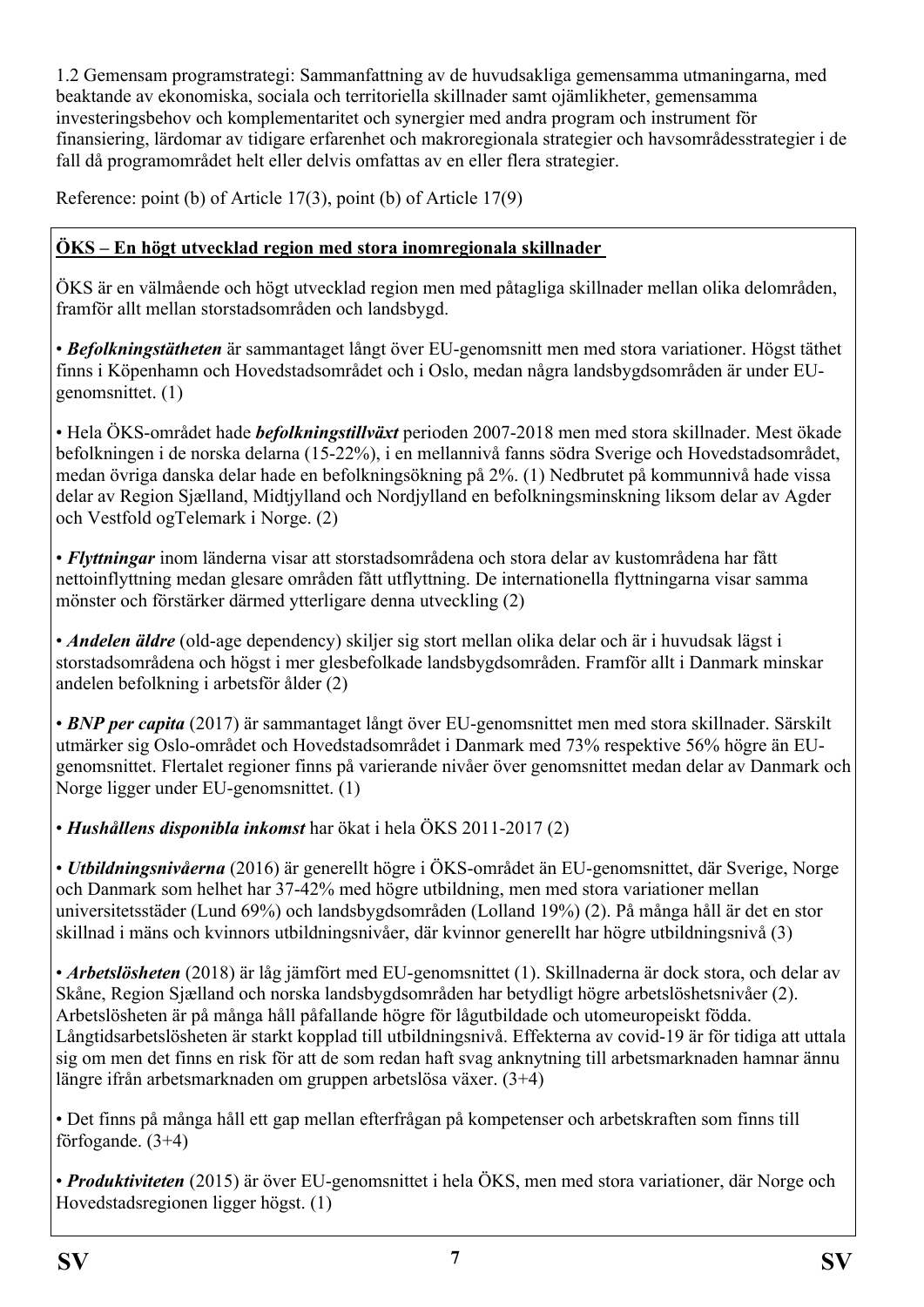<span id="page-6-0"></span>1.2 Gemensam programstrategi: Sammanfattning av de huvudsakliga gemensamma utmaningarna, med beaktande av ekonomiska, sociala och territoriella skillnader samt ojämlikheter, gemensamma investeringsbehov och komplementaritet och synergier med andra program och instrument för finansiering, lärdomar av tidigare erfarenhet och makroregionala strategier och havsområdesstrategier i de fall då programområdet helt eller delvis omfattas av en eller flera strategier.

Reference: point (b) of Article 17(3), point (b) of Article 17(9)

## **ÖKS – En högt utvecklad region med stora inomregionala skillnader**

ÖKS är en välmående och högt utvecklad region men med påtagliga skillnader mellan olika delområden, framför allt mellan storstadsområden och landsbygd.

• *Befolkningstätheten* är sammantaget långt över EU-genomsnitt men med stora variationer. Högst täthet finns i Köpenhamn och Hovedstadsområdet och i Oslo, medan några landsbygdsområden är under EUgenomsnittet. (1)

• Hela ÖKS-området hade *befolkningstillväxt* perioden 2007-2018 men med stora skillnader. Mest ökade befolkningen i de norska delarna (15-22%), i en mellannivå fanns södra Sverige och Hovedstadsområdet, medan övriga danska delar hade en befolkningsökning på 2%. (1) Nedbrutet på kommunnivå hade vissa delar av Region Sjælland, Midtjylland och Nordjylland en befolkningsminskning liksom delar av Agder och Vestfold ogTelemark i Norge. (2)

• *Flyttningar* inom länderna visar att storstadsområdena och stora delar av kustområdena har fått nettoinflyttning medan glesare områden fått utflyttning. De internationella flyttningarna visar samma mönster och förstärker därmed ytterligare denna utveckling (2)

• *Andelen äldre* (old-age dependency) skiljer sig stort mellan olika delar och är i huvudsak lägst i storstadsområdena och högst i mer glesbefolkade landsbygdsområden. Framför allt i Danmark minskar andelen befolkning i arbetsför ålder (2)

• *BNP per capita* (2017) är sammantaget långt över EU-genomsnittet men med stora skillnader. Särskilt utmärker sig Oslo-området och Hovedstadsområdet i Danmark med 73% respektive 56% högre än EUgenomsnittet. Flertalet regioner finns på varierande nivåer över genomsnittet medan delar av Danmark och Norge ligger under EU-genomsnittet. (1)

• *Hushållens disponibla inkomst* har ökat i hela ÖKS 2011-2017 (2)

• *Utbildningsnivåerna* (2016) är generellt högre i ÖKS-området än EU-genomsnittet, där Sverige, Norge och Danmark som helhet har 37-42% med högre utbildning, men med stora variationer mellan universitetsstäder (Lund 69%) och landsbygdsområden (Lolland 19%) (2). På många håll är det en stor skillnad i mäns och kvinnors utbildningsnivåer, där kvinnor generellt har högre utbildningsnivå (3)

• *Arbetslösheten* (2018) är låg jämfört med EU-genomsnittet (1). Skillnaderna är dock stora, och delar av Skåne, Region Sjælland och norska landsbygdsområden har betydligt högre arbetslöshetsnivåer (2). Arbetslösheten är på många håll påfallande högre för lågutbildade och utomeuropeiskt födda. Långtidsarbetslösheten är starkt kopplad till utbildningsnivå. Effekterna av covid-19 är för tidiga att uttala sig om men det finns en risk för att de som redan haft svag anknytning till arbetsmarknaden hamnar ännu längre ifrån arbetsmarknaden om gruppen arbetslösa växer. (3+4)

• Det finns på många håll ett gap mellan efterfrågan på kompetenser och arbetskraften som finns till förfogande. (3+4)

• *Produktiviteten* (2015) är över EU-genomsnittet i hela ÖKS, men med stora variationer, där Norge och Hovedstadsregionen ligger högst. (1)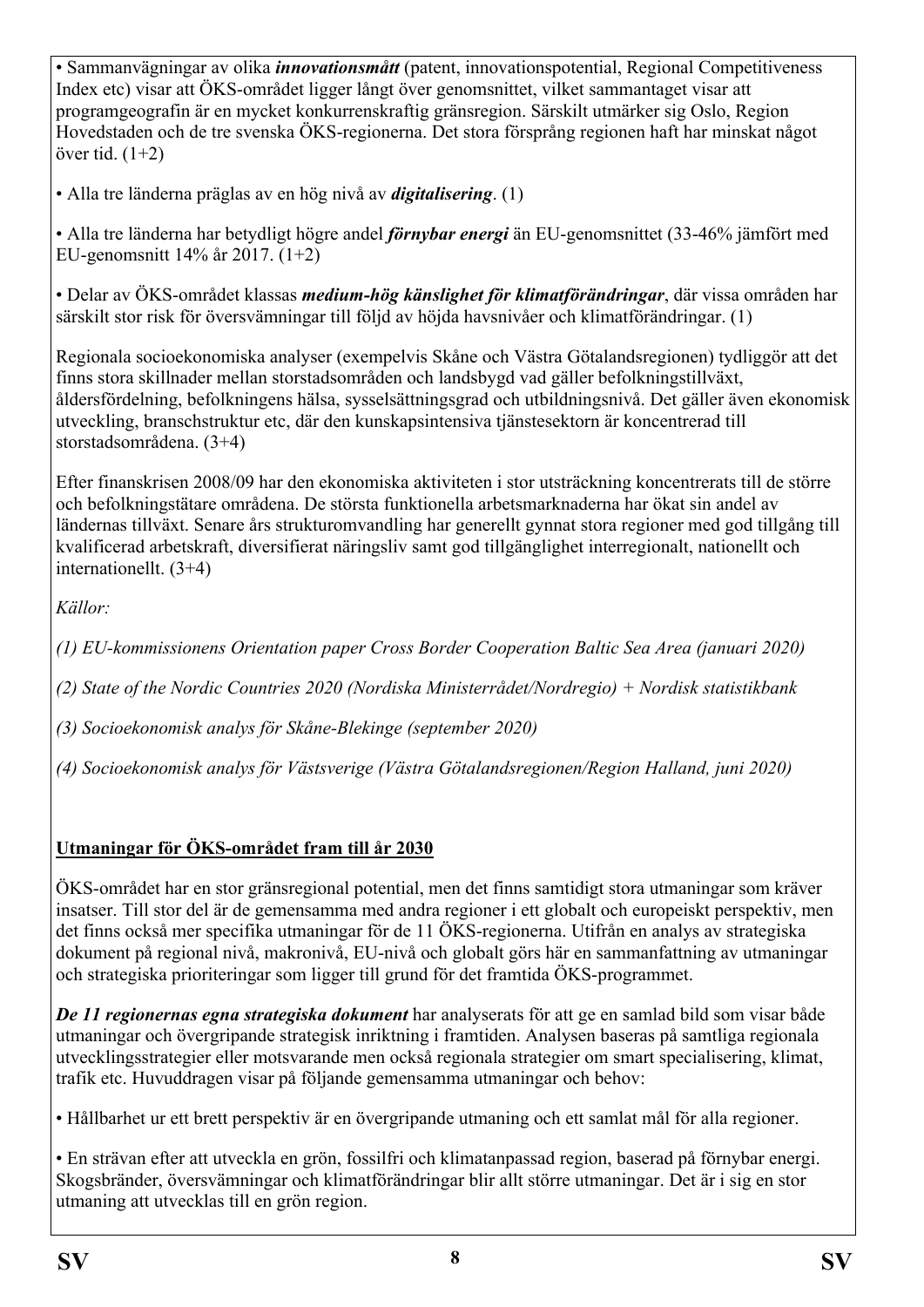• Sammanvägningar av olika *innovationsmått* (patent, innovationspotential, Regional Competitiveness Index etc) visar att ÖKS-området ligger långt över genomsnittet, vilket sammantaget visar att programgeografin är en mycket konkurrenskraftig gränsregion. Särskilt utmärker sig Oslo, Region Hovedstaden och de tre svenska ÖKS-regionerna. Det stora försprång regionen haft har minskat något över tid. (1+2)

• Alla tre länderna präglas av en hög nivå av *digitalisering*. (1)

• Alla tre länderna har betydligt högre andel *förnybar energi* än EU-genomsnittet (33-46% jämfört med EU-genomsnitt 14% år 2017. (1+2)

• Delar av ÖKS-området klassas *medium-hög känslighet för klimatförändringar*, där vissa områden har särskilt stor risk för översvämningar till följd av höjda havsnivåer och klimatförändringar. (1)

Regionala socioekonomiska analyser (exempelvis Skåne och Västra Götalandsregionen) tydliggör att det finns stora skillnader mellan storstadsområden och landsbygd vad gäller befolkningstillväxt, åldersfördelning, befolkningens hälsa, sysselsättningsgrad och utbildningsnivå. Det gäller även ekonomisk utveckling, branschstruktur etc, där den kunskapsintensiva tjänstesektorn är koncentrerad till storstadsområdena. (3+4)

Efter finanskrisen 2008/09 har den ekonomiska aktiviteten i stor utsträckning koncentrerats till de större och befolkningstätare områdena. De största funktionella arbetsmarknaderna har ökat sin andel av ländernas tillväxt. Senare års strukturomvandling har generellt gynnat stora regioner med god tillgång till kvalificerad arbetskraft, diversifierat näringsliv samt god tillgänglighet interregionalt, nationellt och internationellt. (3+4)

*Källor:* 

*(1) EU-kommissionens Orientation paper Cross Border Cooperation Baltic Sea Area (januari 2020)* 

*(2) State of the Nordic Countries 2020 (Nordiska Ministerrådet/Nordregio) + Nordisk statistikbank*

*(3) Socioekonomisk analys för Skåne-Blekinge (september 2020)* 

*(4) Socioekonomisk analys för Västsverige (Västra Götalandsregionen/Region Halland, juni 2020)*

# **Utmaningar för ÖKS-området fram till år 2030**

ÖKS-området har en stor gränsregional potential, men det finns samtidigt stora utmaningar som kräver insatser. Till stor del är de gemensamma med andra regioner i ett globalt och europeiskt perspektiv, men det finns också mer specifika utmaningar för de 11 ÖKS-regionerna. Utifrån en analys av strategiska dokument på regional nivå, makronivå, EU-nivå och globalt görs här en sammanfattning av utmaningar och strategiska prioriteringar som ligger till grund för det framtida ÖKS-programmet.

*De 11 regionernas egna strategiska dokument* har analyserats för att ge en samlad bild som visar både utmaningar och övergripande strategisk inriktning i framtiden. Analysen baseras på samtliga regionala utvecklingsstrategier eller motsvarande men också regionala strategier om smart specialisering, klimat, trafik etc. Huvuddragen visar på följande gemensamma utmaningar och behov:

• Hållbarhet ur ett brett perspektiv är en övergripande utmaning och ett samlat mål för alla regioner.

• En strävan efter att utveckla en grön, fossilfri och klimatanpassad region, baserad på förnybar energi. Skogsbränder, översvämningar och klimatförändringar blir allt större utmaningar. Det är i sig en stor utmaning att utvecklas till en grön region.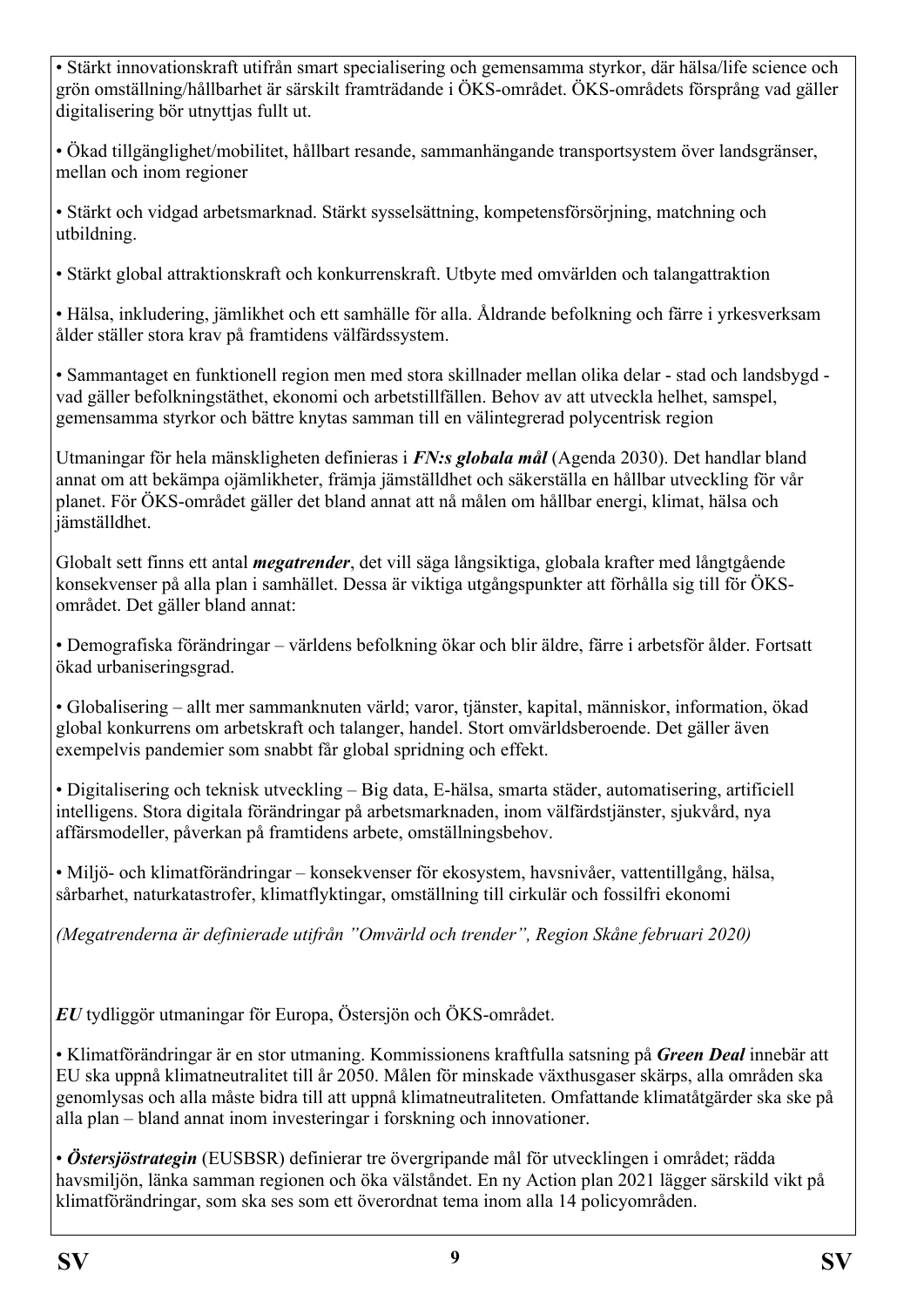• Stärkt innovationskraft utifrån smart specialisering och gemensamma styrkor, där hälsa/life science och grön omställning/hållbarhet är särskilt framträdande i ÖKS-området. ÖKS-områdets försprång vad gäller digitalisering bör utnyttjas fullt ut.

• Ökad tillgänglighet/mobilitet, hållbart resande, sammanhängande transportsystem över landsgränser, mellan och inom regioner

• Stärkt och vidgad arbetsmarknad. Stärkt sysselsättning, kompetensförsörjning, matchning och utbildning.

• Stärkt global attraktionskraft och konkurrenskraft. Utbyte med omvärlden och talangattraktion

• Hälsa, inkludering, jämlikhet och ett samhälle för alla. Åldrande befolkning och färre i yrkesverksam ålder ställer stora krav på framtidens välfärdssystem.

• Sammantaget en funktionell region men med stora skillnader mellan olika delar - stad och landsbygd vad gäller befolkningstäthet, ekonomi och arbetstillfällen. Behov av att utveckla helhet, samspel, gemensamma styrkor och bättre knytas samman till en välintegrerad polycentrisk region

Utmaningar för hela mänskligheten definieras i *FN:s globala mål* (Agenda 2030). Det handlar bland annat om att bekämpa ojämlikheter, främja jämställdhet och säkerställa en hållbar utveckling för vår planet. För ÖKS-området gäller det bland annat att nå målen om hållbar energi, klimat, hälsa och jämställdhet.

Globalt sett finns ett antal *megatrender*, det vill säga långsiktiga, globala krafter med långtgående konsekvenser på alla plan i samhället. Dessa är viktiga utgångspunkter att förhålla sig till för ÖKSområdet. Det gäller bland annat:

• Demografiska förändringar – världens befolkning ökar och blir äldre, färre i arbetsför ålder. Fortsatt ökad urbaniseringsgrad.

• Globalisering – allt mer sammanknuten värld; varor, tjänster, kapital, människor, information, ökad global konkurrens om arbetskraft och talanger, handel. Stort omvärldsberoende. Det gäller även exempelvis pandemier som snabbt får global spridning och effekt.

• Digitalisering och teknisk utveckling – Big data, E-hälsa, smarta städer, automatisering, artificiell intelligens. Stora digitala förändringar på arbetsmarknaden, inom välfärdstjänster, sjukvård, nya affärsmodeller, påverkan på framtidens arbete, omställningsbehov.

• Miljö- och klimatförändringar – konsekvenser för ekosystem, havsnivåer, vattentillgång, hälsa, sårbarhet, naturkatastrofer, klimatflyktingar, omställning till cirkulär och fossilfri ekonomi

*(Megatrenderna är definierade utifrån "Omvärld och trender", Region Skåne februari 2020)*

*EU* tydliggör utmaningar för Europa, Östersjön och ÖKS-området.

• Klimatförändringar är en stor utmaning. Kommissionens kraftfulla satsning på *Green Deal* innebär att EU ska uppnå klimatneutralitet till år 2050. Målen för minskade växthusgaser skärps, alla områden ska genomlysas och alla måste bidra till att uppnå klimatneutraliteten. Omfattande klimatåtgärder ska ske på alla plan – bland annat inom investeringar i forskning och innovationer.

• *Östersjöstrategin* (EUSBSR) definierar tre övergripande mål för utvecklingen i området; rädda havsmiljön, länka samman regionen och öka välståndet. En ny Action plan 2021 lägger särskild vikt på klimatförändringar, som ska ses som ett överordnat tema inom alla 14 policyområden.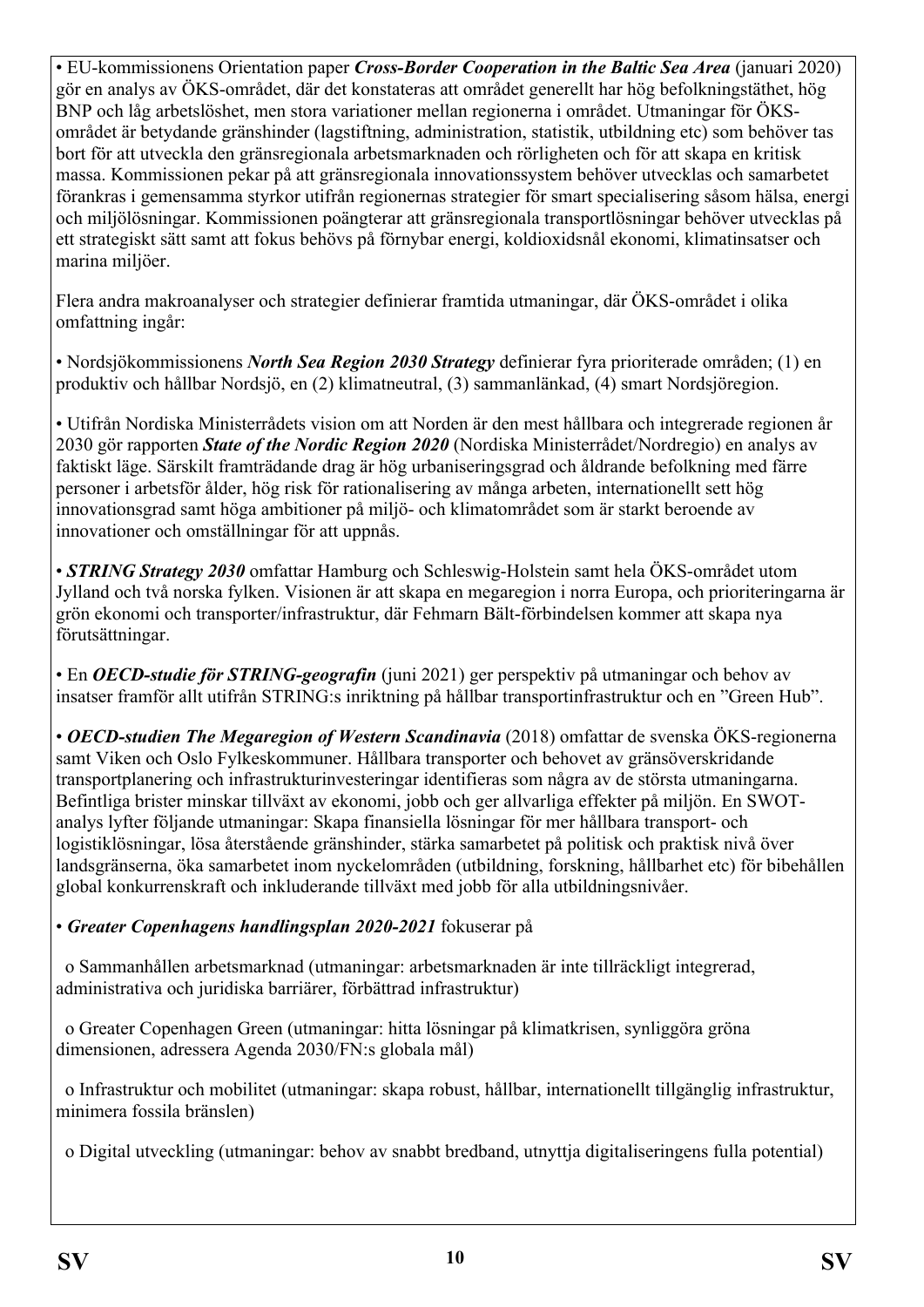• EU-kommissionens Orientation paper *Cross-Border Cooperation in the Baltic Sea Area* (januari 2020) gör en analys av ÖKS-området, där det konstateras att området generellt har hög befolkningstäthet, hög BNP och låg arbetslöshet, men stora variationer mellan regionerna i området. Utmaningar för ÖKSområdet är betydande gränshinder (lagstiftning, administration, statistik, utbildning etc) som behöver tas bort för att utveckla den gränsregionala arbetsmarknaden och rörligheten och för att skapa en kritisk massa. Kommissionen pekar på att gränsregionala innovationssystem behöver utvecklas och samarbetet förankras i gemensamma styrkor utifrån regionernas strategier för smart specialisering såsom hälsa, energi och miljölösningar. Kommissionen poängterar att gränsregionala transportlösningar behöver utvecklas på ett strategiskt sätt samt att fokus behövs på förnybar energi, koldioxidsnål ekonomi, klimatinsatser och marina miljöer.

Flera andra makroanalyser och strategier definierar framtida utmaningar, där ÖKS-området i olika omfattning ingår:

• Nordsjökommissionens *North Sea Region 2030 Strategy* definierar fyra prioriterade områden; (1) en produktiv och hållbar Nordsjö, en (2) klimatneutral, (3) sammanlänkad, (4) smart Nordsjöregion.

• Utifrån Nordiska Ministerrådets vision om att Norden är den mest hållbara och integrerade regionen år 2030 gör rapporten *State of the Nordic Region 2020* (Nordiska Ministerrådet/Nordregio) en analys av faktiskt läge. Särskilt framträdande drag är hög urbaniseringsgrad och åldrande befolkning med färre personer i arbetsför ålder, hög risk för rationalisering av många arbeten, internationellt sett hög innovationsgrad samt höga ambitioner på miljö- och klimatområdet som är starkt beroende av innovationer och omställningar för att uppnås.

• *STRING Strategy 2030* omfattar Hamburg och Schleswig-Holstein samt hela ÖKS-området utom Jylland och två norska fylken. Visionen är att skapa en megaregion i norra Europa, och prioriteringarna är grön ekonomi och transporter/infrastruktur, där Fehmarn Bält-förbindelsen kommer att skapa nya förutsättningar.

• En *OECD-studie för STRING-geografin* (juni 2021) ger perspektiv på utmaningar och behov av insatser framför allt utifrån STRING:s inriktning på hållbar transportinfrastruktur och en "Green Hub".

• *OECD-studien The Megaregion of Western Scandinavia* (2018) omfattar de svenska ÖKS-regionerna samt Viken och Oslo Fylkeskommuner. Hållbara transporter och behovet av gränsöverskridande transportplanering och infrastrukturinvesteringar identifieras som några av de största utmaningarna. Befintliga brister minskar tillväxt av ekonomi, jobb och ger allvarliga effekter på miljön. En SWOTanalys lyfter följande utmaningar: Skapa finansiella lösningar för mer hållbara transport- och logistiklösningar, lösa återstående gränshinder, stärka samarbetet på politisk och praktisk nivå över landsgränserna, öka samarbetet inom nyckelområden (utbildning, forskning, hållbarhet etc) för bibehållen global konkurrenskraft och inkluderande tillväxt med jobb för alla utbildningsnivåer.

## • *Greater Copenhagens handlingsplan 2020-2021* fokuserar på

 o Sammanhållen arbetsmarknad (utmaningar: arbetsmarknaden är inte tillräckligt integrerad, administrativa och juridiska barriärer, förbättrad infrastruktur)

 o Greater Copenhagen Green (utmaningar: hitta lösningar på klimatkrisen, synliggöra gröna dimensionen, adressera Agenda 2030/FN:s globala mål)

 o Infrastruktur och mobilitet (utmaningar: skapa robust, hållbar, internationellt tillgänglig infrastruktur, minimera fossila bränslen)

o Digital utveckling (utmaningar: behov av snabbt bredband, utnyttja digitaliseringens fulla potential)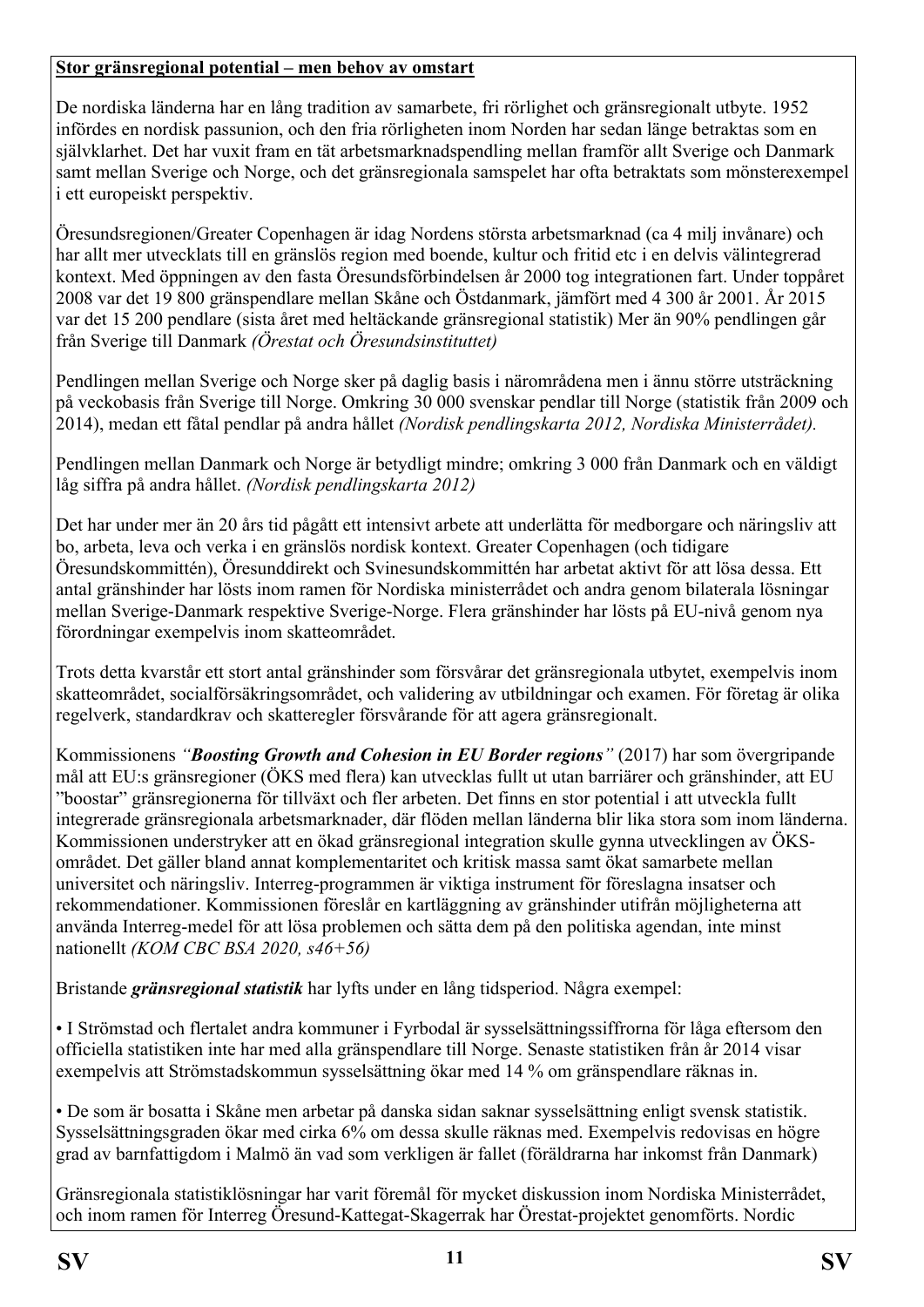#### **Stor gränsregional potential – men behov av omstart**

De nordiska länderna har en lång tradition av samarbete, fri rörlighet och gränsregionalt utbyte. 1952 infördes en nordisk passunion, och den fria rörligheten inom Norden har sedan länge betraktas som en självklarhet. Det har vuxit fram en tät arbetsmarknadspendling mellan framför allt Sverige och Danmark samt mellan Sverige och Norge, och det gränsregionala samspelet har ofta betraktats som mönsterexempel i ett europeiskt perspektiv.

Öresundsregionen/Greater Copenhagen är idag Nordens största arbetsmarknad (ca 4 milj invånare) och har allt mer utvecklats till en gränslös region med boende, kultur och fritid etc i en delvis välintegrerad kontext. Med öppningen av den fasta Öresundsförbindelsen år 2000 tog integrationen fart. Under toppåret 2008 var det 19 800 gränspendlare mellan Skåne och Östdanmark, jämfört med 4 300 år 2001. År 2015 var det 15 200 pendlare (sista året med heltäckande gränsregional statistik) Mer än 90% pendlingen går från Sverige till Danmark *(Örestat och Öresundsinstituttet)* 

Pendlingen mellan Sverige och Norge sker på daglig basis i närområdena men i ännu större utsträckning på veckobasis från Sverige till Norge. Omkring 30 000 svenskar pendlar till Norge (statistik från 2009 och 2014), medan ett fåtal pendlar på andra hållet *(Nordisk pendlingskarta 2012, Nordiska Ministerrådet).*

Pendlingen mellan Danmark och Norge är betydligt mindre; omkring 3 000 från Danmark och en väldigt låg siffra på andra hållet. *(Nordisk pendlingskarta 2012)*

Det har under mer än 20 års tid pågått ett intensivt arbete att underlätta för medborgare och näringsliv att bo, arbeta, leva och verka i en gränslös nordisk kontext. Greater Copenhagen (och tidigare Öresundskommittén), Öresunddirekt och Svinesundskommittén har arbetat aktivt för att lösa dessa. Ett antal gränshinder har lösts inom ramen för Nordiska ministerrådet och andra genom bilaterala lösningar mellan Sverige-Danmark respektive Sverige-Norge. Flera gränshinder har lösts på EU-nivå genom nya förordningar exempelvis inom skatteområdet.

Trots detta kvarstår ett stort antal gränshinder som försvårar det gränsregionala utbytet, exempelvis inom skatteområdet, socialförsäkringsområdet, och validering av utbildningar och examen. För företag är olika regelverk, standardkrav och skatteregler försvårande för att agera gränsregionalt.

Kommissionens *"Boosting Growth and Cohesion in EU Border regions"* (2017) har som övergripande mål att EU:s gränsregioner (ÖKS med flera) kan utvecklas fullt ut utan barriärer och gränshinder, att EU "boostar" gränsregionerna för tillväxt och fler arbeten. Det finns en stor potential i att utveckla fullt integrerade gränsregionala arbetsmarknader, där flöden mellan länderna blir lika stora som inom länderna. Kommissionen understryker att en ökad gränsregional integration skulle gynna utvecklingen av ÖKSområdet. Det gäller bland annat komplementaritet och kritisk massa samt ökat samarbete mellan universitet och näringsliv. Interreg-programmen är viktiga instrument för föreslagna insatser och rekommendationer. Kommissionen föreslår en kartläggning av gränshinder utifrån möjligheterna att använda Interreg-medel för att lösa problemen och sätta dem på den politiska agendan, inte minst nationellt *(KOM CBC BSA 2020, s46+56)*

Bristande *gränsregional statistik* har lyfts under en lång tidsperiod. Några exempel:

• I Strömstad och flertalet andra kommuner i Fyrbodal är sysselsättningssiffrorna för låga eftersom den officiella statistiken inte har med alla gränspendlare till Norge. Senaste statistiken från år 2014 visar exempelvis att Strömstadskommun sysselsättning ökar med 14 % om gränspendlare räknas in.

• De som är bosatta i Skåne men arbetar på danska sidan saknar sysselsättning enligt svensk statistik. Sysselsättningsgraden ökar med cirka 6% om dessa skulle räknas med. Exempelvis redovisas en högre grad av barnfattigdom i Malmö än vad som verkligen är fallet (föräldrarna har inkomst från Danmark)

Gränsregionala statistiklösningar har varit föremål för mycket diskussion inom Nordiska Ministerrådet, och inom ramen för Interreg Öresund-Kattegat-Skagerrak har Örestat-projektet genomförts. Nordic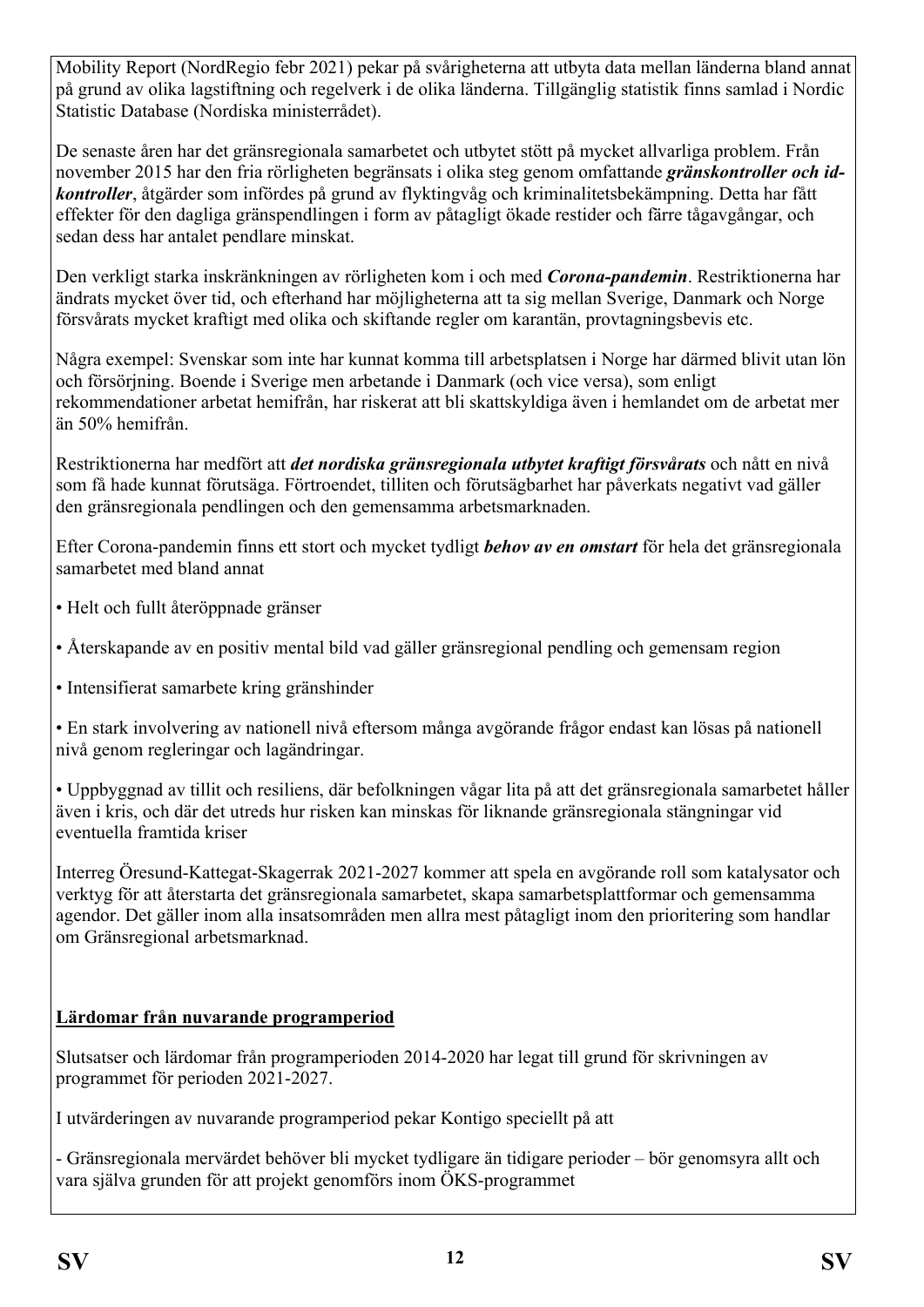Mobility Report (NordRegio febr 2021) pekar på svårigheterna att utbyta data mellan länderna bland annat på grund av olika lagstiftning och regelverk i de olika länderna. Tillgänglig statistik finns samlad i Nordic Statistic Database (Nordiska ministerrådet).

De senaste åren har det gränsregionala samarbetet och utbytet stött på mycket allvarliga problem. Från november 2015 har den fria rörligheten begränsats i olika steg genom omfattande *gränskontroller och idkontroller*, åtgärder som infördes på grund av flyktingvåg och kriminalitetsbekämpning. Detta har fått effekter för den dagliga gränspendlingen i form av påtagligt ökade restider och färre tågavgångar, och sedan dess har antalet pendlare minskat.

Den verkligt starka inskränkningen av rörligheten kom i och med *Corona-pandemin*. Restriktionerna har ändrats mycket över tid, och efterhand har möjligheterna att ta sig mellan Sverige, Danmark och Norge försvårats mycket kraftigt med olika och skiftande regler om karantän, provtagningsbevis etc.

Några exempel: Svenskar som inte har kunnat komma till arbetsplatsen i Norge har därmed blivit utan lön och försörjning. Boende i Sverige men arbetande i Danmark (och vice versa), som enligt rekommendationer arbetat hemifrån, har riskerat att bli skattskyldiga även i hemlandet om de arbetat mer än 50% hemifrån.

Restriktionerna har medfört att *det nordiska gränsregionala utbytet kraftigt försvårats* och nått en nivå som få hade kunnat förutsäga. Förtroendet, tilliten och förutsägbarhet har påverkats negativt vad gäller den gränsregionala pendlingen och den gemensamma arbetsmarknaden.

Efter Corona-pandemin finns ett stort och mycket tydligt *behov av en omstart* för hela det gränsregionala samarbetet med bland annat

- Helt och fullt återöppnade gränser
- Återskapande av en positiv mental bild vad gäller gränsregional pendling och gemensam region
- Intensifierat samarbete kring gränshinder

• En stark involvering av nationell nivå eftersom många avgörande frågor endast kan lösas på nationell nivå genom regleringar och lagändringar.

• Uppbyggnad av tillit och resiliens, där befolkningen vågar lita på att det gränsregionala samarbetet håller även i kris, och där det utreds hur risken kan minskas för liknande gränsregionala stängningar vid eventuella framtida kriser

Interreg Öresund-Kattegat-Skagerrak 2021-2027 kommer att spela en avgörande roll som katalysator och verktyg för att återstarta det gränsregionala samarbetet, skapa samarbetsplattformar och gemensamma agendor. Det gäller inom alla insatsområden men allra mest påtagligt inom den prioritering som handlar om Gränsregional arbetsmarknad.

## **Lärdomar från nuvarande programperiod**

Slutsatser och lärdomar från programperioden 2014-2020 har legat till grund för skrivningen av programmet för perioden 2021-2027.

I utvärderingen av nuvarande programperiod pekar Kontigo speciellt på att

- Gränsregionala mervärdet behöver bli mycket tydligare än tidigare perioder – bör genomsyra allt och vara själva grunden för att projekt genomförs inom ÖKS-programmet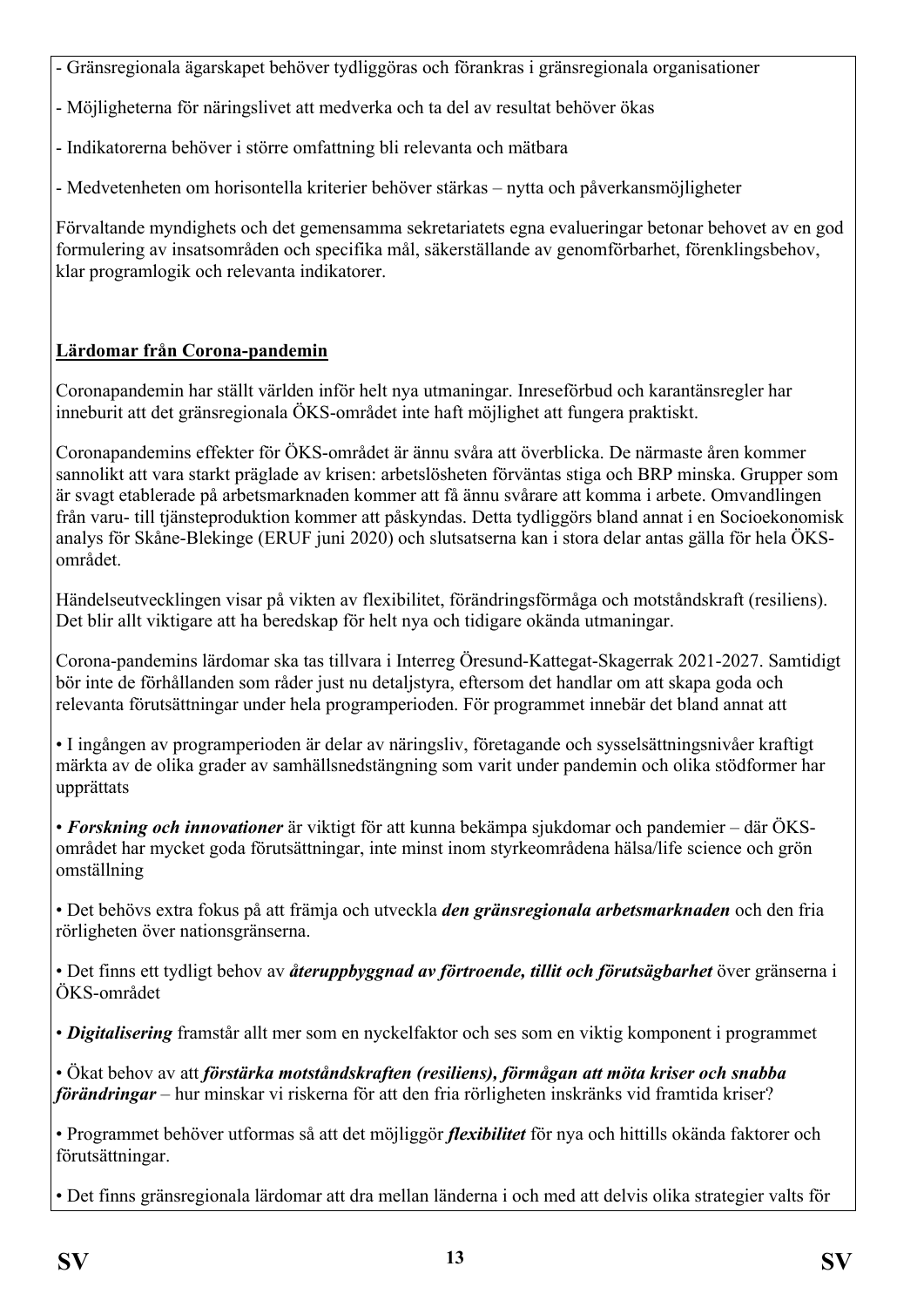- Gränsregionala ägarskapet behöver tydliggöras och förankras i gränsregionala organisationer

- Möjligheterna för näringslivet att medverka och ta del av resultat behöver ökas

- Indikatorerna behöver i större omfattning bli relevanta och mätbara

- Medvetenheten om horisontella kriterier behöver stärkas – nytta och påverkansmöjligheter

Förvaltande myndighets och det gemensamma sekretariatets egna evalueringar betonar behovet av en god formulering av insatsområden och specifika mål, säkerställande av genomförbarhet, förenklingsbehov, klar programlogik och relevanta indikatorer.

## **Lärdomar från Corona-pandemin**

Coronapandemin har ställt världen inför helt nya utmaningar. Inreseförbud och karantänsregler har inneburit att det gränsregionala ÖKS-området inte haft möjlighet att fungera praktiskt.

Coronapandemins effekter för ÖKS-området är ännu svåra att överblicka. De närmaste åren kommer sannolikt att vara starkt präglade av krisen: arbetslösheten förväntas stiga och BRP minska. Grupper som är svagt etablerade på arbetsmarknaden kommer att få ännu svårare att komma i arbete. Omvandlingen från varu- till tjänsteproduktion kommer att påskyndas. Detta tydliggörs bland annat i en Socioekonomisk analys för Skåne-Blekinge (ERUF juni 2020) och slutsatserna kan i stora delar antas gälla för hela ÖKSområdet.

Händelseutvecklingen visar på vikten av flexibilitet, förändringsförmåga och motståndskraft (resiliens). Det blir allt viktigare att ha beredskap för helt nya och tidigare okända utmaningar.

Corona-pandemins lärdomar ska tas tillvara i Interreg Öresund-Kattegat-Skagerrak 2021-2027. Samtidigt bör inte de förhållanden som råder just nu detaljstyra, eftersom det handlar om att skapa goda och relevanta förutsättningar under hela programperioden. För programmet innebär det bland annat att

• I ingången av programperioden är delar av näringsliv, företagande och sysselsättningsnivåer kraftigt märkta av de olika grader av samhällsnedstängning som varit under pandemin och olika stödformer har upprättats

• *Forskning och innovationer* är viktigt för att kunna bekämpa sjukdomar och pandemier – där ÖKSområdet har mycket goda förutsättningar, inte minst inom styrkeområdena hälsa/life science och grön omställning

• Det behövs extra fokus på att främja och utveckla *den gränsregionala arbetsmarknaden* och den fria rörligheten över nationsgränserna.

• Det finns ett tydligt behov av *återuppbyggnad av förtroende, tillit och förutsägbarhet* över gränserna i ÖKS-området

• *Digitalisering* framstår allt mer som en nyckelfaktor och ses som en viktig komponent i programmet

• Ökat behov av att *förstärka motståndskraften (resiliens), förmågan att möta kriser och snabba förändringar* – hur minskar vi riskerna för att den fria rörligheten inskränks vid framtida kriser?

• Programmet behöver utformas så att det möjliggör *flexibilitet* för nya och hittills okända faktorer och förutsättningar.

• Det finns gränsregionala lärdomar att dra mellan länderna i och med att delvis olika strategier valts för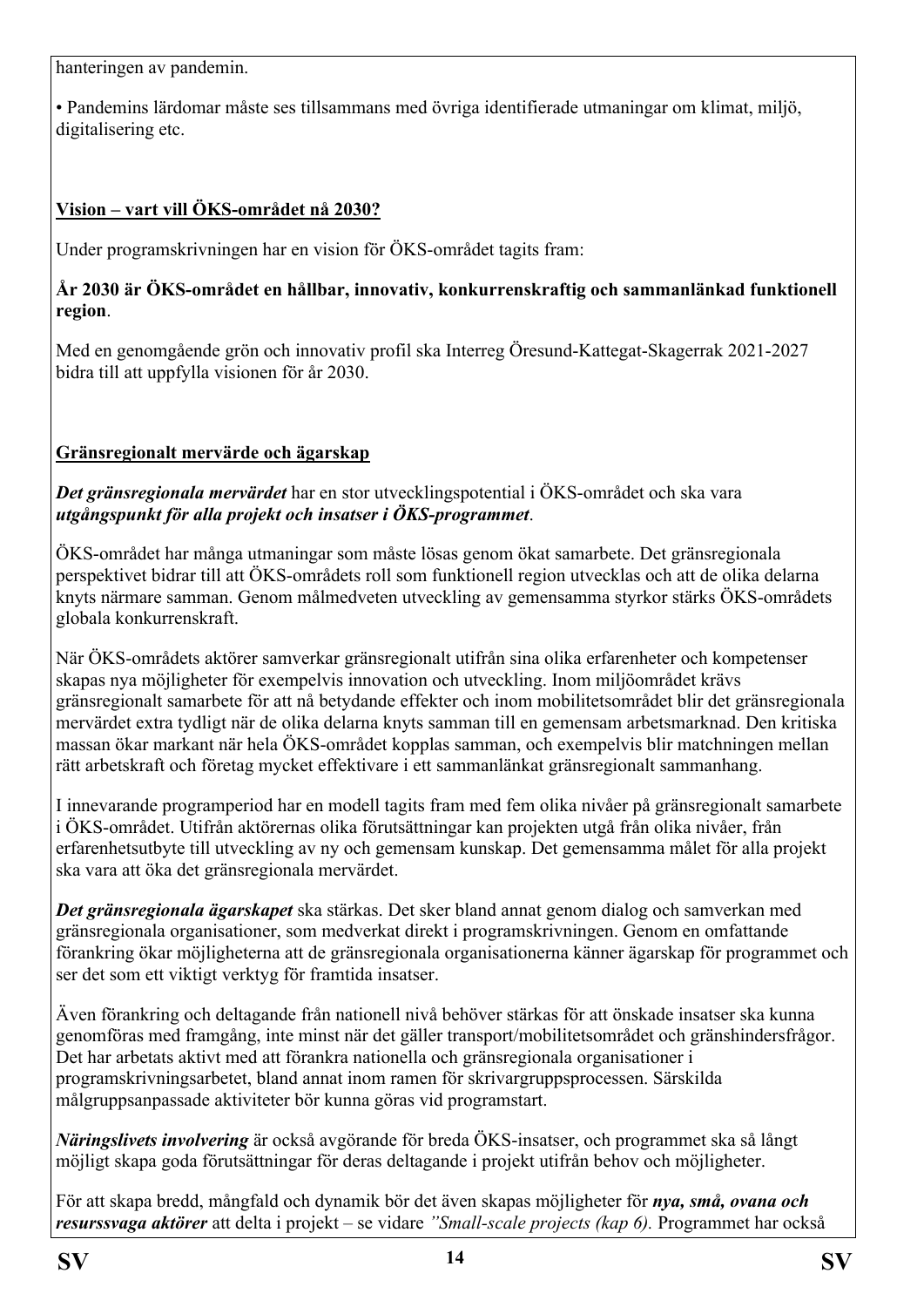hanteringen av pandemin.

• Pandemins lärdomar måste ses tillsammans med övriga identifierade utmaningar om klimat, miljö, digitalisering etc.

## **Vision – vart vill ÖKS-området nå 2030?**

Under programskrivningen har en vision för ÖKS-området tagits fram:

#### **År 2030 är ÖKS-området en hållbar, innovativ, konkurrenskraftig och sammanlänkad funktionell region**.

Med en genomgående grön och innovativ profil ska Interreg Öresund-Kattegat-Skagerrak 2021-2027 bidra till att uppfylla visionen för år 2030.

## **Gränsregionalt mervärde och ägarskap**

*Det gränsregionala mervärdet* har en stor utvecklingspotential i ÖKS-området och ska vara *utgångspunkt för alla projekt och insatser i ÖKS-programmet*.

ÖKS-området har många utmaningar som måste lösas genom ökat samarbete. Det gränsregionala perspektivet bidrar till att ÖKS-områdets roll som funktionell region utvecklas och att de olika delarna knyts närmare samman. Genom målmedveten utveckling av gemensamma styrkor stärks ÖKS-områdets globala konkurrenskraft.

När ÖKS-områdets aktörer samverkar gränsregionalt utifrån sina olika erfarenheter och kompetenser skapas nya möjligheter för exempelvis innovation och utveckling. Inom miljöområdet krävs gränsregionalt samarbete för att nå betydande effekter och inom mobilitetsområdet blir det gränsregionala mervärdet extra tydligt när de olika delarna knyts samman till en gemensam arbetsmarknad. Den kritiska massan ökar markant när hela ÖKS-området kopplas samman, och exempelvis blir matchningen mellan rätt arbetskraft och företag mycket effektivare i ett sammanlänkat gränsregionalt sammanhang.

I innevarande programperiod har en modell tagits fram med fem olika nivåer på gränsregionalt samarbete i ÖKS-området. Utifrån aktörernas olika förutsättningar kan projekten utgå från olika nivåer, från erfarenhetsutbyte till utveckling av ny och gemensam kunskap. Det gemensamma målet för alla projekt ska vara att öka det gränsregionala mervärdet.

*Det gränsregionala ägarskapet* ska stärkas. Det sker bland annat genom dialog och samverkan med gränsregionala organisationer, som medverkat direkt i programskrivningen. Genom en omfattande förankring ökar möjligheterna att de gränsregionala organisationerna känner ägarskap för programmet och ser det som ett viktigt verktyg för framtida insatser.

Även förankring och deltagande från nationell nivå behöver stärkas för att önskade insatser ska kunna genomföras med framgång, inte minst när det gäller transport/mobilitetsområdet och gränshindersfrågor. Det har arbetats aktivt med att förankra nationella och gränsregionala organisationer i programskrivningsarbetet, bland annat inom ramen för skrivargruppsprocessen. Särskilda målgruppsanpassade aktiviteter bör kunna göras vid programstart.

*Näringslivets involvering* är också avgörande för breda ÖKS-insatser, och programmet ska så långt möjligt skapa goda förutsättningar för deras deltagande i projekt utifrån behov och möjligheter.

För att skapa bredd, mångfald och dynamik bör det även skapas möjligheter för *nya, små, ovana och resurssvaga aktörer* att delta i projekt – se vidare *"Small-scale projects (kap 6).* Programmet har också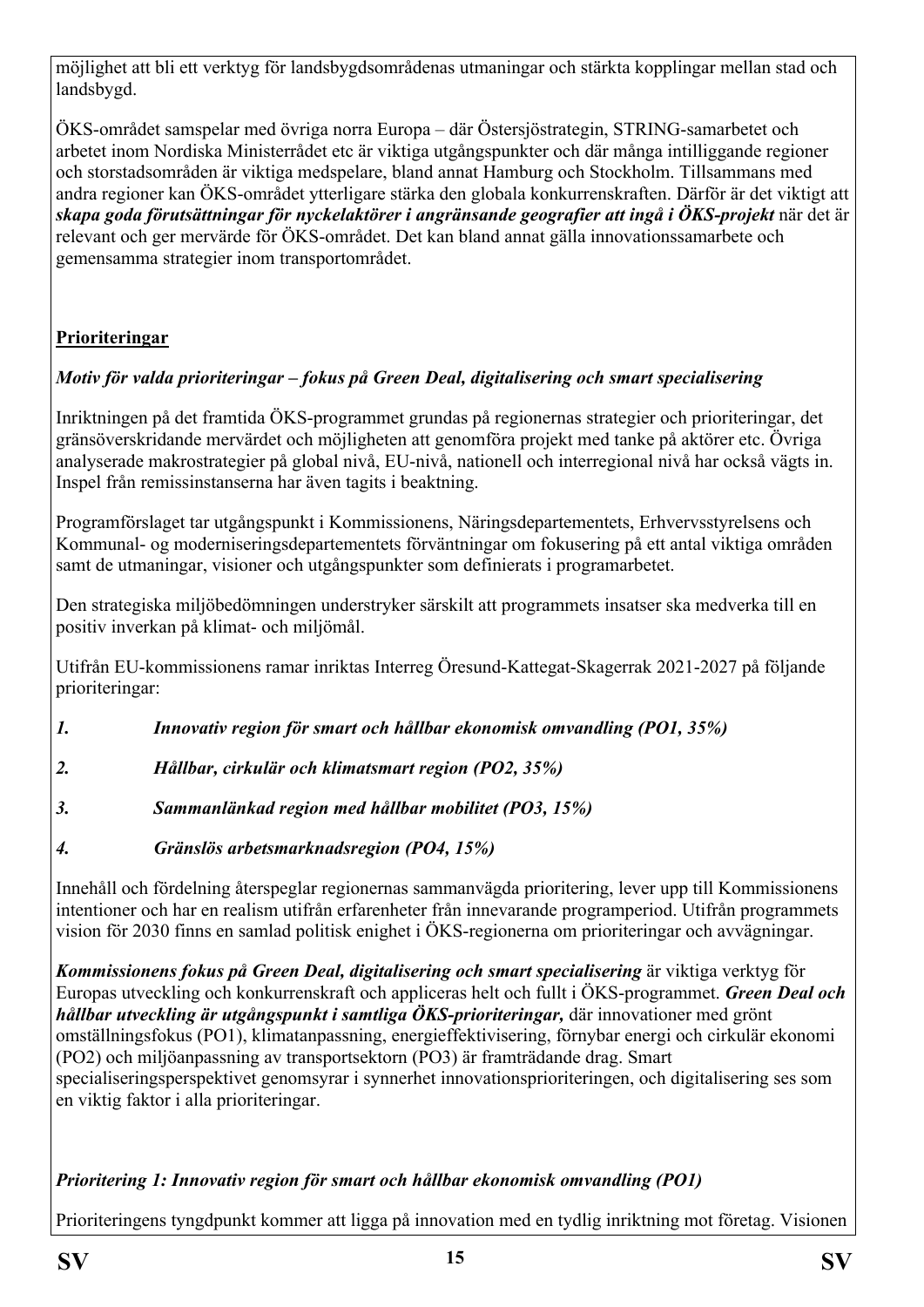möjlighet att bli ett verktyg för landsbygdsområdenas utmaningar och stärkta kopplingar mellan stad och landsbygd.

ÖKS-området samspelar med övriga norra Europa – där Östersjöstrategin, STRING-samarbetet och arbetet inom Nordiska Ministerrådet etc är viktiga utgångspunkter och där många intilliggande regioner och storstadsområden är viktiga medspelare, bland annat Hamburg och Stockholm. Tillsammans med andra regioner kan ÖKS-området ytterligare stärka den globala konkurrenskraften. Därför är det viktigt att *skapa goda förutsättningar för nyckelaktörer i angränsande geografier att ingå i ÖKS-projekt* när det är relevant och ger mervärde för ÖKS-området. Det kan bland annat gälla innovationssamarbete och gemensamma strategier inom transportområdet.

# **Prioriteringar**

# *Motiv för valda prioriteringar – fokus på Green Deal, digitalisering och smart specialisering*

Inriktningen på det framtida ÖKS-programmet grundas på regionernas strategier och prioriteringar, det gränsöverskridande mervärdet och möjligheten att genomföra projekt med tanke på aktörer etc. Övriga analyserade makrostrategier på global nivå, EU-nivå, nationell och interregional nivå har också vägts in. Inspel från remissinstanserna har även tagits i beaktning.

Programförslaget tar utgångspunkt i Kommissionens, Näringsdepartementets, Erhvervsstyrelsens och Kommunal- og moderniseringsdepartementets förväntningar om fokusering på ett antal viktiga områden samt de utmaningar, visioner och utgångspunkter som definierats i programarbetet.

Den strategiska miljöbedömningen understryker särskilt att programmets insatser ska medverka till en positiv inverkan på klimat- och miljömål.

Utifrån EU-kommissionens ramar inriktas Interreg Öresund-Kattegat-Skagerrak 2021-2027 på följande prioriteringar:

- *1. Innovativ region för smart och hållbar ekonomisk omvandling (PO1, 35%)*
- *2. Hållbar, cirkulär och klimatsmart region (PO2, 35%)*
- *3. Sammanlänkad region med hållbar mobilitet (PO3, 15%)*
- *4. Gränslös arbetsmarknadsregion (PO4, 15%)*

Innehåll och fördelning återspeglar regionernas sammanvägda prioritering, lever upp till Kommissionens intentioner och har en realism utifrån erfarenheter från innevarande programperiod. Utifrån programmets vision för 2030 finns en samlad politisk enighet i ÖKS-regionerna om prioriteringar och avvägningar.

*Kommissionens fokus på Green Deal, digitalisering och smart specialisering* är viktiga verktyg för Europas utveckling och konkurrenskraft och appliceras helt och fullt i ÖKS-programmet. *Green Deal och hållbar utveckling är utgångspunkt i samtliga ÖKS-prioriteringar,* där innovationer med grönt omställningsfokus (PO1), klimatanpassning, energieffektivisering, förnybar energi och cirkulär ekonomi (PO2) och miljöanpassning av transportsektorn (PO3) är framträdande drag. Smart specialiseringsperspektivet genomsyrar i synnerhet innovationsprioriteringen, och digitalisering ses som en viktig faktor i alla prioriteringar.

## *Prioritering 1: Innovativ region för smart och hållbar ekonomisk omvandling (PO1)*

Prioriteringens tyngdpunkt kommer att ligga på innovation med en tydlig inriktning mot företag. Visionen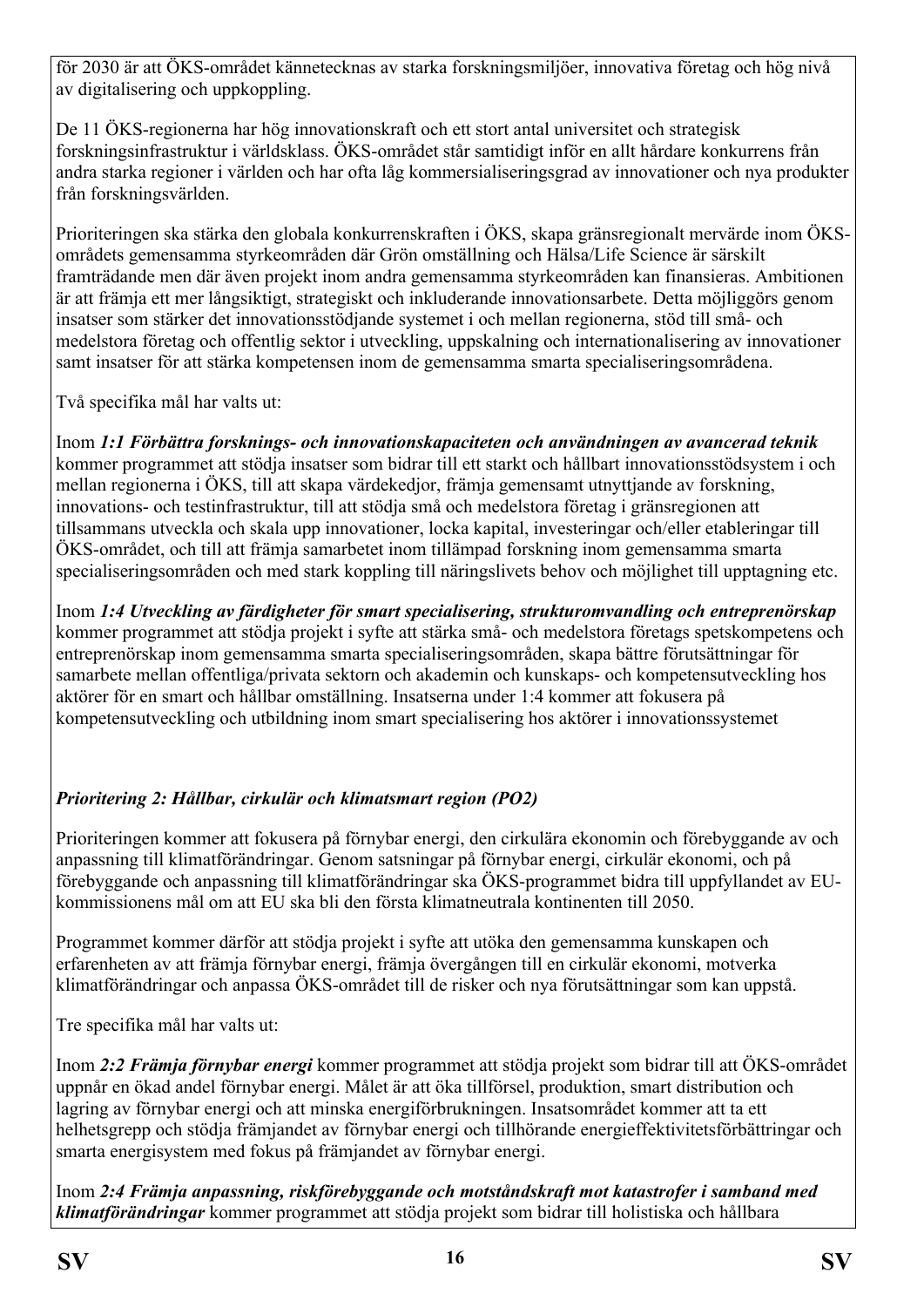för 2030 är att ÖKS-området kännetecknas av starka forskningsmiljöer, innovativa företag och hög nivå av digitalisering och uppkoppling.

De 11 ÖKS-regionerna har hög innovationskraft och ett stort antal universitet och strategisk forskningsinfrastruktur i världsklass. ÖKS-området står samtidigt inför en allt hårdare konkurrens från andra starka regioner i världen och har ofta låg kommersialiseringsgrad av innovationer och nya produkter från forskningsvärlden.

Prioriteringen ska stärka den globala konkurrenskraften i ÖKS, skapa gränsregionalt mervärde inom ÖKSområdets gemensamma styrkeområden där Grön omställning och Hälsa/Life Science är särskilt framträdande men där även projekt inom andra gemensamma styrkeområden kan finansieras. Ambitionen är att främja ett mer långsiktigt, strategiskt och inkluderande innovationsarbete. Detta möjliggörs genom insatser som stärker det innovationsstödjande systemet i och mellan regionerna, stöd till små- och medelstora företag och offentlig sektor i utveckling, uppskalning och internationalisering av innovationer samt insatser för att stärka kompetensen inom de gemensamma smarta specialiseringsområdena.

Två specifika mål har valts ut:

Inom *1:1 Förbättra forsknings- och innovationskapaciteten och användningen av avancerad teknik* kommer programmet att stödja insatser som bidrar till ett starkt och hållbart innovationsstödsystem i och mellan regionerna i ÖKS, till att skapa värdekedjor, främja gemensamt utnyttjande av forskning, innovations- och testinfrastruktur, till att stödja små och medelstora företag i gränsregionen att tillsammans utveckla och skala upp innovationer, locka kapital, investeringar och/eller etableringar till ÖKS-området, och till att främja samarbetet inom tillämpad forskning inom gemensamma smarta specialiseringsområden och med stark koppling till näringslivets behov och möjlighet till upptagning etc.

Inom *1:4 Utveckling av färdigheter för smart specialisering, strukturomvandling och entreprenörskap* kommer programmet att stödja projekt i syfte att stärka små- och medelstora företags spetskompetens och entreprenörskap inom gemensamma smarta specialiseringsområden, skapa bättre förutsättningar för samarbete mellan offentliga/privata sektorn och akademin och kunskaps- och kompetensutveckling hos aktörer för en smart och hållbar omställning. Insatserna under 1:4 kommer att fokusera på kompetensutveckling och utbildning inom smart specialisering hos aktörer i innovationssystemet

# *Prioritering 2: Hållbar, cirkulär och klimatsmart region (PO2)*

Prioriteringen kommer att fokusera på förnybar energi, den cirkulära ekonomin och förebyggande av och anpassning till klimatförändringar. Genom satsningar på förnybar energi, cirkulär ekonomi, och på förebyggande och anpassning till klimatförändringar ska ÖKS-programmet bidra till uppfyllandet av EUkommissionens mål om att EU ska bli den första klimatneutrala kontinenten till 2050.

Programmet kommer därför att stödja projekt i syfte att utöka den gemensamma kunskapen och erfarenheten av att främja förnybar energi, främja övergången till en cirkulär ekonomi, motverka klimatförändringar och anpassa ÖKS-området till de risker och nya förutsättningar som kan uppstå.

Tre specifika mål har valts ut:

Inom *2:2 Främja förnybar energi* kommer programmet att stödja projekt som bidrar till att ÖKS-området uppnår en ökad andel förnybar energi. Målet är att öka tillförsel, produktion, smart distribution och lagring av förnybar energi och att minska energiförbrukningen. Insatsområdet kommer att ta ett helhetsgrepp och stödja främjandet av förnybar energi och tillhörande energieffektivitetsförbättringar och smarta energisystem med fokus på främjandet av förnybar energi.

Inom *2:4 Främja anpassning, riskförebyggande och motståndskraft mot katastrofer i samband med klimatförändringar* kommer programmet att stödja projekt som bidrar till holistiska och hållbara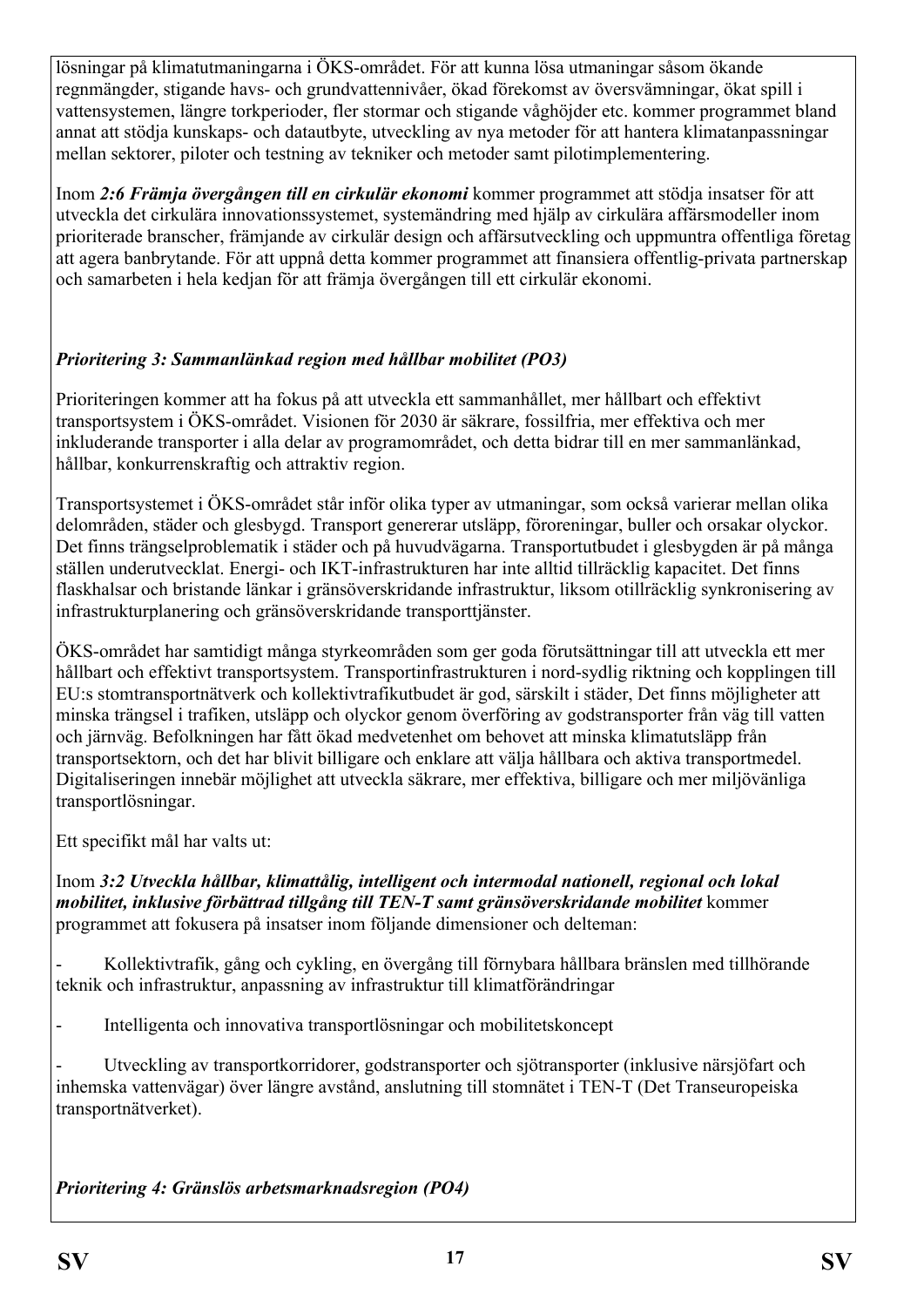lösningar på klimatutmaningarna i ÖKS-området. För att kunna lösa utmaningar såsom ökande regnmängder, stigande havs- och grundvattennivåer, ökad förekomst av översvämningar, ökat spill i vattensystemen, längre torkperioder, fler stormar och stigande våghöjder etc. kommer programmet bland annat att stödja kunskaps- och datautbyte, utveckling av nya metoder för att hantera klimatanpassningar mellan sektorer, piloter och testning av tekniker och metoder samt pilotimplementering.

Inom *2:6 Främja övergången till en cirkulär ekonomi* kommer programmet att stödja insatser för att utveckla det cirkulära innovationssystemet, systemändring med hjälp av cirkulära affärsmodeller inom prioriterade branscher, främjande av cirkulär design och affärsutveckling och uppmuntra offentliga företag att agera banbrytande. För att uppnå detta kommer programmet att finansiera offentlig-privata partnerskap och samarbeten i hela kedjan för att främja övergången till ett cirkulär ekonomi.

## *Prioritering 3: Sammanlänkad region med hållbar mobilitet (PO3)*

Prioriteringen kommer att ha fokus på att utveckla ett sammanhållet, mer hållbart och effektivt transportsystem i ÖKS-området. Visionen för 2030 är säkrare, fossilfria, mer effektiva och mer inkluderande transporter i alla delar av programområdet, och detta bidrar till en mer sammanlänkad, hållbar, konkurrenskraftig och attraktiv region.

Transportsystemet i ÖKS-området står inför olika typer av utmaningar, som också varierar mellan olika delområden, städer och glesbygd. Transport genererar utsläpp, föroreningar, buller och orsakar olyckor. Det finns trängselproblematik i städer och på huvudvägarna. Transportutbudet i glesbygden är på många ställen underutvecklat. Energi- och IKT-infrastrukturen har inte alltid tillräcklig kapacitet. Det finns flaskhalsar och bristande länkar i gränsöverskridande infrastruktur, liksom otillräcklig synkronisering av infrastrukturplanering och gränsöverskridande transporttjänster.

ÖKS-området har samtidigt många styrkeområden som ger goda förutsättningar till att utveckla ett mer hållbart och effektivt transportsystem. Transportinfrastrukturen i nord-sydlig riktning och kopplingen till EU:s stomtransportnätverk och kollektivtrafikutbudet är god, särskilt i städer, Det finns möjligheter att minska trängsel i trafiken, utsläpp och olyckor genom överföring av godstransporter från väg till vatten och järnväg. Befolkningen har fått ökad medvetenhet om behovet att minska klimatutsläpp från transportsektorn, och det har blivit billigare och enklare att välja hållbara och aktiva transportmedel. Digitaliseringen innebär möjlighet att utveckla säkrare, mer effektiva, billigare och mer miljövänliga transportlösningar.

Ett specifikt mål har valts ut:

Inom *3:2 Utveckla hållbar, klimattålig, intelligent och intermodal nationell, regional och lokal mobilitet, inklusive förbättrad tillgång till TEN-T samt gränsöverskridande mobilitet* kommer programmet att fokusera på insatser inom följande dimensioner och delteman:

- Kollektivtrafik, gång och cykling, en övergång till förnybara hållbara bränslen med tillhörande teknik och infrastruktur, anpassning av infrastruktur till klimatförändringar

- Intelligenta och innovativa transportlösningar och mobilitetskoncept

- Utveckling av transportkorridorer, godstransporter och sjötransporter (inklusive närsjöfart och inhemska vattenvägar) över längre avstånd, anslutning till stomnätet i TEN-T (Det Transeuropeiska transportnätverket).

*Prioritering 4: Gränslös arbetsmarknadsregion (PO4)*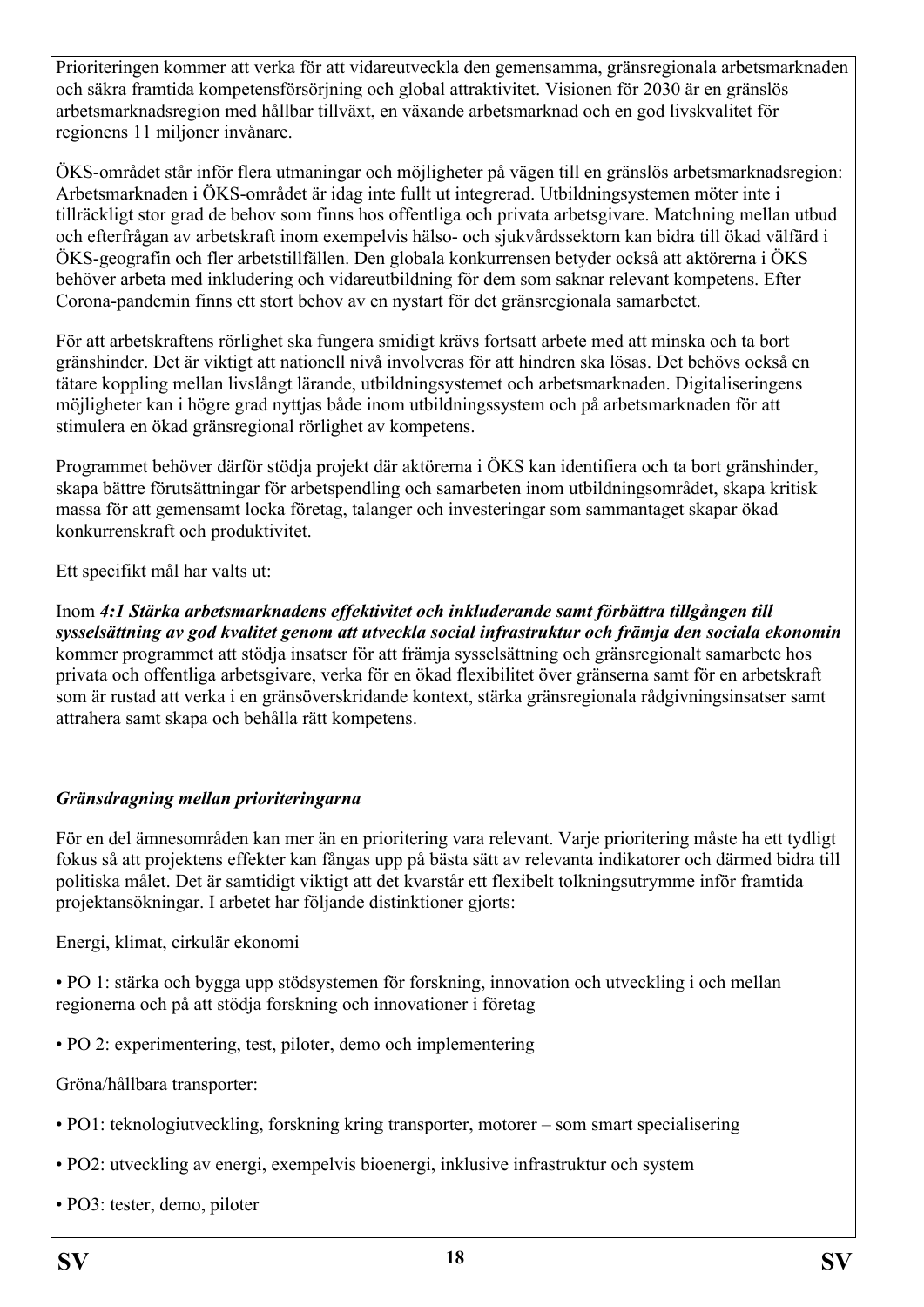Prioriteringen kommer att verka för att vidareutveckla den gemensamma, gränsregionala arbetsmarknaden och säkra framtida kompetensförsörjning och global attraktivitet. Visionen för 2030 är en gränslös arbetsmarknadsregion med hållbar tillväxt, en växande arbetsmarknad och en god livskvalitet för regionens 11 miljoner invånare.

ÖKS-området står inför flera utmaningar och möjligheter på vägen till en gränslös arbetsmarknadsregion: Arbetsmarknaden i ÖKS-området är idag inte fullt ut integrerad. Utbildningsystemen möter inte i tillräckligt stor grad de behov som finns hos offentliga och privata arbetsgivare. Matchning mellan utbud och efterfrågan av arbetskraft inom exempelvis hälso- och sjukvårdssektorn kan bidra till ökad välfärd i ÖKS-geografin och fler arbetstillfällen. Den globala konkurrensen betyder också att aktörerna i ÖKS behöver arbeta med inkludering och vidareutbildning för dem som saknar relevant kompetens. Efter Corona-pandemin finns ett stort behov av en nystart för det gränsregionala samarbetet.

För att arbetskraftens rörlighet ska fungera smidigt krävs fortsatt arbete med att minska och ta bort gränshinder. Det är viktigt att nationell nivå involveras för att hindren ska lösas. Det behövs också en tätare koppling mellan livslångt lärande, utbildningsystemet och arbetsmarknaden. Digitaliseringens möjligheter kan i högre grad nyttjas både inom utbildningssystem och på arbetsmarknaden för att stimulera en ökad gränsregional rörlighet av kompetens.

Programmet behöver därför stödja projekt där aktörerna i ÖKS kan identifiera och ta bort gränshinder, skapa bättre förutsättningar för arbetspendling och samarbeten inom utbildningsområdet, skapa kritisk massa för att gemensamt locka företag, talanger och investeringar som sammantaget skapar ökad konkurrenskraft och produktivitet.

Ett specifikt mål har valts ut:

Inom *4:1 Stärka arbetsmarknadens effektivitet och inkluderande samt förbättra tillgången till sysselsättning av god kvalitet genom att utveckla social infrastruktur och främja den sociala ekonomin* kommer programmet att stödja insatser för att främja sysselsättning och gränsregionalt samarbete hos privata och offentliga arbetsgivare, verka för en ökad flexibilitet över gränserna samt för en arbetskraft som är rustad att verka i en gränsöverskridande kontext, stärka gränsregionala rådgivningsinsatser samt attrahera samt skapa och behålla rätt kompetens.

## *Gränsdragning mellan prioriteringarna*

För en del ämnesområden kan mer än en prioritering vara relevant. Varje prioritering måste ha ett tydligt fokus så att projektens effekter kan fångas upp på bästa sätt av relevanta indikatorer och därmed bidra till politiska målet. Det är samtidigt viktigt att det kvarstår ett flexibelt tolkningsutrymme inför framtida projektansökningar. I arbetet har följande distinktioner gjorts:

Energi, klimat, cirkulär ekonomi

• PO 1: stärka och bygga upp stödsystemen för forskning, innovation och utveckling i och mellan regionerna och på att stödja forskning och innovationer i företag

• PO 2: experimentering, test, piloter, demo och implementering

Gröna/hållbara transporter:

- PO1: teknologiutveckling, forskning kring transporter, motorer som smart specialisering
- PO2: utveckling av energi, exempelvis bioenergi, inklusive infrastruktur och system
- PO3: tester, demo, piloter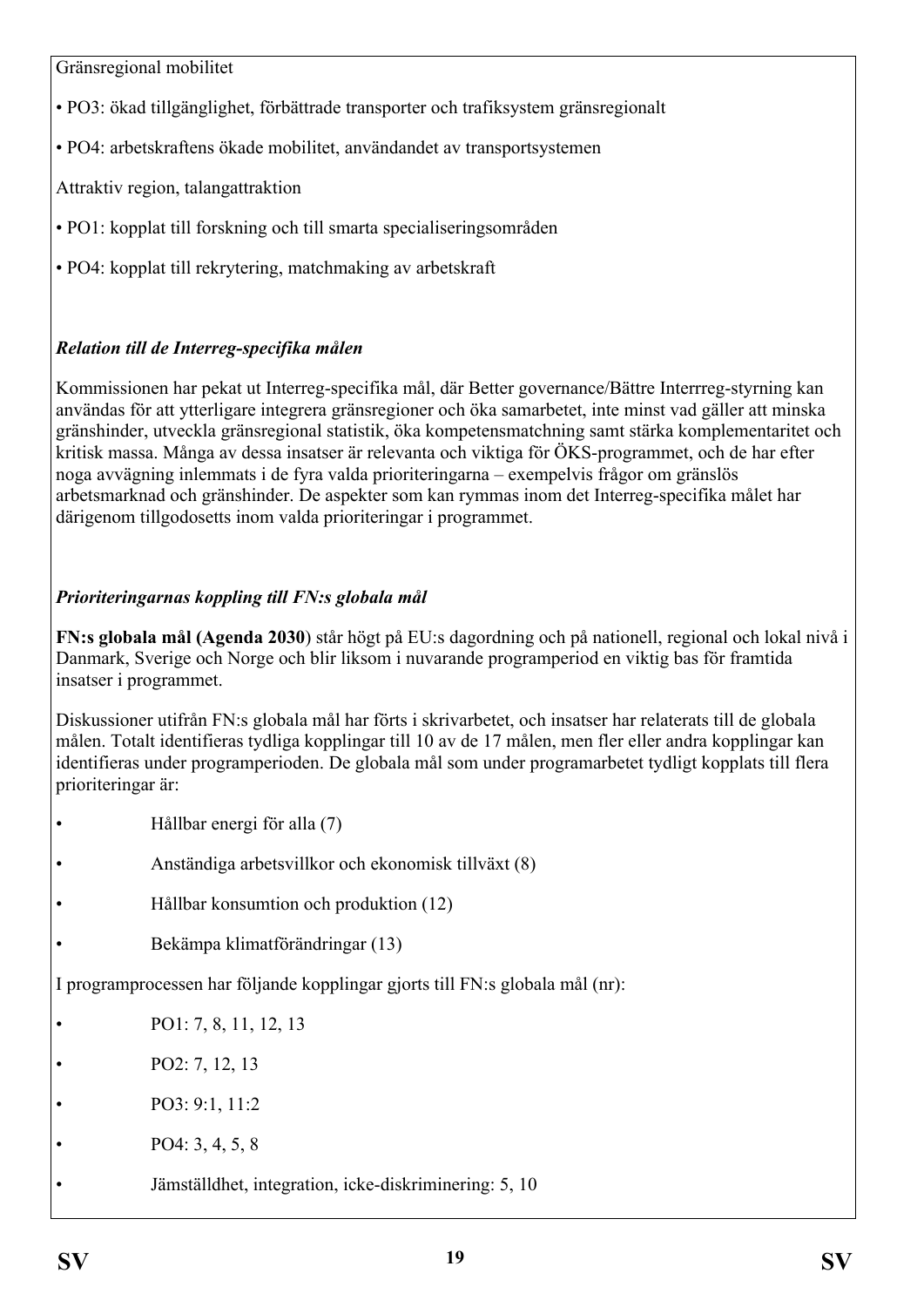Gränsregional mobilitet

- PO3: ökad tillgänglighet, förbättrade transporter och trafiksystem gränsregionalt
- PO4: arbetskraftens ökade mobilitet, användandet av transportsystemen

Attraktiv region, talangattraktion

- PO1: kopplat till forskning och till smarta specialiseringsområden
- PO4: kopplat till rekrytering, matchmaking av arbetskraft

## *Relation till de Interreg-specifika målen*

Kommissionen har pekat ut Interreg-specifika mål, där Better governance/Bättre Interrreg-styrning kan användas för att ytterligare integrera gränsregioner och öka samarbetet, inte minst vad gäller att minska gränshinder, utveckla gränsregional statistik, öka kompetensmatchning samt stärka komplementaritet och kritisk massa. Många av dessa insatser är relevanta och viktiga för ÖKS-programmet, och de har efter noga avvägning inlemmats i de fyra valda prioriteringarna – exempelvis frågor om gränslös arbetsmarknad och gränshinder. De aspekter som kan rymmas inom det Interreg-specifika målet har därigenom tillgodosetts inom valda prioriteringar i programmet.

## *Prioriteringarnas koppling till FN:s globala mål*

**FN:s globala mål (Agenda 2030**) står högt på EU:s dagordning och på nationell, regional och lokal nivå i Danmark, Sverige och Norge och blir liksom i nuvarande programperiod en viktig bas för framtida insatser i programmet.

Diskussioner utifrån FN:s globala mål har förts i skrivarbetet, och insatser har relaterats till de globala målen. Totalt identifieras tydliga kopplingar till 10 av de 17 målen, men fler eller andra kopplingar kan identifieras under programperioden. De globala mål som under programarbetet tydligt kopplats till flera prioriteringar är:

- Hållbar energi för alla (7)
- Anständiga arbetsvillkor och ekonomisk tillväxt (8)
- Hållbar konsumtion och produktion (12)
- Bekämpa klimatförändringar (13)

I programprocessen har följande kopplingar gjorts till FN:s globala mål (nr):

- PO1: 7, 8, 11, 12, 13
- PO2: 7, 12, 13
- PO3: 9:1, 11:2
- PO4: 3, 4, 5, 8
- Jämställdhet, integration, icke-diskriminering: 5, 10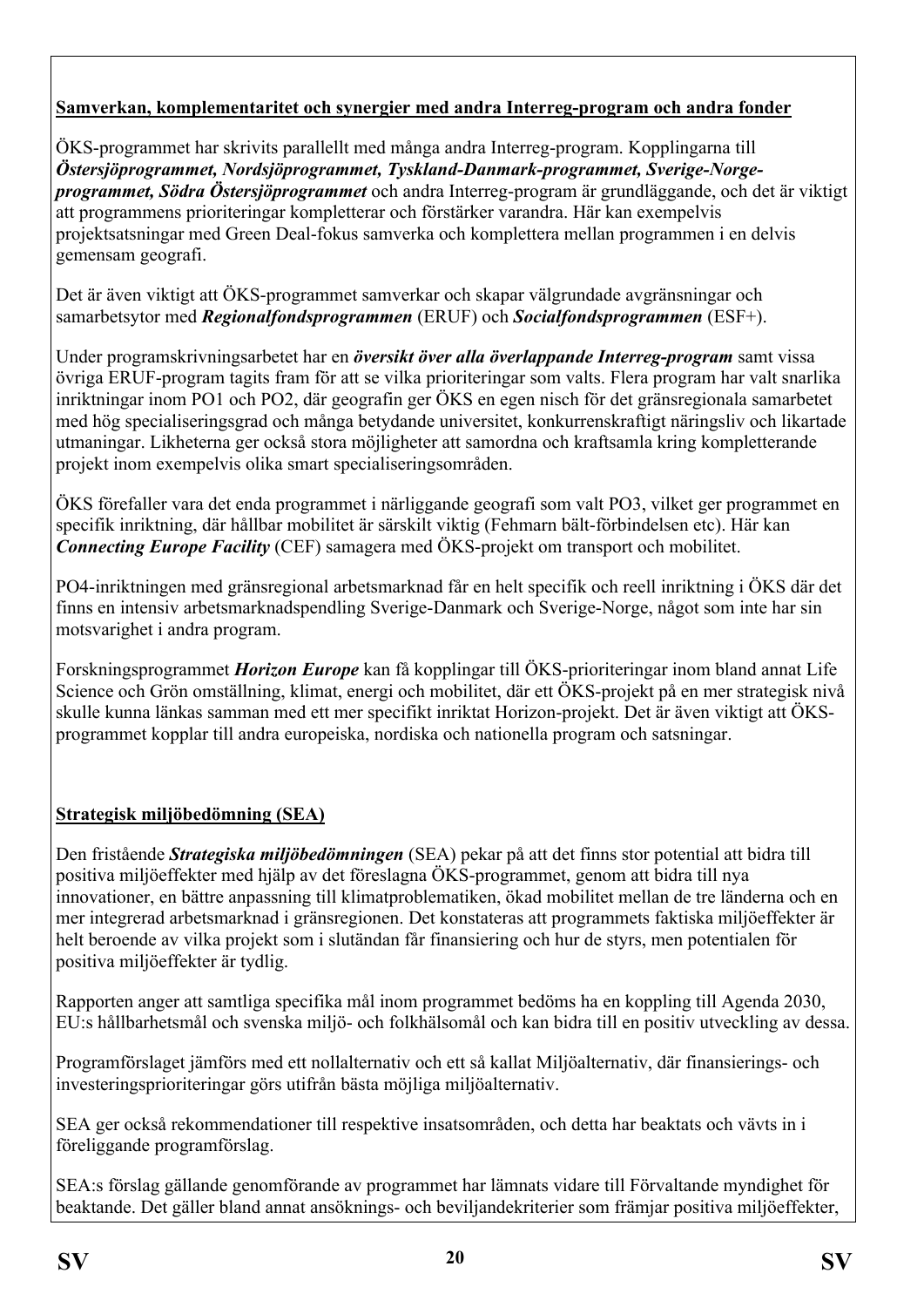## **Samverkan, komplementaritet och synergier med andra Interreg-program och andra fonder**

ÖKS-programmet har skrivits parallellt med många andra Interreg-program. Kopplingarna till *Östersjöprogrammet, Nordsjöprogrammet, Tyskland-Danmark-programmet, Sverige-Norgeprogrammet, Södra Östersjöprogrammet* och andra Interreg-program är grundläggande, och det är viktigt att programmens prioriteringar kompletterar och förstärker varandra. Här kan exempelvis projektsatsningar med Green Deal-fokus samverka och komplettera mellan programmen i en delvis gemensam geografi.

Det är även viktigt att ÖKS-programmet samverkar och skapar välgrundade avgränsningar och samarbetsytor med *Regionalfondsprogrammen* (ERUF) och *Socialfondsprogrammen* (ESF+).

Under programskrivningsarbetet har en *översikt över alla överlappande Interreg-program* samt vissa övriga ERUF-program tagits fram för att se vilka prioriteringar som valts. Flera program har valt snarlika inriktningar inom PO1 och PO2, där geografin ger ÖKS en egen nisch för det gränsregionala samarbetet med hög specialiseringsgrad och många betydande universitet, konkurrenskraftigt näringsliv och likartade utmaningar. Likheterna ger också stora möjligheter att samordna och kraftsamla kring kompletterande projekt inom exempelvis olika smart specialiseringsområden.

ÖKS förefaller vara det enda programmet i närliggande geografi som valt PO3, vilket ger programmet en specifik inriktning, där hållbar mobilitet är särskilt viktig (Fehmarn bält-förbindelsen etc). Här kan *Connecting Europe Facility* (CEF) samagera med ÖKS-projekt om transport och mobilitet.

PO4-inriktningen med gränsregional arbetsmarknad får en helt specifik och reell inriktning i ÖKS där det finns en intensiv arbetsmarknadspendling Sverige-Danmark och Sverige-Norge, något som inte har sin motsvarighet i andra program.

Forskningsprogrammet *Horizon Europe* kan få kopplingar till ÖKS-prioriteringar inom bland annat Life Science och Grön omställning, klimat, energi och mobilitet, där ett ÖKS-projekt på en mer strategisk nivå skulle kunna länkas samman med ett mer specifikt inriktat Horizon-projekt. Det är även viktigt att ÖKSprogrammet kopplar till andra europeiska, nordiska och nationella program och satsningar.

# **Strategisk miljöbedömning (SEA)**

Den fristående *Strategiska miljöbedömningen* (SEA) pekar på att det finns stor potential att bidra till positiva miljöeffekter med hjälp av det föreslagna ÖKS-programmet, genom att bidra till nya innovationer, en bättre anpassning till klimatproblematiken, ökad mobilitet mellan de tre länderna och en mer integrerad arbetsmarknad i gränsregionen. Det konstateras att programmets faktiska miljöeffekter är helt beroende av vilka projekt som i slutändan får finansiering och hur de styrs, men potentialen för positiva miljöeffekter är tydlig.

Rapporten anger att samtliga specifika mål inom programmet bedöms ha en koppling till Agenda 2030, EU:s hållbarhetsmål och svenska miljö- och folkhälsomål och kan bidra till en positiv utveckling av dessa.

Programförslaget jämförs med ett nollalternativ och ett så kallat Miljöalternativ, där finansierings- och investeringsprioriteringar görs utifrån bästa möjliga miljöalternativ.

SEA ger också rekommendationer till respektive insatsområden, och detta har beaktats och vävts in i föreliggande programförslag.

SEA:s förslag gällande genomförande av programmet har lämnats vidare till Förvaltande myndighet för beaktande. Det gäller bland annat ansöknings- och beviljandekriterier som främjar positiva miljöeffekter,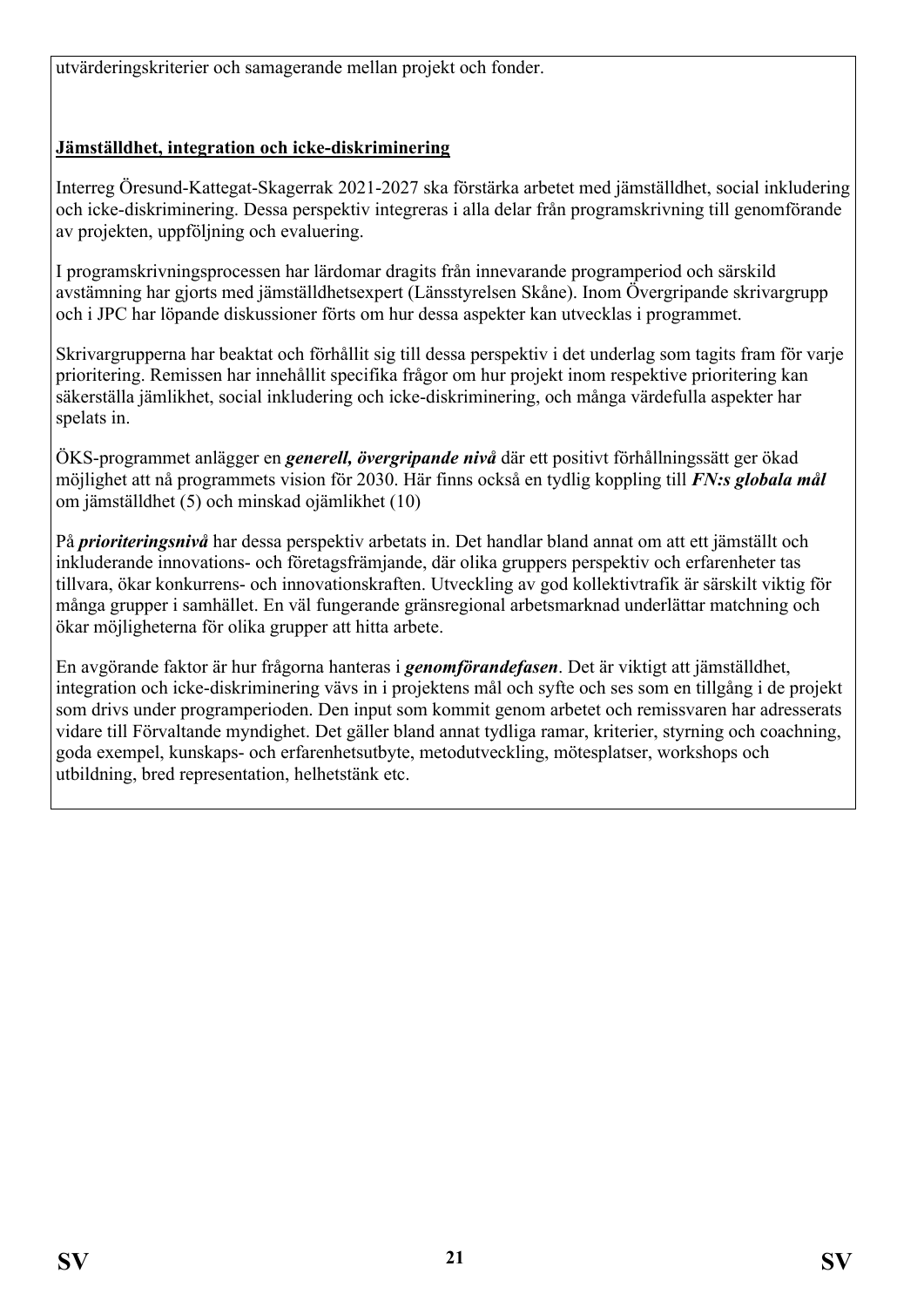utvärderingskriterier och samagerande mellan projekt och fonder.

## **Jämställdhet, integration och icke-diskriminering**

Interreg Öresund-Kattegat-Skagerrak 2021-2027 ska förstärka arbetet med jämställdhet, social inkludering och icke-diskriminering. Dessa perspektiv integreras i alla delar från programskrivning till genomförande av projekten, uppföljning och evaluering.

I programskrivningsprocessen har lärdomar dragits från innevarande programperiod och särskild avstämning har gjorts med jämställdhetsexpert (Länsstyrelsen Skåne). Inom Övergripande skrivargrupp och i JPC har löpande diskussioner förts om hur dessa aspekter kan utvecklas i programmet.

Skrivargrupperna har beaktat och förhållit sig till dessa perspektiv i det underlag som tagits fram för varje prioritering. Remissen har innehållit specifika frågor om hur projekt inom respektive prioritering kan säkerställa jämlikhet, social inkludering och icke-diskriminering, och många värdefulla aspekter har spelats in.

ÖKS-programmet anlägger en *generell, övergripande nivå* där ett positivt förhållningssätt ger ökad möjlighet att nå programmets vision för 2030. Här finns också en tydlig koppling till *FN:s globala mål* om jämställdhet (5) och minskad ojämlikhet (10)

På *prioriteringsnivå* har dessa perspektiv arbetats in. Det handlar bland annat om att ett jämställt och inkluderande innovations- och företagsfrämjande, där olika gruppers perspektiv och erfarenheter tas tillvara, ökar konkurrens- och innovationskraften. Utveckling av god kollektivtrafik är särskilt viktig för många grupper i samhället. En väl fungerande gränsregional arbetsmarknad underlättar matchning och ökar möjligheterna för olika grupper att hitta arbete.

En avgörande faktor är hur frågorna hanteras i *genomförandefasen*. Det är viktigt att jämställdhet, integration och icke-diskriminering vävs in i projektens mål och syfte och ses som en tillgång i de projekt som drivs under programperioden. Den input som kommit genom arbetet och remissvaren har adresserats vidare till Förvaltande myndighet. Det gäller bland annat tydliga ramar, kriterier, styrning och coachning, goda exempel, kunskaps- och erfarenhetsutbyte, metodutveckling, mötesplatser, workshops och utbildning, bred representation, helhetstänk etc.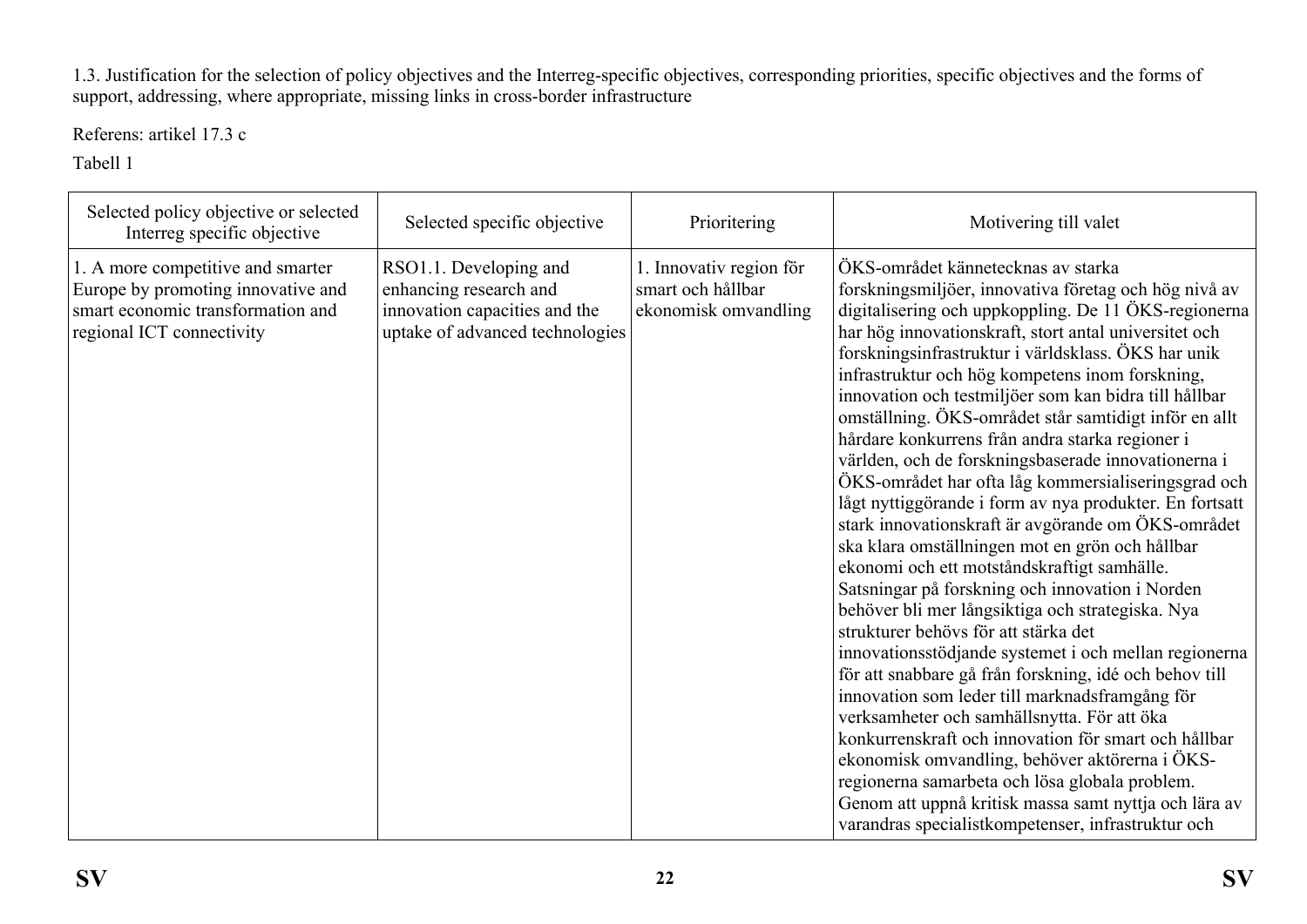1.3. Justification for the selection of policy objectives and the Interreg-specific objectives, corresponding priorities, specific objectives and the forms of support, addressing, where appropriate, missing links in cross-border infrastructure

Referens: artikel 17.3 c

Tabell 1

<span id="page-21-1"></span><span id="page-21-0"></span>

| Selected policy objective or selected<br>Interreg specific objective                                                                      | Selected specific objective                                                                                          | Prioritering                                                         | Motivering till valet                                                                                                                                                                                                                                                                                                                                                                                                                                                                                                                                                                                                                                                                                                                                                                                                                                                                                                                                                                                                                                                                                                                                                                                                                                                                                                                                                                                                                                                      |
|-------------------------------------------------------------------------------------------------------------------------------------------|----------------------------------------------------------------------------------------------------------------------|----------------------------------------------------------------------|----------------------------------------------------------------------------------------------------------------------------------------------------------------------------------------------------------------------------------------------------------------------------------------------------------------------------------------------------------------------------------------------------------------------------------------------------------------------------------------------------------------------------------------------------------------------------------------------------------------------------------------------------------------------------------------------------------------------------------------------------------------------------------------------------------------------------------------------------------------------------------------------------------------------------------------------------------------------------------------------------------------------------------------------------------------------------------------------------------------------------------------------------------------------------------------------------------------------------------------------------------------------------------------------------------------------------------------------------------------------------------------------------------------------------------------------------------------------------|
| 1. A more competitive and smarter<br>Europe by promoting innovative and<br>smart economic transformation and<br>regional ICT connectivity | RSO1.1. Developing and<br>enhancing research and<br>innovation capacities and the<br>uptake of advanced technologies | 1. Innovativ region för<br>smart och hållbar<br>ekonomisk omvandling | ÖKS-området kännetecknas av starka<br>forskningsmiljöer, innovativa företag och hög nivå av<br>digitalisering och uppkoppling. De 11 ÖKS-regionerna<br>har hög innovationskraft, stort antal universitet och<br>forskningsinfrastruktur i världsklass. ÖKS har unik<br>infrastruktur och hög kompetens inom forskning,<br>innovation och testmiljöer som kan bidra till hållbar<br>omställning. ÖKS-området står samtidigt inför en allt<br>hårdare konkurrens från andra starka regioner i<br>världen, och de forskningsbaserade innovationerna i<br>ÖKS-området har ofta låg kommersialiseringsgrad och<br>lågt nyttiggörande i form av nya produkter. En fortsatt<br>stark innovationskraft är avgörande om ÖKS-området<br>ska klara omställningen mot en grön och hållbar<br>ekonomi och ett motståndskraftigt samhälle.<br>Satsningar på forskning och innovation i Norden<br>behöver bli mer långsiktiga och strategiska. Nya<br>strukturer behövs för att stärka det<br>innovationsstödjande systemet i och mellan regionerna<br>för att snabbare gå från forskning, idé och behov till<br>innovation som leder till marknadsframgång för<br>verksamheter och samhällsnytta. För att öka<br>konkurrenskraft och innovation för smart och hållbar<br>ekonomisk omvandling, behöver aktörerna i ÖKS-<br>regionerna samarbeta och lösa globala problem.<br>Genom att uppnå kritisk massa samt nyttja och lära av<br>varandras specialistkompetenser, infrastruktur och |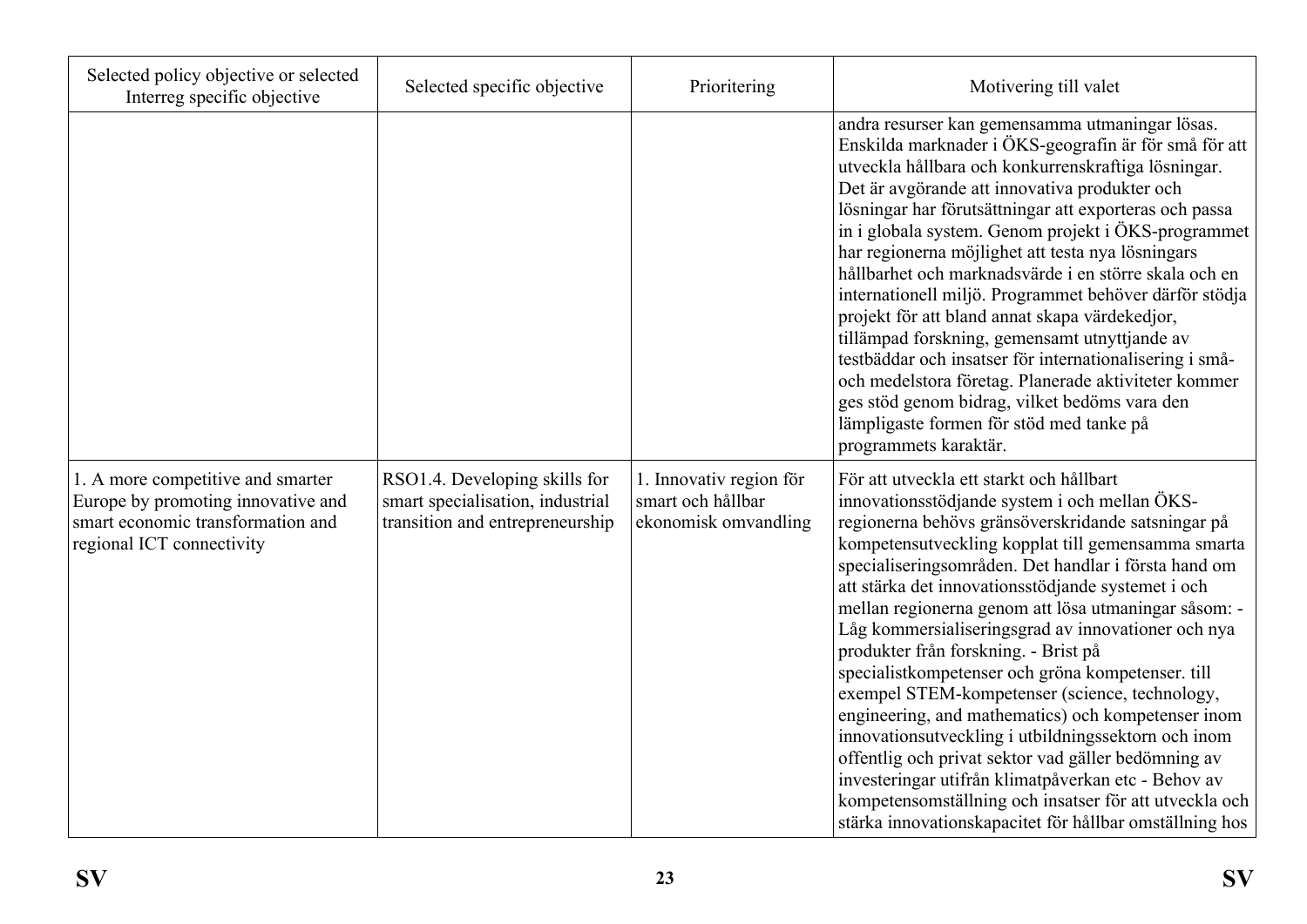| Selected policy objective or selected<br>Interreg specific objective                                                                      | Selected specific objective                                                                          | Prioritering                                                         | Motivering till valet                                                                                                                                                                                                                                                                                                                                                                                                                                                                                                                                                                                                                                                                                                                                                                                                                                                                                                            |
|-------------------------------------------------------------------------------------------------------------------------------------------|------------------------------------------------------------------------------------------------------|----------------------------------------------------------------------|----------------------------------------------------------------------------------------------------------------------------------------------------------------------------------------------------------------------------------------------------------------------------------------------------------------------------------------------------------------------------------------------------------------------------------------------------------------------------------------------------------------------------------------------------------------------------------------------------------------------------------------------------------------------------------------------------------------------------------------------------------------------------------------------------------------------------------------------------------------------------------------------------------------------------------|
|                                                                                                                                           |                                                                                                      |                                                                      | andra resurser kan gemensamma utmaningar lösas.<br>Enskilda marknader i ÖKS-geografin är för små för att<br>utveckla hållbara och konkurrenskraftiga lösningar.<br>Det är avgörande att innovativa produkter och<br>lösningar har förutsättningar att exporteras och passa<br>in i globala system. Genom projekt i ÖKS-programmet<br>har regionerna möjlighet att testa nya lösningars<br>hållbarhet och marknadsvärde i en större skala och en<br>internationell miljö. Programmet behöver därför stödja<br>projekt för att bland annat skapa värdekedjor,<br>tillämpad forskning, gemensamt utnyttjande av<br>testbäddar och insatser för internationalisering i små-<br>och medelstora företag. Planerade aktiviteter kommer<br>ges stöd genom bidrag, vilket bedöms vara den<br>lämpligaste formen för stöd med tanke på<br>programmets karaktär.                                                                            |
| 1. A more competitive and smarter<br>Europe by promoting innovative and<br>smart economic transformation and<br>regional ICT connectivity | RSO1.4. Developing skills for<br>smart specialisation, industrial<br>transition and entrepreneurship | 1. Innovativ region för<br>smart och hållbar<br>ekonomisk omvandling | För att utveckla ett starkt och hållbart<br>innovationsstödjande system i och mellan ÖKS-<br>regionerna behövs gränsöverskridande satsningar på<br>kompetensutveckling kopplat till gemensamma smarta<br>specialiseringsområden. Det handlar i första hand om<br>att stärka det innovationsstödjande systemet i och<br>mellan regionerna genom att lösa utmaningar såsom: -<br>Låg kommersialiseringsgrad av innovationer och nya<br>produkter från forskning. - Brist på<br>specialistkompetenser och gröna kompetenser. till<br>exempel STEM-kompetenser (science, technology,<br>engineering, and mathematics) och kompetenser inom<br>innovationsutveckling i utbildningssektorn och inom<br>offentlig och privat sektor vad gäller bedömning av<br>investeringar utifrån klimatpåverkan etc - Behov av<br>kompetensomställning och insatser för att utveckla och<br>stärka innovationskapacitet för hållbar omställning hos |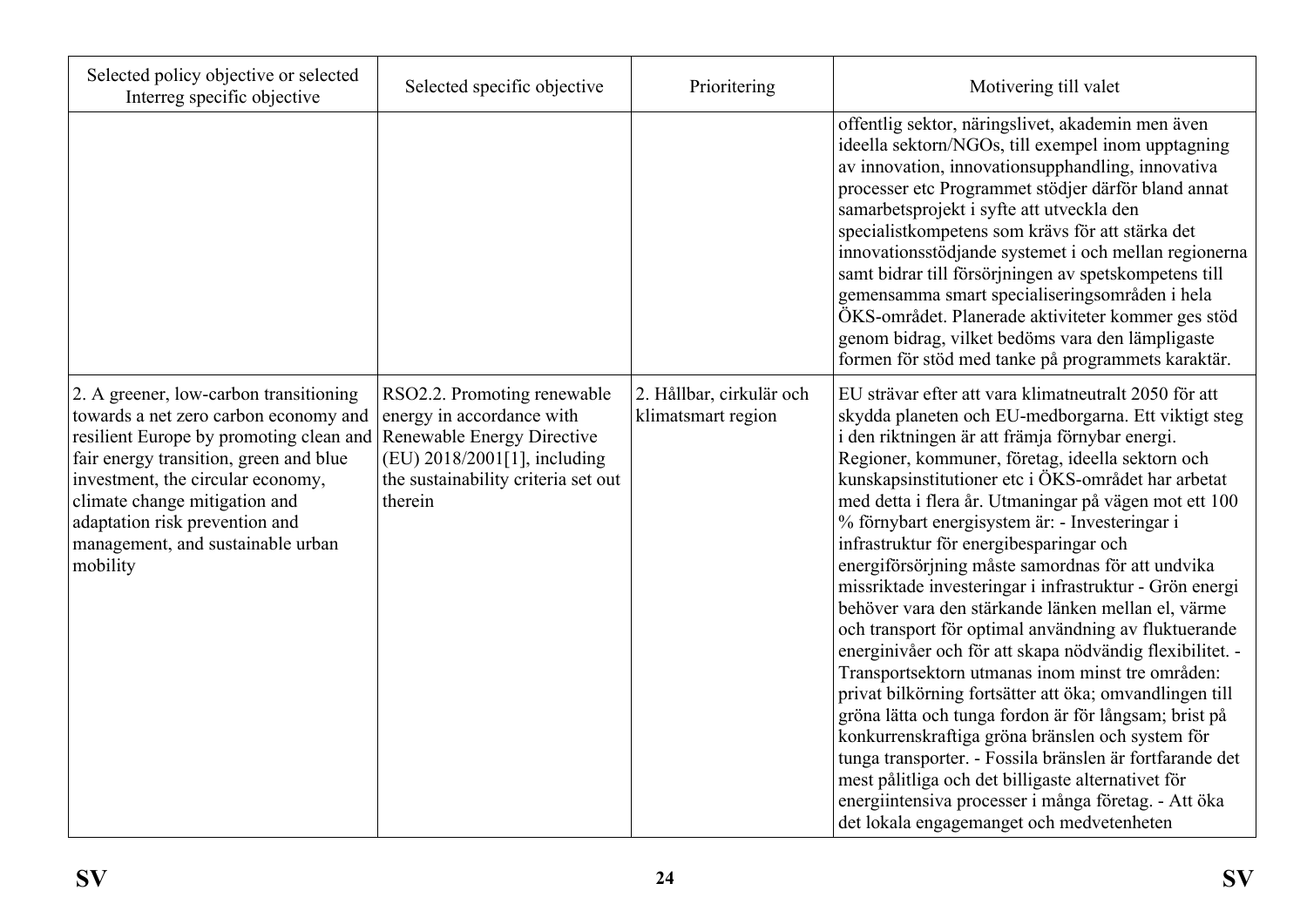| Selected policy objective or selected<br>Interreg specific objective                                                                                                                                                                                                                                                                                     | Selected specific objective                                                                                                                | Prioritering                                   | Motivering till valet                                                                                                                                                                                                                                                                                                                                                                                                                                                                                                                                                                                                                                                                                                                                                                                                                                                                                                                                                                                                                                                                                                                                                          |
|----------------------------------------------------------------------------------------------------------------------------------------------------------------------------------------------------------------------------------------------------------------------------------------------------------------------------------------------------------|--------------------------------------------------------------------------------------------------------------------------------------------|------------------------------------------------|--------------------------------------------------------------------------------------------------------------------------------------------------------------------------------------------------------------------------------------------------------------------------------------------------------------------------------------------------------------------------------------------------------------------------------------------------------------------------------------------------------------------------------------------------------------------------------------------------------------------------------------------------------------------------------------------------------------------------------------------------------------------------------------------------------------------------------------------------------------------------------------------------------------------------------------------------------------------------------------------------------------------------------------------------------------------------------------------------------------------------------------------------------------------------------|
|                                                                                                                                                                                                                                                                                                                                                          |                                                                                                                                            |                                                | offentlig sektor, näringslivet, akademin men även<br>ideella sektorn/NGOs, till exempel inom upptagning<br>av innovation, innovationsupphandling, innovativa<br>processer etc Programmet stödjer därför bland annat<br>samarbetsprojekt i syfte att utveckla den<br>specialistkompetens som krävs för att stärka det<br>innovationsstödjande systemet i och mellan regionerna<br>samt bidrar till försörjningen av spetskompetens till<br>gemensamma smart specialiseringsområden i hela<br>ÖKS-området. Planerade aktiviteter kommer ges stöd<br>genom bidrag, vilket bedöms vara den lämpligaste<br>formen för stöd med tanke på programmets karaktär.                                                                                                                                                                                                                                                                                                                                                                                                                                                                                                                       |
| 2. A greener, low-carbon transitioning<br>towards a net zero carbon economy and<br>resilient Europe by promoting clean and Renewable Energy Directive<br>fair energy transition, green and blue<br>investment, the circular economy,<br>climate change mitigation and<br>adaptation risk prevention and<br>management, and sustainable urban<br>mobility | RSO2.2. Promoting renewable<br>energy in accordance with<br>(EU) 2018/2001[1], including<br>the sustainability criteria set out<br>therein | 2. Hållbar, cirkulär och<br>klimatsmart region | EU strävar efter att vara klimatneutralt 2050 för att<br>skydda planeten och EU-medborgarna. Ett viktigt steg<br>i den riktningen är att främja förnybar energi.<br>Regioner, kommuner, företag, ideella sektorn och<br>kunskapsinstitutioner etc i ÖKS-området har arbetat<br>med detta i flera år. Utmaningar på vägen mot ett 100<br>% förnybart energisystem är: - Investeringar i<br>infrastruktur för energibesparingar och<br>energiförsörjning måste samordnas för att undvika<br>missriktade investeringar i infrastruktur - Grön energi<br>behöver vara den stärkande länken mellan el, värme<br>och transport för optimal användning av fluktuerande<br>energinivåer och för att skapa nödvändig flexibilitet. -<br>Transportsektorn utmanas inom minst tre områden:<br>privat bilkörning fortsätter att öka; omvandlingen till<br>gröna lätta och tunga fordon är för långsam; brist på<br>konkurrenskraftiga gröna bränslen och system för<br>tunga transporter. - Fossila bränslen är fortfarande det<br>mest pålitliga och det billigaste alternativet för<br>energiintensiva processer i många företag. - Att öka<br>det lokala engagemanget och medvetenheten |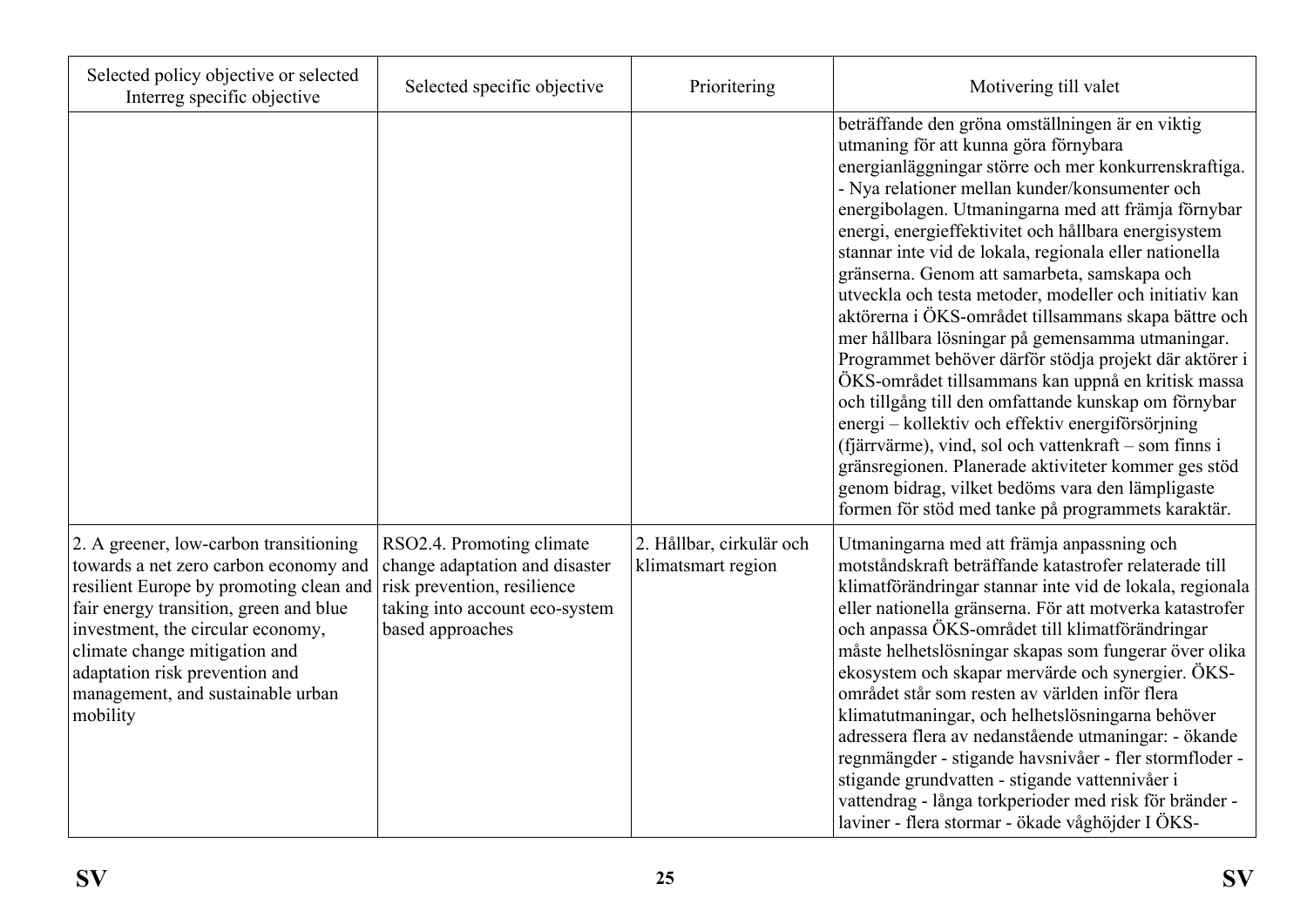| Selected policy objective or selected<br>Interreg specific objective                                                                                                                                                                                                                                                          | Selected specific objective                                                                                                                      | Prioritering                                   | Motivering till valet                                                                                                                                                                                                                                                                                                                                                                                                                                                                                                                                                                                                                                                                                                                                                                                                                                                                                                                                                                                                                                       |
|-------------------------------------------------------------------------------------------------------------------------------------------------------------------------------------------------------------------------------------------------------------------------------------------------------------------------------|--------------------------------------------------------------------------------------------------------------------------------------------------|------------------------------------------------|-------------------------------------------------------------------------------------------------------------------------------------------------------------------------------------------------------------------------------------------------------------------------------------------------------------------------------------------------------------------------------------------------------------------------------------------------------------------------------------------------------------------------------------------------------------------------------------------------------------------------------------------------------------------------------------------------------------------------------------------------------------------------------------------------------------------------------------------------------------------------------------------------------------------------------------------------------------------------------------------------------------------------------------------------------------|
|                                                                                                                                                                                                                                                                                                                               |                                                                                                                                                  |                                                | beträffande den gröna omställningen är en viktig<br>utmaning för att kunna göra förnybara<br>energianläggningar större och mer konkurrenskraftiga.<br>- Nya relationer mellan kunder/konsumenter och<br>energibolagen. Utmaningarna med att främja förnybar<br>energi, energieffektivitet och hållbara energisystem<br>stannar inte vid de lokala, regionala eller nationella<br>gränserna. Genom att samarbeta, samskapa och<br>utveckla och testa metoder, modeller och initiativ kan<br>aktörerna i ÖKS-området tillsammans skapa bättre och<br>mer hållbara lösningar på gemensamma utmaningar.<br>Programmet behöver därför stödja projekt där aktörer i<br>ÖKS-området tillsammans kan uppnå en kritisk massa<br>och tillgång till den omfattande kunskap om förnybar<br>energi – kollektiv och effektiv energiförsörjning<br>(fjärrvärme), vind, sol och vattenkraft – som finns i<br>gränsregionen. Planerade aktiviteter kommer ges stöd<br>genom bidrag, vilket bedöms vara den lämpligaste<br>formen för stöd med tanke på programmets karaktär. |
| 2. A greener, low-carbon transitioning<br>towards a net zero carbon economy and<br>resilient Europe by promoting clean and<br>fair energy transition, green and blue<br>investment, the circular economy,<br>climate change mitigation and<br>adaptation risk prevention and<br>management, and sustainable urban<br>mobility | RSO2.4. Promoting climate<br>change adaptation and disaster<br>risk prevention, resilience<br>taking into account eco-system<br>based approaches | 2. Hållbar, cirkulär och<br>klimatsmart region | Utmaningarna med att främja anpassning och<br>motståndskraft beträffande katastrofer relaterade till<br>klimatförändringar stannar inte vid de lokala, regionala<br>eller nationella gränserna. För att motverka katastrofer<br>och anpassa ÖKS-området till klimatförändringar<br>måste helhetslösningar skapas som fungerar över olika<br>ekosystem och skapar mervärde och synergier. ÖKS-<br>området står som resten av världen inför flera<br>klimatutmaningar, och helhetslösningarna behöver<br>adressera flera av nedanstående utmaningar: - ökande<br>regnmängder - stigande havsnivåer - fler stormfloder -<br>stigande grundvatten - stigande vattennivåer i<br>vattendrag - långa torkperioder med risk för bränder -<br>laviner - flera stormar - ökade våghöjder I ÖKS-                                                                                                                                                                                                                                                                       |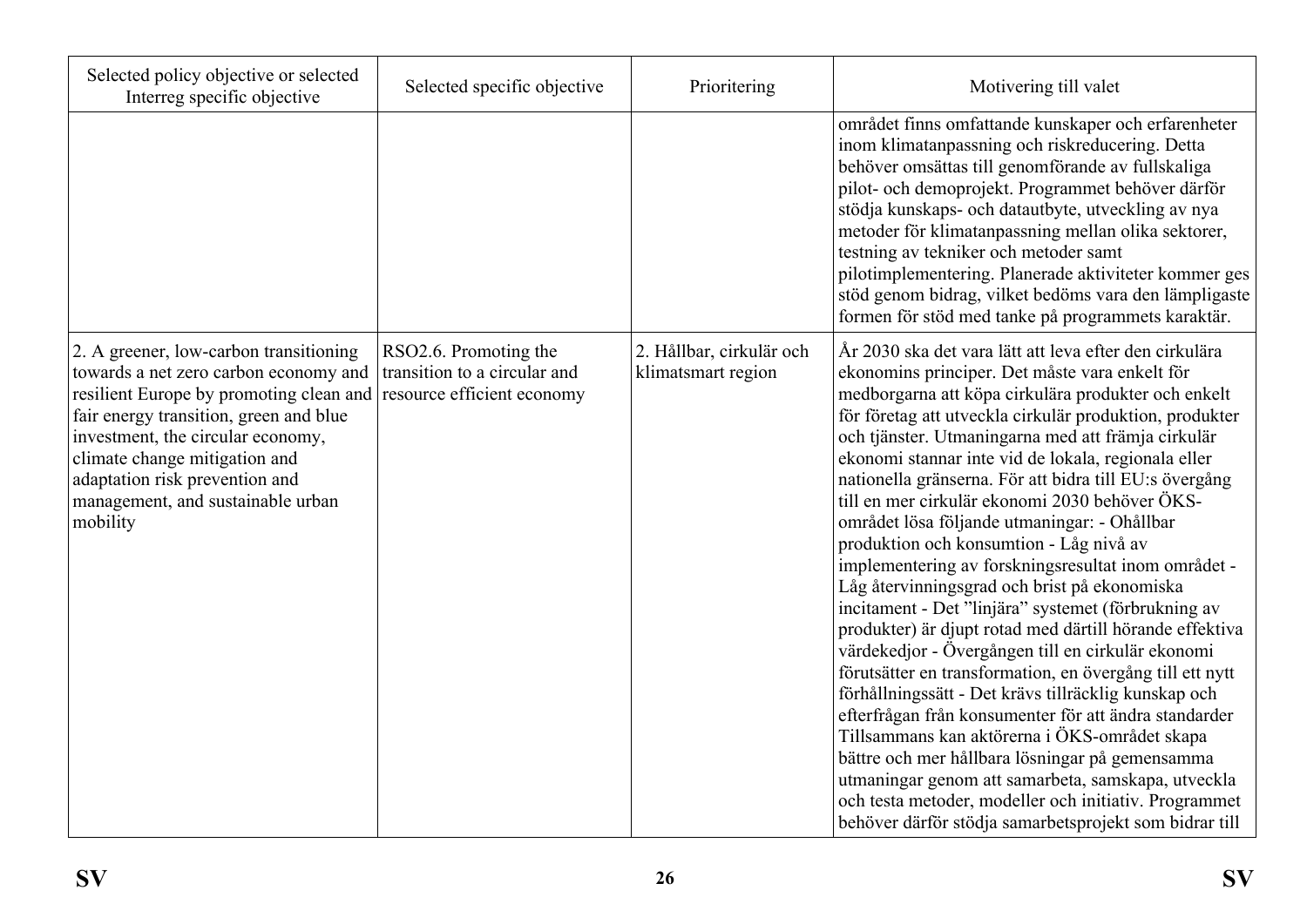| Selected policy objective or selected<br>Interreg specific objective                                                                                                                                                                                                                                                                                     | Selected specific objective                                        | Prioritering                                   | Motivering till valet                                                                                                                                                                                                                                                                                                                                                                                                                                                                                                                                                                                                                                                                                                                                                                                                                                                                                                                                                                                                                                                                                                                                                                                                                                                                  |
|----------------------------------------------------------------------------------------------------------------------------------------------------------------------------------------------------------------------------------------------------------------------------------------------------------------------------------------------------------|--------------------------------------------------------------------|------------------------------------------------|----------------------------------------------------------------------------------------------------------------------------------------------------------------------------------------------------------------------------------------------------------------------------------------------------------------------------------------------------------------------------------------------------------------------------------------------------------------------------------------------------------------------------------------------------------------------------------------------------------------------------------------------------------------------------------------------------------------------------------------------------------------------------------------------------------------------------------------------------------------------------------------------------------------------------------------------------------------------------------------------------------------------------------------------------------------------------------------------------------------------------------------------------------------------------------------------------------------------------------------------------------------------------------------|
|                                                                                                                                                                                                                                                                                                                                                          |                                                                    |                                                | området finns omfattande kunskaper och erfarenheter<br>inom klimatanpassning och riskreducering. Detta<br>behöver omsättas till genomförande av fullskaliga<br>pilot- och demoprojekt. Programmet behöver därför<br>stödja kunskaps- och datautbyte, utveckling av nya<br>metoder för klimatanpassning mellan olika sektorer,<br>testning av tekniker och metoder samt<br>pilotimplementering. Planerade aktiviteter kommer ges<br>stöd genom bidrag, vilket bedöms vara den lämpligaste<br>formen för stöd med tanke på programmets karaktär.                                                                                                                                                                                                                                                                                                                                                                                                                                                                                                                                                                                                                                                                                                                                         |
| 2. A greener, low-carbon transitioning<br>towards a net zero carbon economy and<br>resilient Europe by promoting clean and resource efficient economy<br>fair energy transition, green and blue<br>investment, the circular economy,<br>climate change mitigation and<br>adaptation risk prevention and<br>management, and sustainable urban<br>mobility | RSO <sub>2.6</sub> . Promoting the<br>transition to a circular and | 2. Hållbar, cirkulär och<br>klimatsmart region | År 2030 ska det vara lätt att leva efter den cirkulära<br>ekonomins principer. Det måste vara enkelt för<br>medborgarna att köpa cirkulära produkter och enkelt<br>för företag att utveckla cirkulär produktion, produkter<br>och tjänster. Utmaningarna med att främja cirkulär<br>ekonomi stannar inte vid de lokala, regionala eller<br>nationella gränserna. För att bidra till EU:s övergång<br>till en mer cirkulär ekonomi 2030 behöver ÖKS-<br>området lösa följande utmaningar: - Ohållbar<br>produktion och konsumtion - Låg nivå av<br>implementering av forskningsresultat inom området -<br>Låg återvinningsgrad och brist på ekonomiska<br>incitament - Det "linjära" systemet (förbrukning av<br>produkter) är djupt rotad med därtill hörande effektiva<br>värdekedjor - Övergången till en cirkulär ekonomi<br>förutsätter en transformation, en övergång till ett nytt<br>förhållningssätt - Det krävs tillräcklig kunskap och<br>efterfrågan från konsumenter för att ändra standarder<br>Tillsammans kan aktörerna i ÖKS-området skapa<br>bättre och mer hållbara lösningar på gemensamma<br>utmaningar genom att samarbeta, samskapa, utveckla<br>och testa metoder, modeller och initiativ. Programmet<br>behöver därför stödja samarbetsprojekt som bidrar till |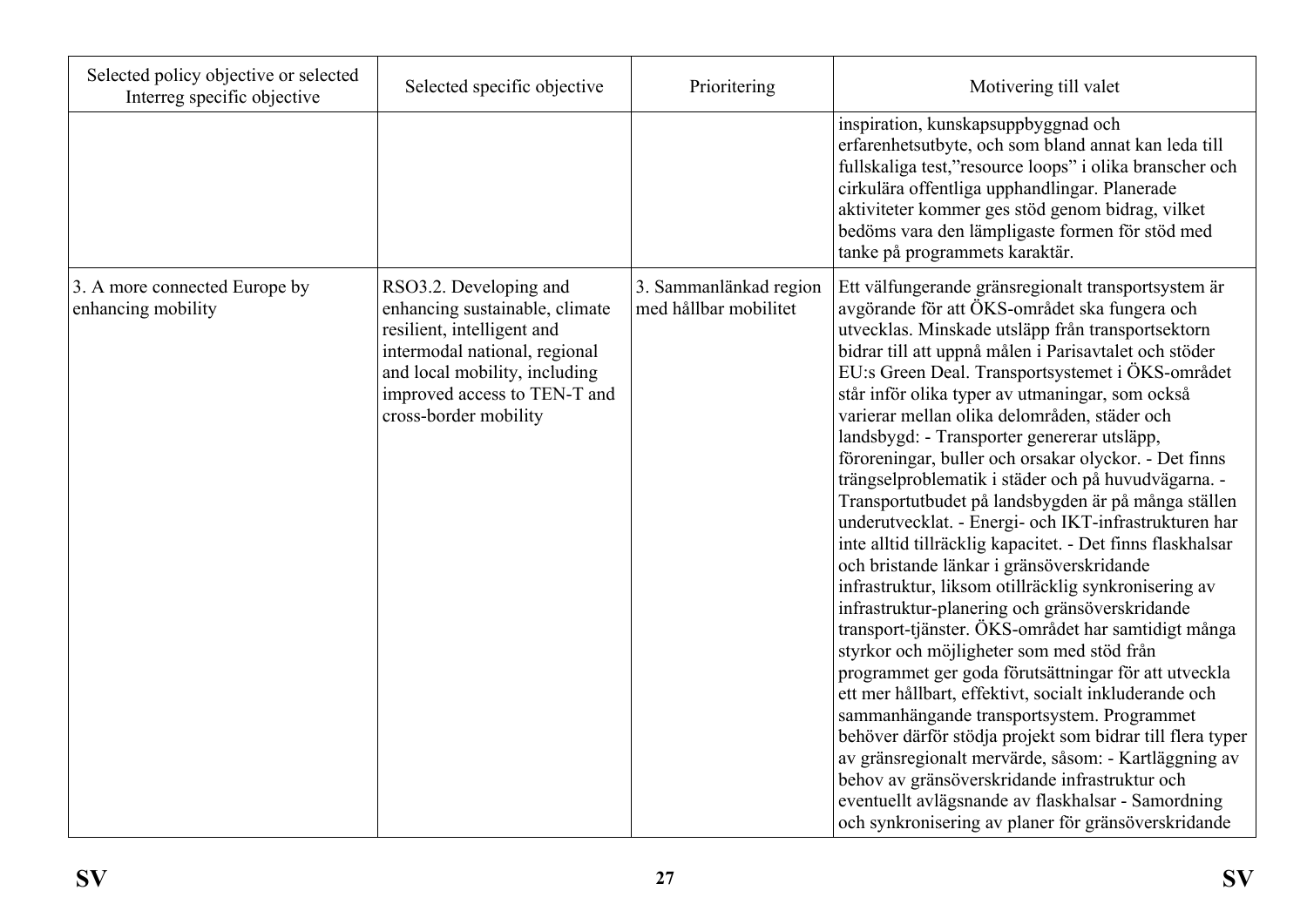| Selected policy objective or selected<br>Interreg specific objective | Selected specific objective                                                                                                                                                                                       | Prioritering                                    | Motivering till valet                                                                                                                                                                                                                                                                                                                                                                                                                                                                                                                                                                                                                                                                                                                                                                                                                                                                                                                                                                                                                                                                                                                                                                                                                                                                                                                                                                                                               |
|----------------------------------------------------------------------|-------------------------------------------------------------------------------------------------------------------------------------------------------------------------------------------------------------------|-------------------------------------------------|-------------------------------------------------------------------------------------------------------------------------------------------------------------------------------------------------------------------------------------------------------------------------------------------------------------------------------------------------------------------------------------------------------------------------------------------------------------------------------------------------------------------------------------------------------------------------------------------------------------------------------------------------------------------------------------------------------------------------------------------------------------------------------------------------------------------------------------------------------------------------------------------------------------------------------------------------------------------------------------------------------------------------------------------------------------------------------------------------------------------------------------------------------------------------------------------------------------------------------------------------------------------------------------------------------------------------------------------------------------------------------------------------------------------------------------|
|                                                                      |                                                                                                                                                                                                                   |                                                 | inspiration, kunskapsuppbyggnad och<br>erfarenhetsutbyte, och som bland annat kan leda till<br>fullskaliga test,"resource loops" i olika branscher och<br>cirkulära offentliga upphandlingar. Planerade<br>aktiviteter kommer ges stöd genom bidrag, vilket<br>bedöms vara den lämpligaste formen för stöd med<br>tanke på programmets karaktär.                                                                                                                                                                                                                                                                                                                                                                                                                                                                                                                                                                                                                                                                                                                                                                                                                                                                                                                                                                                                                                                                                    |
| 3. A more connected Europe by<br>enhancing mobility                  | RSO3.2. Developing and<br>enhancing sustainable, climate<br>resilient, intelligent and<br>intermodal national, regional<br>and local mobility, including<br>improved access to TEN-T and<br>cross-border mobility | 3. Sammanlänkad region<br>med hållbar mobilitet | Ett välfungerande gränsregionalt transportsystem är<br>avgörande för att ÖKS-området ska fungera och<br>utvecklas. Minskade utsläpp från transportsektorn<br>bidrar till att uppnå målen i Parisavtalet och stöder<br>EU:s Green Deal. Transportsystemet i ÖKS-området<br>står inför olika typer av utmaningar, som också<br>varierar mellan olika delområden, städer och<br>landsbygd: - Transporter genererar utsläpp,<br>föroreningar, buller och orsakar olyckor. - Det finns<br>trängselproblematik i städer och på huvudvägarna. -<br>Transportutbudet på landsbygden är på många ställen<br>underutvecklat. - Energi- och IKT-infrastrukturen har<br>inte alltid tillräcklig kapacitet. - Det finns flaskhalsar<br>och bristande länkar i gränsöverskridande<br>infrastruktur, liksom otillräcklig synkronisering av<br>infrastruktur-planering och gränsöverskridande<br>transport-tjänster. ÖKS-området har samtidigt många<br>styrkor och möjligheter som med stöd från<br>programmet ger goda förutsättningar för att utveckla<br>ett mer hållbart, effektivt, socialt inkluderande och<br>sammanhängande transportsystem. Programmet<br>behöver därför stödja projekt som bidrar till flera typer<br>av gränsregionalt mervärde, såsom: - Kartläggning av<br>behov av gränsöverskridande infrastruktur och<br>eventuellt avlägsnande av flaskhalsar - Samordning<br>och synkronisering av planer för gränsöverskridande |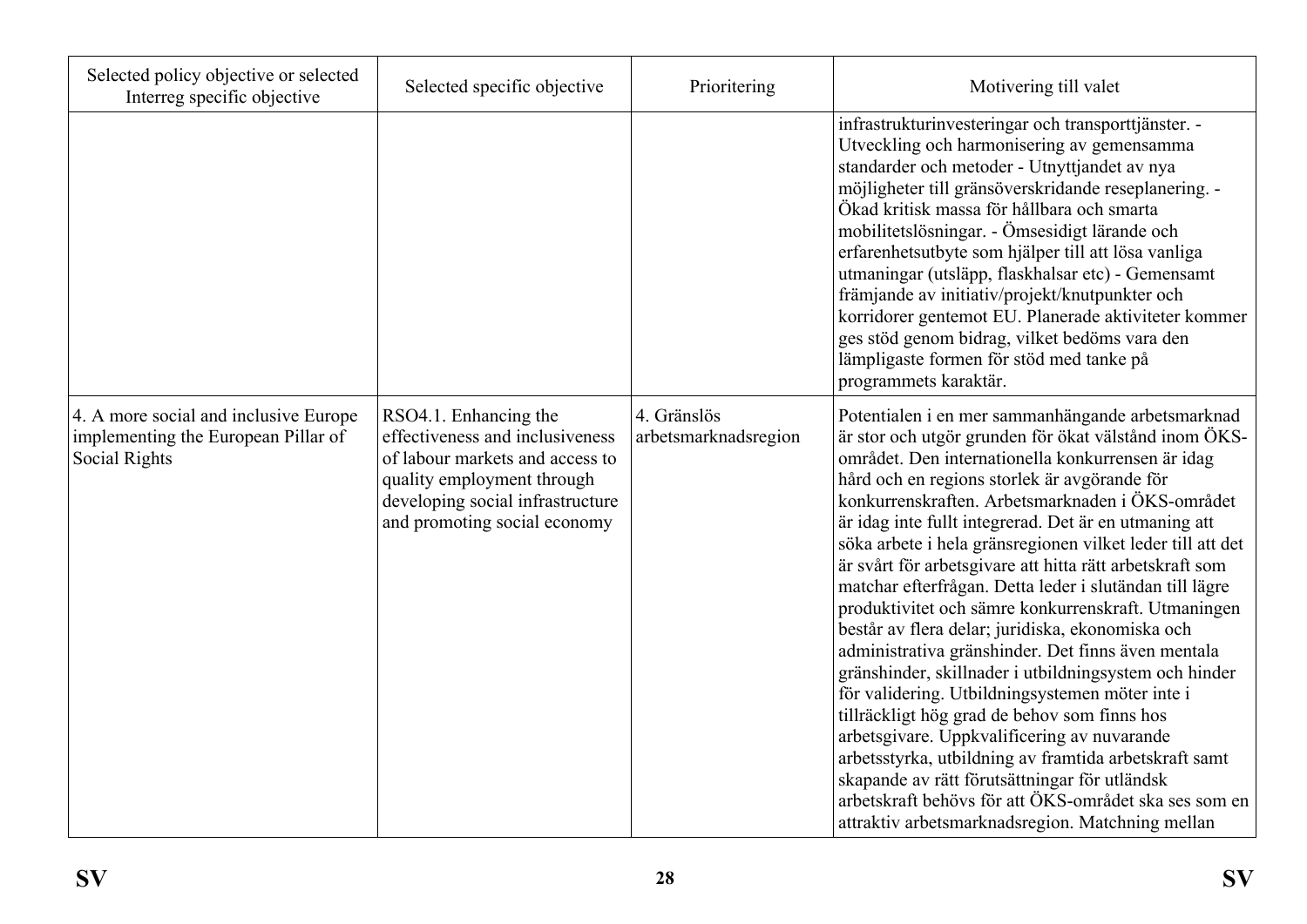| Selected policy objective or selected<br>Interreg specific objective                          | Selected specific objective                                                                                                                                                                   | Prioritering                        | Motivering till valet                                                                                                                                                                                                                                                                                                                                                                                                                                                                                                                                                                                                                                                                                                                                                                                                                                                                                                                                                                                                                                                                                                |
|-----------------------------------------------------------------------------------------------|-----------------------------------------------------------------------------------------------------------------------------------------------------------------------------------------------|-------------------------------------|----------------------------------------------------------------------------------------------------------------------------------------------------------------------------------------------------------------------------------------------------------------------------------------------------------------------------------------------------------------------------------------------------------------------------------------------------------------------------------------------------------------------------------------------------------------------------------------------------------------------------------------------------------------------------------------------------------------------------------------------------------------------------------------------------------------------------------------------------------------------------------------------------------------------------------------------------------------------------------------------------------------------------------------------------------------------------------------------------------------------|
|                                                                                               |                                                                                                                                                                                               |                                     | infrastrukturinvesteringar och transporttjänster. -<br>Utveckling och harmonisering av gemensamma<br>standarder och metoder - Utnyttjandet av nya<br>möjligheter till gränsöverskridande reseplanering. -<br>Ökad kritisk massa för hållbara och smarta<br>mobilitetslösningar. - Ömsesidigt lärande och<br>erfarenhetsutbyte som hjälper till att lösa vanliga<br>utmaningar (utsläpp, flaskhalsar etc) - Gemensamt<br>främjande av initiativ/projekt/knutpunkter och<br>korridorer gentemot EU. Planerade aktiviteter kommer<br>ges stöd genom bidrag, vilket bedöms vara den<br>lämpligaste formen för stöd med tanke på<br>programmets karaktär.                                                                                                                                                                                                                                                                                                                                                                                                                                                                 |
| 4. A more social and inclusive Europe<br>implementing the European Pillar of<br>Social Rights | RSO4.1. Enhancing the<br>effectiveness and inclusiveness<br>of labour markets and access to<br>quality employment through<br>developing social infrastructure<br>and promoting social economy | 4. Gränslös<br>arbetsmarknadsregion | Potentialen i en mer sammanhängande arbetsmarknad<br>är stor och utgör grunden för ökat välstånd inom ÖKS-<br>området. Den internationella konkurrensen är idag<br>hård och en regions storlek är avgörande för<br>konkurrenskraften. Arbetsmarknaden i ÖKS-området<br>är idag inte fullt integrerad. Det är en utmaning att<br>söka arbete i hela gränsregionen vilket leder till att det<br>är svårt för arbetsgivare att hitta rätt arbetskraft som<br>matchar efterfrågan. Detta leder i slutändan till lägre<br>produktivitet och sämre konkurrenskraft. Utmaningen<br>består av flera delar; juridiska, ekonomiska och<br>administrativa gränshinder. Det finns även mentala<br>gränshinder, skillnader i utbildningsystem och hinder<br>för validering. Utbildningsystemen möter inte i<br>tillräckligt hög grad de behov som finns hos<br>arbetsgivare. Uppkvalificering av nuvarande<br>arbetsstyrka, utbildning av framtida arbetskraft samt<br>skapande av rätt förutsättningar för utländsk<br>arbetskraft behövs för att ÖKS-området ska ses som en<br>attraktiv arbetsmarknadsregion. Matchning mellan |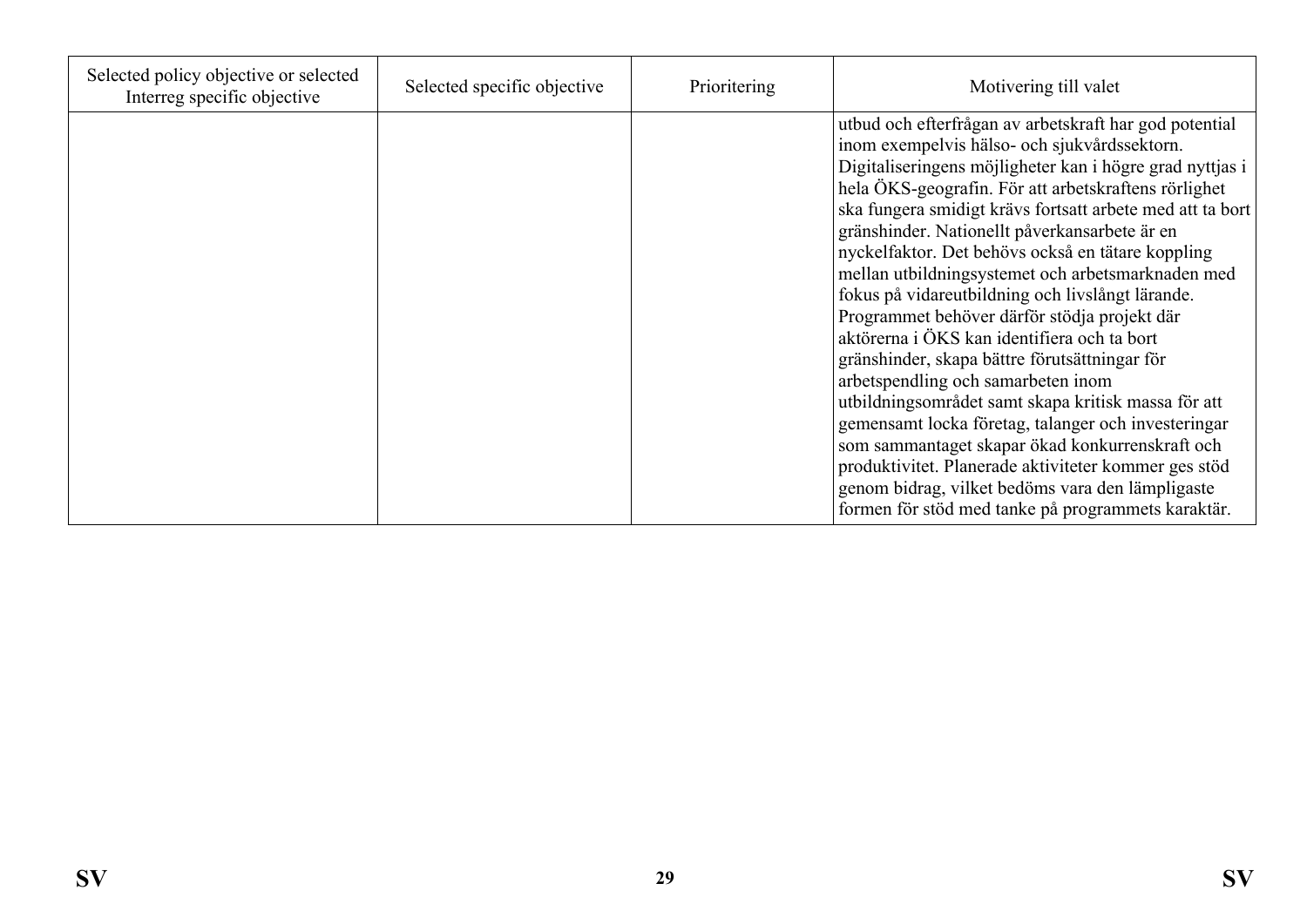| Selected policy objective or selected<br>Interreg specific objective | Selected specific objective | Prioritering | Motivering till valet                                                                                                                                                                                                                                                                                                                                                                                                                                                                                                                                                                                                                                                                                                                                                                                                                                                                                                                                                                                                           |
|----------------------------------------------------------------------|-----------------------------|--------------|---------------------------------------------------------------------------------------------------------------------------------------------------------------------------------------------------------------------------------------------------------------------------------------------------------------------------------------------------------------------------------------------------------------------------------------------------------------------------------------------------------------------------------------------------------------------------------------------------------------------------------------------------------------------------------------------------------------------------------------------------------------------------------------------------------------------------------------------------------------------------------------------------------------------------------------------------------------------------------------------------------------------------------|
|                                                                      |                             |              | utbud och efterfrågan av arbetskraft har god potential<br>inom exempelvis hälso- och sjukvårdssektorn.<br>Digitaliseringens möjligheter kan i högre grad nyttjas i<br>hela ÖKS-geografin. För att arbetskraftens rörlighet<br>ska fungera smidigt krävs fortsatt arbete med att ta bort<br>gränshinder. Nationellt påverkansarbete är en<br>nyckelfaktor. Det behövs också en tätare koppling<br>mellan utbildningsystemet och arbetsmarknaden med<br>fokus på vidareutbildning och livslångt lärande.<br>Programmet behöver därför stödja projekt där<br>aktörerna i ÖKS kan identifiera och ta bort<br>gränshinder, skapa bättre förutsättningar för<br>arbetspendling och samarbeten inom<br>utbildningsområdet samt skapa kritisk massa för att<br>gemensamt locka företag, talanger och investeringar<br>som sammantaget skapar ökad konkurrenskraft och<br>produktivitet. Planerade aktiviteter kommer ges stöd<br>genom bidrag, vilket bedöms vara den lämpligaste<br>formen för stöd med tanke på programmets karaktär. |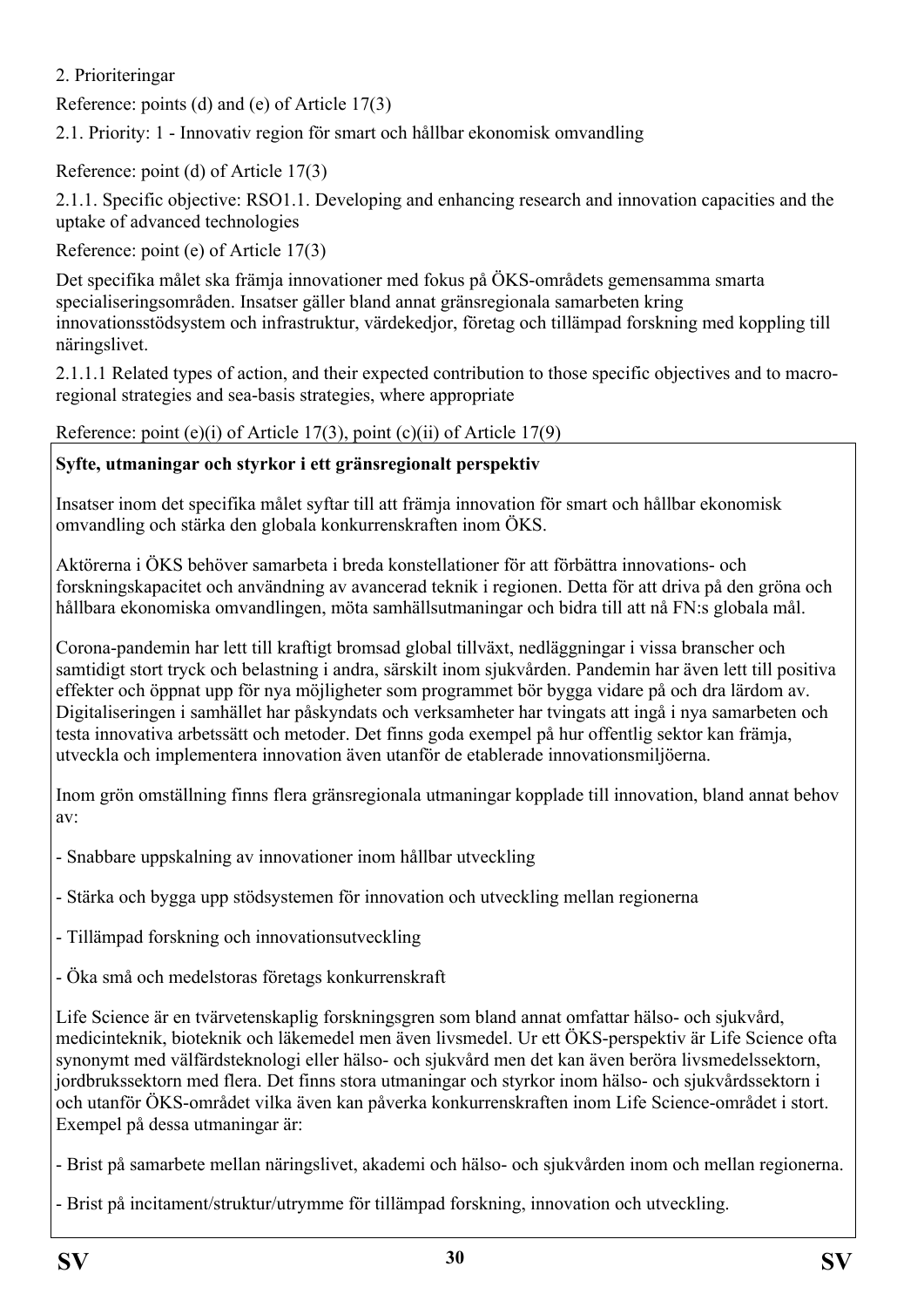## <span id="page-29-0"></span>2. Prioriteringar

Reference: points (d) and (e) of Article 17(3)

<span id="page-29-1"></span>2.1. Priority: 1 - Innovativ region för smart och hållbar ekonomisk omvandling

Reference: point (d) of Article 17(3)

<span id="page-29-2"></span>2.1.1. Specific objective: RSO1.1. Developing and enhancing research and innovation capacities and the uptake of advanced technologies

Reference: point (e) of Article 17(3)

Det specifika målet ska främja innovationer med fokus på ÖKS-områdets gemensamma smarta specialiseringsområden. Insatser gäller bland annat gränsregionala samarbeten kring innovationsstödsystem och infrastruktur, värdekedjor, företag och tillämpad forskning med koppling till näringslivet.

<span id="page-29-3"></span>2.1.1.1 Related types of action, and their expected contribution to those specific objectives and to macroregional strategies and sea-basis strategies, where appropriate

Reference: point (e)(i) of Article 17(3), point (c)(ii) of Article 17(9)

## **Syfte, utmaningar och styrkor i ett gränsregionalt perspektiv**

Insatser inom det specifika målet syftar till att främja innovation för smart och hållbar ekonomisk omvandling och stärka den globala konkurrenskraften inom ÖKS.

Aktörerna i ÖKS behöver samarbeta i breda konstellationer för att förbättra innovations- och forskningskapacitet och användning av avancerad teknik i regionen. Detta för att driva på den gröna och hållbara ekonomiska omvandlingen, möta samhällsutmaningar och bidra till att nå FN:s globala mål.

Corona-pandemin har lett till kraftigt bromsad global tillväxt, nedläggningar i vissa branscher och samtidigt stort tryck och belastning i andra, särskilt inom sjukvården. Pandemin har även lett till positiva effekter och öppnat upp för nya möjligheter som programmet bör bygga vidare på och dra lärdom av. Digitaliseringen i samhället har påskyndats och verksamheter har tvingats att ingå i nya samarbeten och testa innovativa arbetssätt och metoder. Det finns goda exempel på hur offentlig sektor kan främja, utveckla och implementera innovation även utanför de etablerade innovationsmiljöerna.

Inom grön omställning finns flera gränsregionala utmaningar kopplade till innovation, bland annat behov av:

- Snabbare uppskalning av innovationer inom hållbar utveckling
- Stärka och bygga upp stödsystemen för innovation och utveckling mellan regionerna
- Tillämpad forskning och innovationsutveckling
- Öka små och medelstoras företags konkurrenskraft

Life Science är en tvärvetenskaplig forskningsgren som bland annat omfattar hälso- och sjukvård, medicinteknik, bioteknik och läkemedel men även livsmedel. Ur ett ÖKS-perspektiv är Life Science ofta synonymt med välfärdsteknologi eller hälso- och sjukvård men det kan även beröra livsmedelssektorn, jordbrukssektorn med flera. Det finns stora utmaningar och styrkor inom hälso- och sjukvårdssektorn i och utanför ÖKS-området vilka även kan påverka konkurrenskraften inom Life Science-området i stort. Exempel på dessa utmaningar är:

- Brist på samarbete mellan näringslivet, akademi och hälso- och sjukvården inom och mellan regionerna.

- Brist på incitament/struktur/utrymme för tillämpad forskning, innovation och utveckling.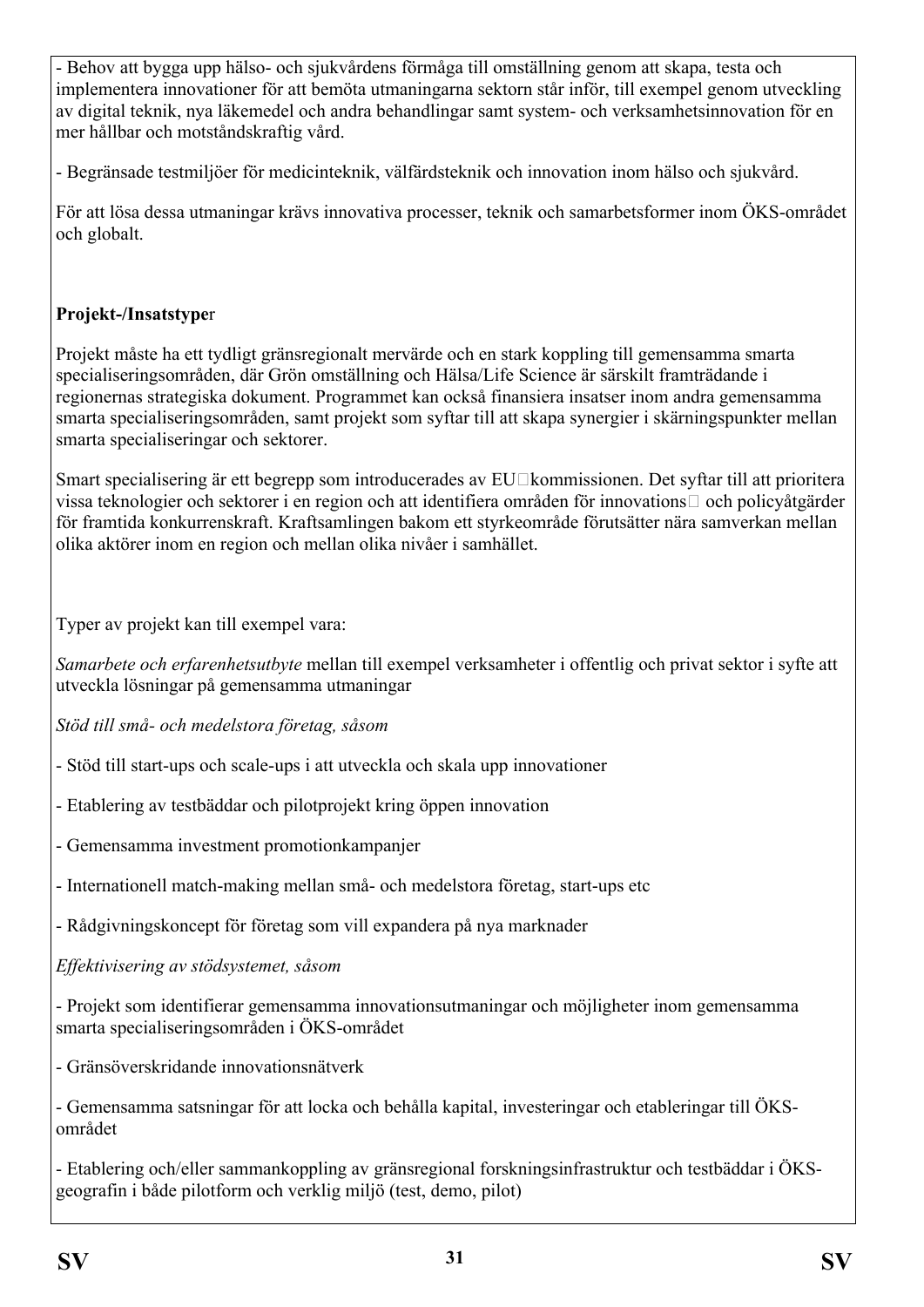- Behov att bygga upp hälso- och sjukvårdens förmåga till omställning genom att skapa, testa och implementera innovationer för att bemöta utmaningarna sektorn står inför, till exempel genom utveckling av digital teknik, nya läkemedel och andra behandlingar samt system- och verksamhetsinnovation för en mer hållbar och motståndskraftig vård.

- Begränsade testmiljöer för medicinteknik, välfärdsteknik och innovation inom hälso och sjukvård.

För att lösa dessa utmaningar krävs innovativa processer, teknik och samarbetsformer inom ÖKS-området och globalt.

#### **Projekt-/Insatstype**r

Projekt måste ha ett tydligt gränsregionalt mervärde och en stark koppling till gemensamma smarta specialiseringsområden, där Grön omställning och Hälsa/Life Science är särskilt framträdande i regionernas strategiska dokument. Programmet kan också finansiera insatser inom andra gemensamma smarta specialiseringsområden, samt projekt som syftar till att skapa synergier i skärningspunkter mellan smarta specialiseringar och sektorer.

Smart specialisering är ett begrepp som introducerades av EU□kommissionen. Det syftar till att prioritera vissa teknologier och sektorer i en region och att identifiera områden för innovations‐ och policyåtgärder för framtida konkurrenskraft. Kraftsamlingen bakom ett styrkeområde förutsätter nära samverkan mellan olika aktörer inom en region och mellan olika nivåer i samhället.

Typer av projekt kan till exempel vara:

*Samarbete och erfarenhetsutbyte* mellan till exempel verksamheter i offentlig och privat sektor i syfte att utveckla lösningar på gemensamma utmaningar

*Stöd till små- och medelstora företag, såsom*

- Stöd till start-ups och scale-ups i att utveckla och skala upp innovationer
- Etablering av testbäddar och pilotprojekt kring öppen innovation
- Gemensamma investment promotionkampanjer
- Internationell match-making mellan små- och medelstora företag, start-ups etc

- Rådgivningskoncept för företag som vill expandera på nya marknader

*Effektivisering av stödsystemet, såsom*

- Projekt som identifierar gemensamma innovationsutmaningar och möjligheter inom gemensamma smarta specialiseringsområden i ÖKS-området

- Gränsöverskridande innovationsnätverk

- Gemensamma satsningar för att locka och behålla kapital, investeringar och etableringar till ÖKSområdet

- Etablering och/eller sammankoppling av gränsregional forskningsinfrastruktur och testbäddar i ÖKSgeografin i både pilotform och verklig miljö (test, demo, pilot)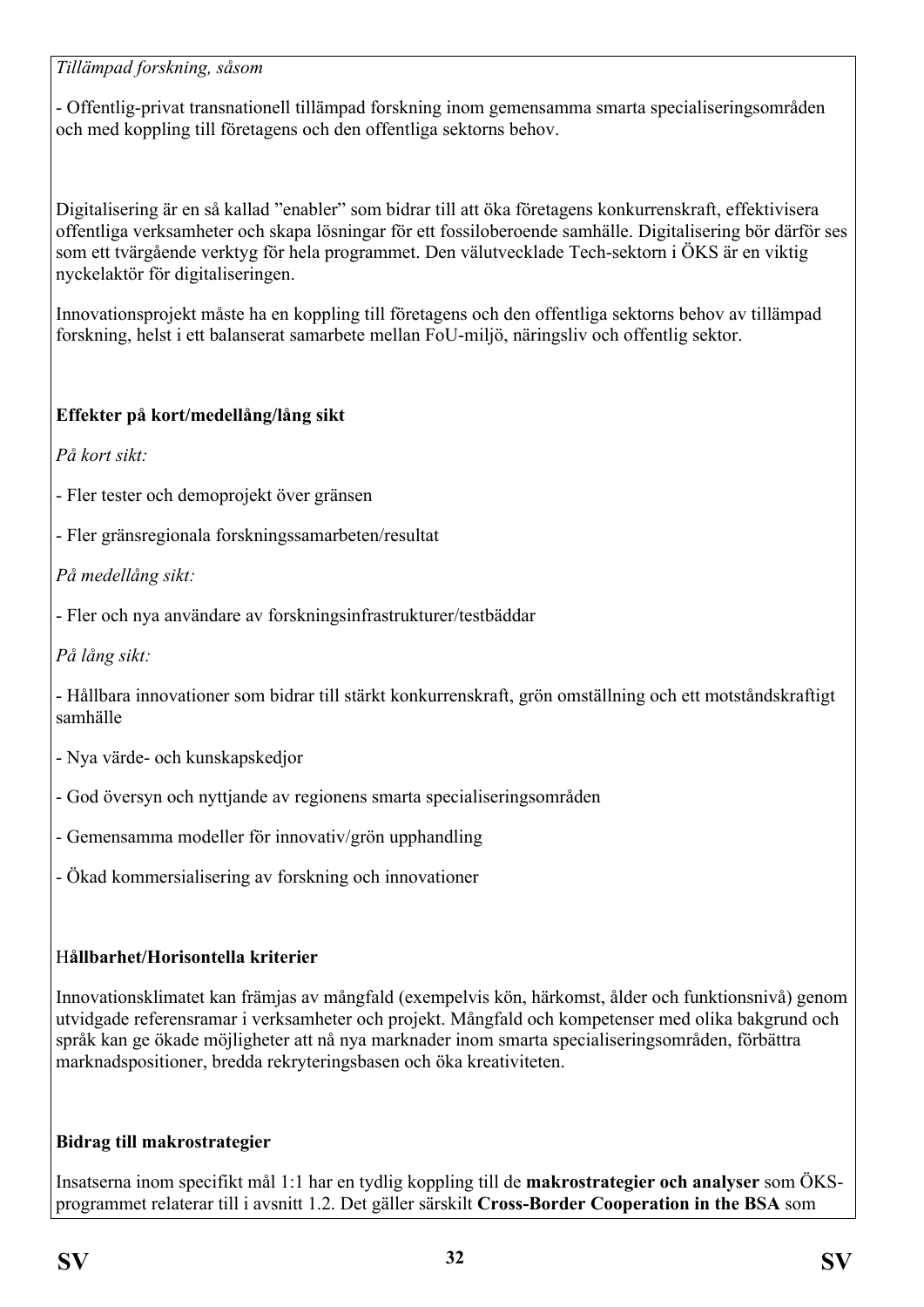#### *Tillämpad forskning, såsom*

- Offentlig-privat transnationell tillämpad forskning inom gemensamma smarta specialiseringsområden och med koppling till företagens och den offentliga sektorns behov.

Digitalisering är en så kallad "enabler" som bidrar till att öka företagens konkurrenskraft, effektivisera offentliga verksamheter och skapa lösningar för ett fossiloberoende samhälle. Digitalisering bör därför ses som ett tvärgående verktyg för hela programmet. Den välutvecklade Tech-sektorn i ÖKS är en viktig nyckelaktör för digitaliseringen.

Innovationsprojekt måste ha en koppling till företagens och den offentliga sektorns behov av tillämpad forskning, helst i ett balanserat samarbete mellan FoU-miljö, näringsliv och offentlig sektor.

## **Effekter på kort/medellång/lång sikt**

*På kort sikt:*

- Fler tester och demoprojekt över gränsen
- Fler gränsregionala forskningssamarbeten/resultat

*På medellång sikt:*

- Fler och nya användare av forskningsinfrastrukturer/testbäddar

*På lång sikt:*

- Hållbara innovationer som bidrar till stärkt konkurrenskraft, grön omställning och ett motståndskraftigt samhälle

- Nya värde- och kunskapskedjor
- God översyn och nyttjande av regionens smarta specialiseringsområden
- Gemensamma modeller för innovativ/grön upphandling
- Ökad kommersialisering av forskning och innovationer

#### H**ållbarhet/Horisontella kriterier**

Innovationsklimatet kan främjas av mångfald (exempelvis kön, härkomst, ålder och funktionsnivå) genom utvidgade referensramar i verksamheter och projekt. Mångfald och kompetenser med olika bakgrund och språk kan ge ökade möjligheter att nå nya marknader inom smarta specialiseringsområden, förbättra marknadspositioner, bredda rekryteringsbasen och öka kreativiteten.

## **Bidrag till makrostrategier**

Insatserna inom specifikt mål 1:1 har en tydlig koppling till de **makrostrategier och analyser** som ÖKSprogrammet relaterar till i avsnitt 1.2. Det gäller särskilt **Cross-Border Cooperation in the BSA** som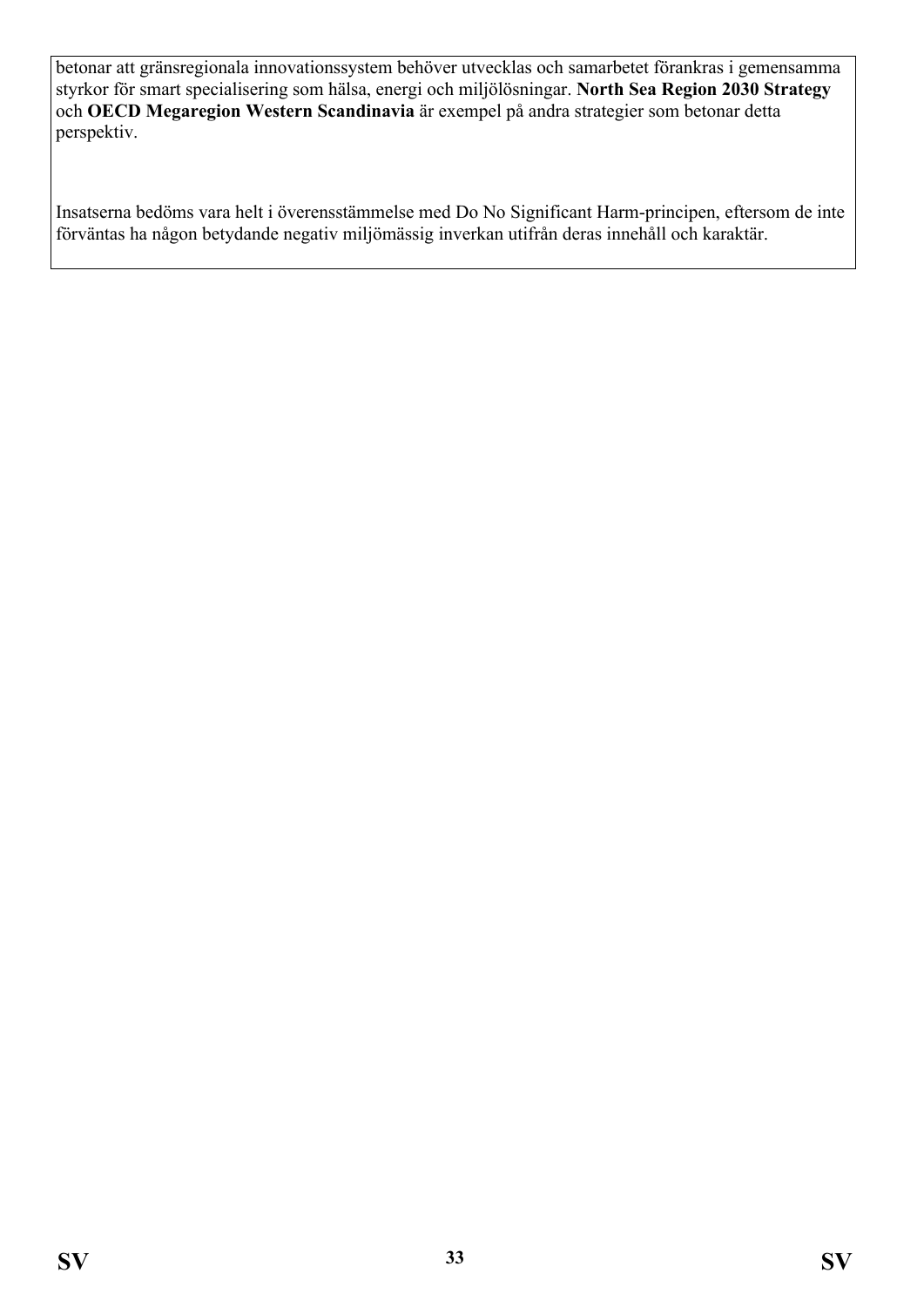betonar att gränsregionala innovationssystem behöver utvecklas och samarbetet förankras i gemensamma styrkor för smart specialisering som hälsa, energi och miljölösningar. **North Sea Region 2030 Strategy**  och **OECD Megaregion Western Scandinavia** är exempel på andra strategier som betonar detta perspektiv.

Insatserna bedöms vara helt i överensstämmelse med Do No Significant Harm-principen, eftersom de inte förväntas ha någon betydande negativ miljömässig inverkan utifrån deras innehåll och karaktär.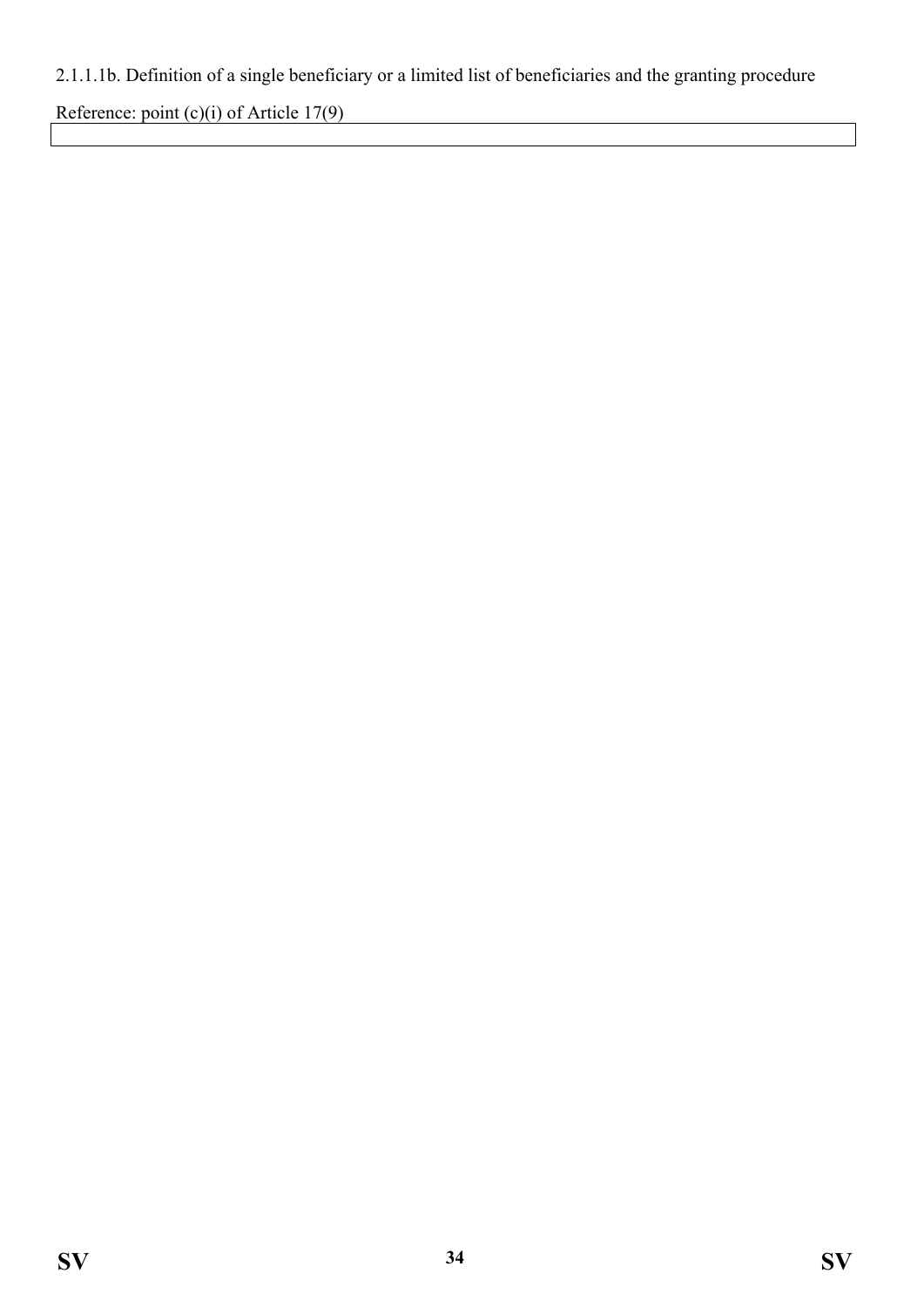# <span id="page-33-0"></span>2.1.1.1b. Definition of a single beneficiary or a limited list of beneficiaries and the granting procedure

Reference: point (c)(i) of Article 17(9)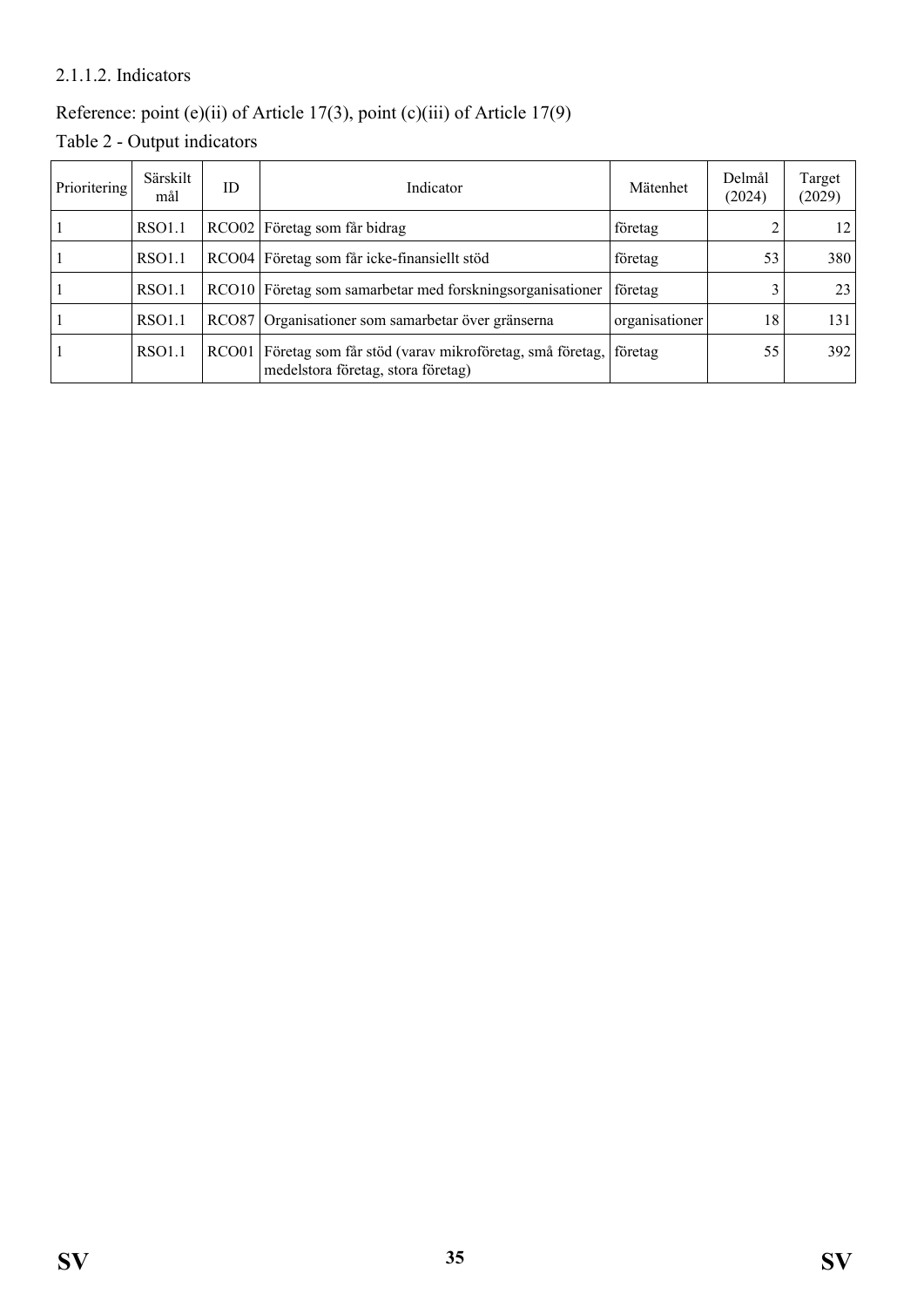#### <span id="page-34-0"></span>2.1.1.2. Indicators

# Reference: point (e)(ii) of Article 17(3), point (c)(iii) of Article 17(9)

<span id="page-34-1"></span>Table 2 - Output indicators

| Prioritering | Särskilt<br>mål | ID           | Indicator                                                                                    | Mätenhet       | Delmål<br>(2024) | Target<br>(2029) |
|--------------|-----------------|--------------|----------------------------------------------------------------------------------------------|----------------|------------------|------------------|
|              | RSO1.1          |              | RCO02 Företag som får bidrag                                                                 | företag        |                  | 12               |
|              | RSO1.1          |              | RCO04 Företag som får icke-finansiellt stöd                                                  | företag        | 53               | 380              |
|              | RSO1.1          |              | RCO10 Företag som samarbetar med forskningsorganisationer                                    | företag        |                  | 23               |
|              | RSO1.1          | <b>RCO87</b> | Organisationer som samarbetar över gränserna                                                 | organisationer | 18               | 131              |
|              | RSO1.1          | RCO01        | Företag som får stöd (varav mikroföretag, små företag,<br>medelstora företag, stora företag) | företag        | 55               | 392              |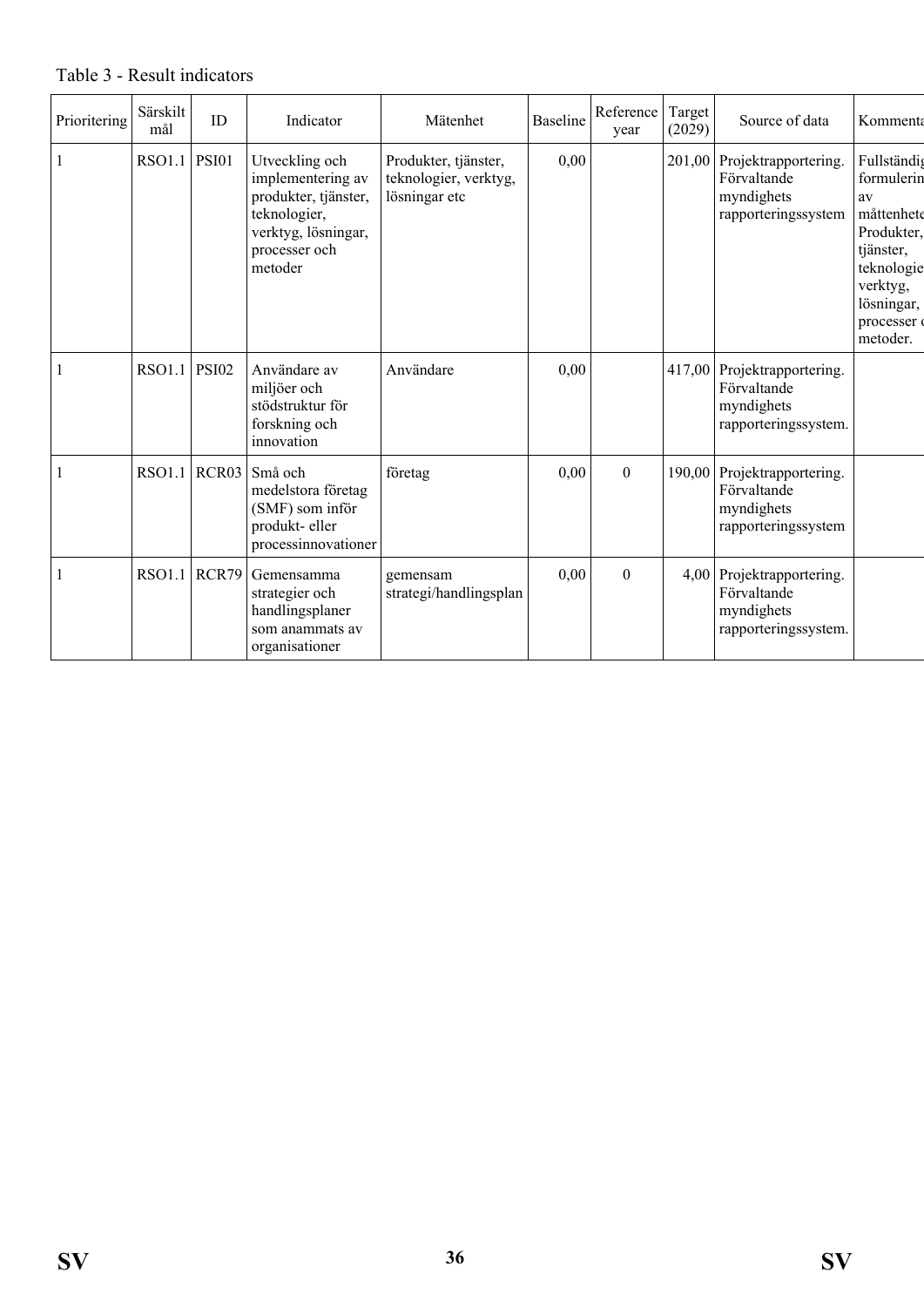| Prioritering | Särskilt<br>mål | ID    | Indicator                                                                                                                      | Mätenhet                                                       | <b>Baseline</b> | Reference<br>year | Target<br>(2029) | Source of data                                                                   | Kommenta                                                                                                                                  |
|--------------|-----------------|-------|--------------------------------------------------------------------------------------------------------------------------------|----------------------------------------------------------------|-----------------|-------------------|------------------|----------------------------------------------------------------------------------|-------------------------------------------------------------------------------------------------------------------------------------------|
|              | RSO1.1          | PSI01 | Utveckling och<br>implementering av<br>produkter, tjänster,<br>teknologier,<br>verktyg, lösningar,<br>processer och<br>metoder | Produkter, tjänster,<br>teknologier, verktyg,<br>lösningar etc | 0,00            |                   |                  | 201,00 Projektrapportering.<br>Förvaltande<br>myndighets<br>rapporteringssystem  | Fullständig<br>formulerin<br>av<br>måttenhete<br>Produkter,<br>tjänster,<br>teknologie<br>verktyg,<br>lösningar,<br>processer<br>metoder. |
|              | <b>RSO1.1</b>   | PSI02 | Användare av<br>miljöer och<br>stödstruktur för<br>forskning och<br>innovation                                                 | Användare                                                      | 0,00            |                   |                  | 417,00 Projektrapportering.<br>Förvaltande<br>myndighets<br>rapporteringssystem. |                                                                                                                                           |
|              | <b>RSO1.1</b>   | RCR03 | Små och<br>medelstora företag<br>(SMF) som inför<br>produkt-eller<br>processinnovationer                                       | företag                                                        | 0,00            | $\overline{0}$    | 190,00           | Projektrapportering.<br>Förvaltande<br>myndighets<br>rapporteringssystem         |                                                                                                                                           |
|              | <b>RSO1.1</b>   | RCR79 | Gemensamma<br>strategier och<br>handlingsplaner<br>som anammats av<br>organisationer                                           | gemensam<br>strategi/handlingsplan                             | 0,00            | $\theta$          |                  | 4,00 Projektrapportering.<br>Förvaltande<br>myndighets<br>rapporteringssystem.   |                                                                                                                                           |

#### <span id="page-35-0"></span>Table 3 - Result indicators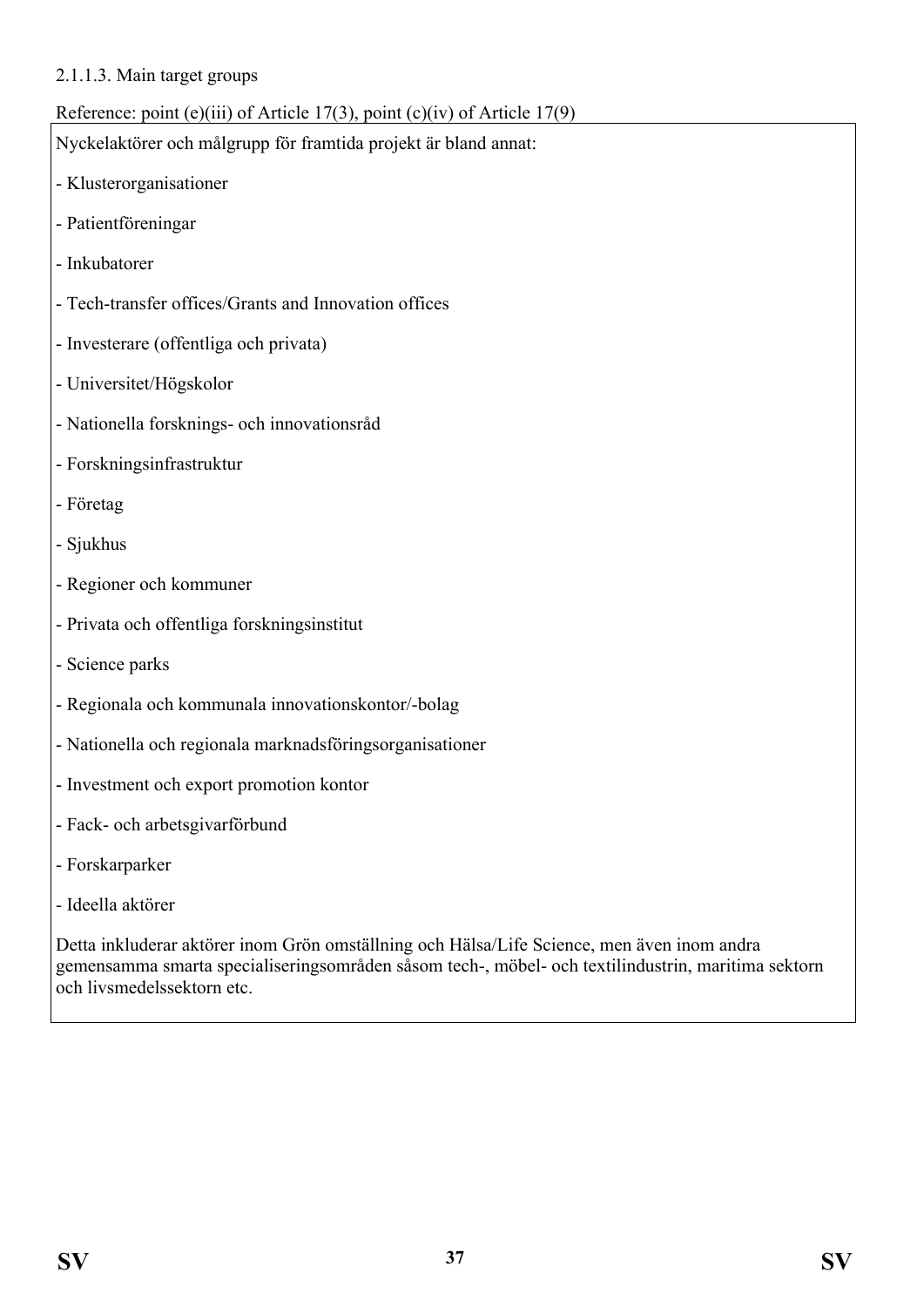#### 2.1.1.3. Main target groups

## Reference: point (e)(iii) of Article 17(3), point (c)(iv) of Article 17(9)

Nyckelaktörer och målgrupp för framtida projekt är bland annat:

- Klusterorganisationer
- Patientföreningar
- Inkubatorer
- Tech-transfer offices/Grants and Innovation offices
- Investerare (offentliga och privata)
- Universitet/Högskolor
- Nationella forsknings- och innovationsråd
- Forskningsinfrastruktur
- Företag
- Sjukhus
- Regioner och kommuner
- Privata och offentliga forskningsinstitut
- Science parks
- Regionala och kommunala innovationskontor/-bolag
- Nationella och regionala marknadsföringsorganisationer
- Investment och export promotion kontor
- Fack- och arbetsgivarförbund
- Forskarparker
- Ideella aktörer

Detta inkluderar aktörer inom Grön omställning och Hälsa/Life Science, men även inom andra gemensamma smarta specialiseringsområden såsom tech-, möbel- och textilindustrin, maritima sektorn och livsmedelssektorn etc.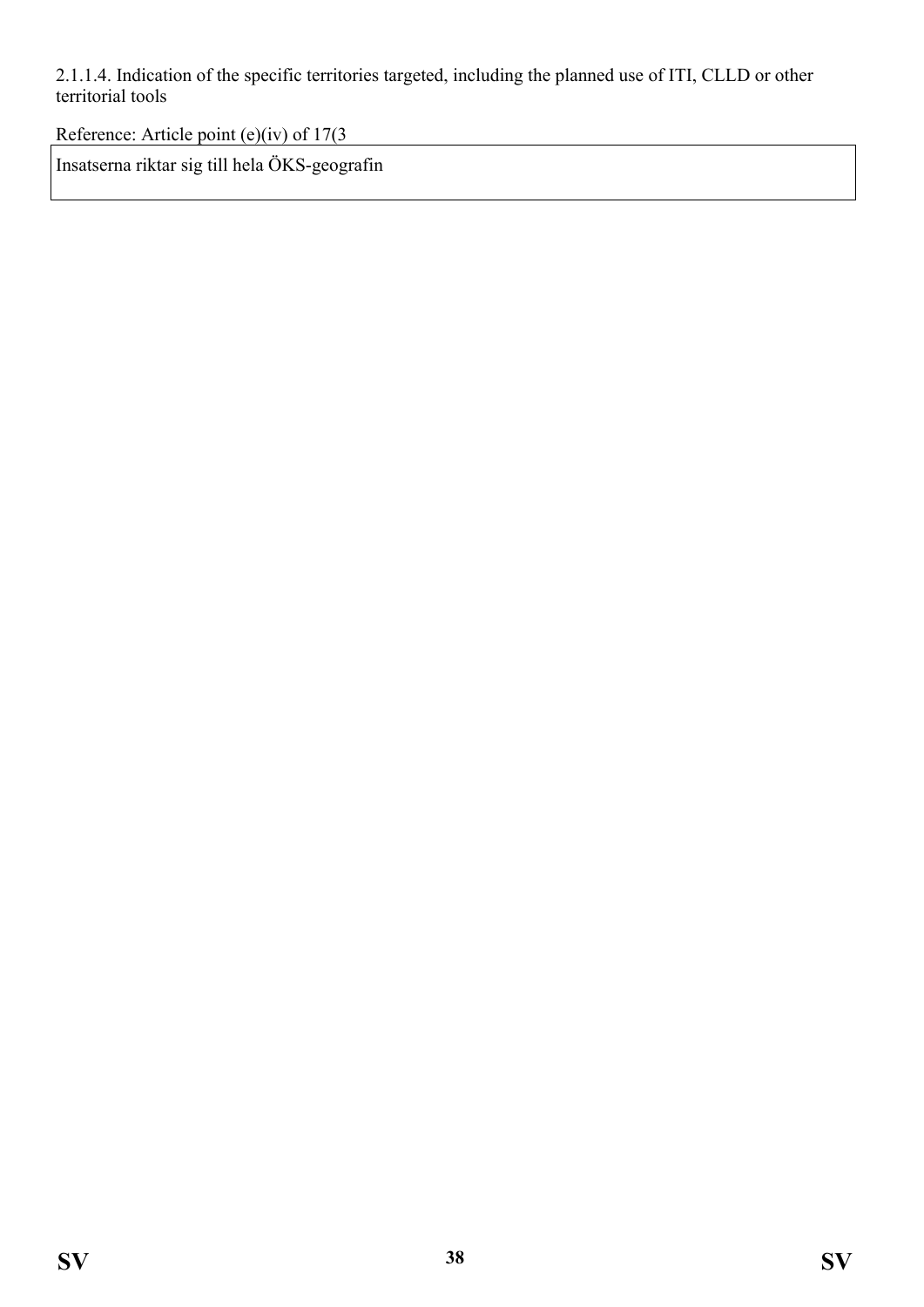2.1.1.4. Indication of the specific territories targeted, including the planned use of ITI, CLLD or other territorial tools

Reference: Article point (e)(iv) of 17(3

Insatserna riktar sig till hela ÖKS-geografin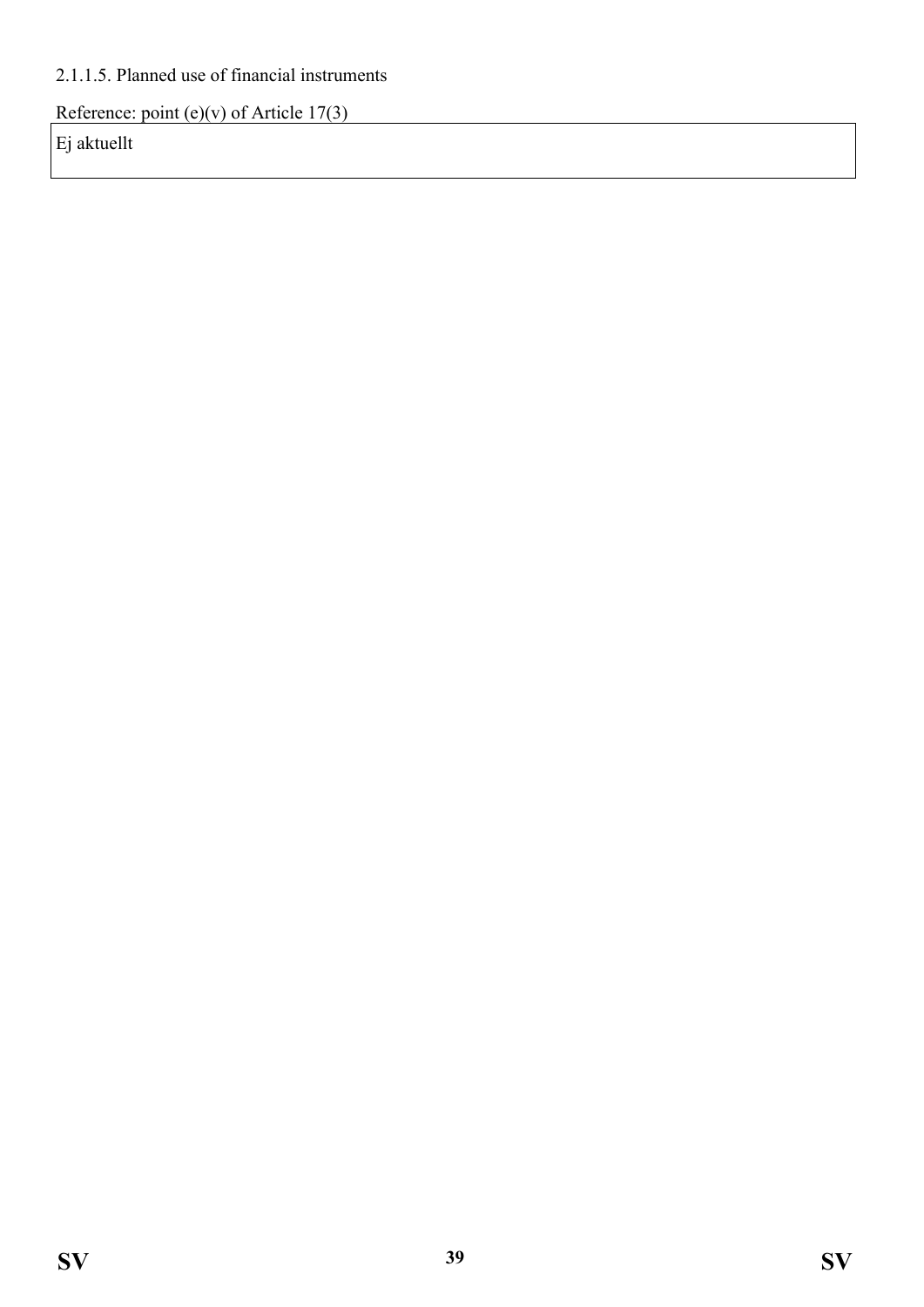### 2.1.1.5. Planned use of financial instruments

Reference: point (e)(v) of Article  $17(3)$ 

Ej aktuellt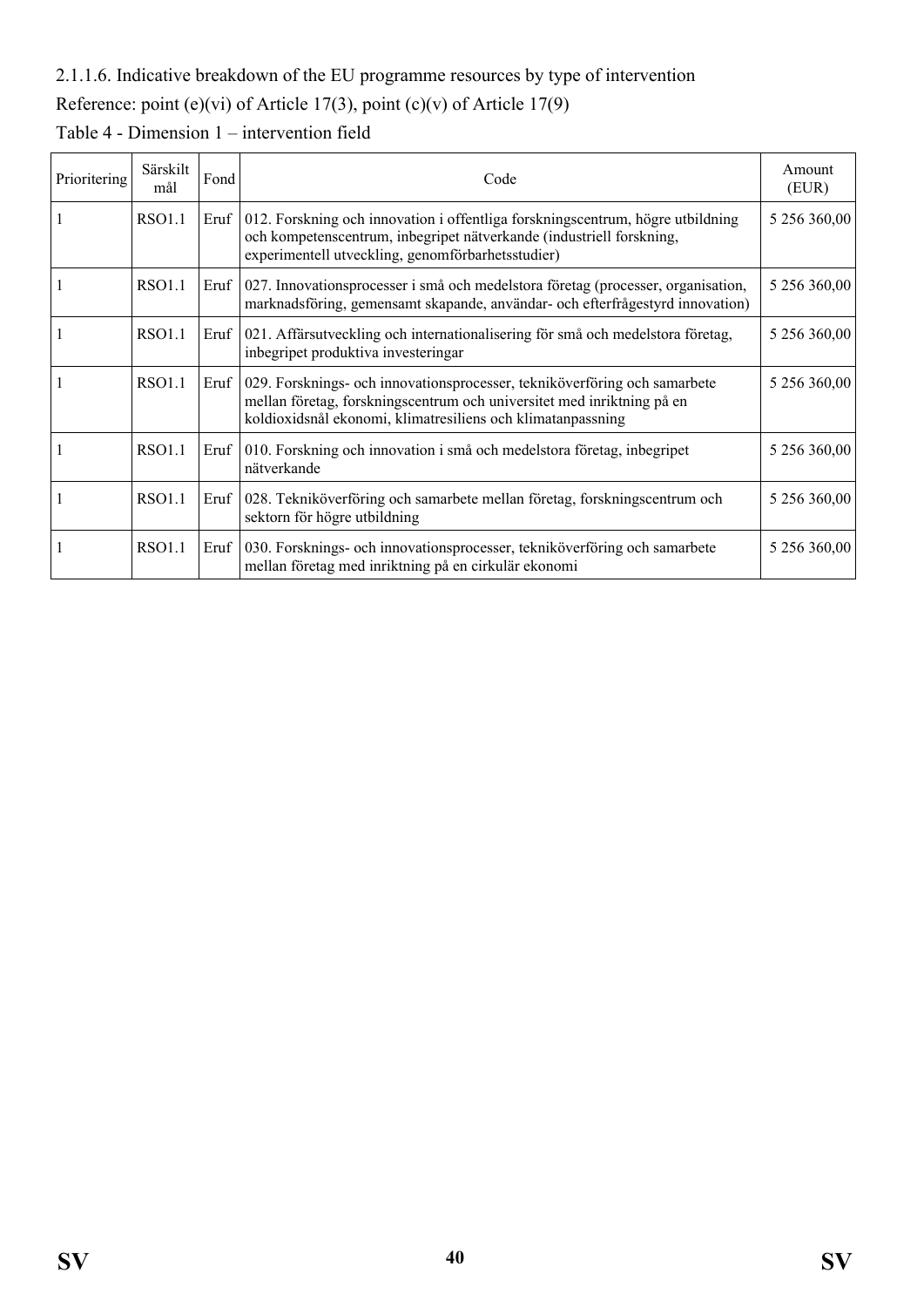### 2.1.1.6. Indicative breakdown of the EU programme resources by type of intervention

## Reference: point (e)(vi) of Article 17(3), point (c)(v) of Article 17(9)

| Prioritering | Särskilt<br>mål | Fond | Code                                                                                                                                                                                                                      | Amount<br>(EUR) |
|--------------|-----------------|------|---------------------------------------------------------------------------------------------------------------------------------------------------------------------------------------------------------------------------|-----------------|
|              | RSO1.1          |      | Eruf   012. Forskning och innovation i offentliga forskningscentrum, högre utbildning<br>och kompetenscentrum, inbegripet nätverkande (industriell forskning,<br>experimentell utveckling, genomförbarhetsstudier)        | 5 256 360,00    |
|              | <b>RSO1.1</b>   |      | Eruf 027. Innovationsprocesser i små och medelstora företag (processer, organisation,<br>marknadsföring, gemensamt skapande, användar- och efterfrågestyrd innovation)                                                    | 5 256 360,00    |
|              | <b>RSO1.1</b>   |      | Eruf   021. Affärsutveckling och internationalisering för små och medelstora företag,<br>inbegripet produktiva investeringar                                                                                              | 5 256 360,00    |
|              | <b>RSO1.1</b>   |      | Eruf   029. Forsknings- och innovationsprocesser, tekniköverföring och samarbete<br>mellan företag, forskningscentrum och universitet med inriktning på en<br>koldioxidsnål ekonomi, klimatresiliens och klimatanpassning | 5 256 360,00    |
|              | RSO1.1          |      | Eruf   010. Forskning och innovation i små och medelstora företag, inbegripet<br>nätverkande                                                                                                                              | 5 256 360,00    |
|              | <b>RSO1.1</b>   |      | Eruf   028. Tekniköverföring och samarbete mellan företag, forskningscentrum och<br>sektorn för högre utbildning                                                                                                          | 5 256 360,00    |
|              | <b>RSO1.1</b>   |      | Eruf   030. Forsknings- och innovationsprocesser, tekniköverföring och samarbete<br>mellan företag med inriktning på en cirkulär ekonomi                                                                                  | 5 256 360,00    |

## Table 4 - Dimension 1 – intervention field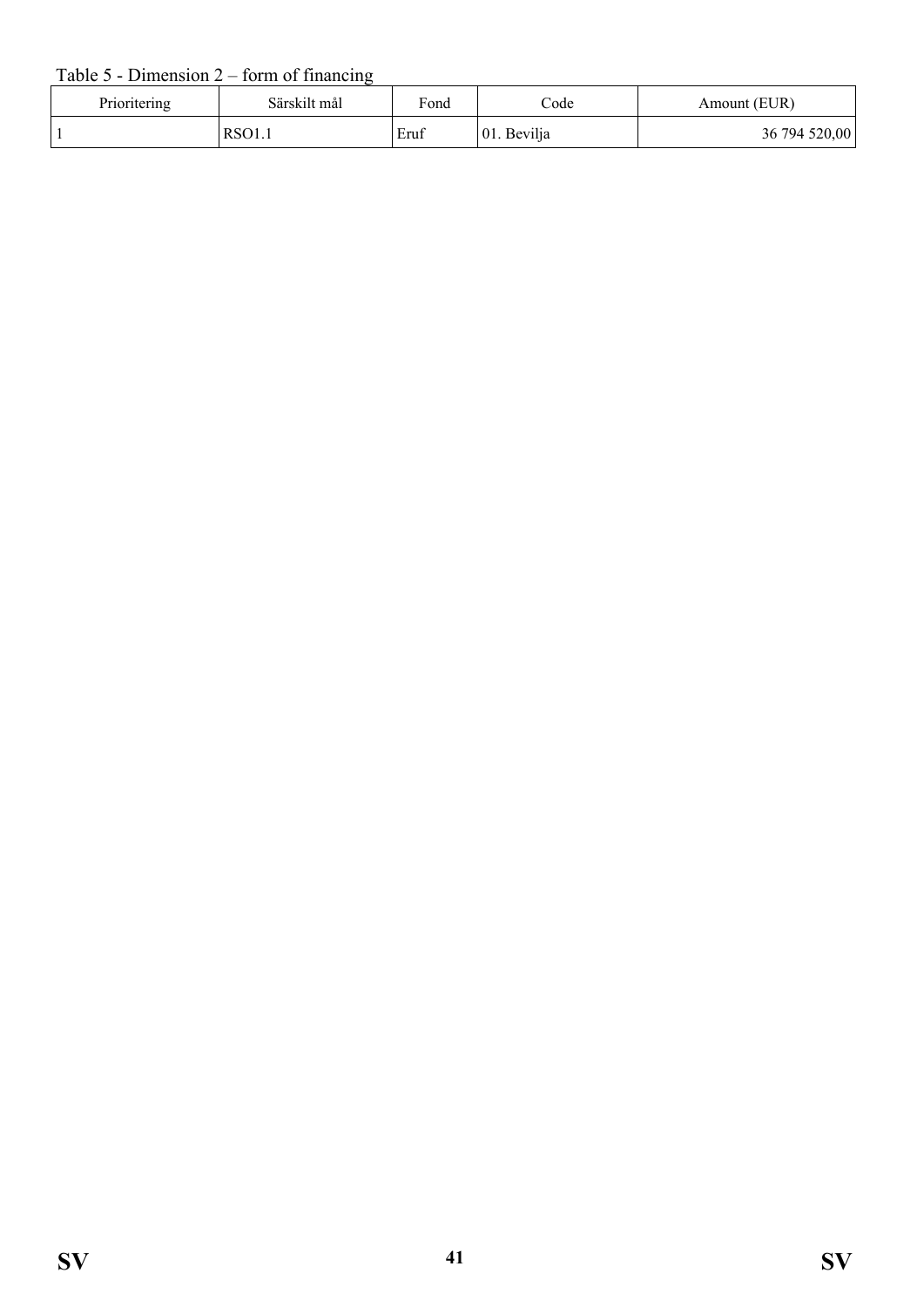### Table  $5$  - Dimension  $2$  – form of financing

| Prioritering | Särskilt mål | Fond | Code        | Amount (EUR)  |
|--------------|--------------|------|-------------|---------------|
|              | $\vert$ RSO1 | Eruf | 01. Bevilja | 36 794 520,00 |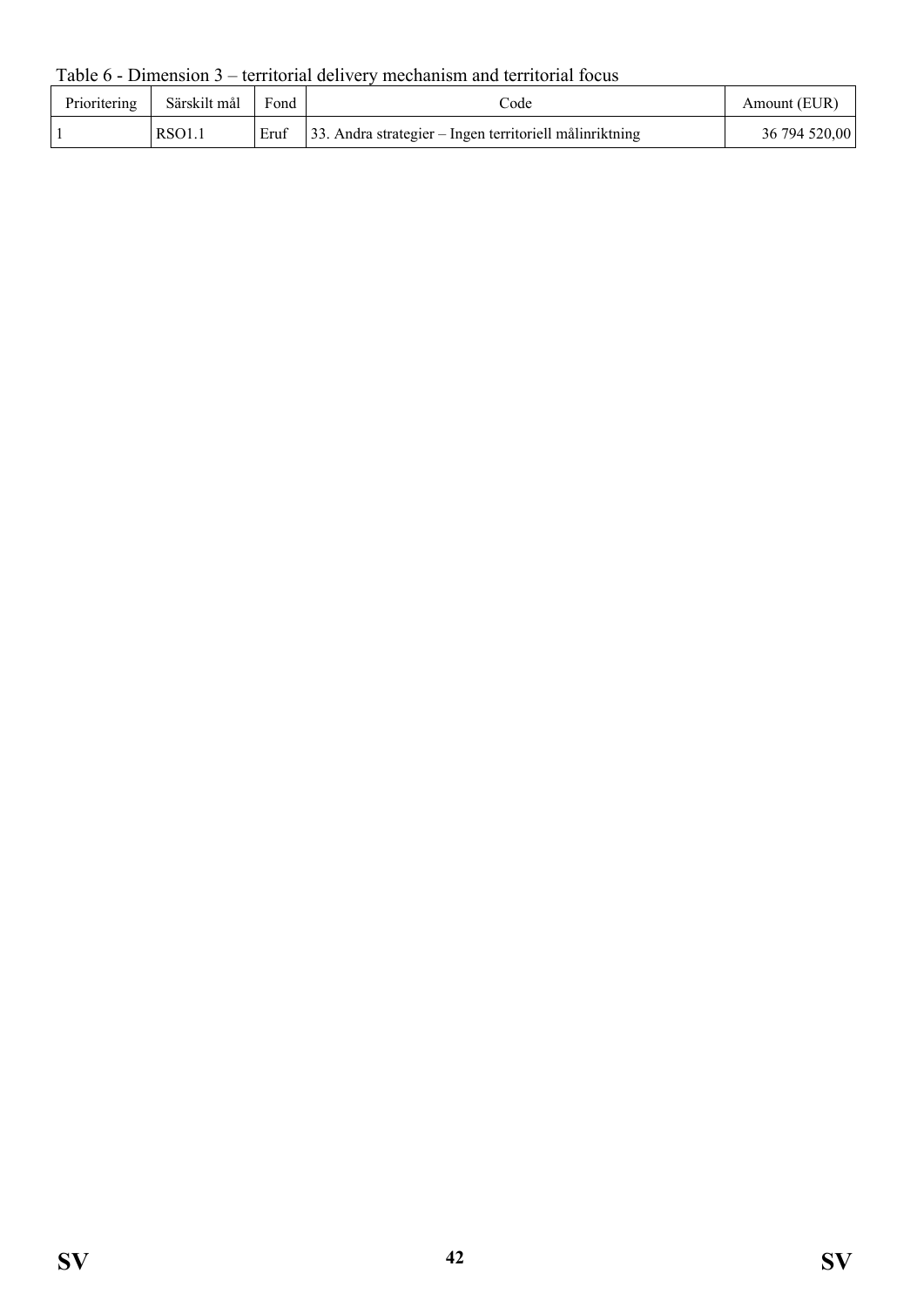Table 6 - Dimension 3 – territorial delivery mechanism and territorial focus

| Prioritering | Särskilt mål  | Fond | code                                                           | Amount (EUR)  |
|--------------|---------------|------|----------------------------------------------------------------|---------------|
|              | <b>RSO1.1</b> |      | Eruf   33. Andra strategier – Ingen territoriell målinriktning | 36 794 520,00 |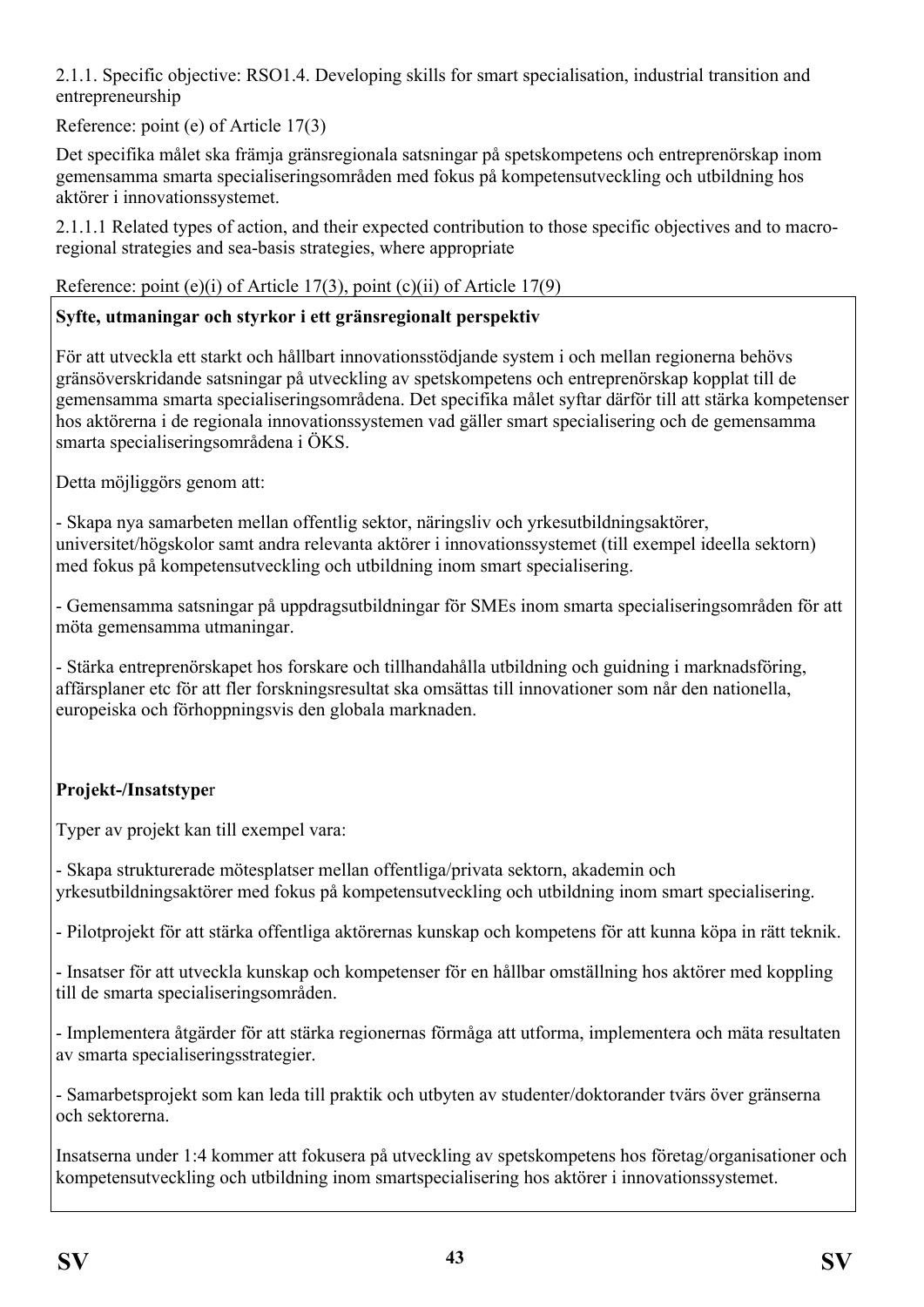2.1.1. Specific objective: RSO1.4. Developing skills for smart specialisation, industrial transition and entrepreneurship

Reference: point (e) of Article 17(3)

Det specifika målet ska främja gränsregionala satsningar på spetskompetens och entreprenörskap inom gemensamma smarta specialiseringsområden med fokus på kompetensutveckling och utbildning hos aktörer i innovationssystemet.

2.1.1.1 Related types of action, and their expected contribution to those specific objectives and to macroregional strategies and sea-basis strategies, where appropriate

#### Reference: point (e)(i) of Article 17(3), point (c)(ii) of Article 17(9)

### **Syfte, utmaningar och styrkor i ett gränsregionalt perspektiv**

För att utveckla ett starkt och hållbart innovationsstödjande system i och mellan regionerna behövs gränsöverskridande satsningar på utveckling av spetskompetens och entreprenörskap kopplat till de gemensamma smarta specialiseringsområdena. Det specifika målet syftar därför till att stärka kompetenser hos aktörerna i de regionala innovationssystemen vad gäller smart specialisering och de gemensamma smarta specialiseringsområdena i ÖKS.

Detta möjliggörs genom att:

- Skapa nya samarbeten mellan offentlig sektor, näringsliv och yrkesutbildningsaktörer, universitet/högskolor samt andra relevanta aktörer i innovationssystemet (till exempel ideella sektorn) med fokus på kompetensutveckling och utbildning inom smart specialisering.

- Gemensamma satsningar på uppdragsutbildningar för SMEs inom smarta specialiseringsområden för att möta gemensamma utmaningar.

- Stärka entreprenörskapet hos forskare och tillhandahålla utbildning och guidning i marknadsföring, affärsplaner etc för att fler forskningsresultat ska omsättas till innovationer som når den nationella, europeiska och förhoppningsvis den globala marknaden.

### **Projekt-/Insatstype**r

Typer av projekt kan till exempel vara:

- Skapa strukturerade mötesplatser mellan offentliga/privata sektorn, akademin och yrkesutbildningsaktörer med fokus på kompetensutveckling och utbildning inom smart specialisering.

- Pilotprojekt för att stärka offentliga aktörernas kunskap och kompetens för att kunna köpa in rätt teknik.

- Insatser för att utveckla kunskap och kompetenser för en hållbar omställning hos aktörer med koppling till de smarta specialiseringsområden.

- Implementera åtgärder för att stärka regionernas förmåga att utforma, implementera och mäta resultaten av smarta specialiseringsstrategier.

- Samarbetsprojekt som kan leda till praktik och utbyten av studenter/doktorander tvärs över gränserna och sektorerna.

Insatserna under 1:4 kommer att fokusera på utveckling av spetskompetens hos företag/organisationer och kompetensutveckling och utbildning inom smartspecialisering hos aktörer i innovationssystemet.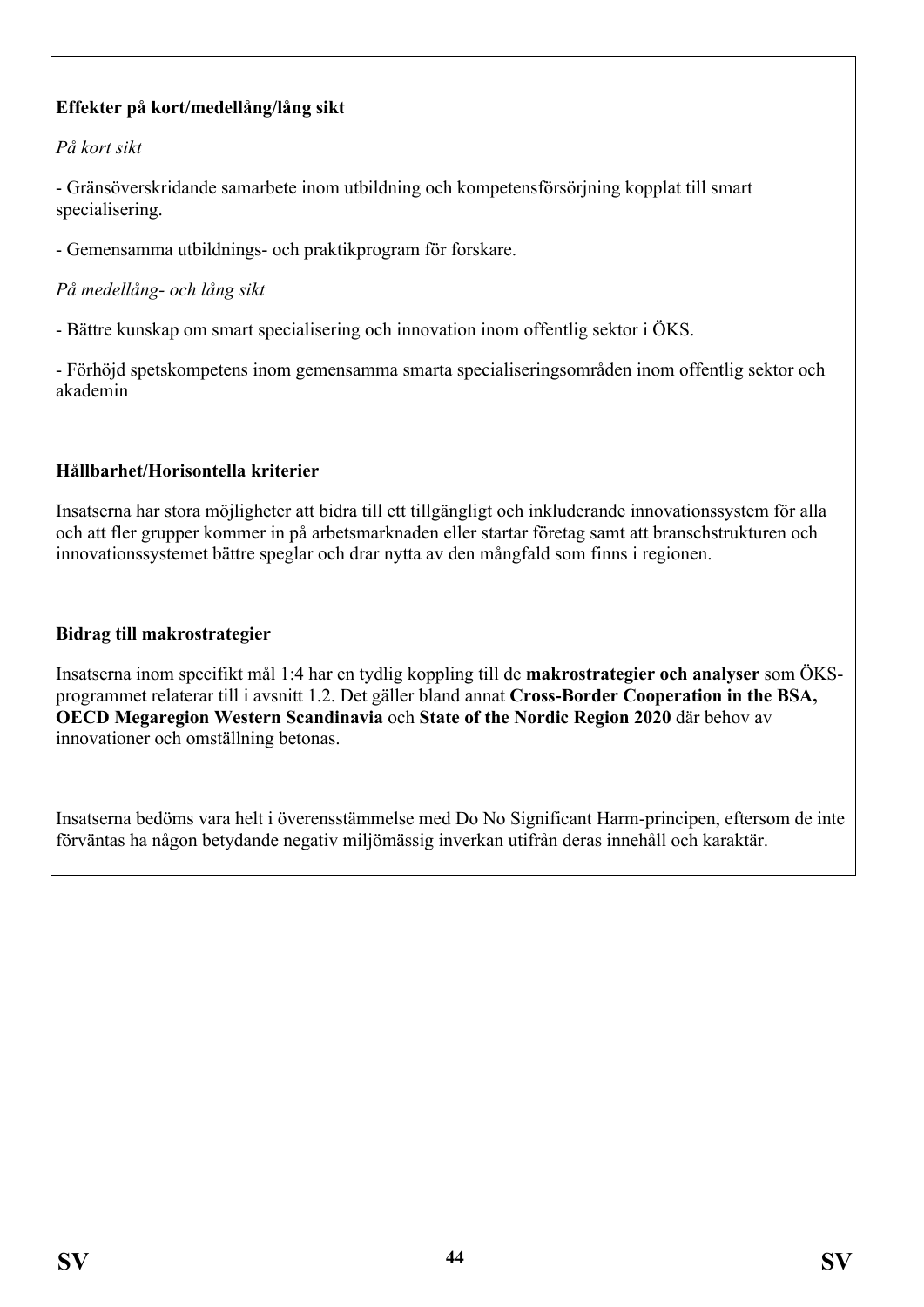## **Effekter på kort/medellång/lång sikt**

### *På kort sikt*

- Gränsöverskridande samarbete inom utbildning och kompetensförsörjning kopplat till smart specialisering.

- Gemensamma utbildnings- och praktikprogram för forskare.

*På medellång- och lång sikt*

- Bättre kunskap om smart specialisering och innovation inom offentlig sektor i ÖKS.

- Förhöjd spetskompetens inom gemensamma smarta specialiseringsområden inom offentlig sektor och akademin

### **Hållbarhet/Horisontella kriterier**

Insatserna har stora möjligheter att bidra till ett tillgängligt och inkluderande innovationssystem för alla och att fler grupper kommer in på arbetsmarknaden eller startar företag samt att branschstrukturen och innovationssystemet bättre speglar och drar nytta av den mångfald som finns i regionen.

#### **Bidrag till makrostrategier**

Insatserna inom specifikt mål 1:4 har en tydlig koppling till de **makrostrategier och analyser** som ÖKSprogrammet relaterar till i avsnitt 1.2. Det gäller bland annat **Cross-Border Cooperation in the BSA, OECD Megaregion Western Scandinavia** och **State of the Nordic Region 2020** där behov av innovationer och omställning betonas.

Insatserna bedöms vara helt i överensstämmelse med Do No Significant Harm-principen, eftersom de inte förväntas ha någon betydande negativ miljömässig inverkan utifrån deras innehåll och karaktär.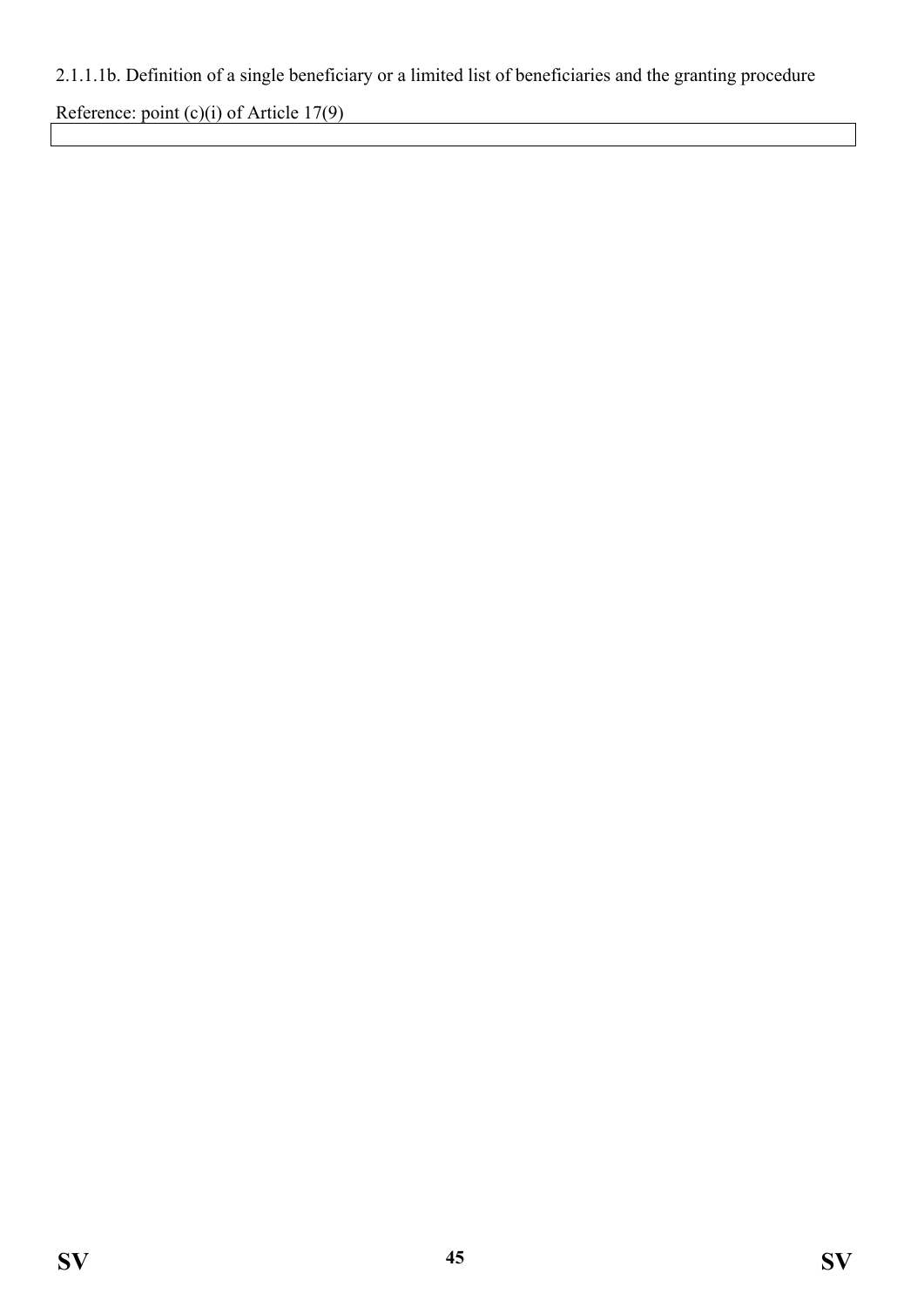## 2.1.1.1b. Definition of a single beneficiary or a limited list of beneficiaries and the granting procedure

Reference: point (c)(i) of Article 17(9)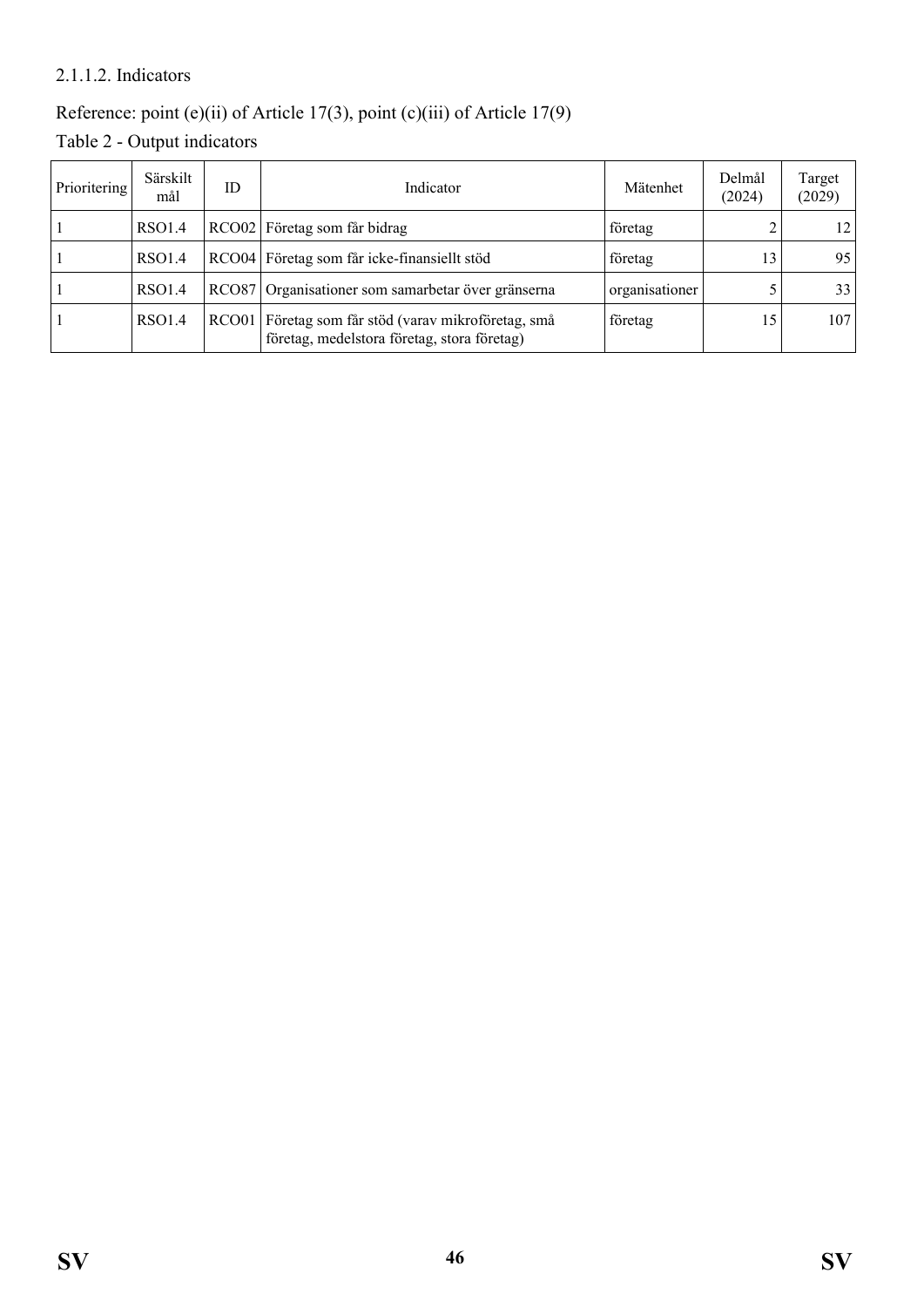### 2.1.1.2. Indicators

## Reference: point (e)(ii) of Article 17(3), point (c)(iii) of Article 17(9)

Table 2 - Output indicators

| Prioritering | Särskilt<br>mål | ID | Indicator                                                                                          | Mätenhet       | Delmål<br>(2024) | Target<br>(2029) |
|--------------|-----------------|----|----------------------------------------------------------------------------------------------------|----------------|------------------|------------------|
|              | RSO1.4          |    | RCO02 Företag som får bidrag                                                                       | företag        |                  | 12 <sub>1</sub>  |
|              | <b>RSO1.4</b>   |    | RCO04 Företag som får icke-finansiellt stöd                                                        | företag        | 13               | 95               |
|              | <b>RSO1.4</b>   |    | RCO87 Organisationer som samarbetar över gränserna                                                 | organisationer |                  | 33               |
|              | <b>RSO1.4</b>   |    | RCO01 Företag som får stöd (varav mikroföretag, små<br>företag, medelstora företag, stora företag) | företag        | 15               | 107              |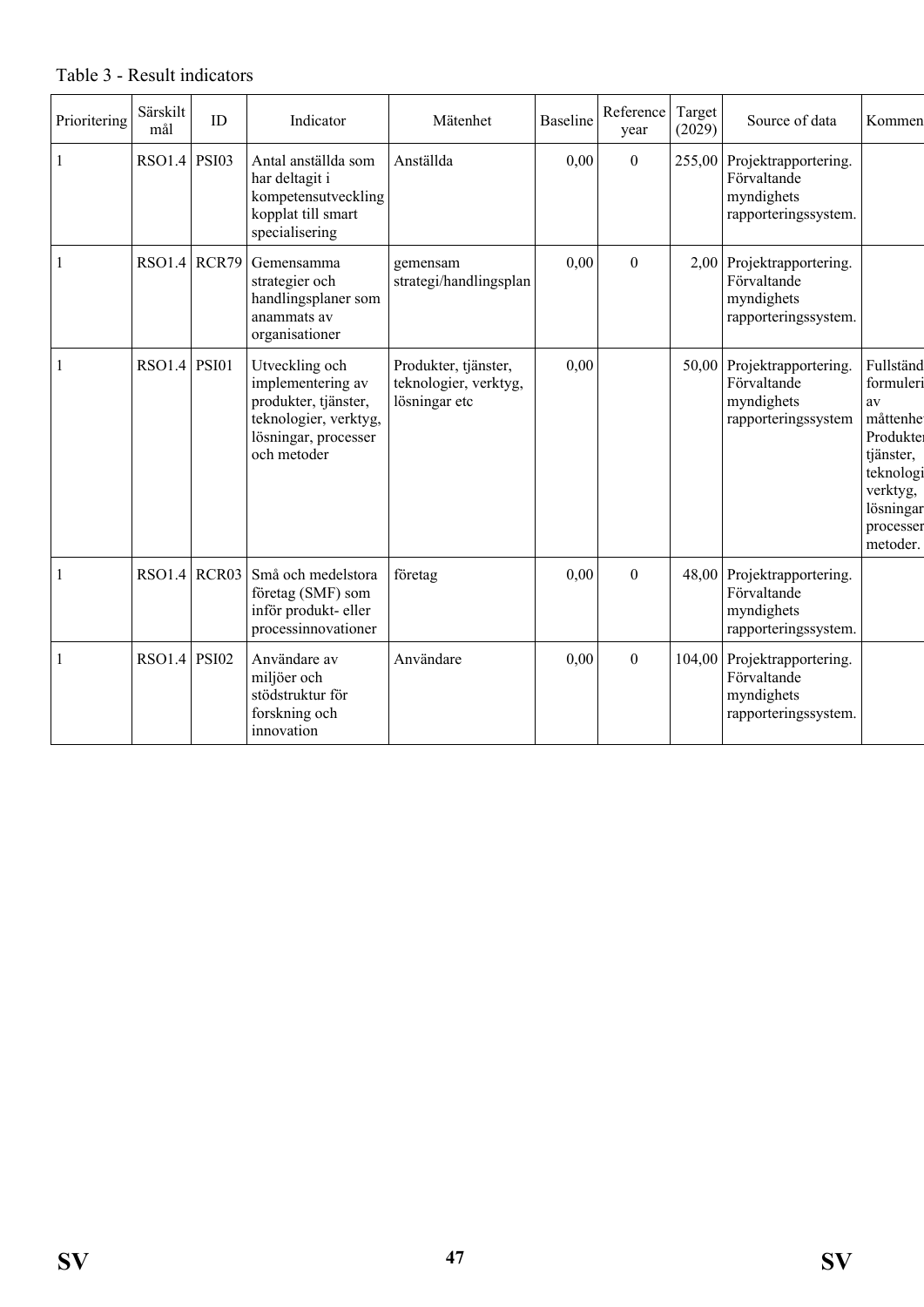| Prioritering | Särskilt<br>mål | ID | Indicator                                                                                                                   | Mätenhet                                                       | <b>Baseline</b> | Reference<br>year | Target<br>(2029) | Source of data                                                                   | Kommen                                                                                                                            |
|--------------|-----------------|----|-----------------------------------------------------------------------------------------------------------------------------|----------------------------------------------------------------|-----------------|-------------------|------------------|----------------------------------------------------------------------------------|-----------------------------------------------------------------------------------------------------------------------------------|
|              | RSO1.4 PSI03    |    | Antal anställda som<br>har deltagit i<br>kompetensutveckling<br>kopplat till smart<br>specialisering                        | Anställda                                                      | 0,00            | $\boldsymbol{0}$  |                  | 255,00 Projektrapportering.<br>Förvaltande<br>myndighets<br>rapporteringssystem. |                                                                                                                                   |
|              | $RSO1.4$ RCR79  |    | Gemensamma<br>strategier och<br>handlingsplaner som<br>anammats av<br>organisationer                                        | gemensam<br>strategi/handlingsplan                             | 0,00            | $\theta$          |                  | 2,00 Projektrapportering.<br>Förvaltande<br>myndighets<br>rapporteringssystem.   |                                                                                                                                   |
|              | $RSO1.4$ PSI01  |    | Utveckling och<br>implementering av<br>produkter, tjänster,<br>teknologier, verktyg,<br>lösningar, processer<br>och metoder | Produkter, tjänster,<br>teknologier, verktyg,<br>lösningar etc | 0,00            |                   | 50,00            | Projektrapportering.<br>Förvaltande<br>myndighets<br>rapporteringssystem         | Fullständ<br>formuleri<br>av<br>måttenhe<br>Produkter<br>tjänster,<br>teknologi<br>verktyg,<br>lösningar<br>processer<br>metoder. |
|              | $RSO1.4$ RCR03  |    | Små och medelstora<br>företag (SMF) som<br>inför produkt- eller<br>processinnovationer                                      | företag                                                        | 0,00            | $\boldsymbol{0}$  |                  | 48,00 Projektrapportering.<br>Förvaltande<br>myndighets<br>rapporteringssystem.  |                                                                                                                                   |
|              | RSO1.4 PSI02    |    | Användare av<br>miljöer och<br>stödstruktur för<br>forskning och<br>innovation                                              | Användare                                                      | 0,00            | $\mathbf{0}$      | 104,00           | Projektrapportering.<br>Förvaltande<br>myndighets<br>rapporteringssystem.        |                                                                                                                                   |

Table 3 - Result indicators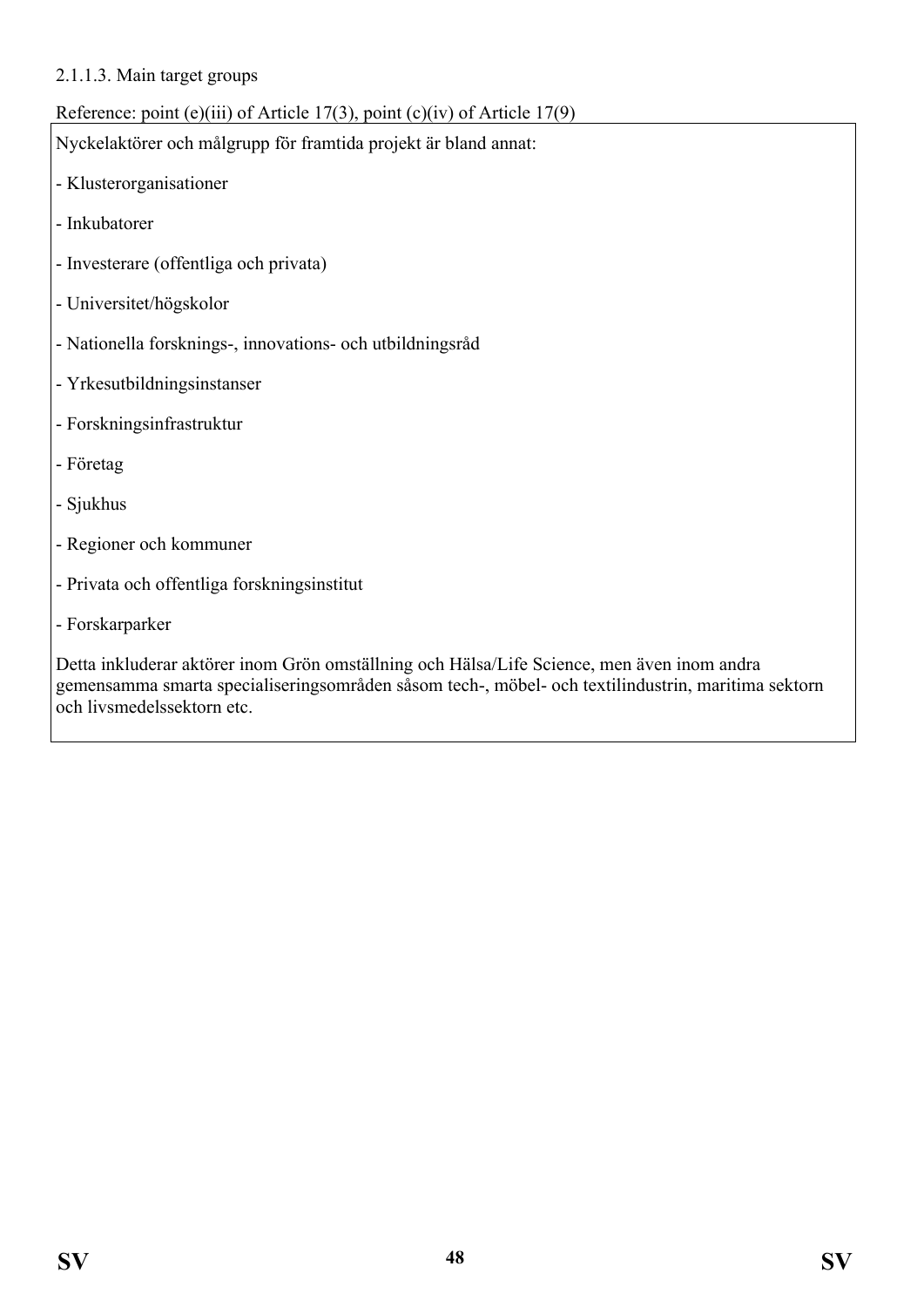#### 2.1.1.3. Main target groups

### Reference: point (e)(iii) of Article 17(3), point (c)(iv) of Article 17(9)

Nyckelaktörer och målgrupp för framtida projekt är bland annat:

- Klusterorganisationer
- Inkubatorer
- Investerare (offentliga och privata)
- Universitet/högskolor
- Nationella forsknings-, innovations- och utbildningsråd
- Yrkesutbildningsinstanser
- Forskningsinfrastruktur
- Företag
- Sjukhus
- Regioner och kommuner
- Privata och offentliga forskningsinstitut
- Forskarparker

Detta inkluderar aktörer inom Grön omställning och Hälsa/Life Science, men även inom andra gemensamma smarta specialiseringsområden såsom tech-, möbel- och textilindustrin, maritima sektorn och livsmedelssektorn etc.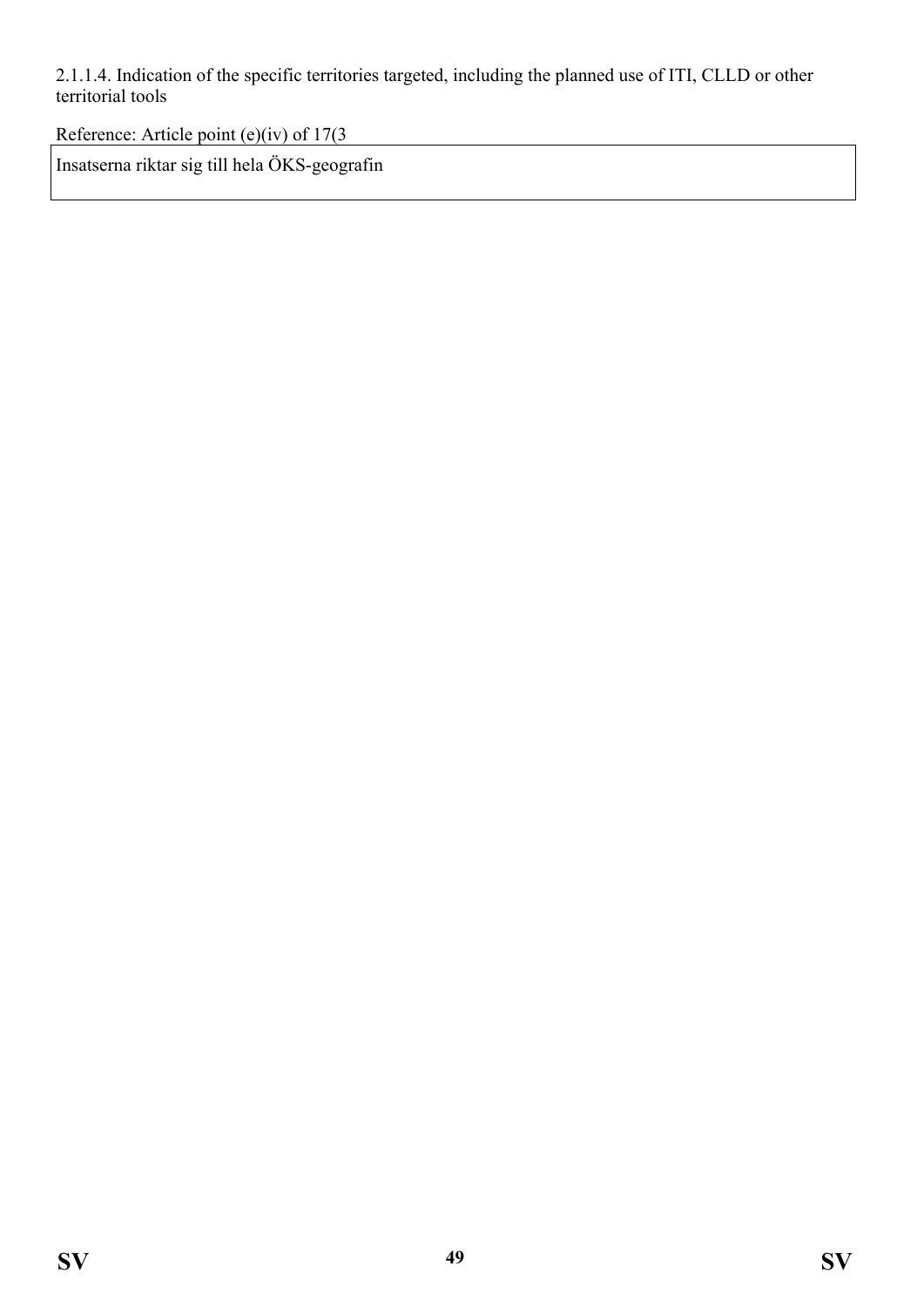2.1.1.4. Indication of the specific territories targeted, including the planned use of ITI, CLLD or other territorial tools

Reference: Article point (e)(iv) of 17(3

Insatserna riktar sig till hela ÖKS-geografin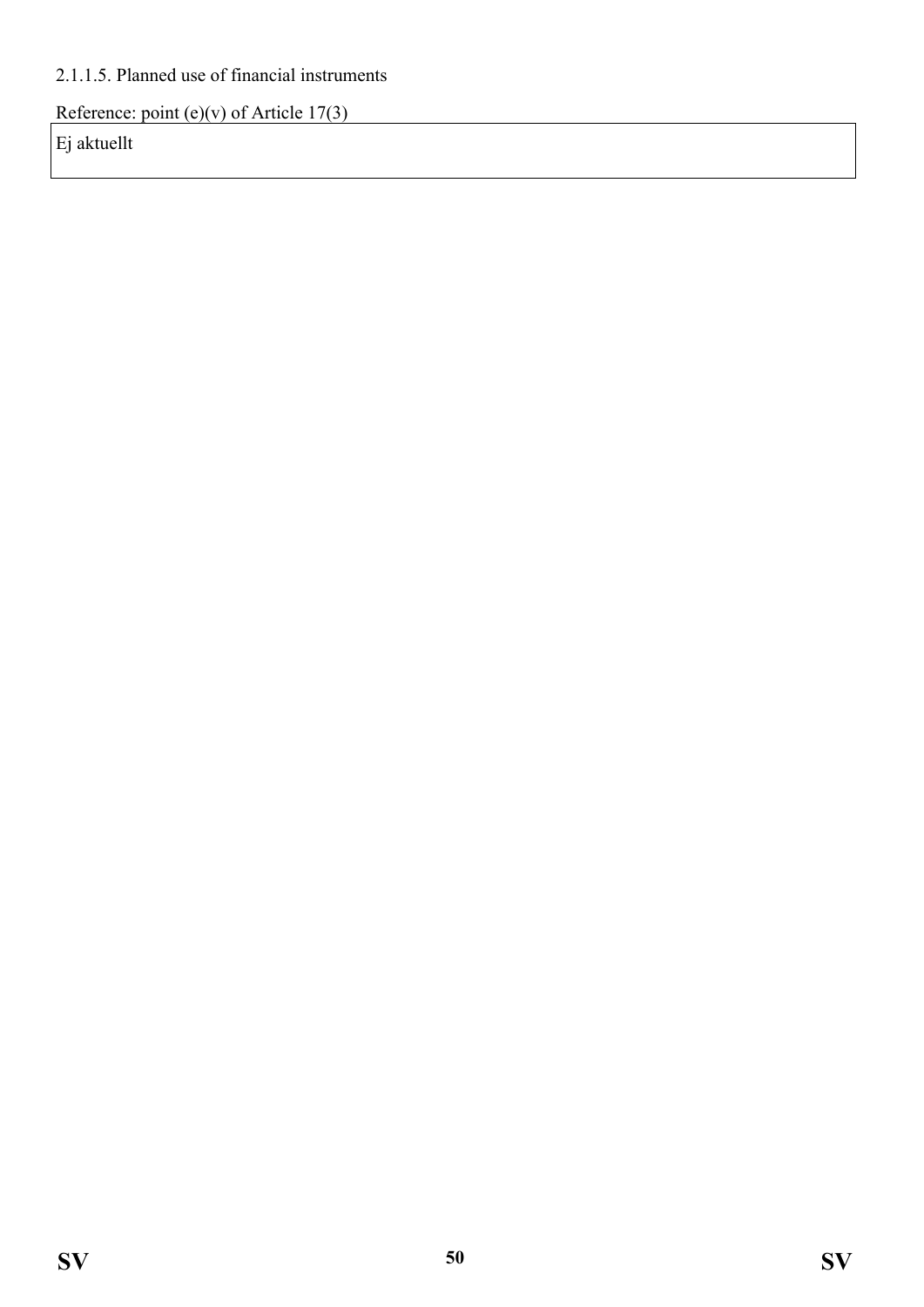### 2.1.1.5. Planned use of financial instruments

Reference: point (e)(v) of Article  $17(3)$ 

Ej aktuellt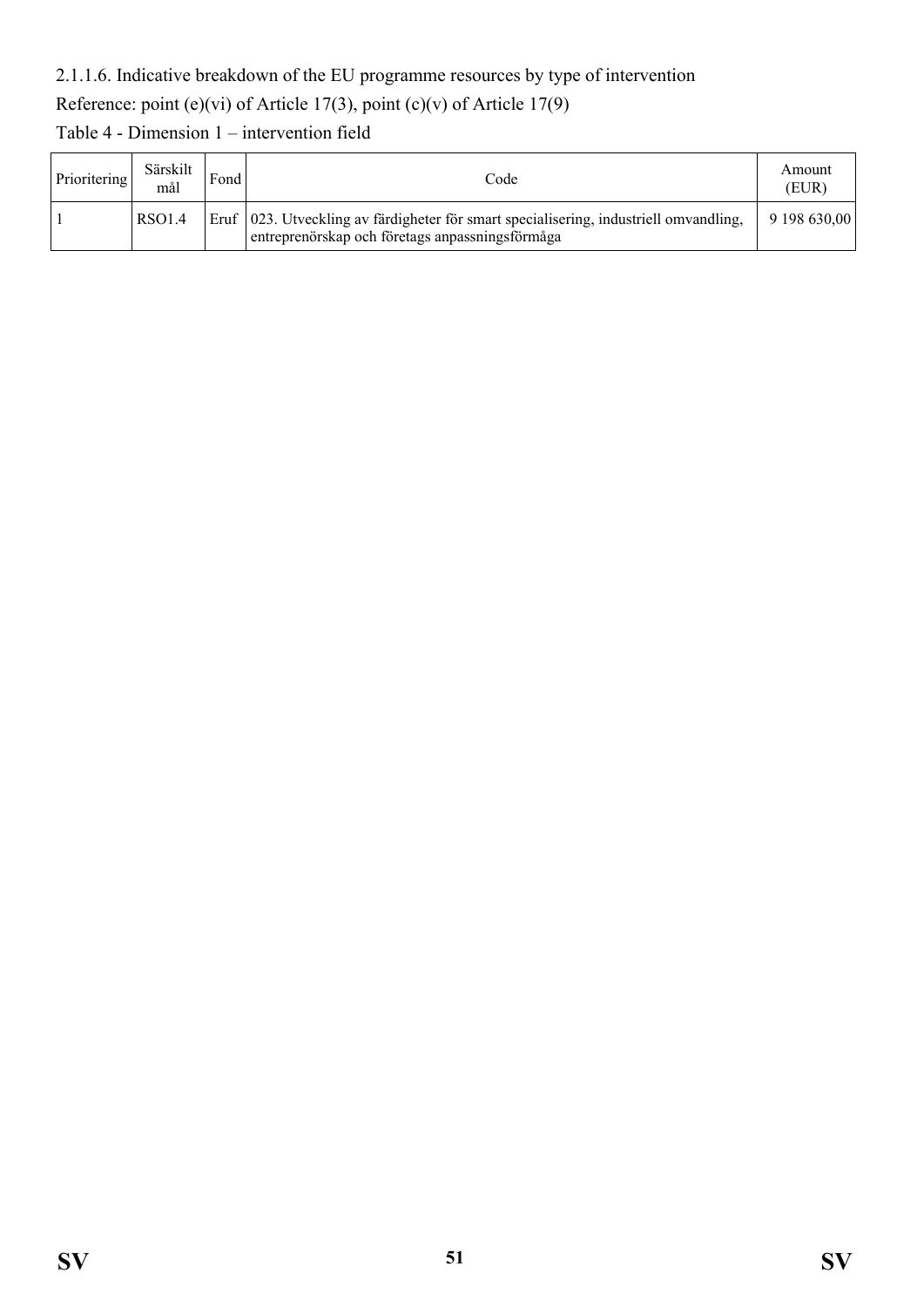#### 2.1.1.6. Indicative breakdown of the EU programme resources by type of intervention

## Reference: point (e)(vi) of Article 17(3), point (c)(v) of Article 17(9)

Table 4 - Dimension 1 – intervention field

| Prioritering | Särskilt<br>mål    | Fond | Code                                                                                                                                       | Amount<br>(EUR) |
|--------------|--------------------|------|--------------------------------------------------------------------------------------------------------------------------------------------|-----------------|
|              | RSO <sub>1.4</sub> |      | Eruf   023. Utveckling av färdigheter för smart specialisering, industriell omvandling,<br>entreprenörskap och företags anpassningsförmåga | 9 198 630.00    |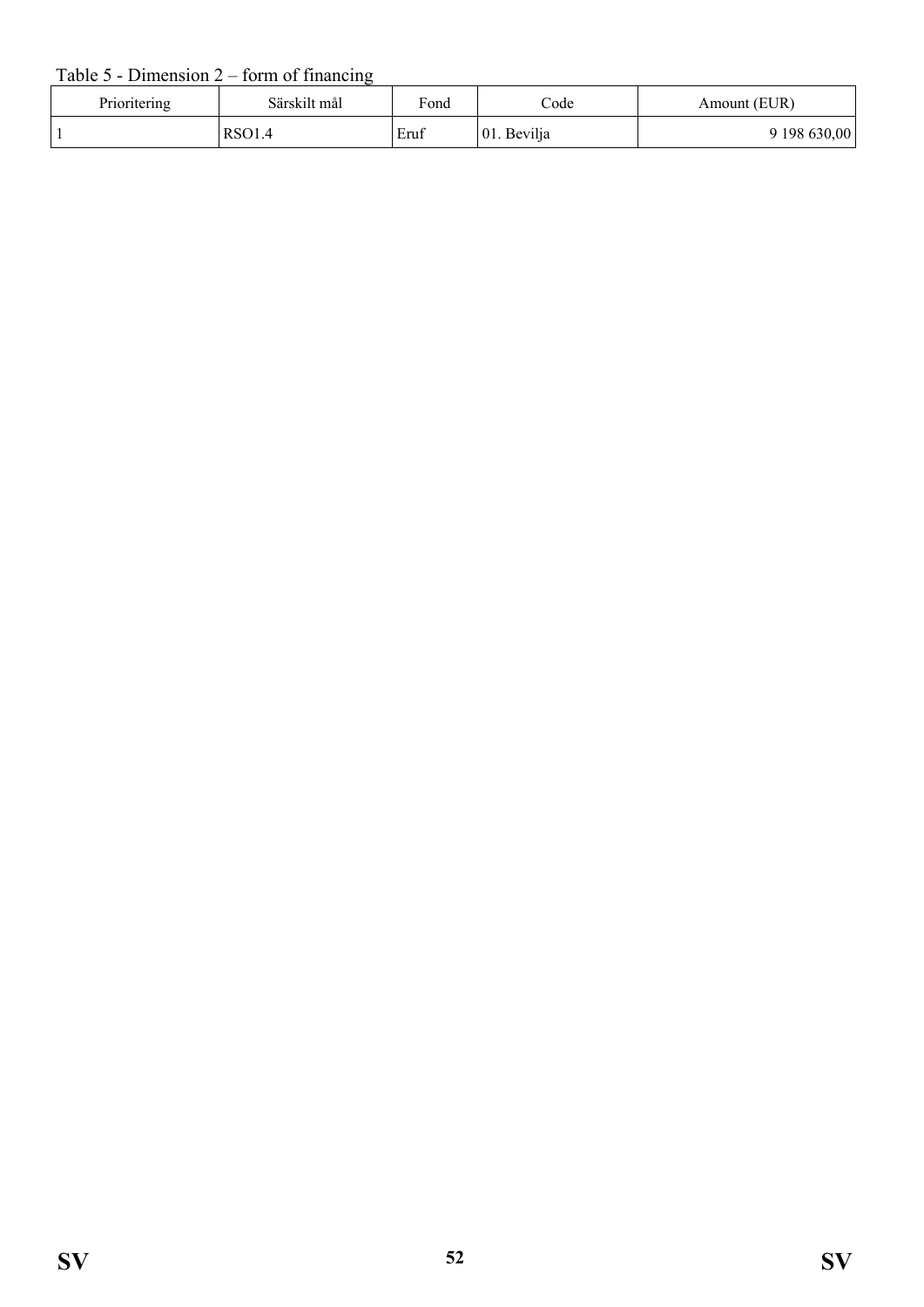### Table  $5$  - Dimension  $2$  – form of financing

| Prioritering | Särskilt mål  | Fond | $\mathrm{Code}$ | Amount (EUR) |
|--------------|---------------|------|-----------------|--------------|
|              | <b>RSO1.4</b> | Eruf | 01. Bevilja     | 9 198 630,00 |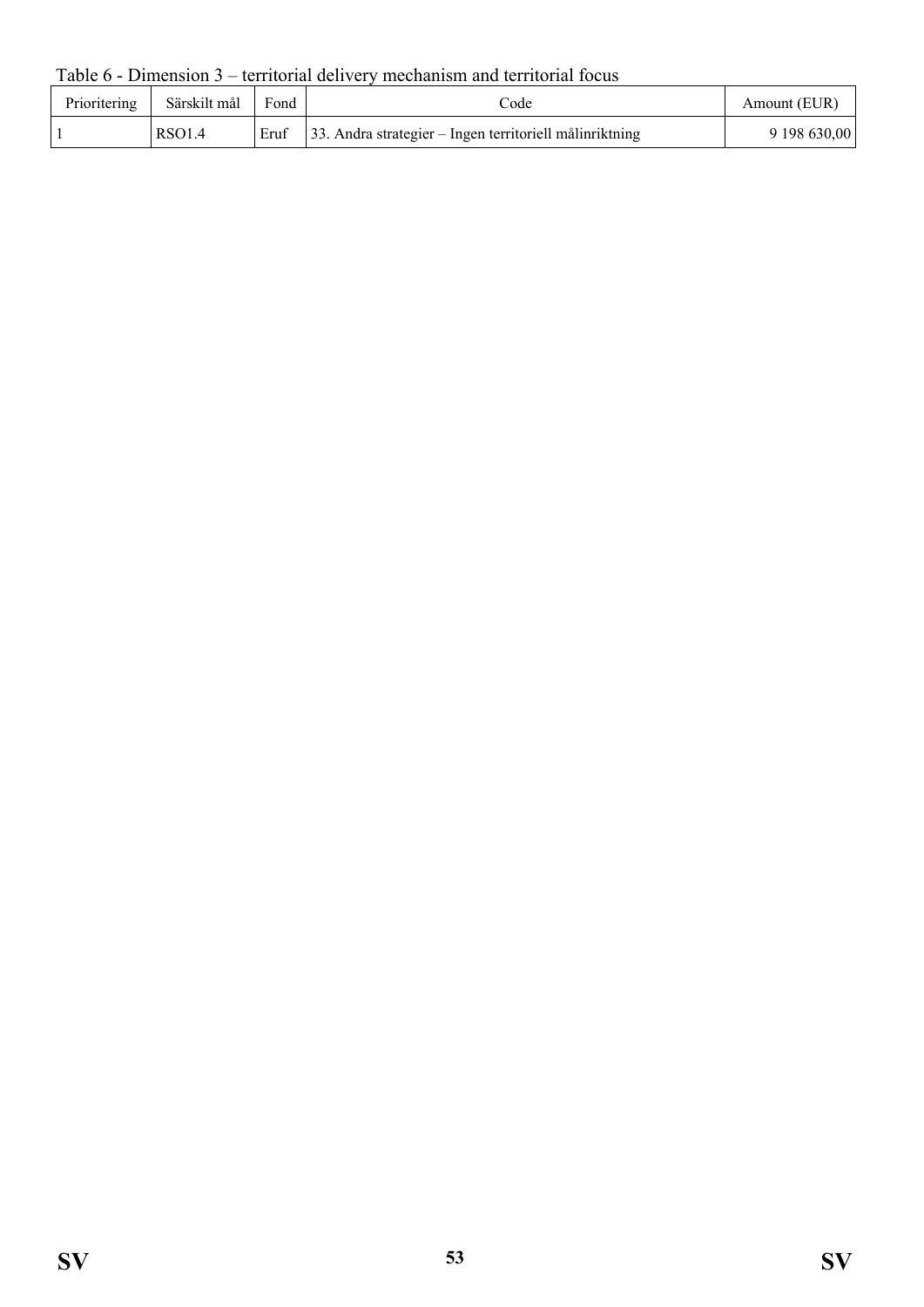Table 6 - Dimension 3 – territorial delivery mechanism and territorial focus

| Prioritering | Särskilt mål | Fond | code                                                           | Amount (EUR) |
|--------------|--------------|------|----------------------------------------------------------------|--------------|
|              | RSO1.4       |      | Eruf   33. Andra strategier – Ingen territoriell målinriktning | 9 198 630,00 |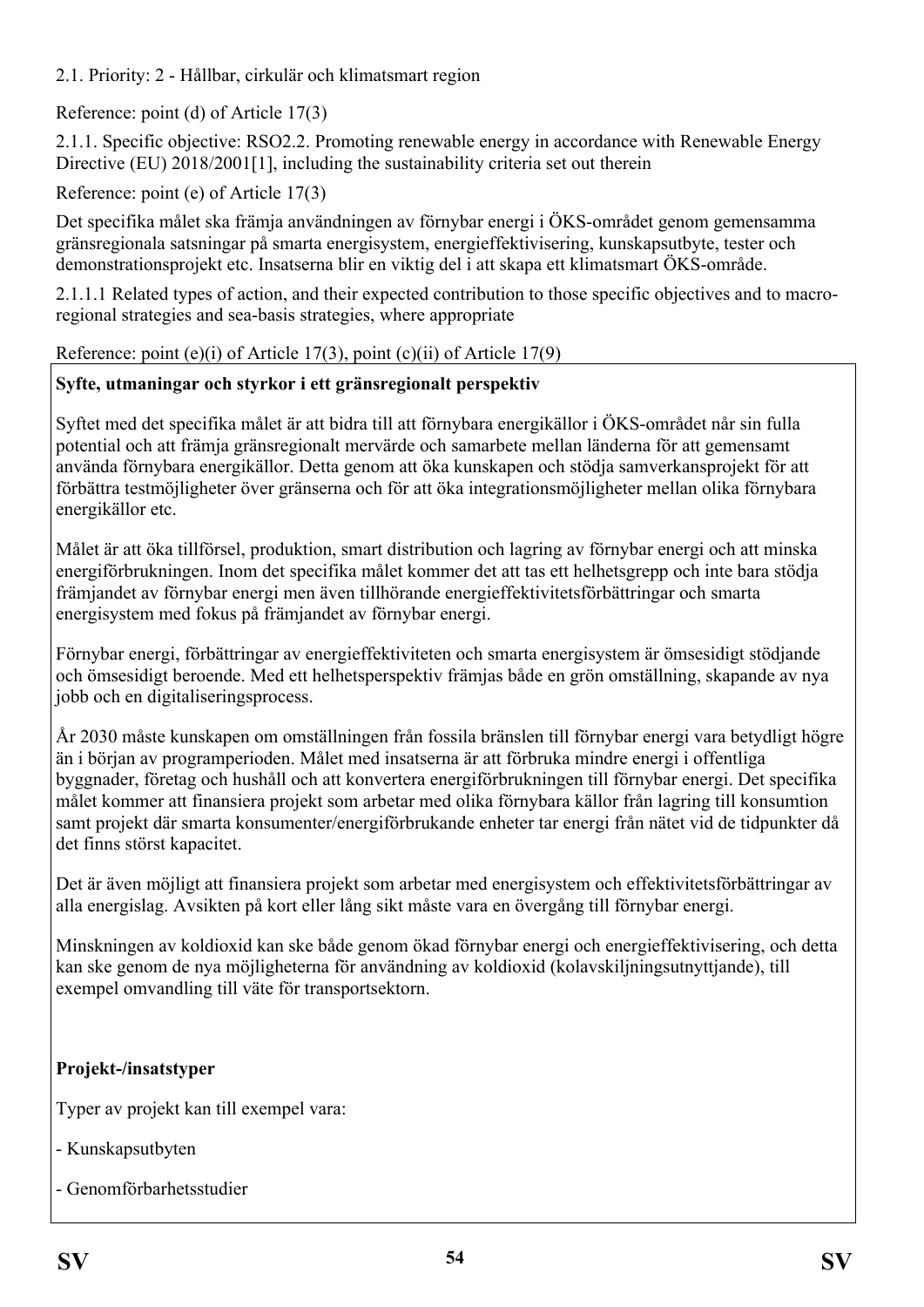2.1. Priority: 2 - Hållbar, cirkulär och klimatsmart region

Reference: point (d) of Article 17(3)

2.1.1. Specific objective: RSO2.2. Promoting renewable energy in accordance with Renewable Energy Directive (EU) 2018/2001[1], including the sustainability criteria set out therein

Reference: point (e) of Article 17(3)

Det specifika målet ska främja användningen av förnybar energi i ÖKS-området genom gemensamma gränsregionala satsningar på smarta energisystem, energieffektivisering, kunskapsutbyte, tester och demonstrationsprojekt etc. Insatserna blir en viktig del i att skapa ett klimatsmart ÖKS-område.

2.1.1.1 Related types of action, and their expected contribution to those specific objectives and to macroregional strategies and sea-basis strategies, where appropriate

## Reference: point (e)(i) of Article 17(3), point (c)(ii) of Article 17(9)

## **Syfte, utmaningar och styrkor i ett gränsregionalt perspektiv**

Syftet med det specifika målet är att bidra till att förnybara energikällor i ÖKS-området når sin fulla potential och att främja gränsregionalt mervärde och samarbete mellan länderna för att gemensamt använda förnybara energikällor. Detta genom att öka kunskapen och stödja samverkansprojekt för att förbättra testmöjligheter över gränserna och för att öka integrationsmöjligheter mellan olika förnybara energikällor etc.

Målet är att öka tillförsel, produktion, smart distribution och lagring av förnybar energi och att minska energiförbrukningen. Inom det specifika målet kommer det att tas ett helhetsgrepp och inte bara stödja främjandet av förnybar energi men även tillhörande energieffektivitetsförbättringar och smarta energisystem med fokus på främjandet av förnybar energi.

Förnybar energi, förbättringar av energieffektiviteten och smarta energisystem är ömsesidigt stödjande och ömsesidigt beroende. Med ett helhetsperspektiv främjas både en grön omställning, skapande av nya jobb och en digitaliseringsprocess.

År 2030 måste kunskapen om omställningen från fossila bränslen till förnybar energi vara betydligt högre än i början av programperioden. Målet med insatserna är att förbruka mindre energi i offentliga byggnader, företag och hushåll och att konvertera energiförbrukningen till förnybar energi. Det specifika målet kommer att finansiera projekt som arbetar med olika förnybara källor från lagring till konsumtion samt projekt där smarta konsumenter/energiförbrukande enheter tar energi från nätet vid de tidpunkter då det finns störst kapacitet.

Det är även möjligt att finansiera projekt som arbetar med energisystem och effektivitetsförbättringar av alla energislag. Avsikten på kort eller lång sikt måste vara en övergång till förnybar energi.

Minskningen av koldioxid kan ske både genom ökad förnybar energi och energieffektivisering, och detta kan ske genom de nya möjligheterna för användning av koldioxid (kolavskiljningsutnyttjande), till exempel omvandling till väte för transportsektorn.

## **Projekt-/insatstyper**

Typer av projekt kan till exempel vara:

- Kunskapsutbyten
- Genomförbarhetsstudier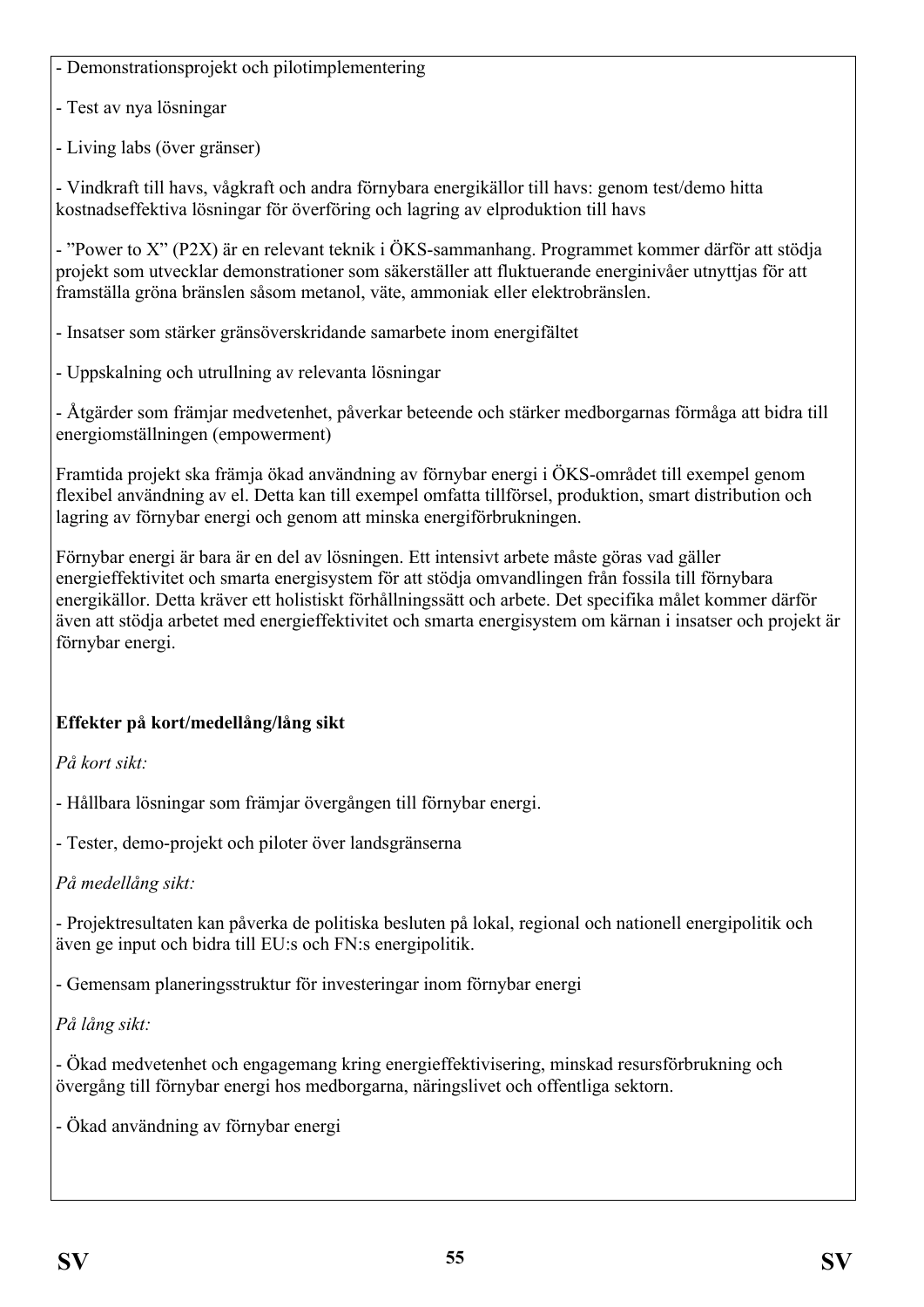- Demonstrationsprojekt och pilotimplementering

- Test av nya lösningar

- Living labs (över gränser)

- Vindkraft till havs, vågkraft och andra förnybara energikällor till havs: genom test/demo hitta kostnadseffektiva lösningar för överföring och lagring av elproduktion till havs

- "Power to X" (P2X) är en relevant teknik i ÖKS-sammanhang. Programmet kommer därför att stödja projekt som utvecklar demonstrationer som säkerställer att fluktuerande energinivåer utnyttjas för att framställa gröna bränslen såsom metanol, väte, ammoniak eller elektrobränslen.

- Insatser som stärker gränsöverskridande samarbete inom energifältet

- Uppskalning och utrullning av relevanta lösningar

- Åtgärder som främjar medvetenhet, påverkar beteende och stärker medborgarnas förmåga att bidra till energiomställningen (empowerment)

Framtida projekt ska främja ökad användning av förnybar energi i ÖKS-området till exempel genom flexibel användning av el. Detta kan till exempel omfatta tillförsel, produktion, smart distribution och lagring av förnybar energi och genom att minska energiförbrukningen.

Förnybar energi är bara är en del av lösningen. Ett intensivt arbete måste göras vad gäller energieffektivitet och smarta energisystem för att stödja omvandlingen från fossila till förnybara energikällor. Detta kräver ett holistiskt förhållningssätt och arbete. Det specifika målet kommer därför även att stödja arbetet med energieffektivitet och smarta energisystem om kärnan i insatser och projekt är förnybar energi.

# **Effekter på kort/medellång/lång sikt**

*På kort sikt:*

- Hållbara lösningar som främjar övergången till förnybar energi.

- Tester, demo-projekt och piloter över landsgränserna

*På medellång sikt:*

- Projektresultaten kan påverka de politiska besluten på lokal, regional och nationell energipolitik och även ge input och bidra till EU:s och FN:s energipolitik.

- Gemensam planeringsstruktur för investeringar inom förnybar energi

*På lång sikt:*

- Ökad medvetenhet och engagemang kring energieffektivisering, minskad resursförbrukning och övergång till förnybar energi hos medborgarna, näringslivet och offentliga sektorn.

- Ökad användning av förnybar energi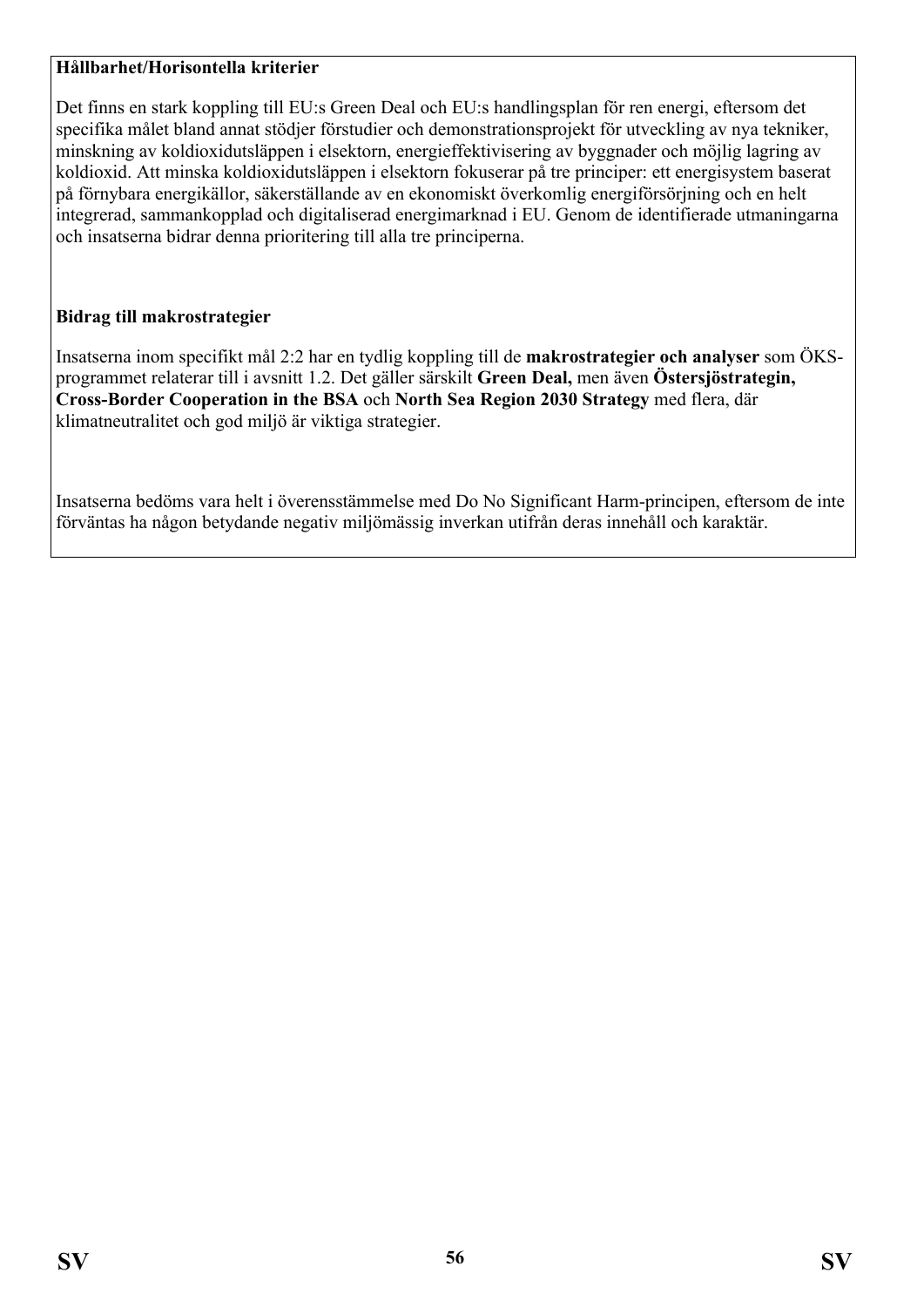#### **Hållbarhet/Horisontella kriterier**

Det finns en stark koppling till EU:s Green Deal och EU:s handlingsplan för ren energi, eftersom det specifika målet bland annat stödjer förstudier och demonstrationsprojekt för utveckling av nya tekniker, minskning av koldioxidutsläppen i elsektorn, energieffektivisering av byggnader och möjlig lagring av koldioxid. Att minska koldioxidutsläppen i elsektorn fokuserar på tre principer: ett energisystem baserat på förnybara energikällor, säkerställande av en ekonomiskt överkomlig energiförsörjning och en helt integrerad, sammankopplad och digitaliserad energimarknad i EU. Genom de identifierade utmaningarna och insatserna bidrar denna prioritering till alla tre principerna.

#### **Bidrag till makrostrategier**

Insatserna inom specifikt mål 2:2 har en tydlig koppling till de **makrostrategier och analyser** som ÖKSprogrammet relaterar till i avsnitt 1.2. Det gäller särskilt **Green Deal,** men även **Östersjöstrategin, Cross-Border Cooperation in the BSA** och **North Sea Region 2030 Strategy** med flera, där klimatneutralitet och god miljö är viktiga strategier.

Insatserna bedöms vara helt i överensstämmelse med Do No Significant Harm-principen, eftersom de inte förväntas ha någon betydande negativ miljömässig inverkan utifrån deras innehåll och karaktär.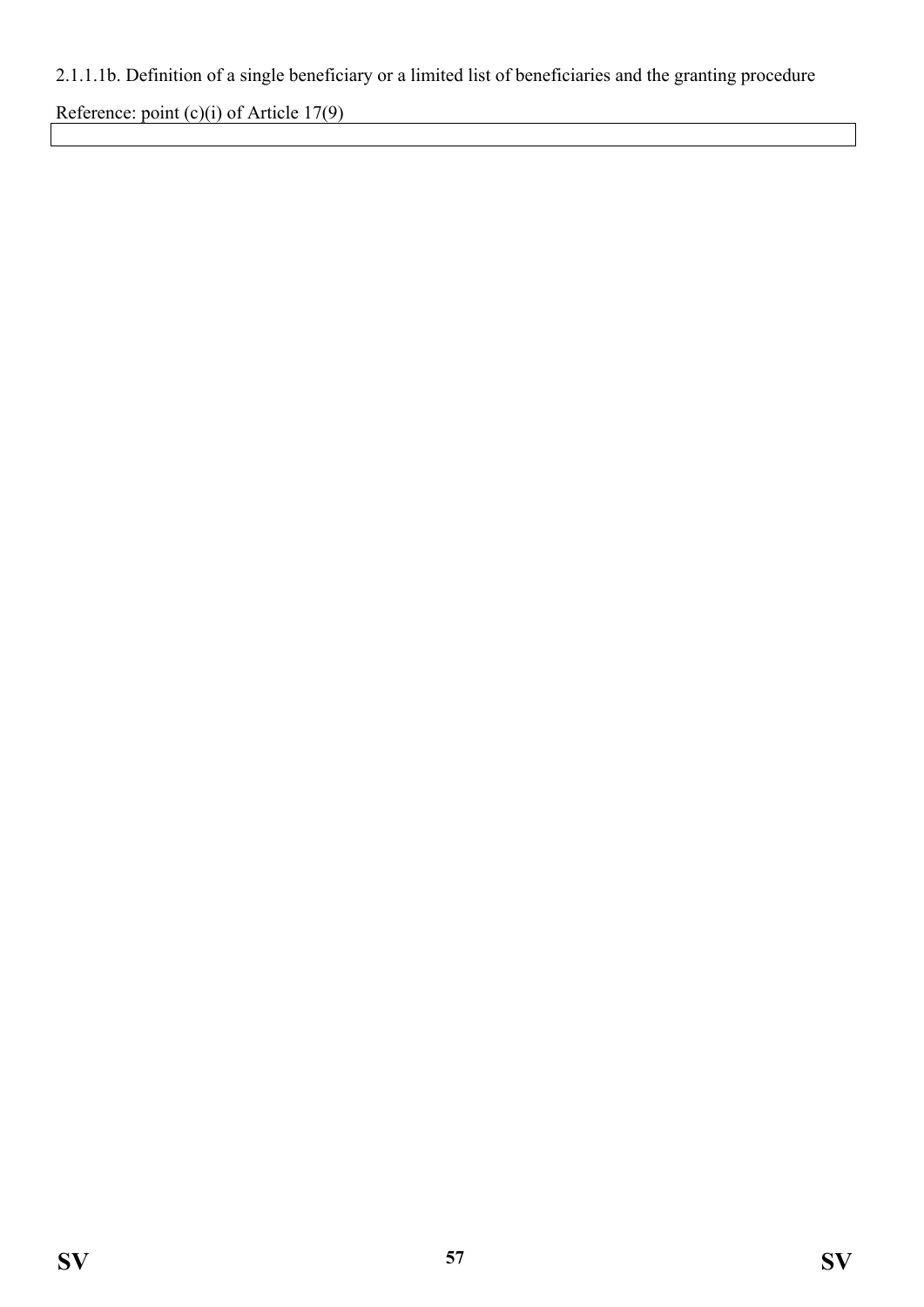## 2.1.1.1b. Definition of a single beneficiary or a limited list of beneficiaries and the granting procedure

Reference: point (c)(i) of Article 17(9)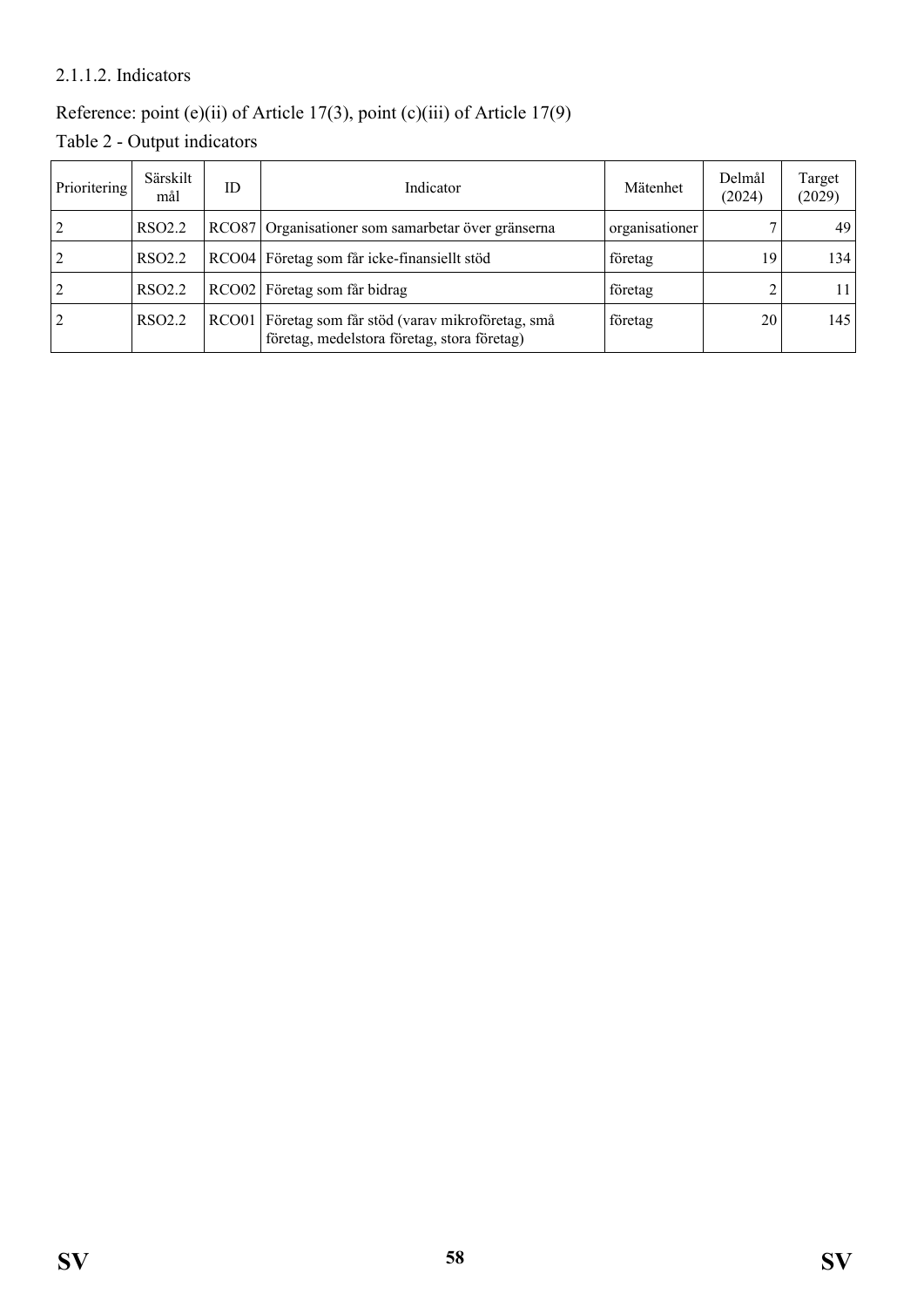#### 2.1.1.2. Indicators

## Reference: point (e)(ii) of Article 17(3), point (c)(iii) of Article 17(9)

Table 2 - Output indicators

| Prioritering   | Särskilt<br>mål    | ID | Indicator                                                                                          | Mätenhet       | Delmål<br>(2024) | Target<br>(2029) |
|----------------|--------------------|----|----------------------------------------------------------------------------------------------------|----------------|------------------|------------------|
|                | RSO <sub>2.2</sub> |    | RCO87 Organisationer som samarbetar över gränserna                                                 | organisationer |                  | 49               |
| 2              | RSO <sub>2.2</sub> |    | RCO04 Företag som får icke-finansiellt stöd                                                        | företag        | 19               | 134              |
| 2              | RSO <sub>2.2</sub> |    | RCO02 Företag som får bidrag                                                                       | företag        |                  |                  |
| $\overline{2}$ | RSO <sub>2.2</sub> |    | RCO01 Företag som får stöd (varav mikroföretag, små<br>företag, medelstora företag, stora företag) | företag        | 20               | 145              |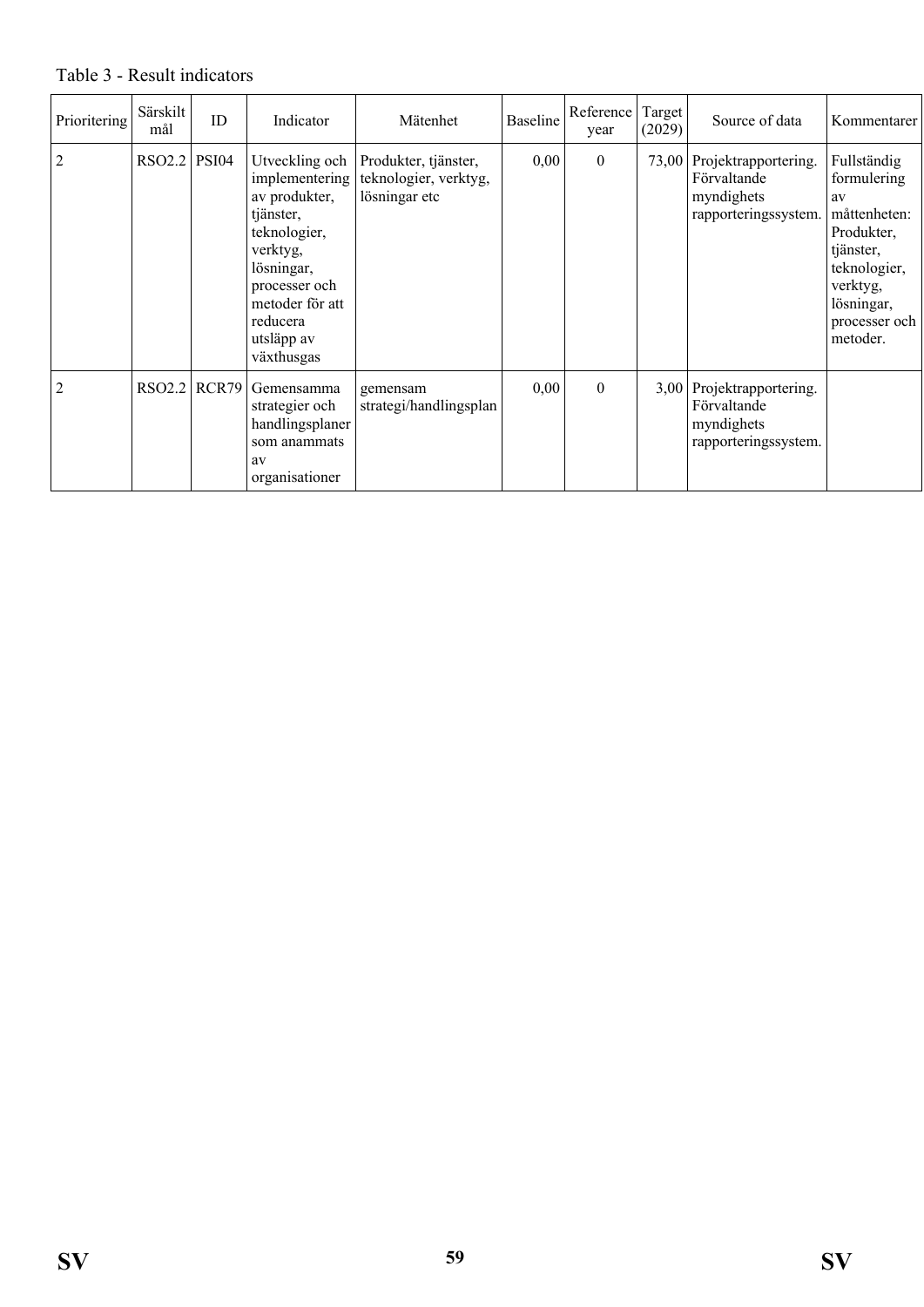#### Table 3 - Result indicators

| Prioritering   | Särskilt<br>mål | ID    | Indicator                                                                                                                                                                            | Mätenhet                                                       | <b>Baseline</b> | Reference<br>year | Target <sup>1</sup><br>(2029) | Source of data                                                                  | Kommentarer                                                                                                                                        |
|----------------|-----------------|-------|--------------------------------------------------------------------------------------------------------------------------------------------------------------------------------------|----------------------------------------------------------------|-----------------|-------------------|-------------------------------|---------------------------------------------------------------------------------|----------------------------------------------------------------------------------------------------------------------------------------------------|
| $\overline{2}$ | $RSO2.2$ PSI04  |       | Utveckling och<br>implementering<br>av produkter,<br>tjänster,<br>teknologier,<br>verktyg,<br>lösningar,<br>processer och<br>metoder för att<br>reducera<br>utsläpp av<br>växthusgas | Produkter, tjänster,<br>teknologier, verktyg,<br>lösningar etc | 0,00            | $\mathbf{0}$      |                               | 73,00 Projektrapportering.<br>Förvaltande<br>myndighets<br>rapporteringssystem. | Fullständig<br>formulering<br>av<br>måttenheten:<br>Produkter,<br>tjänster,<br>teknologier,<br>verktyg,<br>lösningar,<br>processer och<br>metoder. |
| $\overline{2}$ | RSO2.2          | RCR79 | Gemensamma<br>strategier och<br>handlingsplaner<br>som anammats<br>av<br>organisationer                                                                                              | gemensam<br>strategi/handlingsplan                             | 0,00            | $\boldsymbol{0}$  |                               | 3,00 Projektrapportering.<br>Förvaltande<br>myndighets<br>rapporteringssystem.  |                                                                                                                                                    |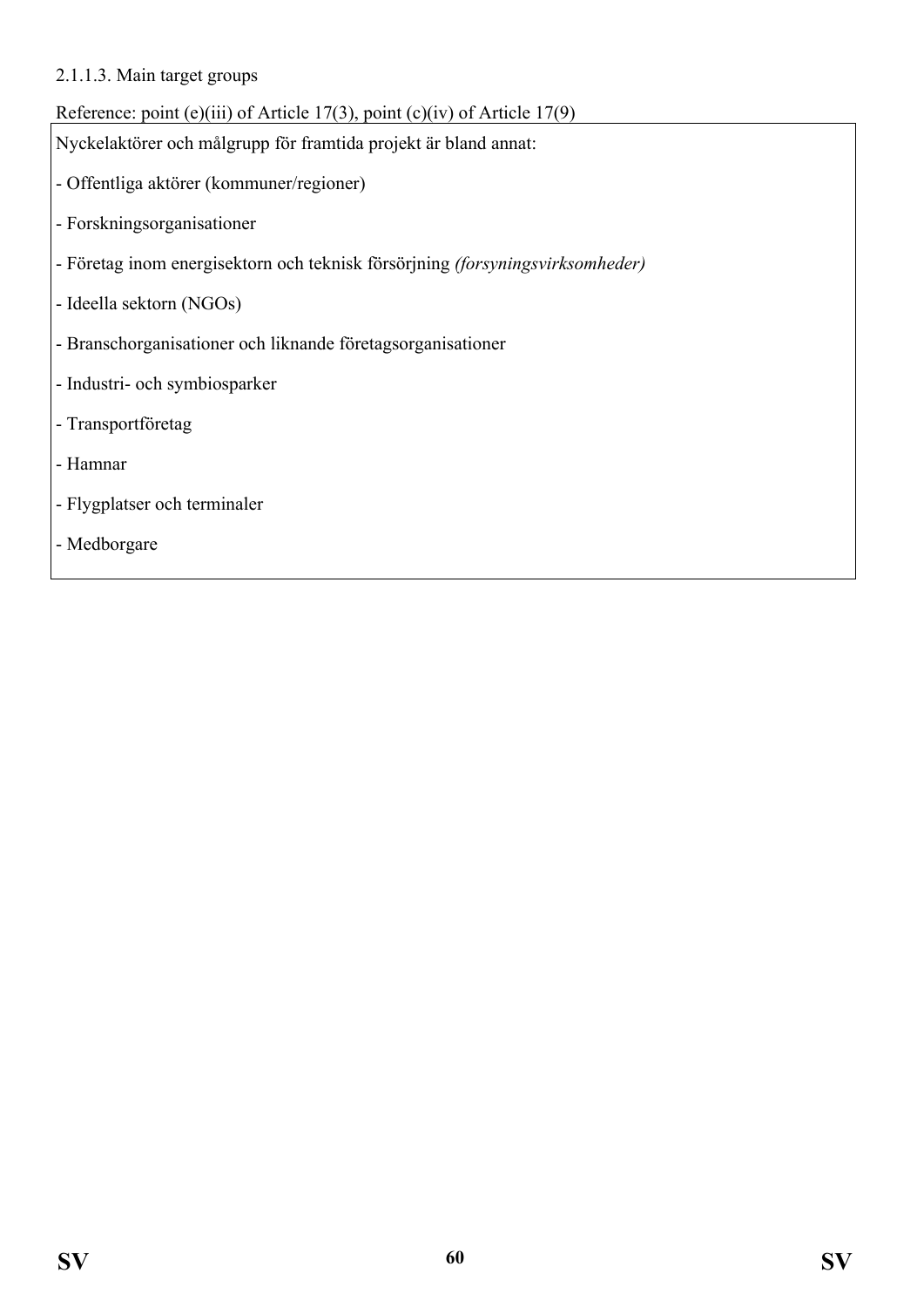#### 2.1.1.3. Main target groups

## Reference: point (e)(iii) of Article 17(3), point (c)(iv) of Article 17(9)

Nyckelaktörer och målgrupp för framtida projekt är bland annat:

- Offentliga aktörer (kommuner/regioner)
- Forskningsorganisationer
- Företag inom energisektorn och teknisk försörjning *(forsyningsvirksomheder)*
- Ideella sektorn (NGOs)
- Branschorganisationer och liknande företagsorganisationer
- Industri- och symbiosparker
- Transportföretag
- Hamnar
- Flygplatser och terminaler
- Medborgare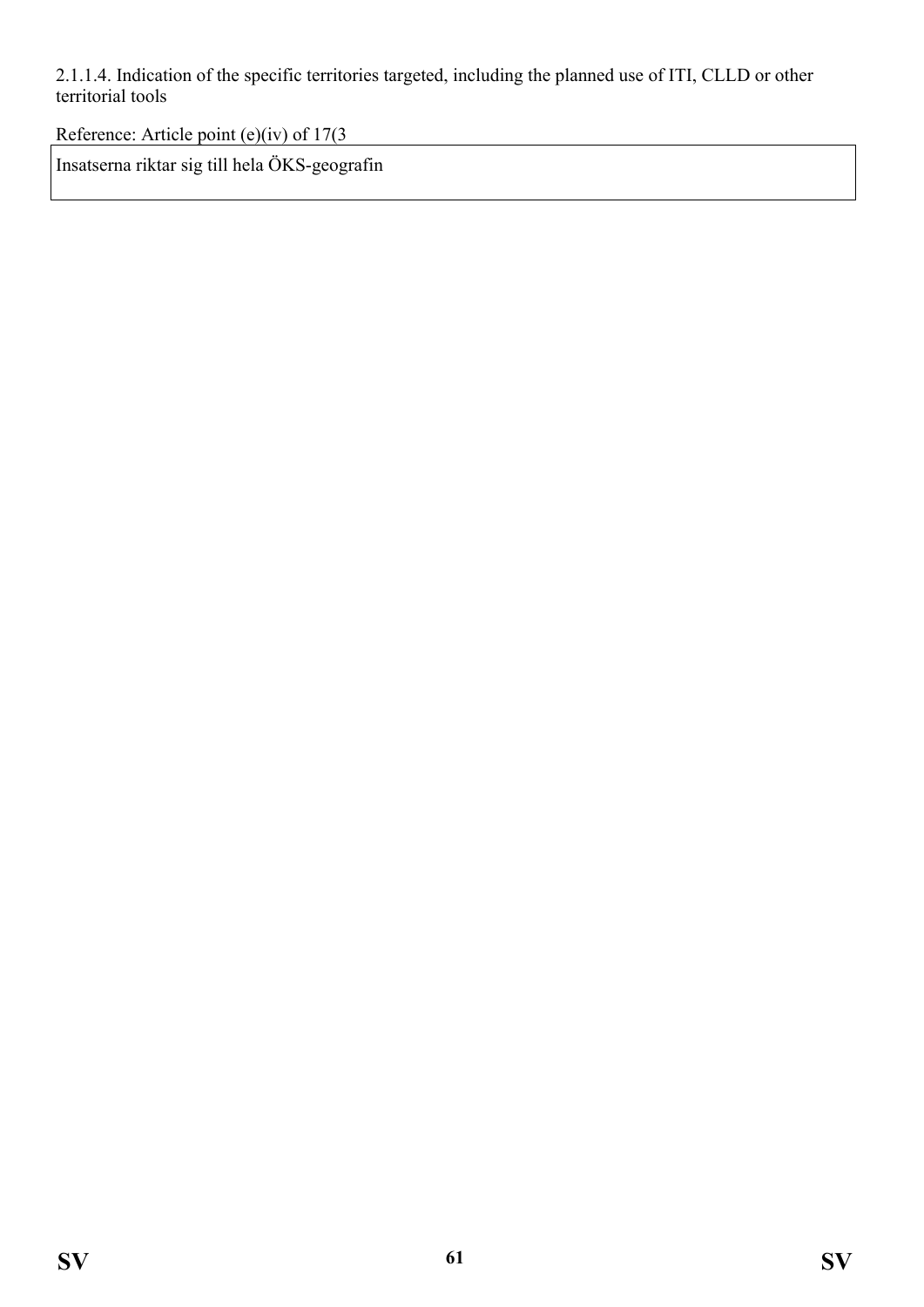2.1.1.4. Indication of the specific territories targeted, including the planned use of ITI, CLLD or other territorial tools

Reference: Article point (e)(iv) of 17(3

Insatserna riktar sig till hela ÖKS-geografin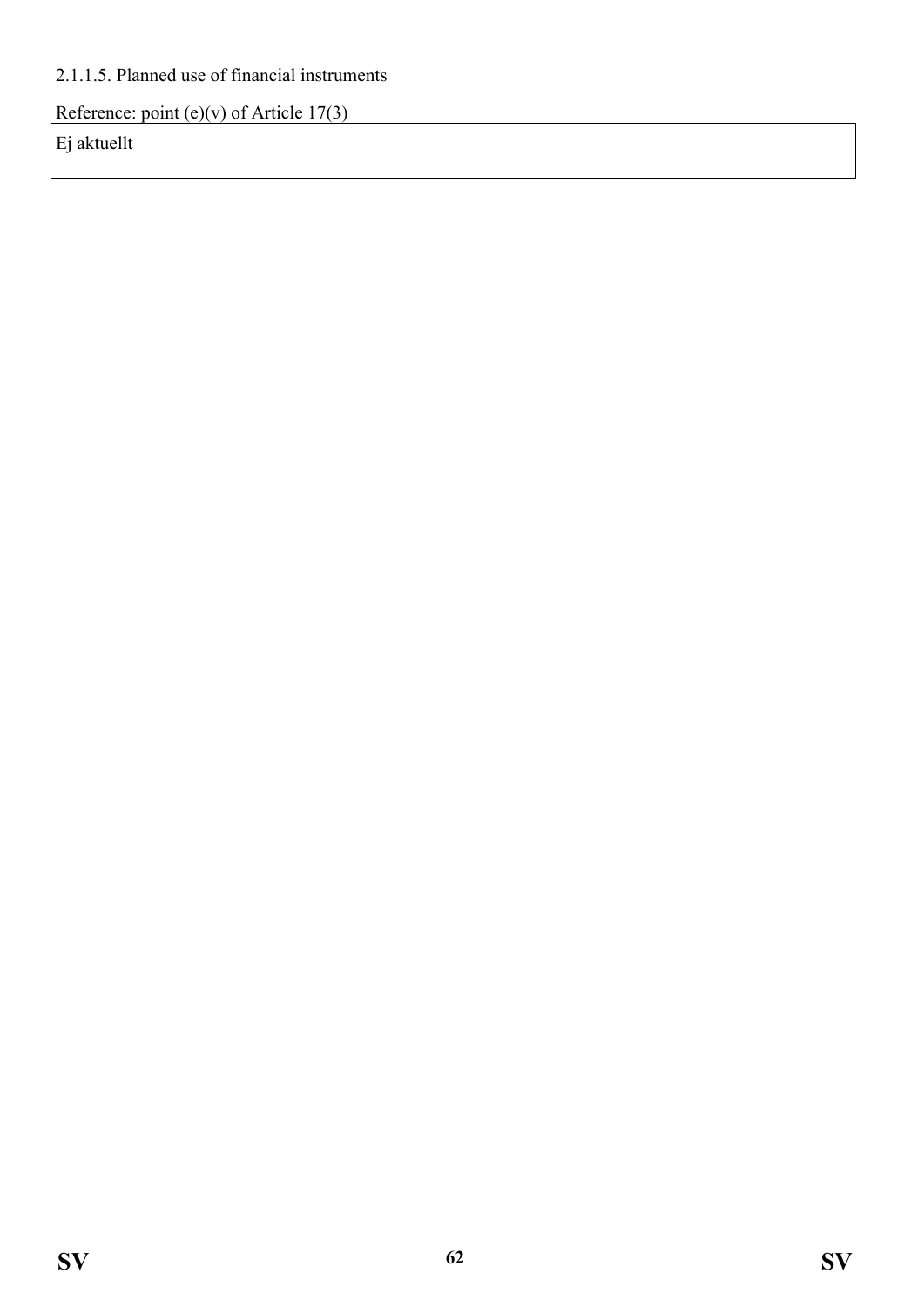### 2.1.1.5. Planned use of financial instruments

Reference: point (e)(v) of Article  $17(3)$ 

Ej aktuellt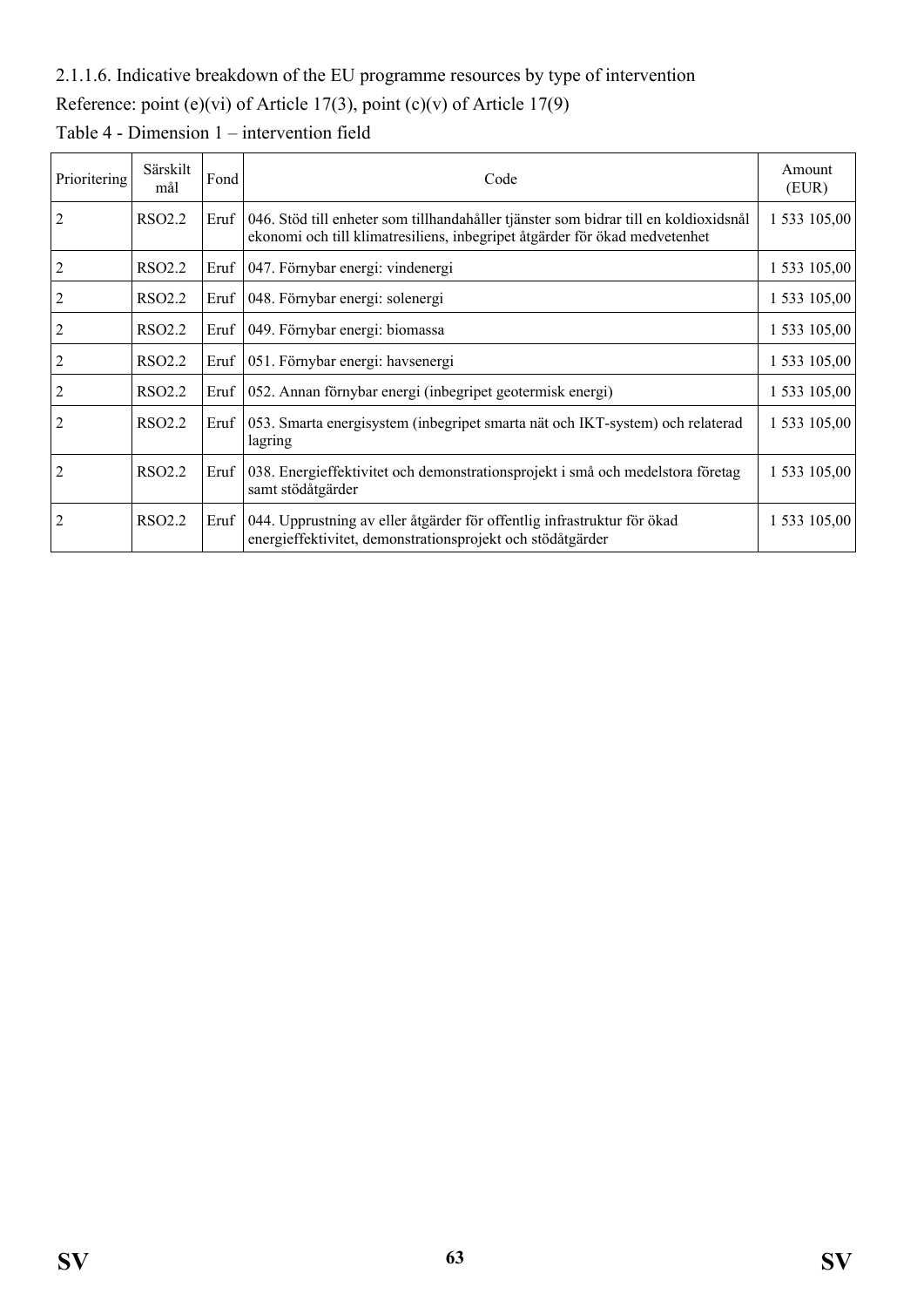### 2.1.1.6. Indicative breakdown of the EU programme resources by type of intervention

Reference: point (e)(vi) of Article 17(3), point (c)(v) of Article 17(9)

| Prioritering   | Särskilt<br>mål    | Fond | Code                                                                                                                                                               | Amount<br>(EUR) |
|----------------|--------------------|------|--------------------------------------------------------------------------------------------------------------------------------------------------------------------|-----------------|
| 2              | <b>RSO2.2</b>      | Eruf | 046. Stöd till enheter som tillhandahåller tjänster som bidrar till en koldioxidsnål<br>ekonomi och till klimatresiliens, inbegripet åtgärder för ökad medvetenhet | 1 533 105,00    |
|                | RSO <sub>2.2</sub> | Eruf | 047. Förnybar energi: vindenergi                                                                                                                                   | 1 533 105,00    |
|                | RSO <sub>2.2</sub> | Eruf | 048. Förnybar energi: solenergi                                                                                                                                    | 1 533 105,00    |
|                | RSO <sub>2.2</sub> | Eruf | 049. Förnybar energi: biomassa                                                                                                                                     | 1 533 105,00    |
|                | RSO <sub>2.2</sub> | Errf | 051. Förnybar energi: havsenergi                                                                                                                                   | 1 533 105,00    |
|                | <b>RSO2.2</b>      | Eruf | 052. Annan förnybar energi (inbegripet geotermisk energi)                                                                                                          | 1 533 105,00    |
| 2              | <b>RSO2.2</b>      | Errf | 053. Smarta energisystem (inbegripet smarta nät och IKT-system) och relaterad<br>lagring                                                                           | 1 533 105,00    |
| 2              | <b>RSO2.2</b>      | Eruf | 038. Energieffektivitet och demonstrationsprojekt i små och medelstora företag<br>samt stödåtgärder                                                                | 1 533 105,00    |
| $\overline{c}$ | RSO <sub>2.2</sub> | Errf | 044. Upprustning av eller åtgärder för offentlig infrastruktur för ökad<br>energieffektivitet, demonstrationsprojekt och stödåtgärder                              | 1 533 105,00    |

Table 4 - Dimension 1 – intervention field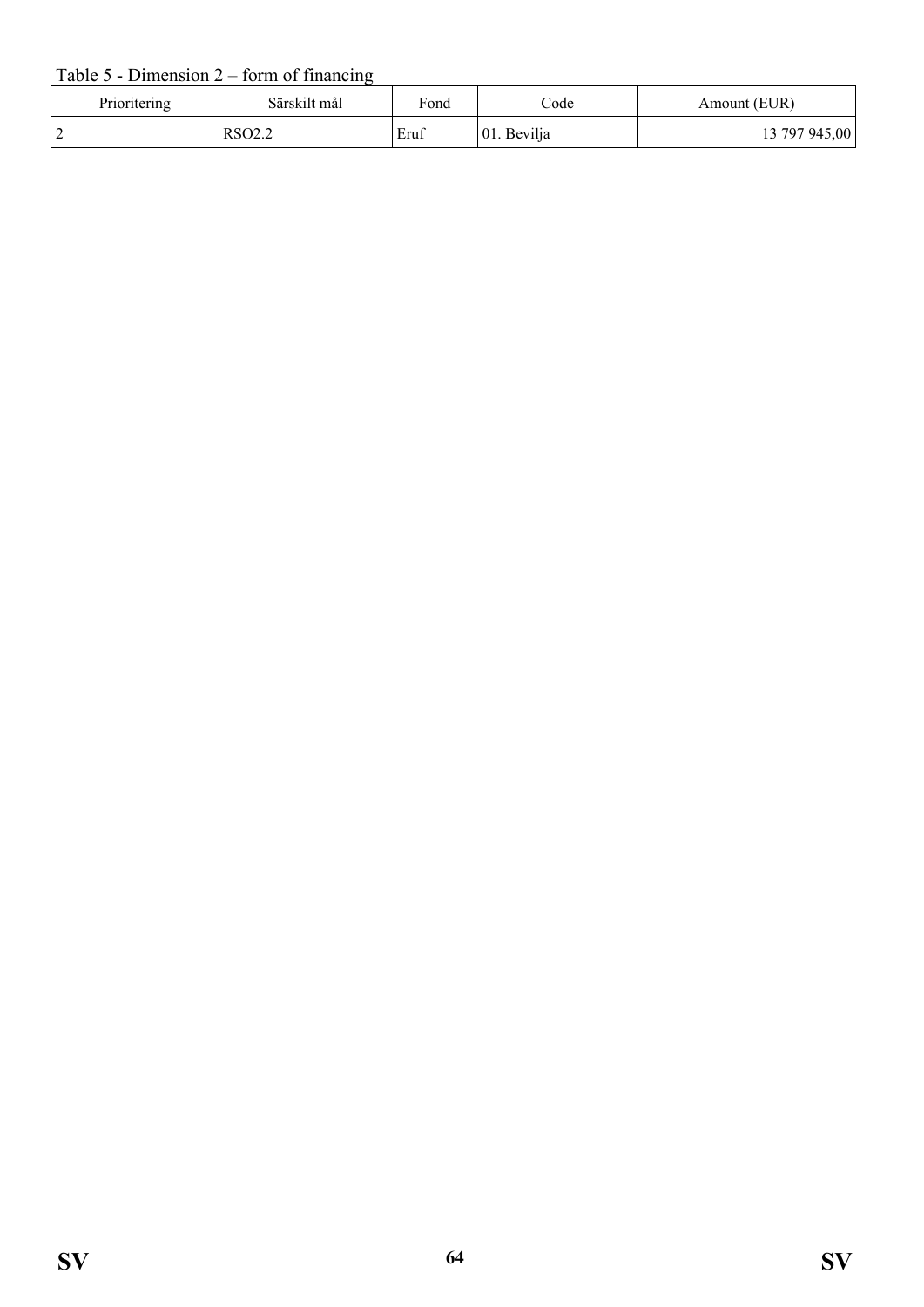### Table  $5$  - Dimension  $2$  – form of financing

| Prioritering | Särskilt mål       | Fond | $\mathrm{Code}$ | Amount (EUR)  |
|--------------|--------------------|------|-----------------|---------------|
|              | RSO <sub>2.2</sub> | Eruf | 01. Bevilja     | 13 797 945,00 |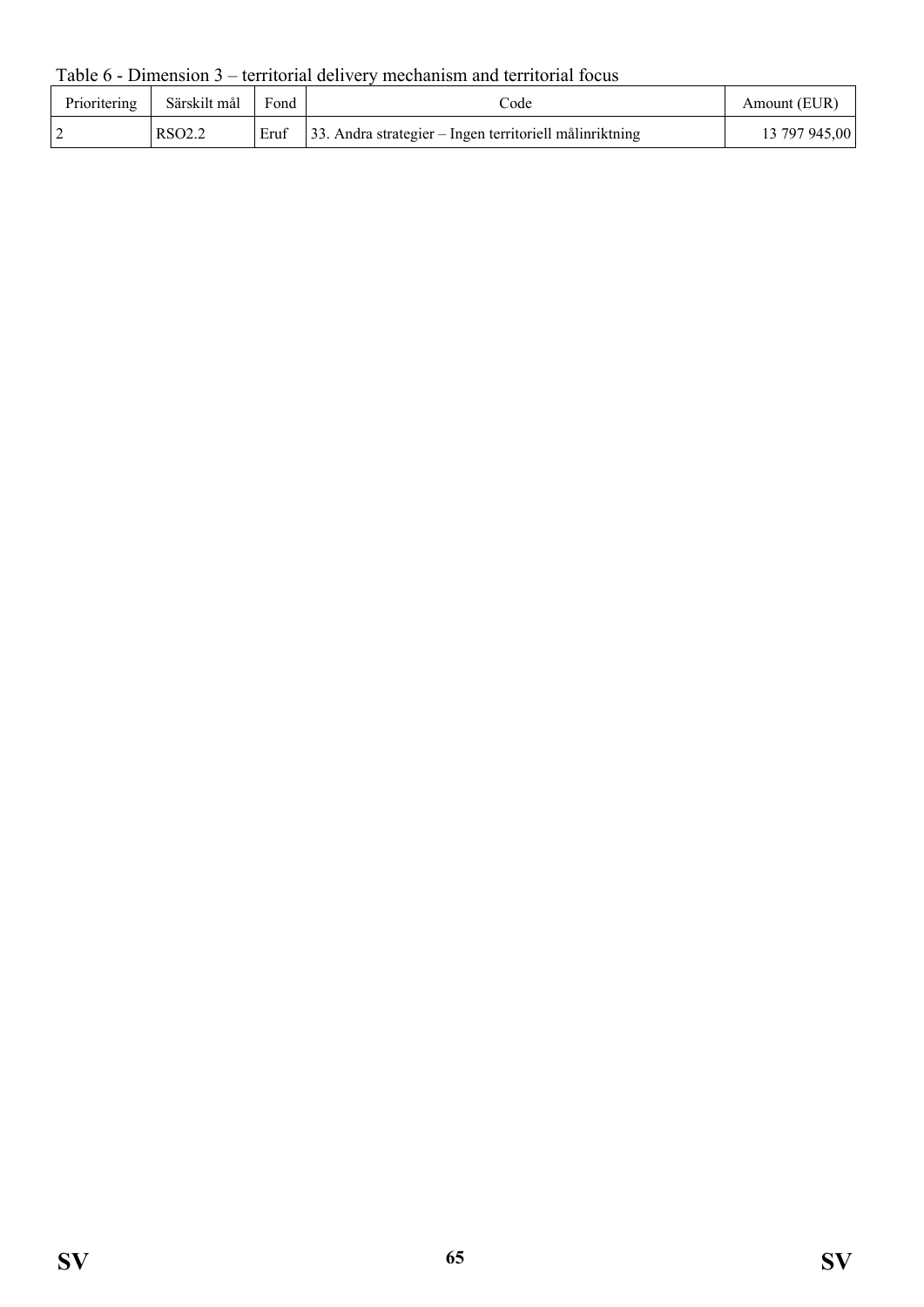Table 6 - Dimension 3 – territorial delivery mechanism and territorial focus

| Prioritering | Särskilt mål       | Fond | code                                                        | Amount (EUR)  |
|--------------|--------------------|------|-------------------------------------------------------------|---------------|
|              | RSO <sub>2.2</sub> | Eruf | $ 33$ . Andra strategier – Ingen territoriell målinriktning | 13 797 945,00 |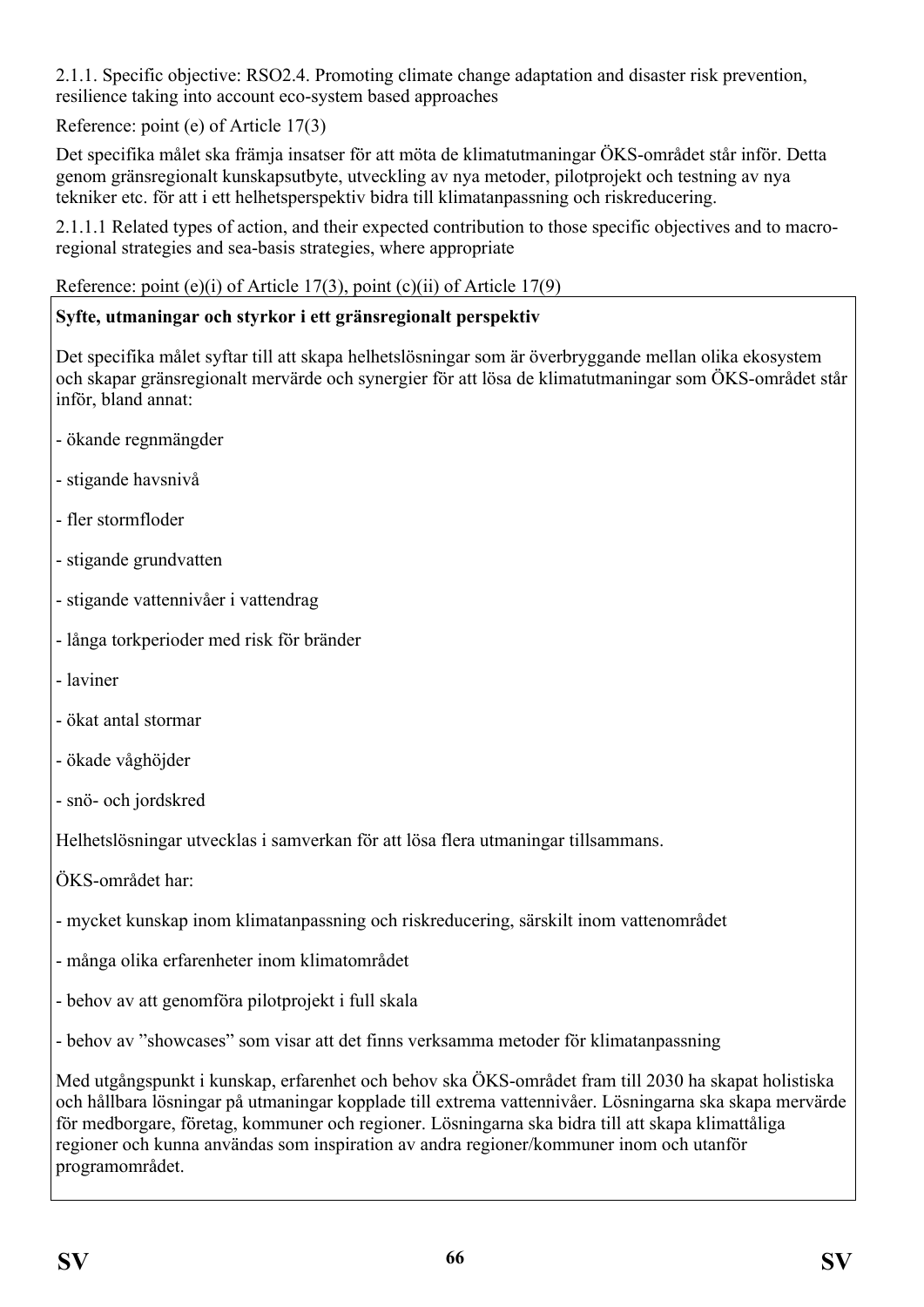2.1.1. Specific objective: RSO2.4. Promoting climate change adaptation and disaster risk prevention, resilience taking into account eco-system based approaches

Reference: point (e) of Article 17(3)

Det specifika målet ska främja insatser för att möta de klimatutmaningar ÖKS-området står inför. Detta genom gränsregionalt kunskapsutbyte, utveckling av nya metoder, pilotprojekt och testning av nya tekniker etc. för att i ett helhetsperspektiv bidra till klimatanpassning och riskreducering.

2.1.1.1 Related types of action, and their expected contribution to those specific objectives and to macroregional strategies and sea-basis strategies, where appropriate

Reference: point (e)(i) of Article 17(3), point (c)(ii) of Article 17(9)

#### **Syfte, utmaningar och styrkor i ett gränsregionalt perspektiv**

Det specifika målet syftar till att skapa helhetslösningar som är överbryggande mellan olika ekosystem och skapar gränsregionalt mervärde och synergier för att lösa de klimatutmaningar som ÖKS-området står inför, bland annat:

- ökande regnmängder
- stigande havsnivå
- fler stormfloder
- stigande grundvatten
- stigande vattennivåer i vattendrag
- långa torkperioder med risk för bränder
- laviner
- ökat antal stormar
- ökade våghöjder
- snö- och jordskred

Helhetslösningar utvecklas i samverkan för att lösa flera utmaningar tillsammans.

ÖKS-området har:

- mycket kunskap inom klimatanpassning och riskreducering, särskilt inom vattenområdet
- många olika erfarenheter inom klimatområdet
- behov av att genomföra pilotprojekt i full skala

- behov av "showcases" som visar att det finns verksamma metoder för klimatanpassning

Med utgångspunkt i kunskap, erfarenhet och behov ska ÖKS-området fram till 2030 ha skapat holistiska och hållbara lösningar på utmaningar kopplade till extrema vattennivåer. Lösningarna ska skapa mervärde för medborgare, företag, kommuner och regioner. Lösningarna ska bidra till att skapa klimattåliga regioner och kunna användas som inspiration av andra regioner/kommuner inom och utanför programområdet.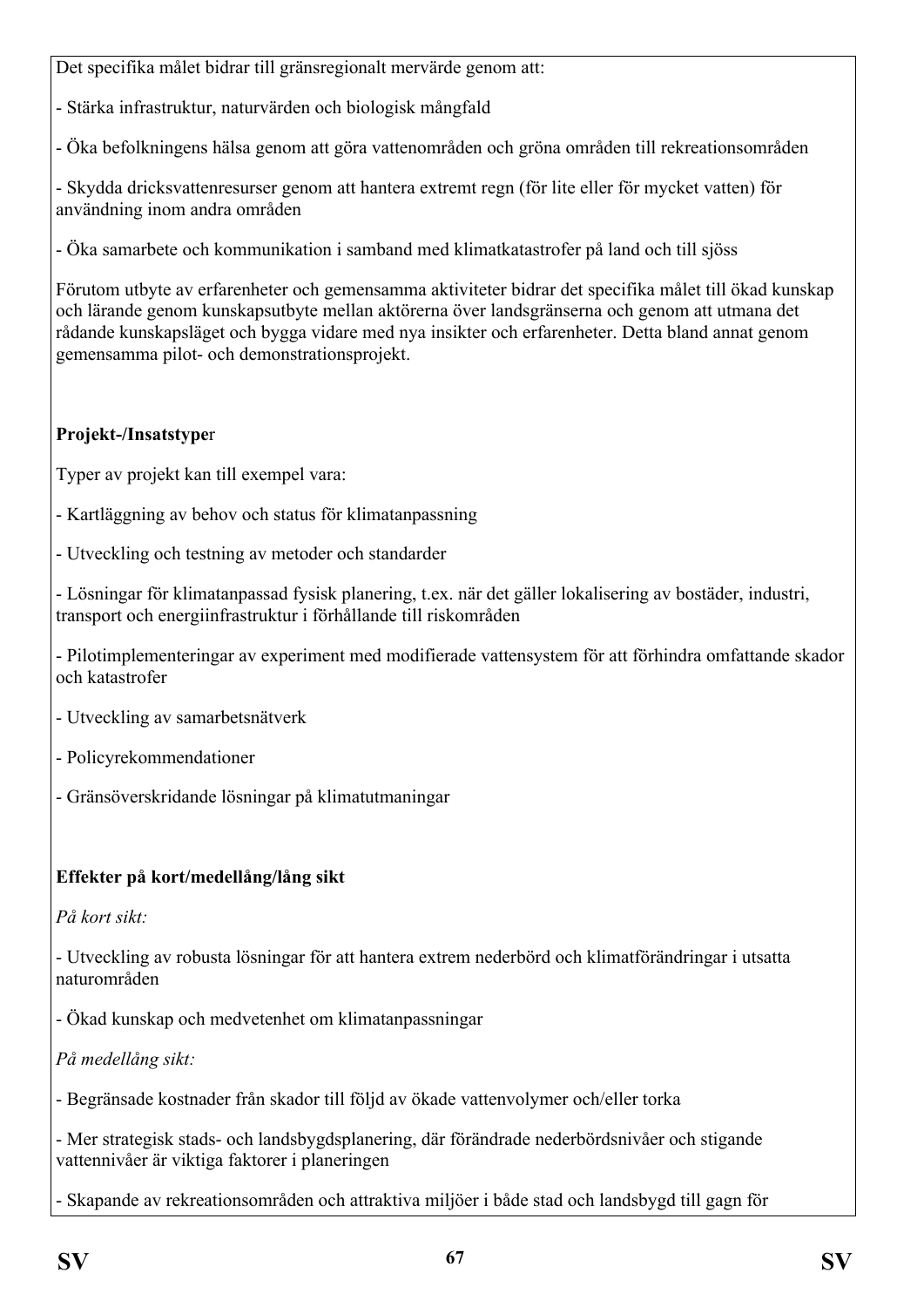Det specifika målet bidrar till gränsregionalt mervärde genom att:

- Stärka infrastruktur, naturvärden och biologisk mångfald

- Öka befolkningens hälsa genom att göra vattenområden och gröna områden till rekreationsområden

- Skydda dricksvattenresurser genom att hantera extremt regn (för lite eller för mycket vatten) för användning inom andra områden

- Öka samarbete och kommunikation i samband med klimatkatastrofer på land och till sjöss

Förutom utbyte av erfarenheter och gemensamma aktiviteter bidrar det specifika målet till ökad kunskap och lärande genom kunskapsutbyte mellan aktörerna över landsgränserna och genom att utmana det rådande kunskapsläget och bygga vidare med nya insikter och erfarenheter. Detta bland annat genom gemensamma pilot- och demonstrationsprojekt.

## **Projekt-/Insatstype**r

Typer av projekt kan till exempel vara:

- Kartläggning av behov och status för klimatanpassning
- Utveckling och testning av metoder och standarder

- Lösningar för klimatanpassad fysisk planering, t.ex. när det gäller lokalisering av bostäder, industri, transport och energiinfrastruktur i förhållande till riskområden

- Pilotimplementeringar av experiment med modifierade vattensystem för att förhindra omfattande skador och katastrofer

- Utveckling av samarbetsnätverk
- Policyrekommendationer
- Gränsöverskridande lösningar på klimatutmaningar

## **Effekter på kort/medellång/lång sikt**

*På kort sikt:*

- Utveckling av robusta lösningar för att hantera extrem nederbörd och klimatförändringar i utsatta naturområden

- Ökad kunskap och medvetenhet om klimatanpassningar

*På medellång sikt:*

- Begränsade kostnader från skador till följd av ökade vattenvolymer och/eller torka

- Mer strategisk stads- och landsbygdsplanering, där förändrade nederbördsnivåer och stigande vattennivåer är viktiga faktorer i planeringen

- Skapande av rekreationsområden och attraktiva miljöer i både stad och landsbygd till gagn för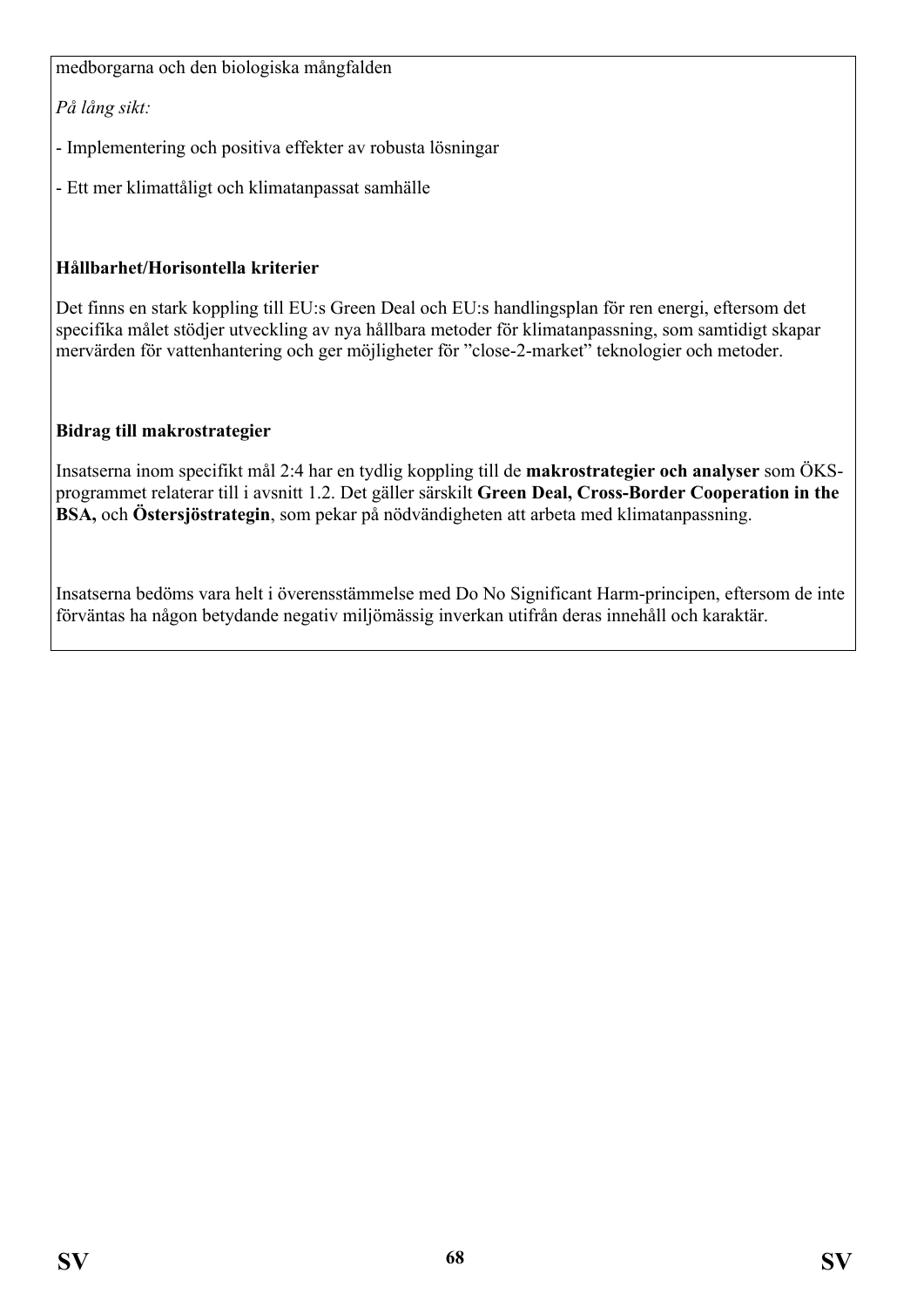medborgarna och den biologiska mångfalden

*På lång sikt:*

- Implementering och positiva effekter av robusta lösningar

- Ett mer klimattåligt och klimatanpassat samhälle

## **Hållbarhet/Horisontella kriterier**

Det finns en stark koppling till EU:s Green Deal och EU:s handlingsplan för ren energi, eftersom det specifika målet stödjer utveckling av nya hållbara metoder för klimatanpassning, som samtidigt skapar mervärden för vattenhantering och ger möjligheter för "close-2-market" teknologier och metoder.

### **Bidrag till makrostrategier**

Insatserna inom specifikt mål 2:4 har en tydlig koppling till de **makrostrategier och analyser** som ÖKSprogrammet relaterar till i avsnitt 1.2. Det gäller särskilt **Green Deal, Cross-Border Cooperation in the BSA,** och **Östersjöstrategin**, som pekar på nödvändigheten att arbeta med klimatanpassning.

Insatserna bedöms vara helt i överensstämmelse med Do No Significant Harm-principen, eftersom de inte förväntas ha någon betydande negativ miljömässig inverkan utifrån deras innehåll och karaktär.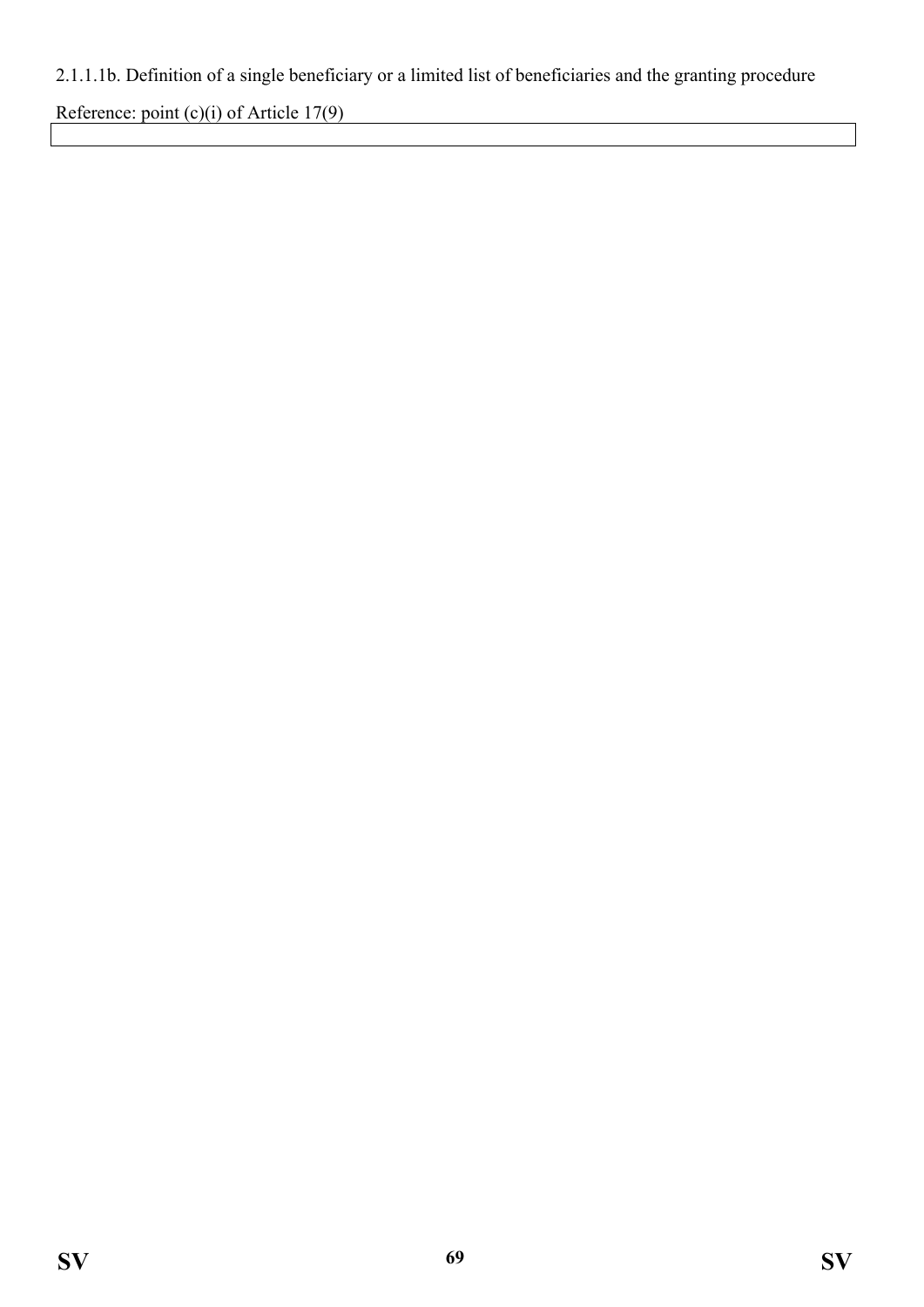## 2.1.1.1b. Definition of a single beneficiary or a limited list of beneficiaries and the granting procedure

Reference: point (c)(i) of Article 17(9)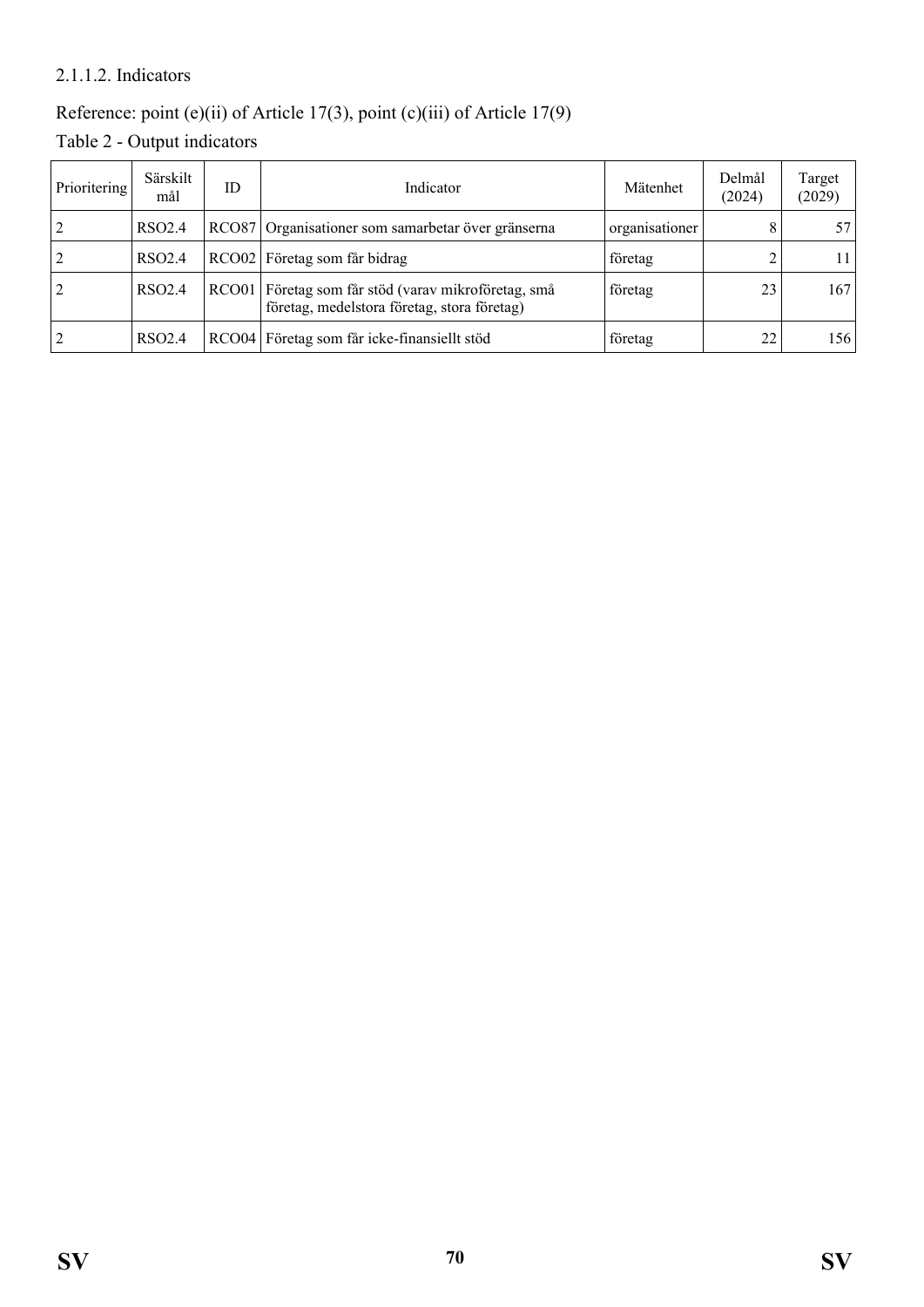### 2.1.1.2. Indicators

## Reference: point (e)(ii) of Article 17(3), point (c)(iii) of Article 17(9)

Table 2 - Output indicators

| Prioritering   | Särskilt<br>mål    | ID | Indicator                                                                                          | Mätenhet | Delmål<br>(2024) | Target<br>(2029) |
|----------------|--------------------|----|----------------------------------------------------------------------------------------------------|----------|------------------|------------------|
| 2              | RSO <sub>2.4</sub> |    | RCO87 Organisationer som samarbetar över gränserna<br>organisationer                               |          |                  | 57               |
| 2              | RSO <sub>2.4</sub> |    | RCO02 Företag som får bidrag                                                                       | företag  |                  | 11.              |
| $\overline{2}$ | RSO2.4             |    | RCO01 Företag som får stöd (varav mikroföretag, små<br>företag, medelstora företag, stora företag) | företag  | 23               | 167              |
| 2              | RSO <sub>2.4</sub> |    | RCO04 Företag som får icke-finansiellt stöd                                                        | företag  | 22               | 156              |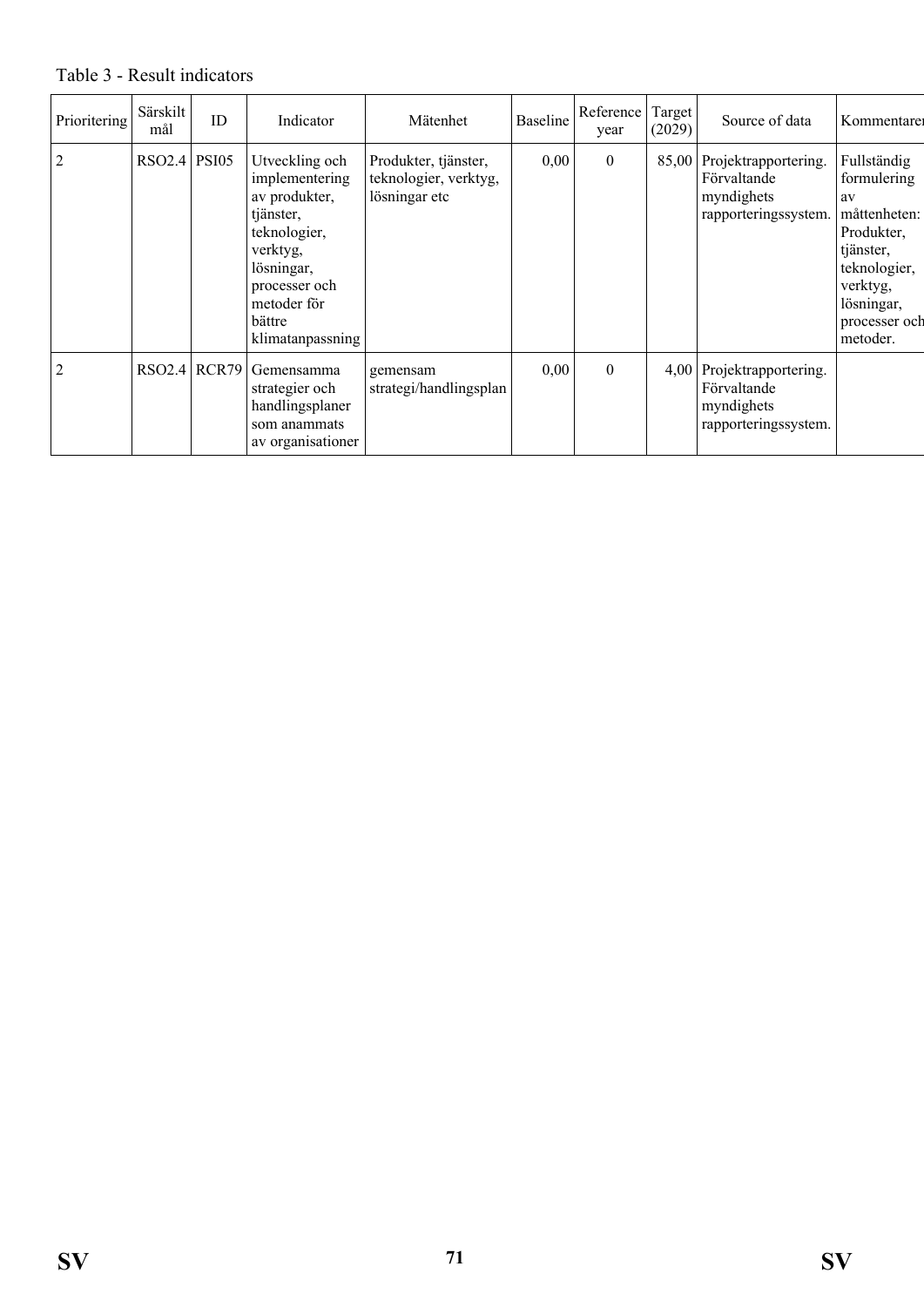Table 3 - Result indicators

| Prioritering   | Särskilt<br>mål | ID | Indicator                                                                                                                                                              | Mätenhet                                                       | <b>Baseline</b> | Reference<br>year | Target<br>(2029) | Source of data                                                                 | Kommentare                                                                                                                                         |
|----------------|-----------------|----|------------------------------------------------------------------------------------------------------------------------------------------------------------------------|----------------------------------------------------------------|-----------------|-------------------|------------------|--------------------------------------------------------------------------------|----------------------------------------------------------------------------------------------------------------------------------------------------|
| $\overline{2}$ | RSO2.4   PSI05  |    | Utveckling och<br>implementering<br>av produkter,<br>tjänster,<br>teknologier,<br>verktyg,<br>lösningar,<br>processer och<br>metoder för<br>bättre<br>klimatanpassning | Produkter, tjänster,<br>teknologier, verktyg,<br>lösningar etc | 0,00            | $\mathbf{0}$      | 85,00            | Projektrapportering.<br>Förvaltande<br>myndighets<br>rapporteringssystem.      | Fullständig<br>formulering<br>av<br>måttenheten:<br>Produkter,<br>tjänster,<br>teknologier,<br>verktyg,<br>lösningar,<br>processer och<br>metoder. |
| $\overline{2}$ | RSO2.4 RCR79    |    | Gemensamma<br>strategier och<br>handlingsplaner<br>som anammats<br>av organisationer                                                                                   | gemensam<br>strategi/handlingsplan                             | 0,00            | $\boldsymbol{0}$  |                  | 4,00 Projektrapportering.<br>Förvaltande<br>myndighets<br>rapporteringssystem. |                                                                                                                                                    |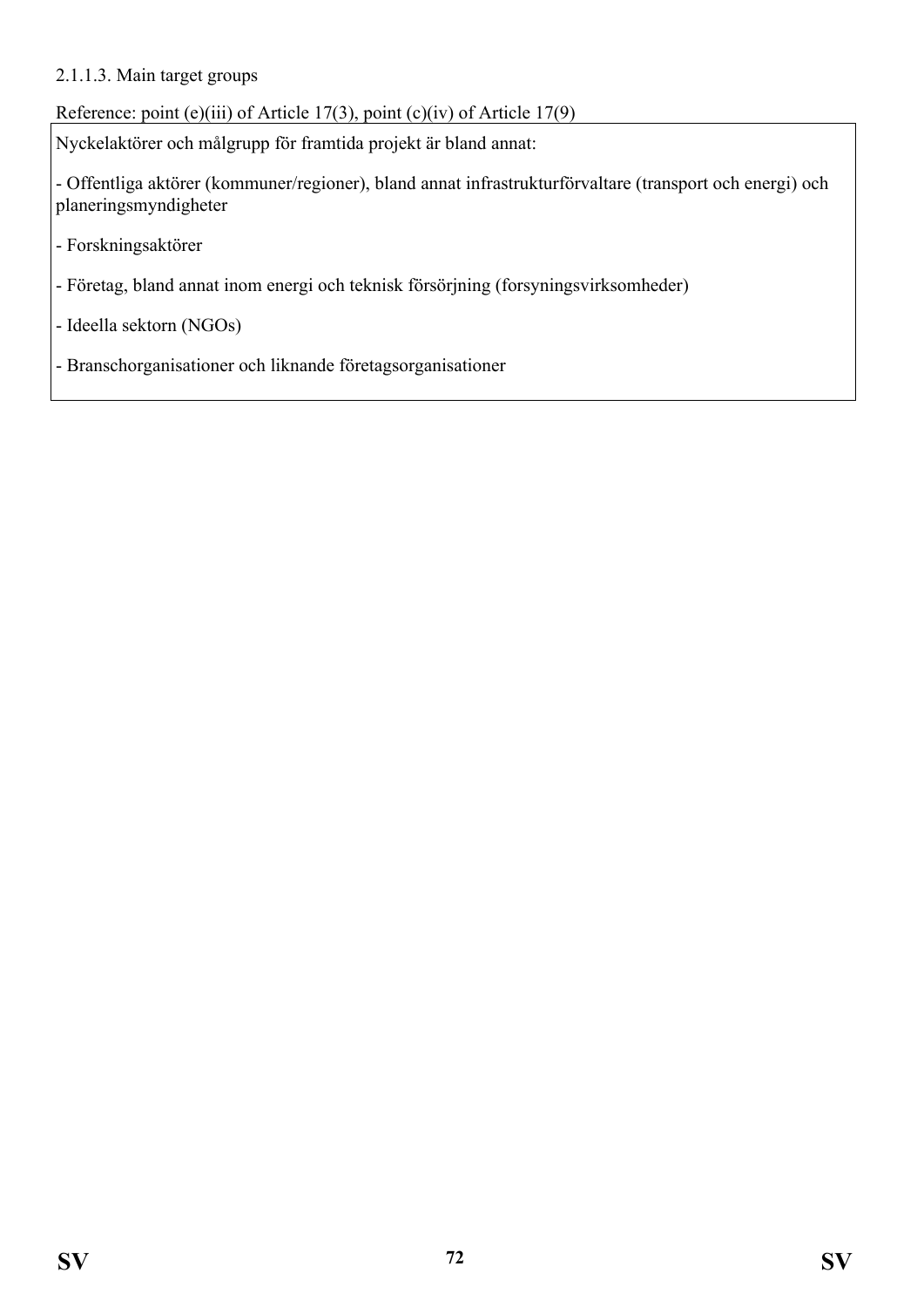#### 2.1.1.3. Main target groups

Reference: point (e)(iii) of Article 17(3), point (c)(iv) of Article 17(9)

Nyckelaktörer och målgrupp för framtida projekt är bland annat:

- Offentliga aktörer (kommuner/regioner), bland annat infrastrukturförvaltare (transport och energi) och planeringsmyndigheter

- Forskningsaktörer
- Företag, bland annat inom energi och teknisk försörjning (forsyningsvirksomheder)

- Ideella sektorn (NGOs)

- Branschorganisationer och liknande företagsorganisationer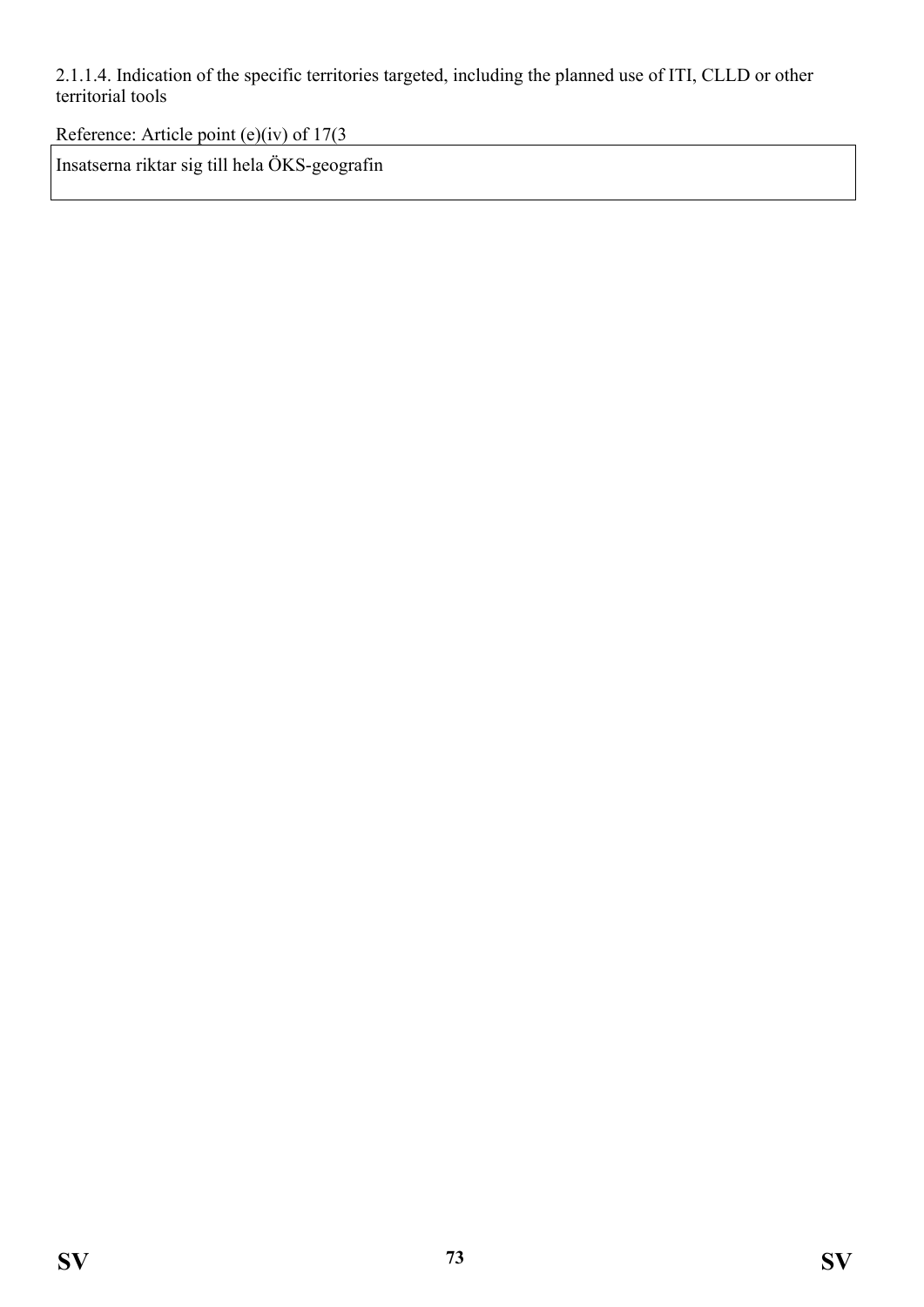2.1.1.4. Indication of the specific territories targeted, including the planned use of ITI, CLLD or other territorial tools

Reference: Article point (e)(iv) of 17(3

Insatserna riktar sig till hela ÖKS-geografin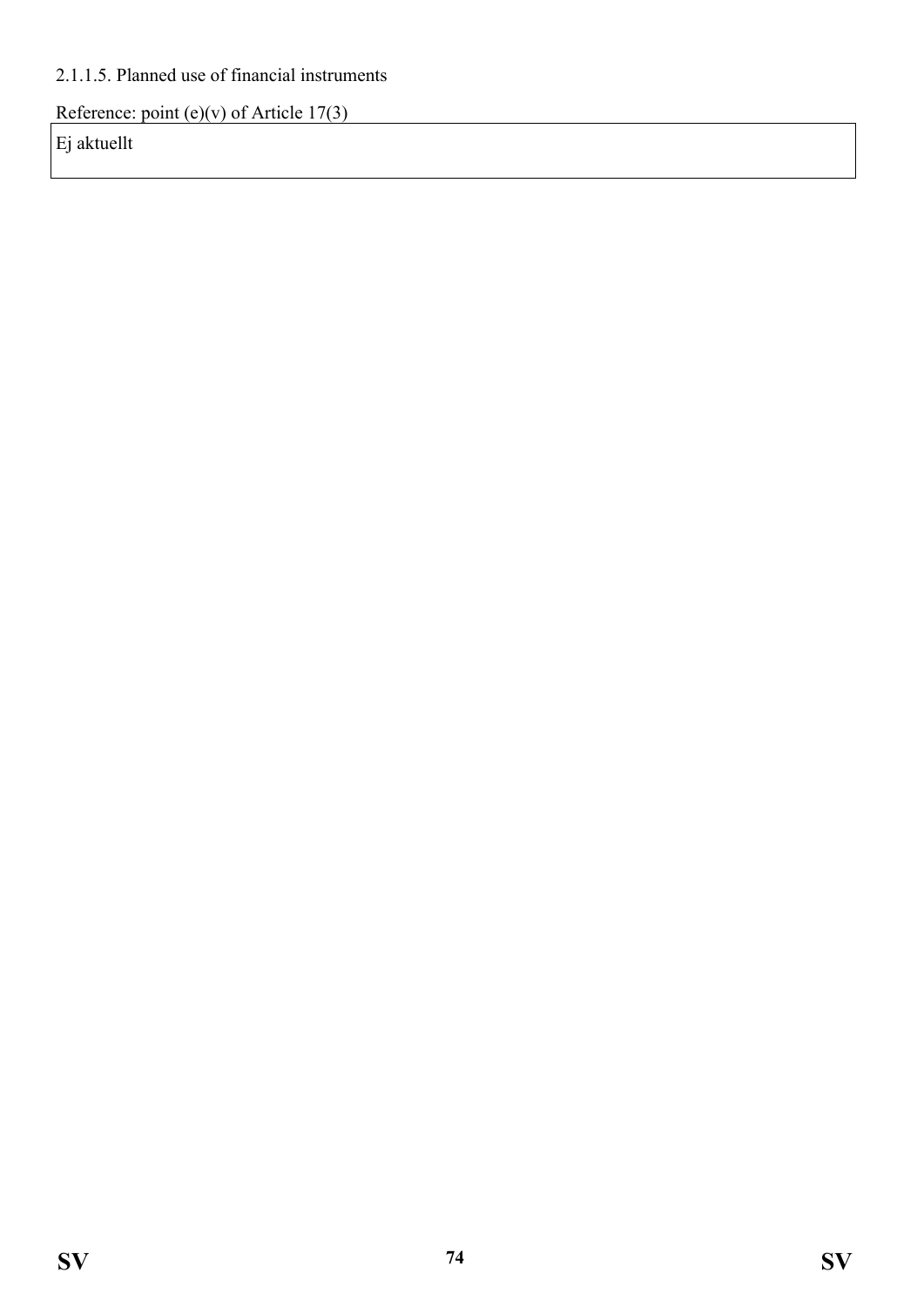## 2.1.1.5. Planned use of financial instruments

Reference: point (e)(v) of Article 17(3)

Ej aktuellt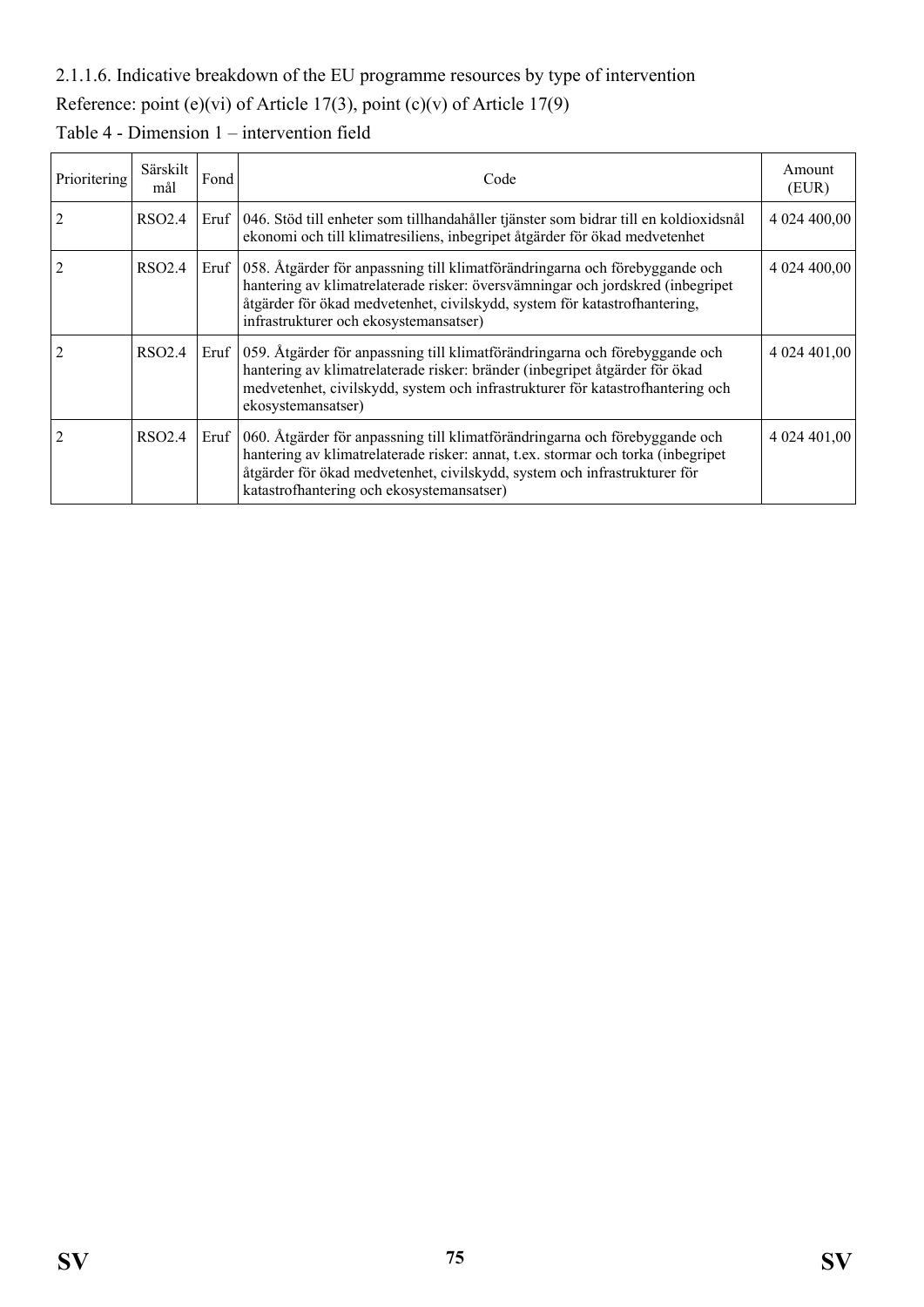#### 2.1.1.6. Indicative breakdown of the EU programme resources by type of intervention

# Reference: point (e)(vi) of Article 17(3), point (c)(v) of Article 17(9)

| Prioritering   | Särskilt<br>mål | Fond | Code                                                                                                                                                                                                                                                                                             | Amount<br>(EUR) |
|----------------|-----------------|------|--------------------------------------------------------------------------------------------------------------------------------------------------------------------------------------------------------------------------------------------------------------------------------------------------|-----------------|
| $\overline{2}$ | RSO2.4          |      | Eruf   046. Stöd till enheter som tillhandahåller tjänster som bidrar till en koldioxidsnål<br>ekonomi och till klimatresiliens, inbegripet åtgärder för ökad medvetenhet                                                                                                                        | 4 024 400,00    |
| 2              | RSO2.4          |      | Eruf 058. Åtgärder för anpassning till klimatförändringarna och förebyggande och<br>hantering av klimatrelaterade risker: översvämningar och jordskred (inbegripet<br>åtgärder för ökad medvetenhet, civilskydd, system för katastrofhantering,<br>infrastrukturer och ekosystemansatser)        | 4 024 400,00    |
|                | RSO2.4          |      | Eruf 059. Åtgärder för anpassning till klimatförändringarna och förebyggande och<br>hantering av klimatrelaterade risker: bränder (inbegripet åtgärder för ökad<br>medvetenhet, civilskydd, system och infrastrukturer för katastrofhantering och<br>ekosystemansatser)                          | 4 024 401,00    |
|                | RSO2.4          |      | Eruf   060. Åtgärder för anpassning till klimatförändringarna och förebyggande och<br>hantering av klimatrelaterade risker: annat, t.ex. stormar och torka (inbegripet<br>åtgärder för ökad medvetenhet, civilskydd, system och infrastrukturer för<br>katastrofhantering och ekosystemansatser) | 4 024 401,00    |

# Table 4 - Dimension 1 – intervention field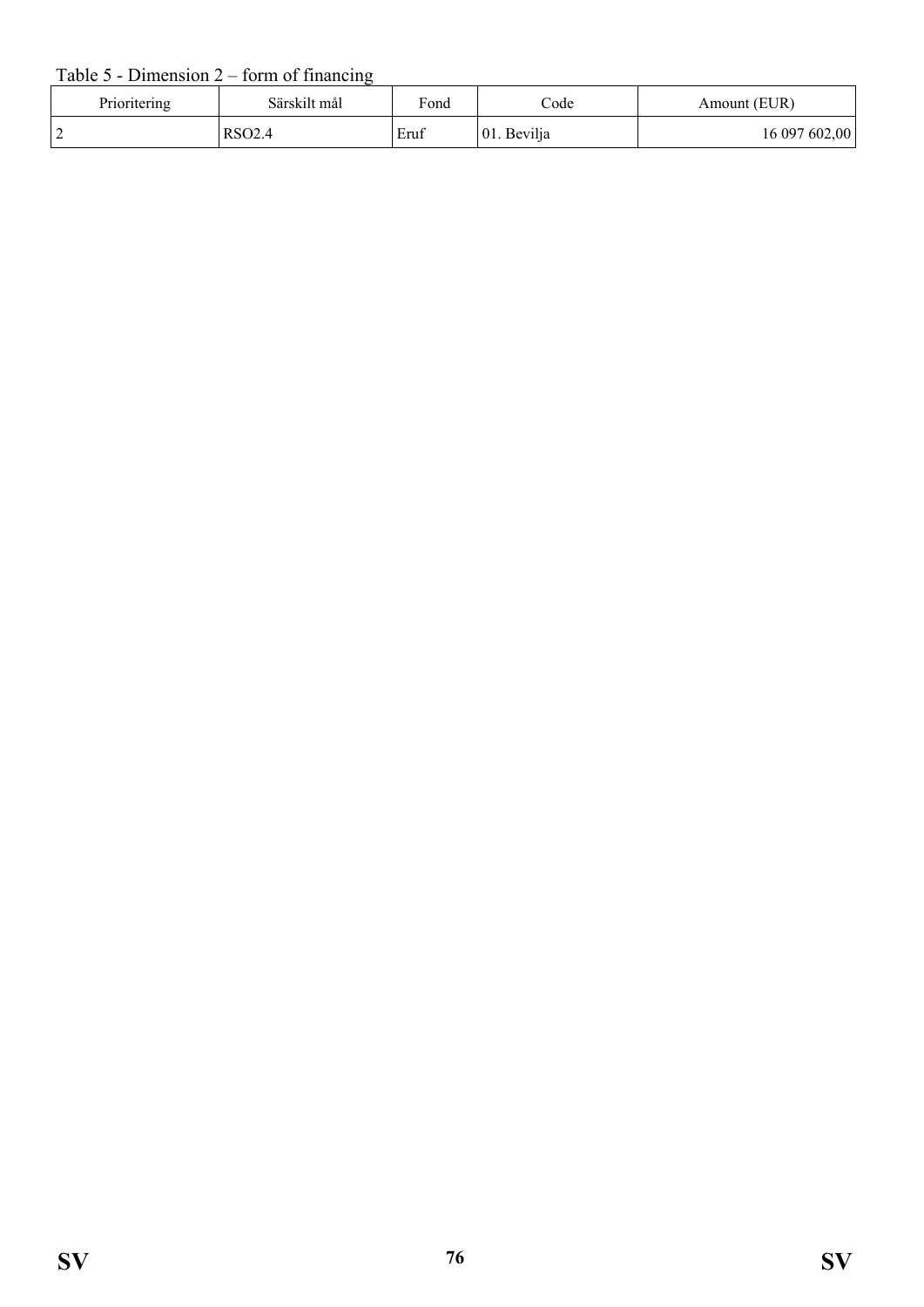#### Table  $5$  - Dimension  $2$  – form of financing

| Prioritering | Särskilt mål | Fond | $\mathrm{Code}$ | Amount (EUR)  |
|--------------|--------------|------|-----------------|---------------|
|              | RSO2.5       | Eruf | 01. Bevilja     | 16 097 602,00 |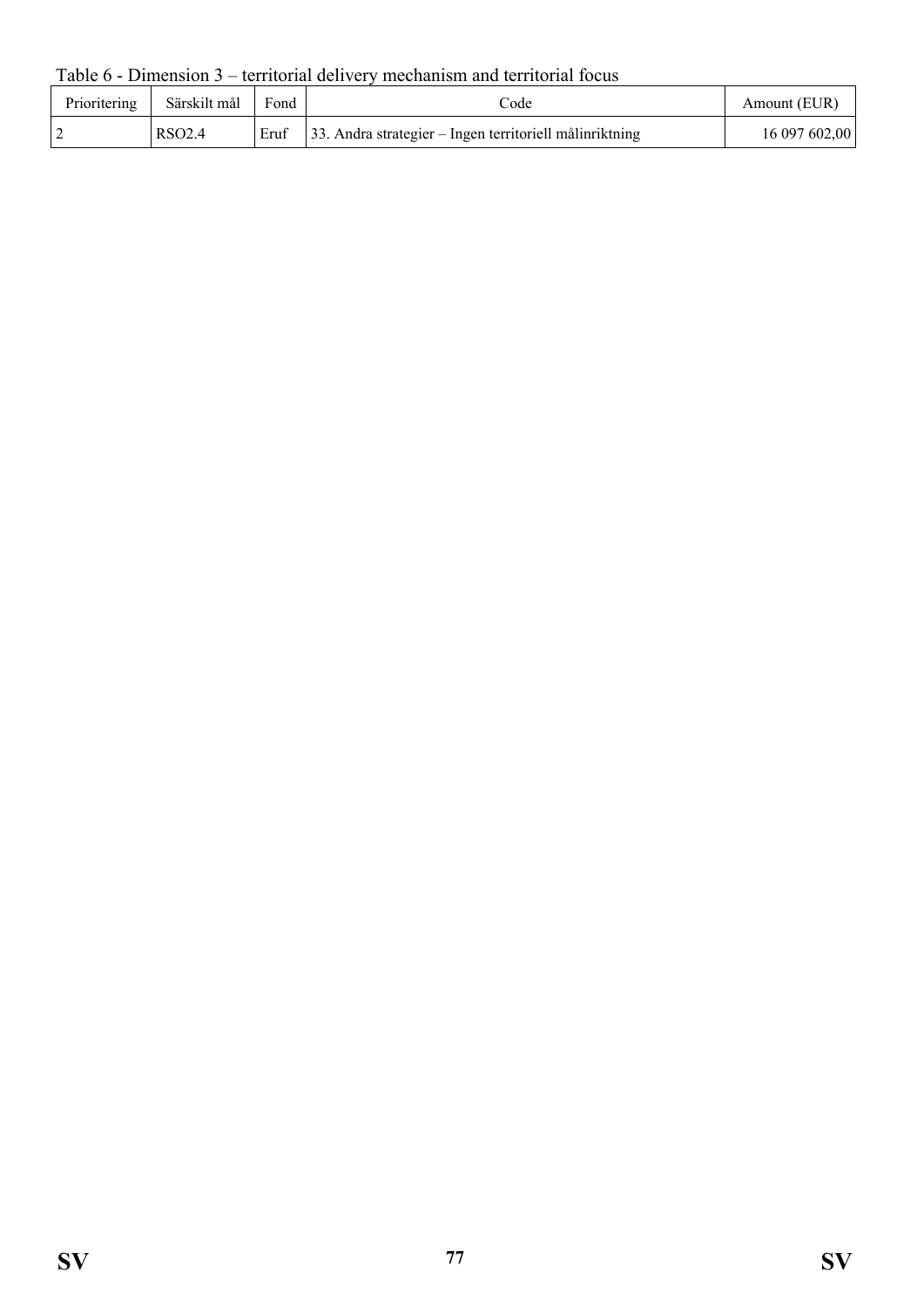Table 6 - Dimension 3 – territorial delivery mechanism and territorial focus

| Prioritering | Särskilt mål       | Fond | code                                                            | Amount (EUR)  |
|--------------|--------------------|------|-----------------------------------------------------------------|---------------|
|              | RSO <sub>2.4</sub> | Eruf | $\vert$ 33. Andra strategier – Ingen territoriell målinriktning | 16 097 602,00 |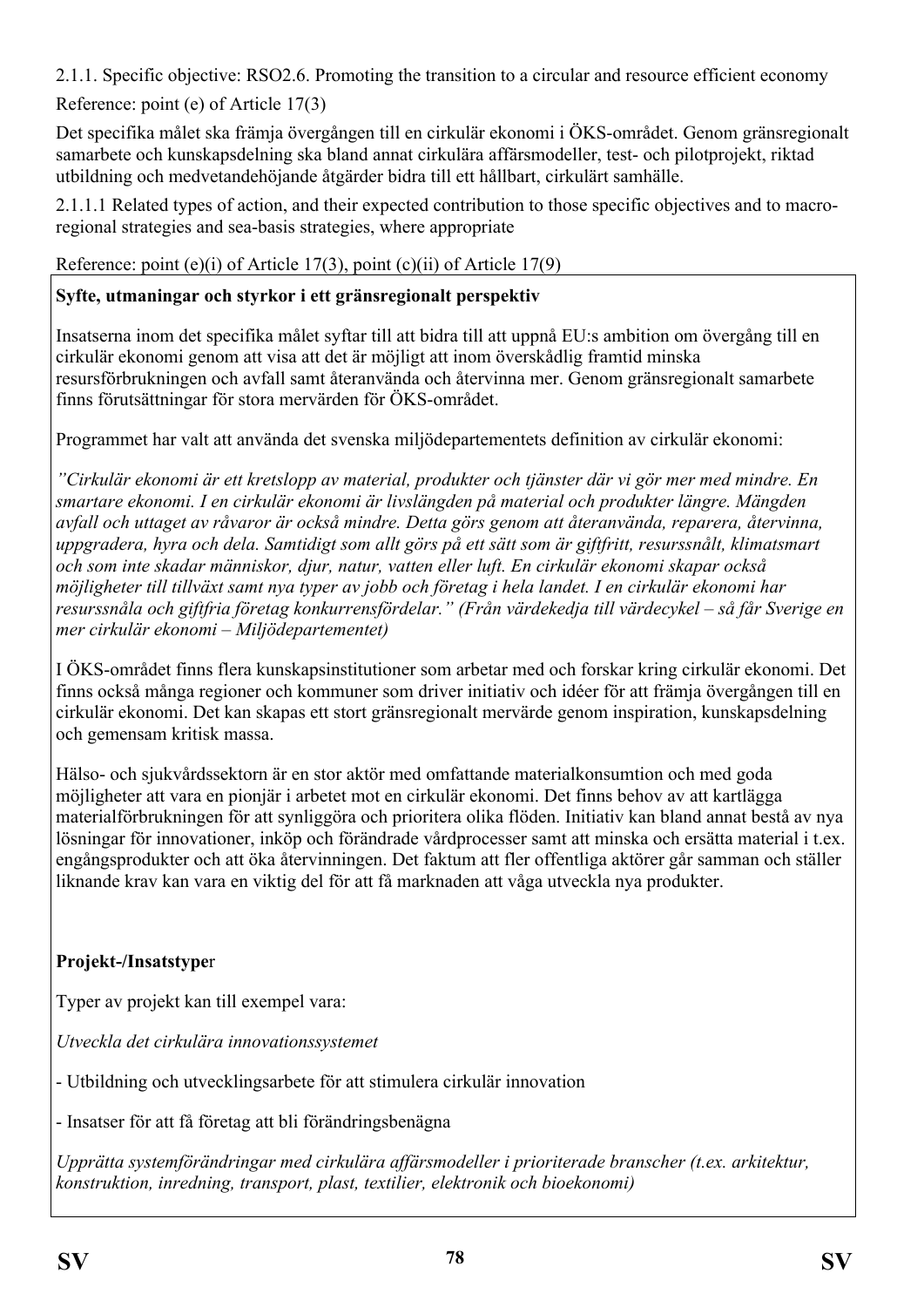2.1.1. Specific objective: RSO2.6. Promoting the transition to a circular and resource efficient economy

Reference: point (e) of Article 17(3)

Det specifika målet ska främja övergången till en cirkulär ekonomi i ÖKS-området. Genom gränsregionalt samarbete och kunskapsdelning ska bland annat cirkulära affärsmodeller, test- och pilotprojekt, riktad utbildning och medvetandehöjande åtgärder bidra till ett hållbart, cirkulärt samhälle.

2.1.1.1 Related types of action, and their expected contribution to those specific objectives and to macroregional strategies and sea-basis strategies, where appropriate

Reference: point (e)(i) of Article 17(3), point (c)(ii) of Article 17(9)

#### **Syfte, utmaningar och styrkor i ett gränsregionalt perspektiv**

Insatserna inom det specifika målet syftar till att bidra till att uppnå EU:s ambition om övergång till en cirkulär ekonomi genom att visa att det är möjligt att inom överskådlig framtid minska resursförbrukningen och avfall samt återanvända och återvinna mer. Genom gränsregionalt samarbete finns förutsättningar för stora mervärden för ÖKS-området.

Programmet har valt att använda det svenska miljödepartementets definition av cirkulär ekonomi:

*"Cirkulär ekonomi är ett kretslopp av material, produkter och tjänster där vi gör mer med mindre. En smartare ekonomi. I en cirkulär ekonomi är livslängden på material och produkter längre. Mängden avfall och uttaget av råvaror är också mindre. Detta görs genom att återanvända, reparera, återvinna, uppgradera, hyra och dela. Samtidigt som allt görs på ett sätt som är giftfritt, resurssnålt, klimatsmart och som inte skadar människor, djur, natur, vatten eller luft. En cirkulär ekonomi skapar också möjligheter till tillväxt samt nya typer av jobb och företag i hela landet. I en cirkulär ekonomi har resurssnåla och giftfria företag konkurrensfördelar." (Från värdekedja till värdecykel – så får Sverige en mer cirkulär ekonomi – Miljödepartementet)*

I ÖKS-området finns flera kunskapsinstitutioner som arbetar med och forskar kring cirkulär ekonomi. Det finns också många regioner och kommuner som driver initiativ och idéer för att främja övergången till en cirkulär ekonomi. Det kan skapas ett stort gränsregionalt mervärde genom inspiration, kunskapsdelning och gemensam kritisk massa.

Hälso- och sjukvårdssektorn är en stor aktör med omfattande materialkonsumtion och med goda möjligheter att vara en pionjär i arbetet mot en cirkulär ekonomi. Det finns behov av att kartlägga materialförbrukningen för att synliggöra och prioritera olika flöden. Initiativ kan bland annat bestå av nya lösningar för innovationer, inköp och förändrade vårdprocesser samt att minska och ersätta material i t.ex. engångsprodukter och att öka återvinningen. Det faktum att fler offentliga aktörer går samman och ställer liknande krav kan vara en viktig del för att få marknaden att våga utveckla nya produkter.

## **Projekt-/Insatstype**r

Typer av projekt kan till exempel vara:

*Utveckla det cirkulära innovationssystemet*

- Utbildning och utvecklingsarbete för att stimulera cirkulär innovation

- Insatser för att få företag att bli förändringsbenägna

*Upprätta systemförändringar med cirkulära affärsmodeller i prioriterade branscher (t.ex. arkitektur, konstruktion, inredning, transport, plast, textilier, elektronik och bioekonomi)*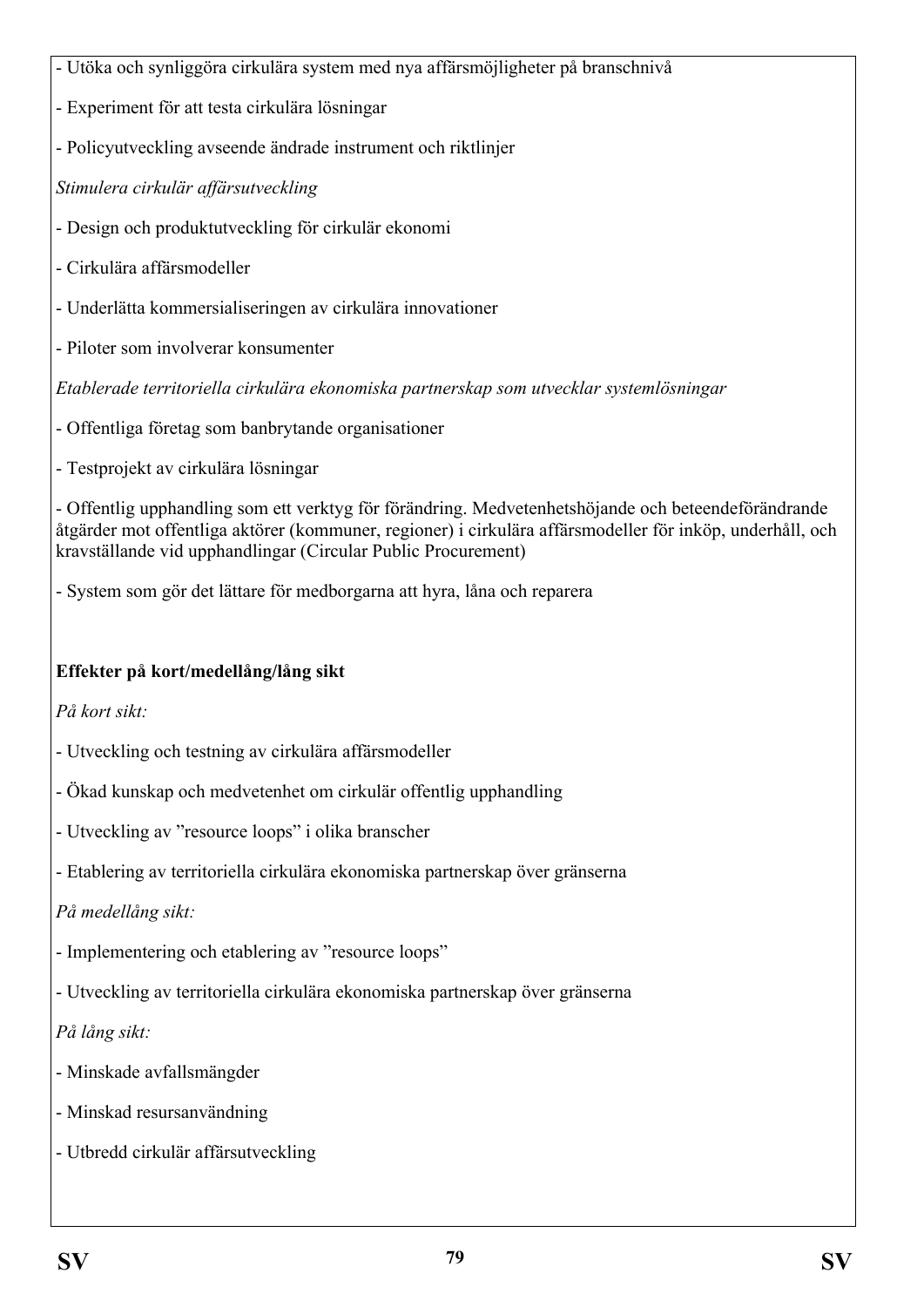- Utöka och synliggöra cirkulära system med nya affärsmöjligheter på branschnivå

- Experiment för att testa cirkulära lösningar
- Policyutveckling avseende ändrade instrument och riktlinjer

*Stimulera cirkulär affärsutveckling*

- Design och produktutveckling för cirkulär ekonomi
- Cirkulära affärsmodeller
- Underlätta kommersialiseringen av cirkulära innovationer
- Piloter som involverar konsumenter

*Etablerade territoriella cirkulära ekonomiska partnerskap som utvecklar systemlösningar*

- Offentliga företag som banbrytande organisationer
- Testprojekt av cirkulära lösningar

- Offentlig upphandling som ett verktyg för förändring. Medvetenhetshöjande och beteendeförändrande åtgärder mot offentliga aktörer (kommuner, regioner) i cirkulära affärsmodeller för inköp, underhåll, och kravställande vid upphandlingar (Circular Public Procurement)

- System som gör det lättare för medborgarna att hyra, låna och reparera

#### **Effekter på kort/medellång/lång sikt**

*På kort sikt:*

- Utveckling och testning av cirkulära affärsmodeller
- Ökad kunskap och medvetenhet om cirkulär offentlig upphandling
- Utveckling av "resource loops" i olika branscher
- Etablering av territoriella cirkulära ekonomiska partnerskap över gränserna

*På medellång sikt:*

- Implementering och etablering av "resource loops"
- Utveckling av territoriella cirkulära ekonomiska partnerskap över gränserna

*På lång sikt:*

- Minskade avfallsmängder
- Minskad resursanvändning
- Utbredd cirkulär affärsutveckling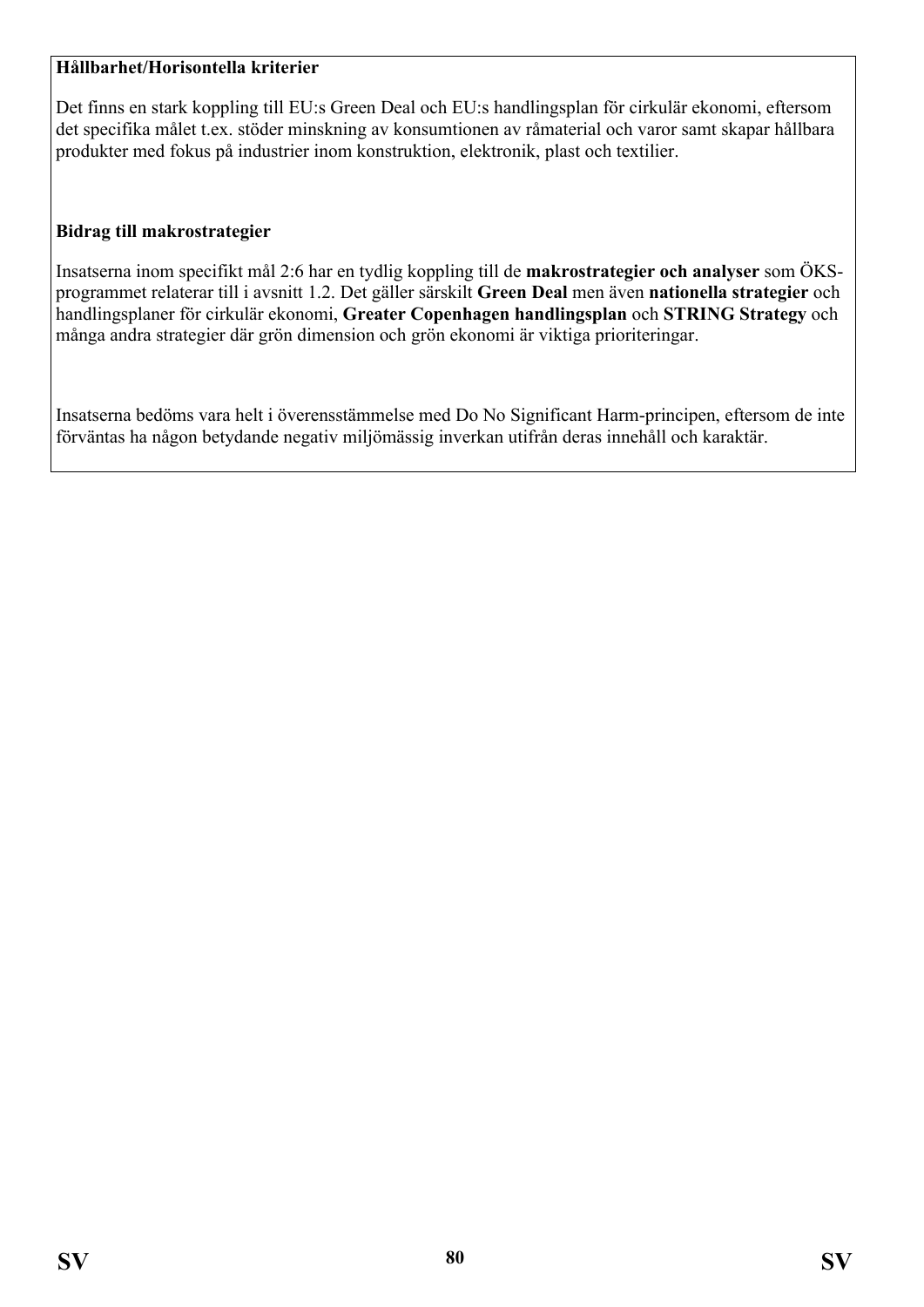#### **Hållbarhet/Horisontella kriterier**

Det finns en stark koppling till EU:s Green Deal och EU:s handlingsplan för cirkulär ekonomi, eftersom det specifika målet t.ex. stöder minskning av konsumtionen av råmaterial och varor samt skapar hållbara produkter med fokus på industrier inom konstruktion, elektronik, plast och textilier.

#### **Bidrag till makrostrategier**

Insatserna inom specifikt mål 2:6 har en tydlig koppling till de **makrostrategier och analyser** som ÖKSprogrammet relaterar till i avsnitt 1.2. Det gäller särskilt **Green Deal** men även **nationella strategier** och handlingsplaner för cirkulär ekonomi, **Greater Copenhagen handlingsplan** och **STRING Strategy** och många andra strategier där grön dimension och grön ekonomi är viktiga prioriteringar.

Insatserna bedöms vara helt i överensstämmelse med Do No Significant Harm-principen, eftersom de inte förväntas ha någon betydande negativ miljömässig inverkan utifrån deras innehåll och karaktär.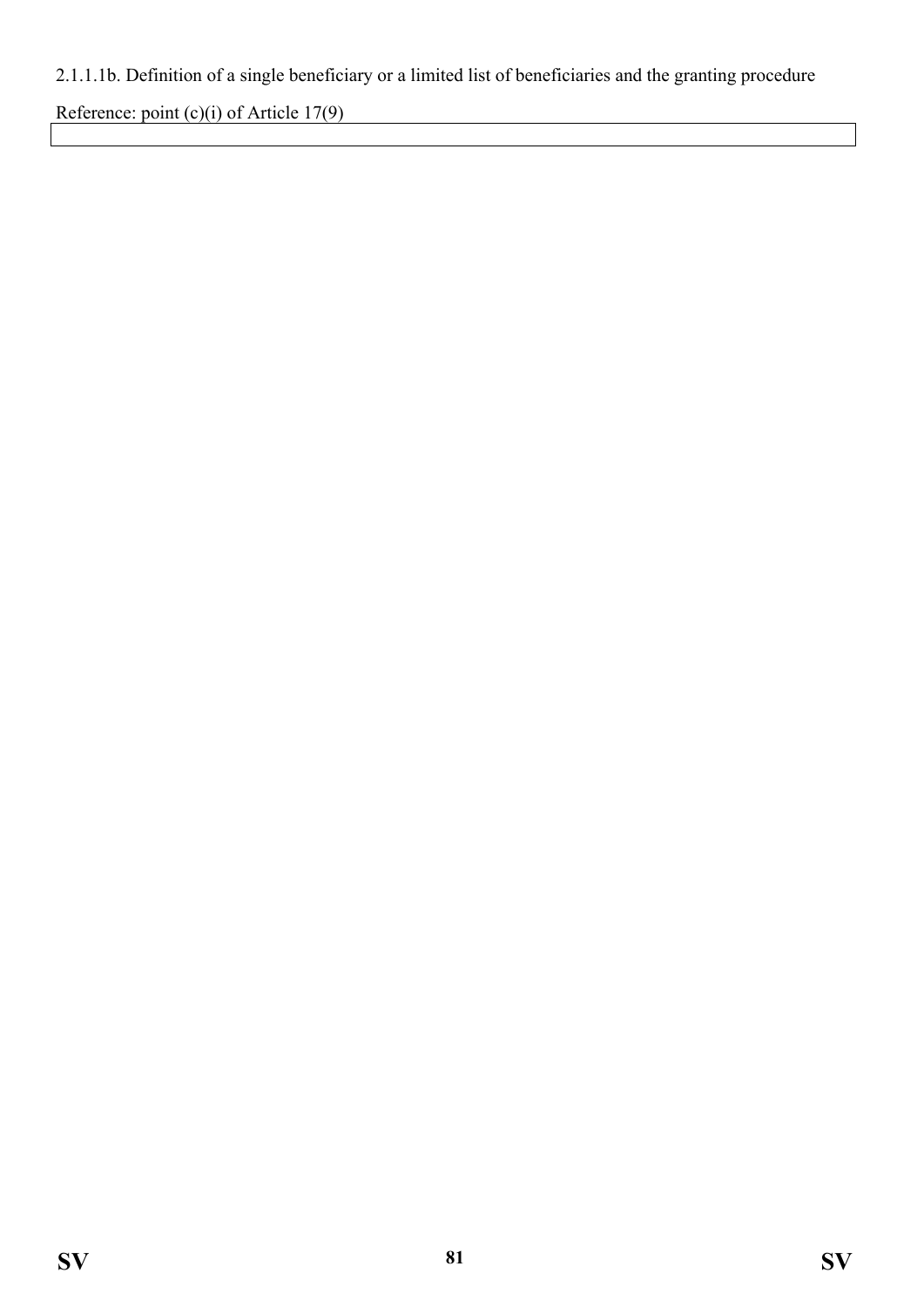# 2.1.1.1b. Definition of a single beneficiary or a limited list of beneficiaries and the granting procedure

Reference: point (c)(i) of Article 17(9)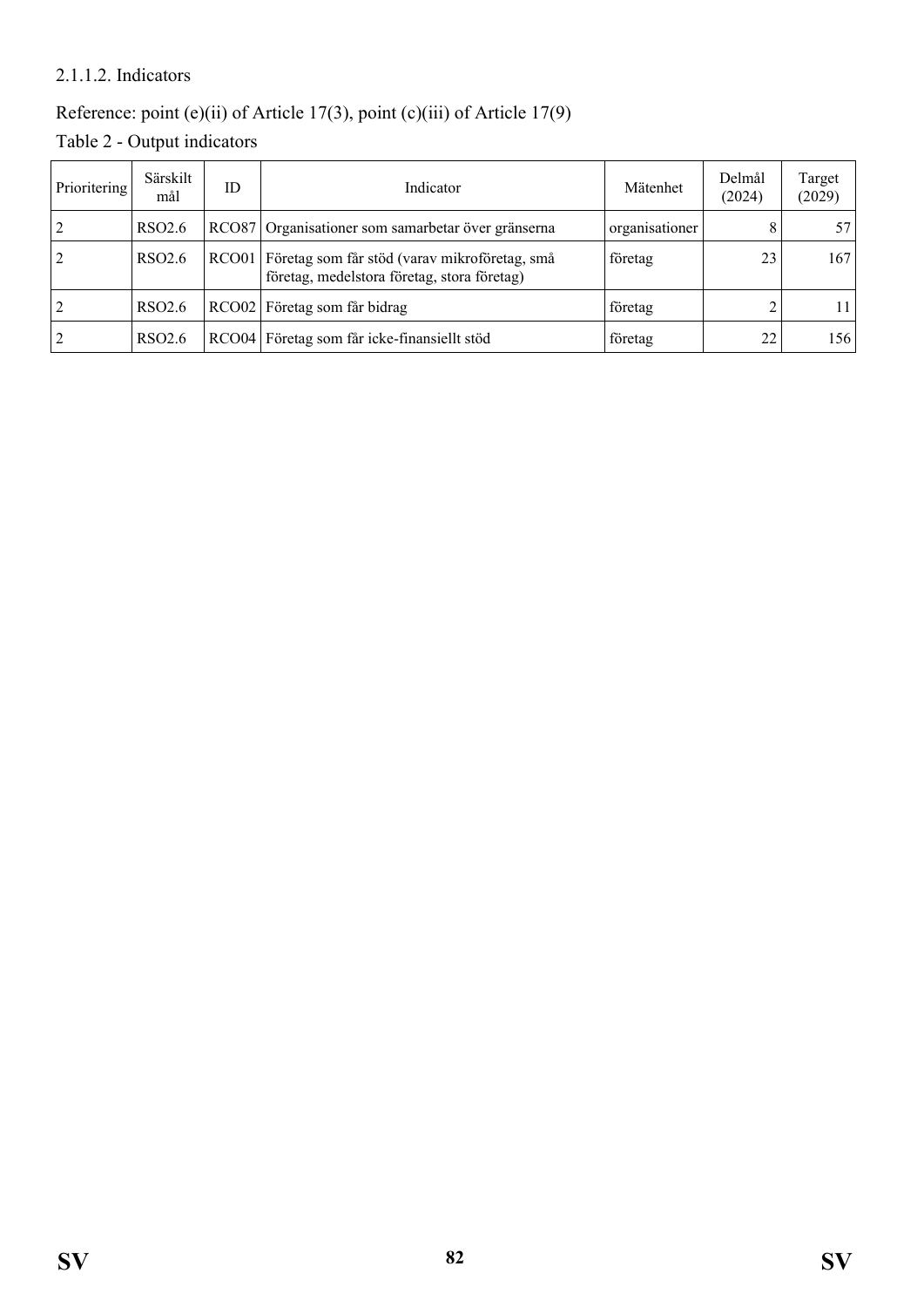#### 2.1.1.2. Indicators

# Reference: point (e)(ii) of Article 17(3), point (c)(iii) of Article 17(9)

Table 2 - Output indicators

| Prioritering | Särskilt<br>mål    | ID | Indicator                                                                                          | Mätenhet       | Delmål<br>(2024) | Target<br>(2029) |
|--------------|--------------------|----|----------------------------------------------------------------------------------------------------|----------------|------------------|------------------|
|              | RSO <sub>2.6</sub> |    | RCO87 Organisationer som samarbetar över gränserna                                                 | organisationer |                  | 57 I             |
| 2            | RSO <sub>2.6</sub> |    | RCO01 Företag som får stöd (varav mikroföretag, små<br>företag, medelstora företag, stora företag) | företag        | 23               | 167              |
| 2            | RSO <sub>2.6</sub> |    | RCO02 Företag som får bidrag                                                                       | företag        |                  | 11               |
| 2            | RSO <sub>2.6</sub> |    | RCO04 Företag som får icke-finansiellt stöd                                                        | företag        | 22               | 156              |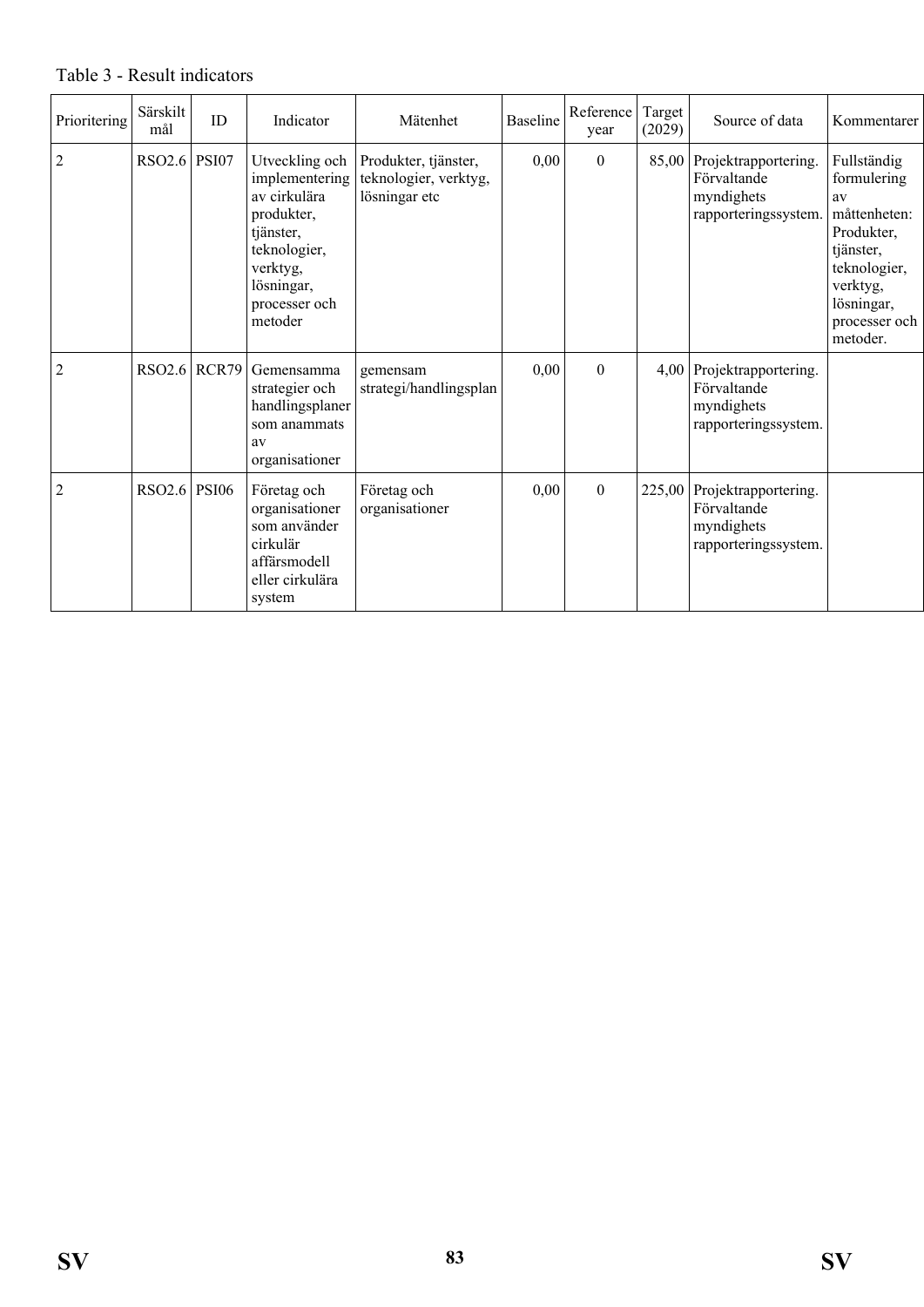| Prioritering   | Särskilt<br>mål | ID           | Indicator                                                                                                                                         | Mätenhet                                                       | <b>Baseline</b> | Reference<br>year | Target<br>(2029) | Source of data                                                                  | Kommentarer                                                                                                                                        |
|----------------|-----------------|--------------|---------------------------------------------------------------------------------------------------------------------------------------------------|----------------------------------------------------------------|-----------------|-------------------|------------------|---------------------------------------------------------------------------------|----------------------------------------------------------------------------------------------------------------------------------------------------|
| $\overline{2}$ | <b>RSO2.6</b>   | <b>PSI07</b> | Utveckling och<br>implementering<br>av cirkulära<br>produkter,<br>tjänster,<br>teknologier,<br>verktyg,<br>lösningar,<br>processer och<br>metoder | Produkter, tjänster,<br>teknologier, verktyg,<br>lösningar etc | 0,00            | $\mathbf{0}$      |                  | 85,00 Projektrapportering.<br>Förvaltande<br>myndighets<br>rapporteringssystem. | Fullständig<br>formulering<br>av<br>måttenheten:<br>Produkter,<br>tjänster,<br>teknologier,<br>verktyg,<br>lösningar,<br>processer och<br>metoder. |
| $\overline{2}$ | <b>RSO2.6</b>   | RCR79        | Gemensamma<br>strategier och<br>handlingsplaner<br>som anammats<br>av<br>organisationer                                                           | gemensam<br>strategi/handlingsplan                             | 0,00            | $\overline{0}$    | $4.00\,$         | Projektrapportering.<br>Förvaltande<br>myndighets<br>rapporteringssystem.       |                                                                                                                                                    |
| $\overline{2}$ | <b>RSO2.6</b>   | <b>PSI06</b> | Företag och<br>organisationer<br>som använder<br>cirkulär<br>affärsmodell<br>eller cirkulära<br>system                                            | Företag och<br>organisationer                                  | 0,00            | $\mathbf{0}$      | 225,00           | Projektrapportering.<br>Förvaltande<br>myndighets<br>rapporteringssystem.       |                                                                                                                                                    |

#### Table 3 - Result indicators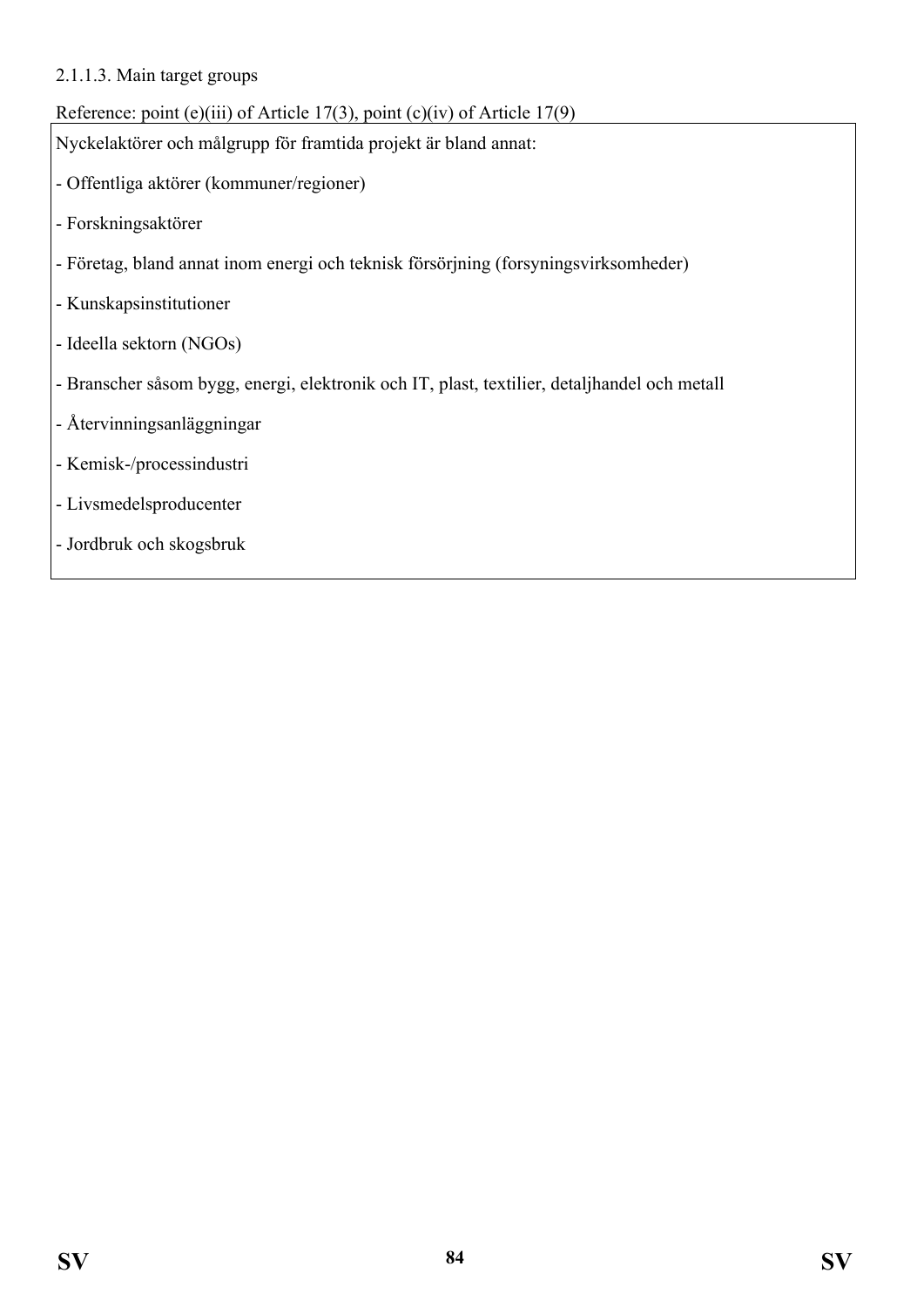#### 2.1.1.3. Main target groups

#### Reference: point (e)(iii) of Article 17(3), point (c)(iv) of Article 17(9)

Nyckelaktörer och målgrupp för framtida projekt är bland annat:

- Offentliga aktörer (kommuner/regioner)
- Forskningsaktörer
- Företag, bland annat inom energi och teknisk försörjning (forsyningsvirksomheder)
- Kunskapsinstitutioner
- Ideella sektorn (NGOs)
- Branscher såsom bygg, energi, elektronik och IT, plast, textilier, detaljhandel och metall
- Återvinningsanläggningar
- Kemisk-/processindustri
- Livsmedelsproducenter
- Jordbruk och skogsbruk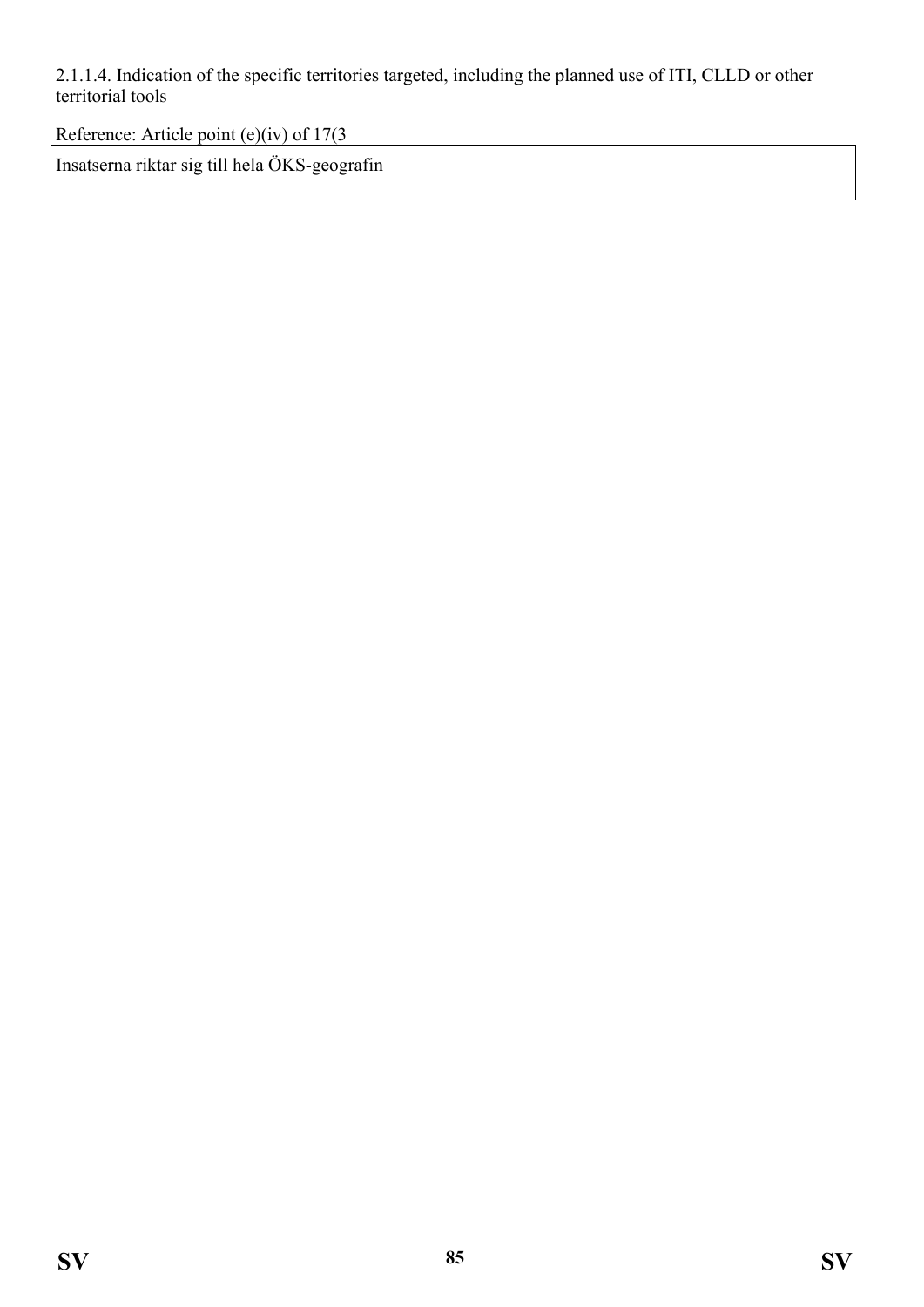2.1.1.4. Indication of the specific territories targeted, including the planned use of ITI, CLLD or other territorial tools

Reference: Article point (e)(iv) of 17(3

Insatserna riktar sig till hela ÖKS-geografin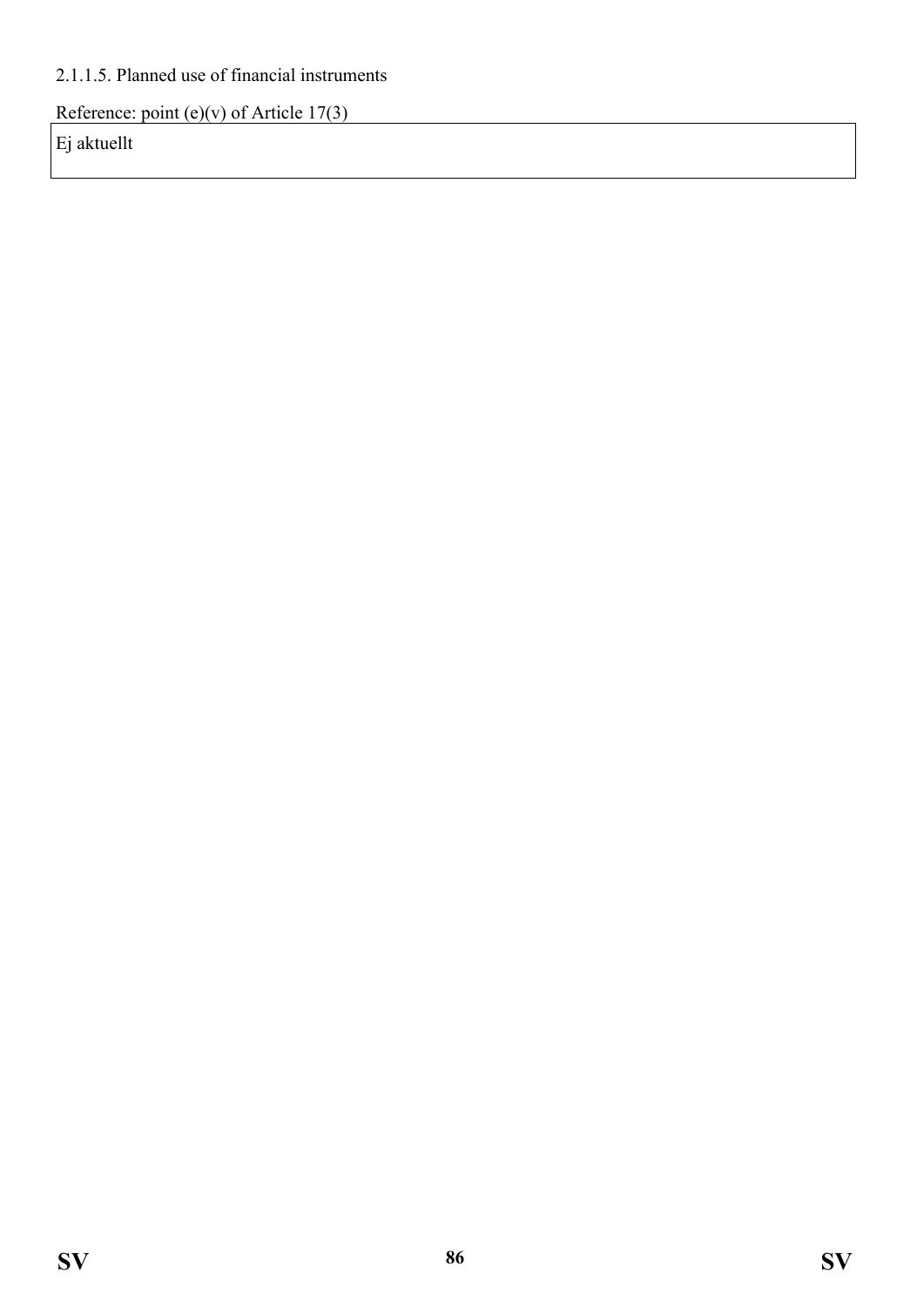## 2.1.1.5. Planned use of financial instruments

Reference: point (e)(v) of Article  $17(3)$ 

Ej aktuellt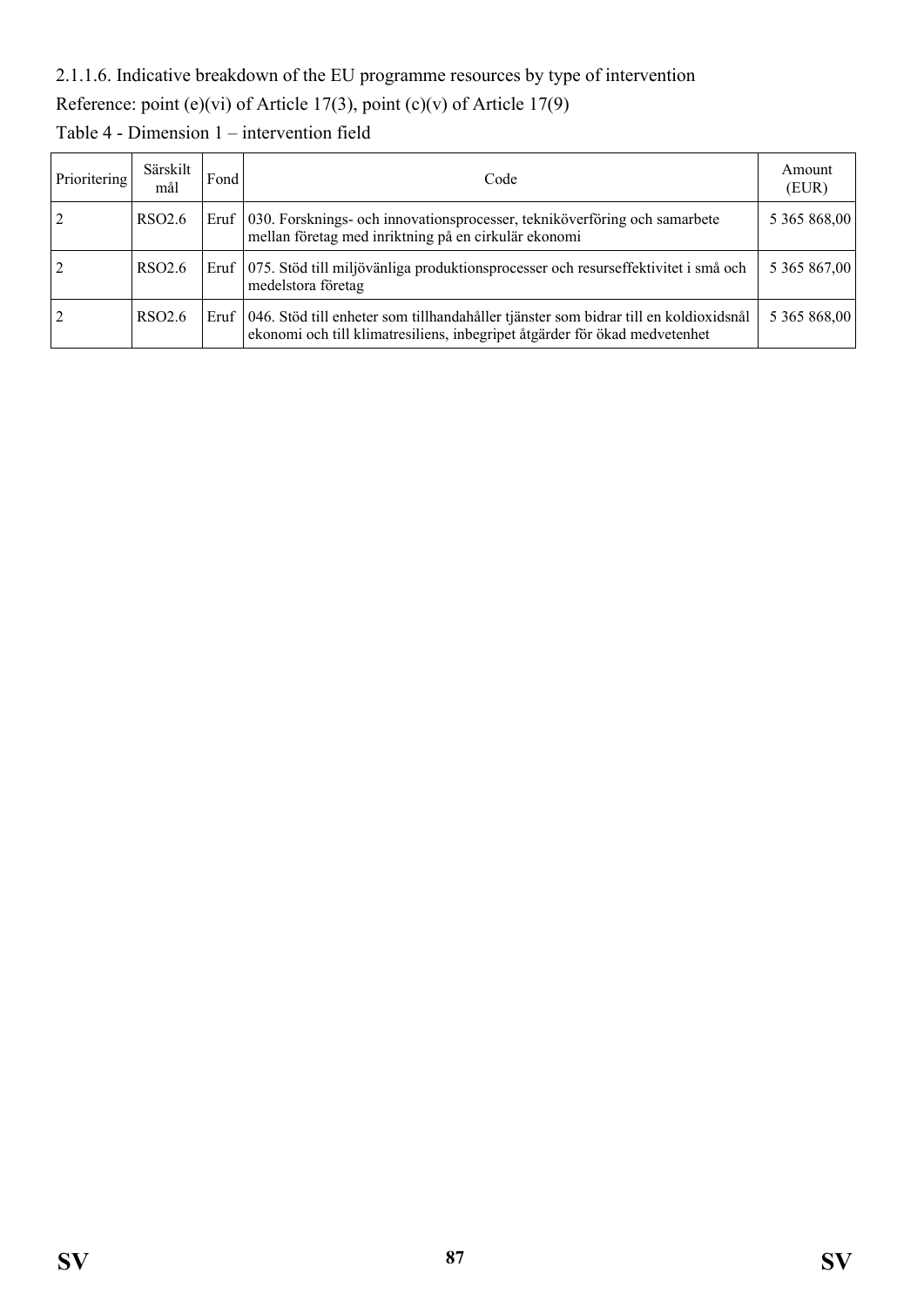## 2.1.1.6. Indicative breakdown of the EU programme resources by type of intervention

Reference: point (e)(vi) of Article 17(3), point (c)(v) of Article 17(9)

| Prioritering   | Särskilt<br>mål    | Fond <sup>1</sup> | Code                                                                                                                                                                      | Amount<br>(EUR) |
|----------------|--------------------|-------------------|---------------------------------------------------------------------------------------------------------------------------------------------------------------------------|-----------------|
| $\overline{2}$ | RSO <sub>2.6</sub> |                   | Eruf   030. Forsknings- och innovationsprocesser, tekniköverföring och samarbete<br>mellan företag med inriktning på en cirkulär ekonomi                                  | 5 365 868,00    |
| $\overline{2}$ | RSO <sub>2.6</sub> |                   | Eruf   075. Stöd till miljövänliga produktionsprocesser och resurseffektivitet i små och<br>medelstora företag                                                            | 5 365 867,00    |
| $\overline{2}$ | RSO <sub>2.6</sub> |                   | Eruf   046. Stöd till enheter som tillhandahåller tjänster som bidrar till en koldioxidsnål<br>ekonomi och till klimatresiliens, inbegripet åtgärder för ökad medvetenhet | 5 365 868,00    |

Table 4 - Dimension 1 – intervention field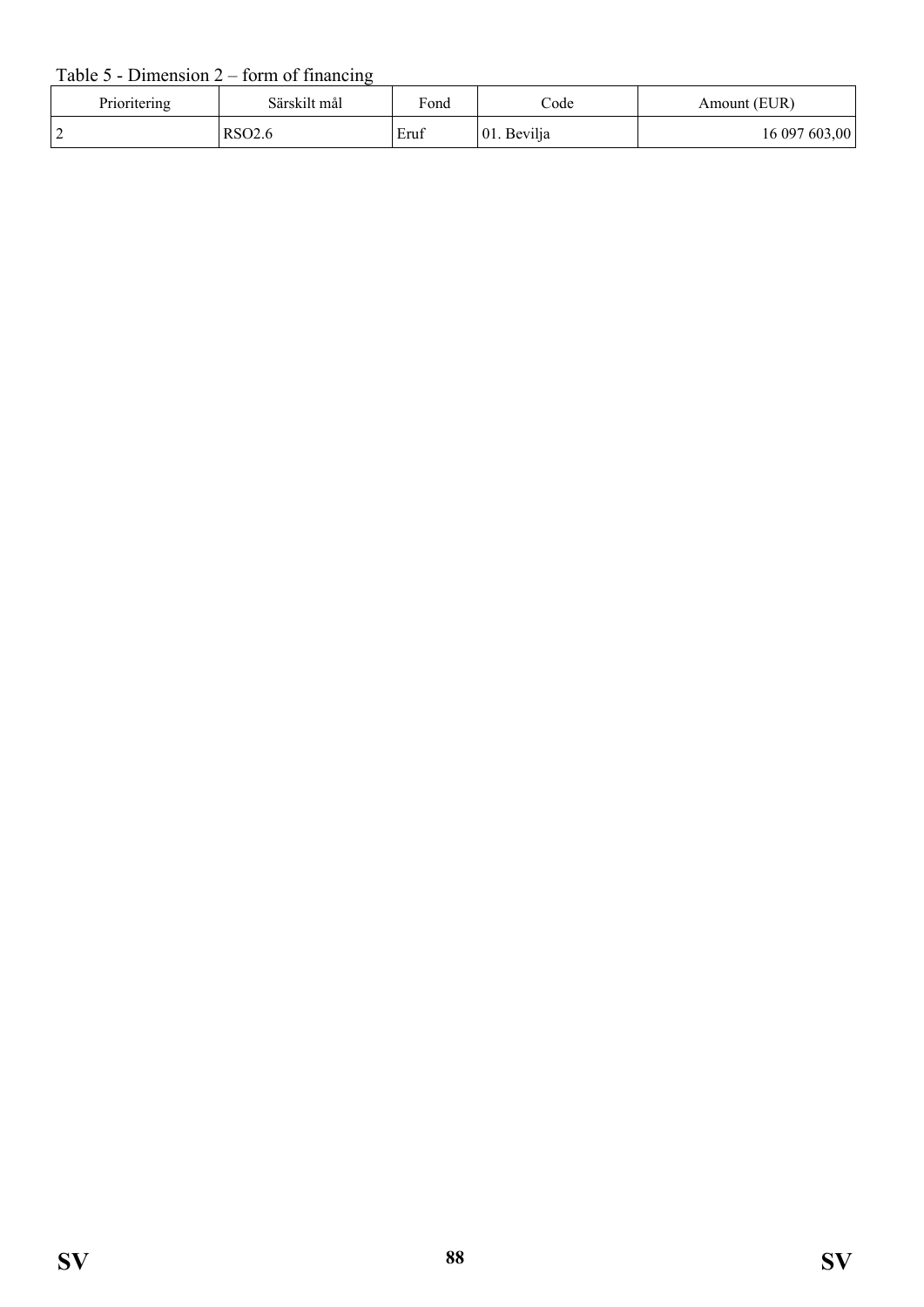#### Table  $5$  - Dimension  $2$  – form of financing

| Prioritering | Särskilt mål       | Fond | $\mathrm{Code}$ | Amount (EUR)  |
|--------------|--------------------|------|-----------------|---------------|
|              | RSO <sub>2.6</sub> | Eruf | 01. Bevilja     | 16 097 603,00 |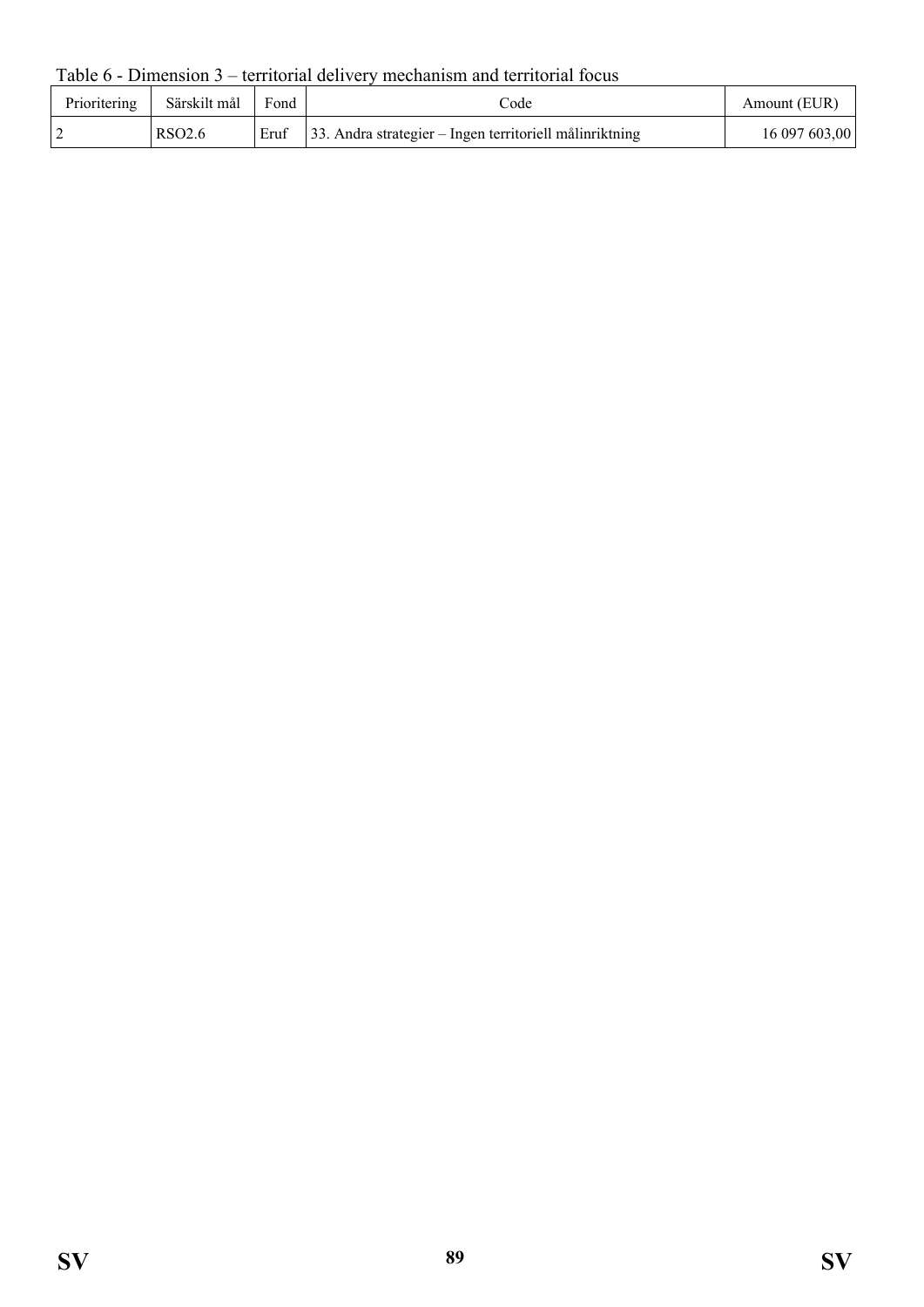Table 6 - Dimension 3 – territorial delivery mechanism and territorial focus

| Prioritering | Särskilt mål       | Fond | code                                                        | Amount (EUR)  |
|--------------|--------------------|------|-------------------------------------------------------------|---------------|
|              | RSO <sub>2.6</sub> | Eruf | $ 33$ . Andra strategier – Ingen territoriell målinriktning | 16 097 603,00 |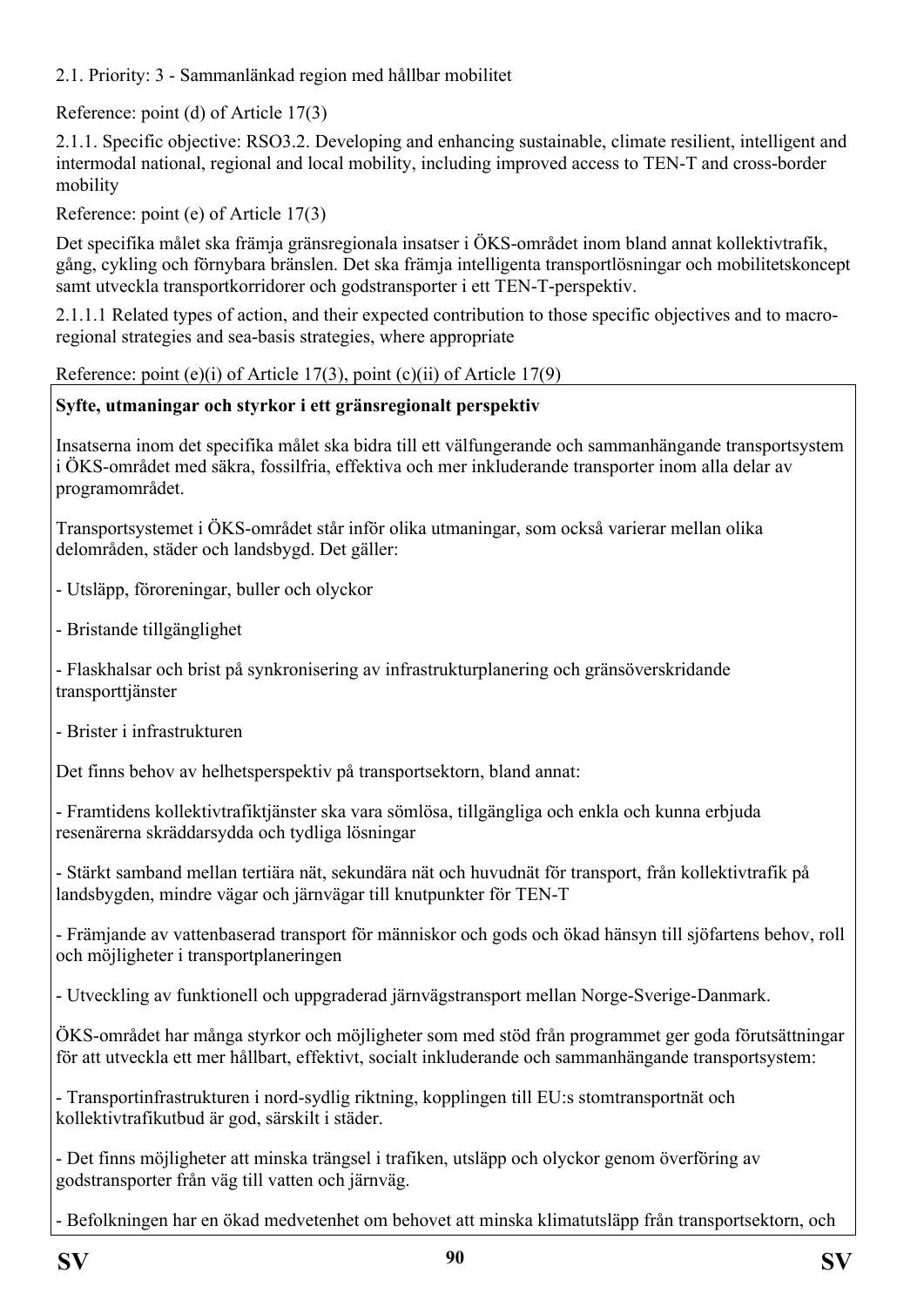2.1. Priority: 3 - Sammanlänkad region med hållbar mobilitet

Reference: point (d) of Article 17(3)

2.1.1. Specific objective: RSO3.2. Developing and enhancing sustainable, climate resilient, intelligent and intermodal national, regional and local mobility, including improved access to TEN-T and cross-border mobility

Reference: point (e) of Article 17(3)

Det specifika målet ska främja gränsregionala insatser i ÖKS-området inom bland annat kollektivtrafik, gång, cykling och förnybara bränslen. Det ska främja intelligenta transportlösningar och mobilitetskoncept samt utveckla transportkorridorer och godstransporter i ett TEN-T-perspektiv.

2.1.1.1 Related types of action, and their expected contribution to those specific objectives and to macroregional strategies and sea-basis strategies, where appropriate

Reference: point (e)(i) of Article 17(3), point (c)(ii) of Article 17(9)

## **Syfte, utmaningar och styrkor i ett gränsregionalt perspektiv**

Insatserna inom det specifika målet ska bidra till ett välfungerande och sammanhängande transportsystem i ÖKS-området med säkra, fossilfria, effektiva och mer inkluderande transporter inom alla delar av programområdet.

Transportsystemet i ÖKS-området står inför olika utmaningar, som också varierar mellan olika delområden, städer och landsbygd. Det gäller:

- Utsläpp, föroreningar, buller och olyckor

- Bristande tillgänglighet

- Flaskhalsar och brist på synkronisering av infrastrukturplanering och gränsöverskridande transporttjänster

- Brister i infrastrukturen

Det finns behov av helhetsperspektiv på transportsektorn, bland annat:

- Framtidens kollektivtrafiktjänster ska vara sömlösa, tillgängliga och enkla och kunna erbjuda resenärerna skräddarsydda och tydliga lösningar

- Stärkt samband mellan tertiära nät, sekundära nät och huvudnät för transport, från kollektivtrafik på landsbygden, mindre vägar och järnvägar till knutpunkter för TEN-T

- Främjande av vattenbaserad transport för människor och gods och ökad hänsyn till sjöfartens behov, roll och möjligheter i transportplaneringen

- Utveckling av funktionell och uppgraderad järnvägstransport mellan Norge-Sverige-Danmark.

ÖKS-området har många styrkor och möjligheter som med stöd från programmet ger goda förutsättningar för att utveckla ett mer hållbart, effektivt, socialt inkluderande och sammanhängande transportsystem:

- Transportinfrastrukturen i nord-sydlig riktning, kopplingen till EU:s stomtransportnät och kollektivtrafikutbud är god, särskilt i städer.

- Det finns möjligheter att minska trängsel i trafiken, utsläpp och olyckor genom överföring av godstransporter från väg till vatten och järnväg.

- Befolkningen har en ökad medvetenhet om behovet att minska klimatutsläpp från transportsektorn, och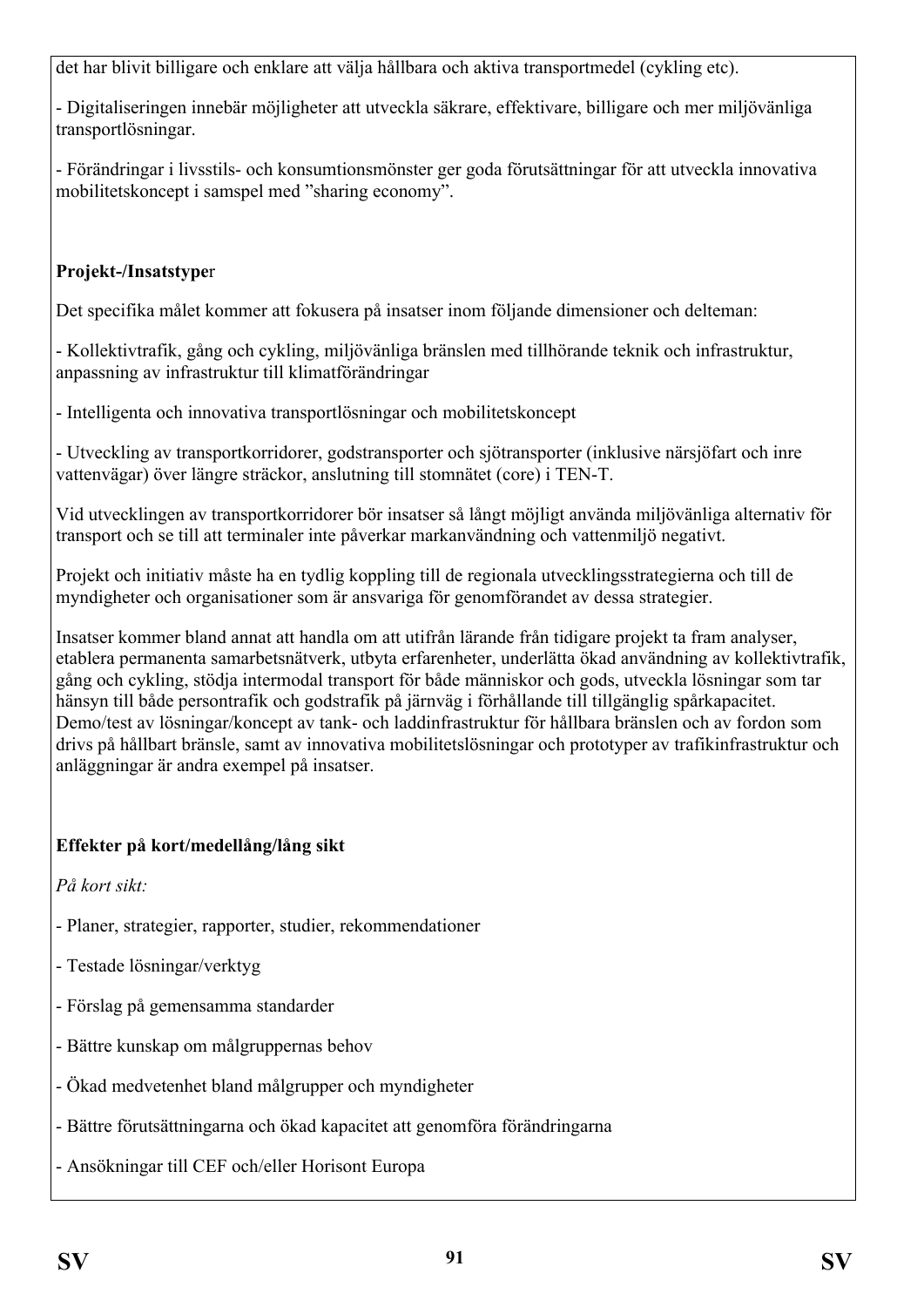det har blivit billigare och enklare att välja hållbara och aktiva transportmedel (cykling etc).

- Digitaliseringen innebär möjligheter att utveckla säkrare, effektivare, billigare och mer miljövänliga transportlösningar.

- Förändringar i livsstils- och konsumtionsmönster ger goda förutsättningar för att utveckla innovativa mobilitetskoncept i samspel med "sharing economy".

## **Projekt-/Insatstype**r

Det specifika målet kommer att fokusera på insatser inom följande dimensioner och delteman:

- Kollektivtrafik, gång och cykling, miljövänliga bränslen med tillhörande teknik och infrastruktur, anpassning av infrastruktur till klimatförändringar

- Intelligenta och innovativa transportlösningar och mobilitetskoncept

- Utveckling av transportkorridorer, godstransporter och sjötransporter (inklusive närsjöfart och inre vattenvägar) över längre sträckor, anslutning till stomnätet (core) i TEN-T.

Vid utvecklingen av transportkorridorer bör insatser så långt möjligt använda miljövänliga alternativ för transport och se till att terminaler inte påverkar markanvändning och vattenmiljö negativt.

Projekt och initiativ måste ha en tydlig koppling till de regionala utvecklingsstrategierna och till de myndigheter och organisationer som är ansvariga för genomförandet av dessa strategier.

Insatser kommer bland annat att handla om att utifrån lärande från tidigare projekt ta fram analyser, etablera permanenta samarbetsnätverk, utbyta erfarenheter, underlätta ökad användning av kollektivtrafik, gång och cykling, stödja intermodal transport för både människor och gods, utveckla lösningar som tar hänsyn till både persontrafik och godstrafik på järnväg i förhållande till tillgänglig spårkapacitet. Demo/test av lösningar/koncept av tank- och laddinfrastruktur för hållbara bränslen och av fordon som drivs på hållbart bränsle, samt av innovativa mobilitetslösningar och prototyper av trafikinfrastruktur och anläggningar är andra exempel på insatser.

## **Effekter på kort/medellång/lång sikt**

*På kort sikt:*

- Planer, strategier, rapporter, studier, rekommendationer
- Testade lösningar/verktyg
- Förslag på gemensamma standarder
- Bättre kunskap om målgruppernas behov
- Ökad medvetenhet bland målgrupper och myndigheter
- Bättre förutsättningarna och ökad kapacitet att genomföra förändringarna
- Ansökningar till CEF och/eller Horisont Europa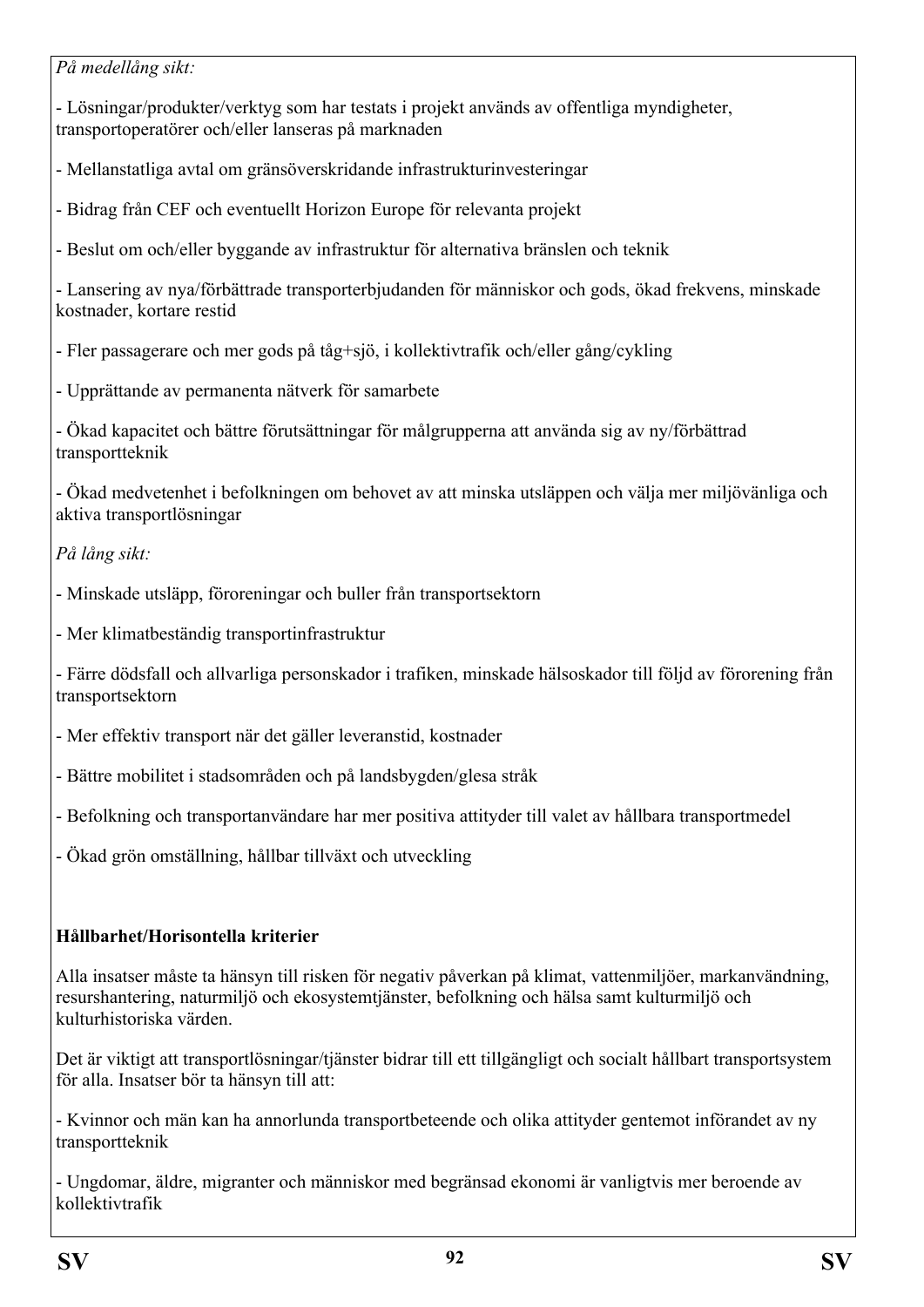*På medellång sikt:*

- Lösningar/produkter/verktyg som har testats i projekt används av offentliga myndigheter, transportoperatörer och/eller lanseras på marknaden

- Mellanstatliga avtal om gränsöverskridande infrastrukturinvesteringar

- Bidrag från CEF och eventuellt Horizon Europe för relevanta projekt

- Beslut om och/eller byggande av infrastruktur för alternativa bränslen och teknik

- Lansering av nya/förbättrade transporterbjudanden för människor och gods, ökad frekvens, minskade kostnader, kortare restid

- Fler passagerare och mer gods på tåg+sjö, i kollektivtrafik och/eller gång/cykling

- Upprättande av permanenta nätverk för samarbete

- Ökad kapacitet och bättre förutsättningar för målgrupperna att använda sig av ny/förbättrad transportteknik

- Ökad medvetenhet i befolkningen om behovet av att minska utsläppen och välja mer miljövänliga och aktiva transportlösningar

*På lång sikt:*

- Minskade utsläpp, föroreningar och buller från transportsektorn

- Mer klimatbeständig transportinfrastruktur

- Färre dödsfall och allvarliga personskador i trafiken, minskade hälsoskador till följd av förorening från transportsektorn

- Mer effektiv transport när det gäller leveranstid, kostnader
- Bättre mobilitet i stadsområden och på landsbygden/glesa stråk
- Befolkning och transportanvändare har mer positiva attityder till valet av hållbara transportmedel

- Ökad grön omställning, hållbar tillväxt och utveckling

## **Hållbarhet/Horisontella kriterier**

Alla insatser måste ta hänsyn till risken för negativ påverkan på klimat, vattenmiljöer, markanvändning, resurshantering, naturmiljö och ekosystemtjänster, befolkning och hälsa samt kulturmiljö och kulturhistoriska värden.

Det är viktigt att transportlösningar/tjänster bidrar till ett tillgängligt och socialt hållbart transportsystem för alla. Insatser bör ta hänsyn till att:

- Kvinnor och män kan ha annorlunda transportbeteende och olika attityder gentemot införandet av ny transportteknik

- Ungdomar, äldre, migranter och människor med begränsad ekonomi är vanligtvis mer beroende av kollektivtrafik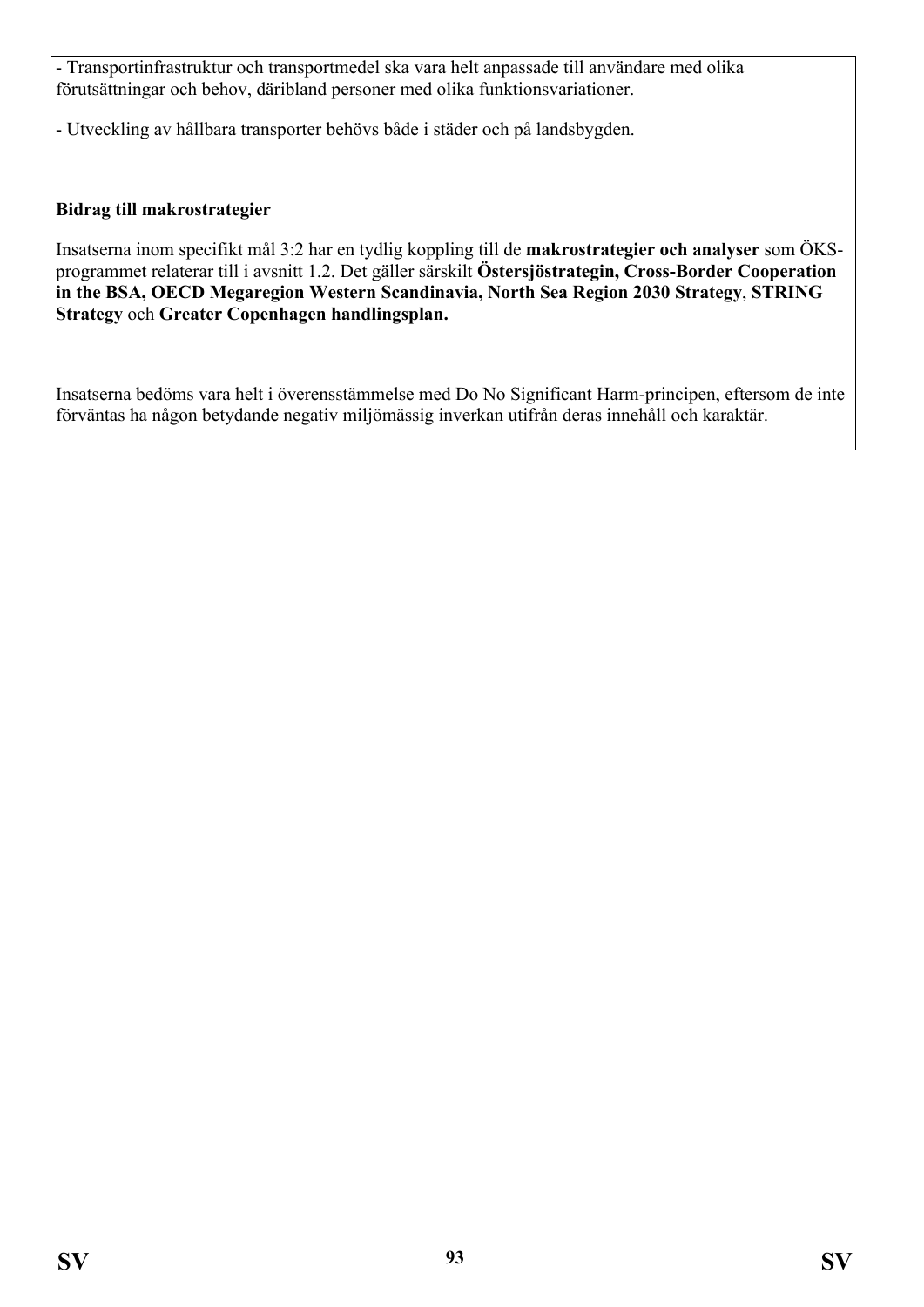- Transportinfrastruktur och transportmedel ska vara helt anpassade till användare med olika förutsättningar och behov, däribland personer med olika funktionsvariationer.

- Utveckling av hållbara transporter behövs både i städer och på landsbygden.

#### **Bidrag till makrostrategier**

Insatserna inom specifikt mål 3:2 har en tydlig koppling till de **makrostrategier och analyser** som ÖKSprogrammet relaterar till i avsnitt 1.2. Det gäller särskilt **Östersjöstrategin, Cross-Border Cooperation in the BSA, OECD Megaregion Western Scandinavia, North Sea Region 2030 Strategy**, **STRING Strategy** och **Greater Copenhagen handlingsplan.**

Insatserna bedöms vara helt i överensstämmelse med Do No Significant Harm-principen, eftersom de inte förväntas ha någon betydande negativ miljömässig inverkan utifrån deras innehåll och karaktär.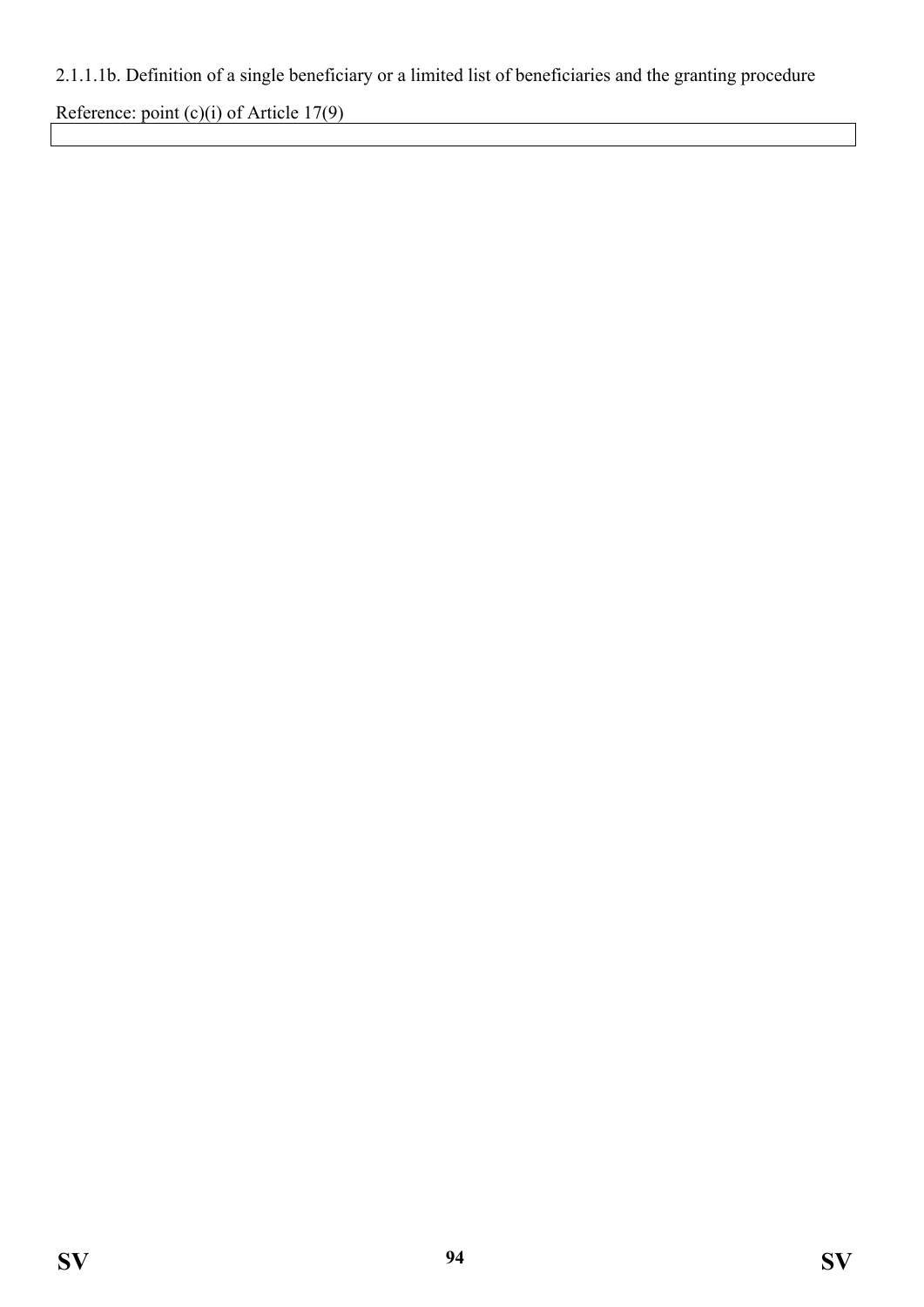# 2.1.1.1b. Definition of a single beneficiary or a limited list of beneficiaries and the granting procedure

Reference: point (c)(i) of Article 17(9)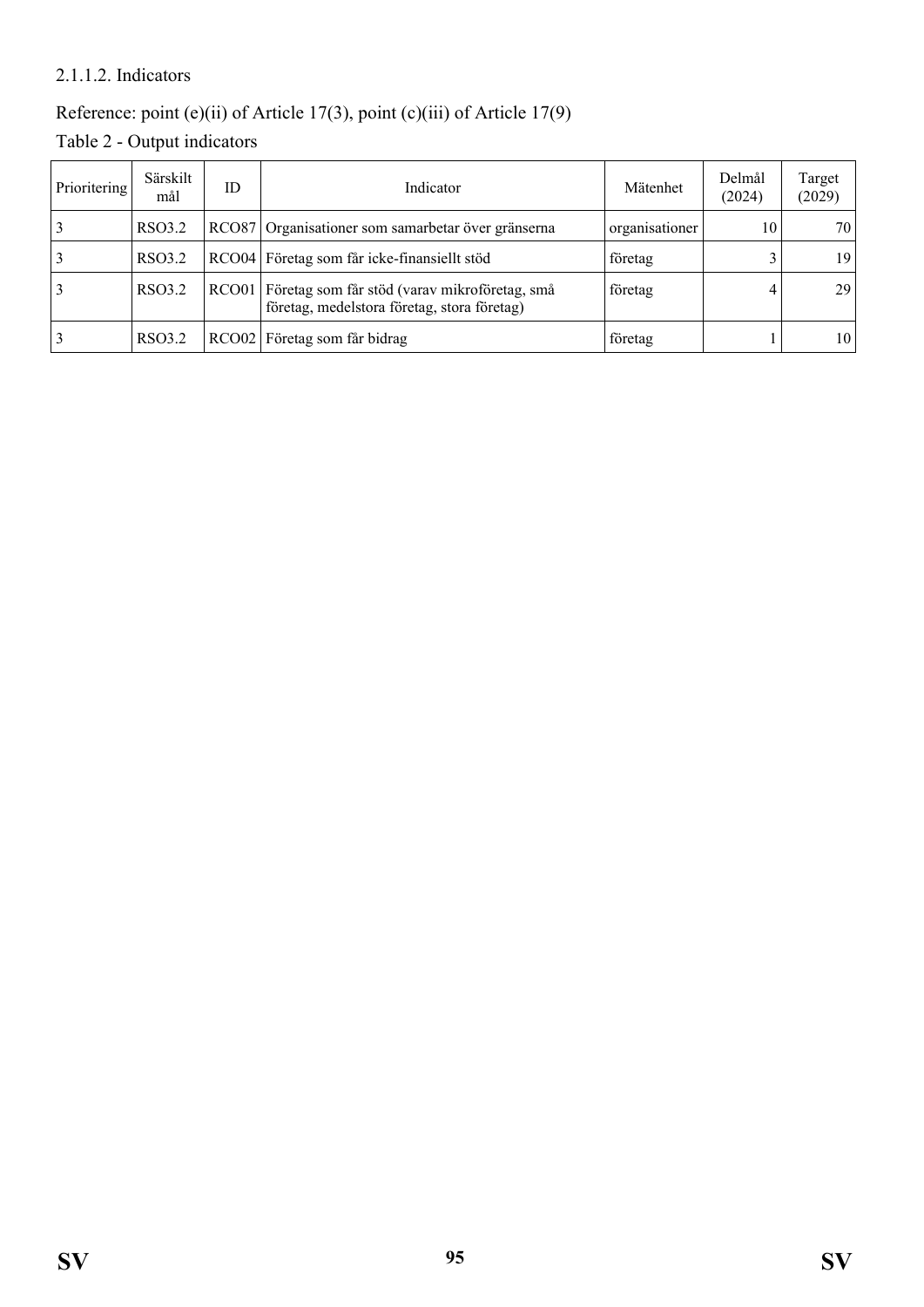#### 2.1.1.2. Indicators

# Reference: point (e)(ii) of Article 17(3), point (c)(iii) of Article 17(9)

Table 2 - Output indicators

| Prioritering | Särskilt<br>mål | ID | Indicator                                                                                          | Mätenhet       | Delmål<br>(2024) | Target<br>(2029) |
|--------------|-----------------|----|----------------------------------------------------------------------------------------------------|----------------|------------------|------------------|
|              | RSO3.2          |    | RCO87 Organisationer som samarbetar över gränserna                                                 | organisationer | 10               | 70 <sub>1</sub>  |
|              | RSO3.2          |    | RCO04 Företag som får icke-finansiellt stöd                                                        | företag        |                  | 19 <sub>1</sub>  |
| 3            | RSO3.2          |    | RCO01 Företag som får stöd (varav mikroföretag, små<br>företag, medelstora företag, stora företag) | företag        |                  | 29 <sub>1</sub>  |
|              | RSO3.2          |    | RCO02 Företag som får bidrag                                                                       | företag        |                  | 10 <sup>1</sup>  |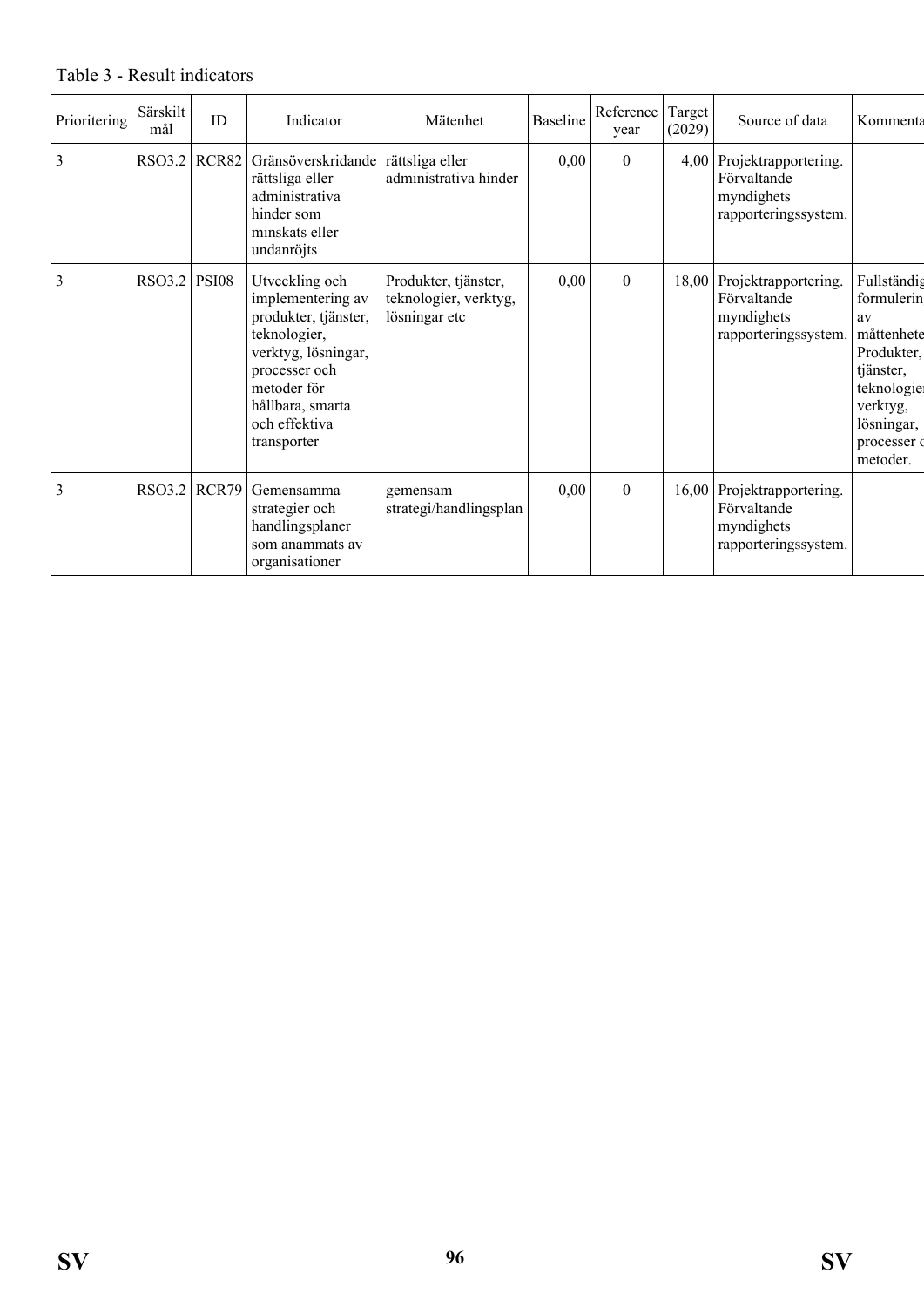#### Prioritering Särskilt irskilt ID Indicator Mätenhet Baseline Reference<br>mål ID Indicator Mätenhet Baseline Reference year Reference Target<br>year  $(2029)$ Source of data | Kommenta 3 RSO3.2 RCR82 Gränsöverskridande rättsliga eller rättsliga eller administrativa hinder som minskats eller undanröjts administrativa hinder  $0,00$  0 4,00 Projektrapportering. Förvaltande myndighets rapporteringssystem. 3 RSO3.2 PSI08 Utveckling och implementering av produkter, tjänster, teknologier, verktyg, lösningar, processer och metoder för hållbara, smarta och effektiva transporter Produkter, tjänster, teknologier, verktyg, lösningar etc  $0,00$  0 18,00 Projektrapportering. Förvaltande myndighets rapporteringssystem. Fullständig formulerin av måttenhete Produkter, tiänster. teknologie verktyg, lösningar, processer of metoder. 3 RSO3.2 RCR79 Gemensamma strategier och handlingsplaner som anammats av organisationer gemensam strategi/handlingsplan  $0,00$  0 16,00 Projektrapportering. Förvaltande myndighets rapporteringssystem.

#### Table 3 - Result indicators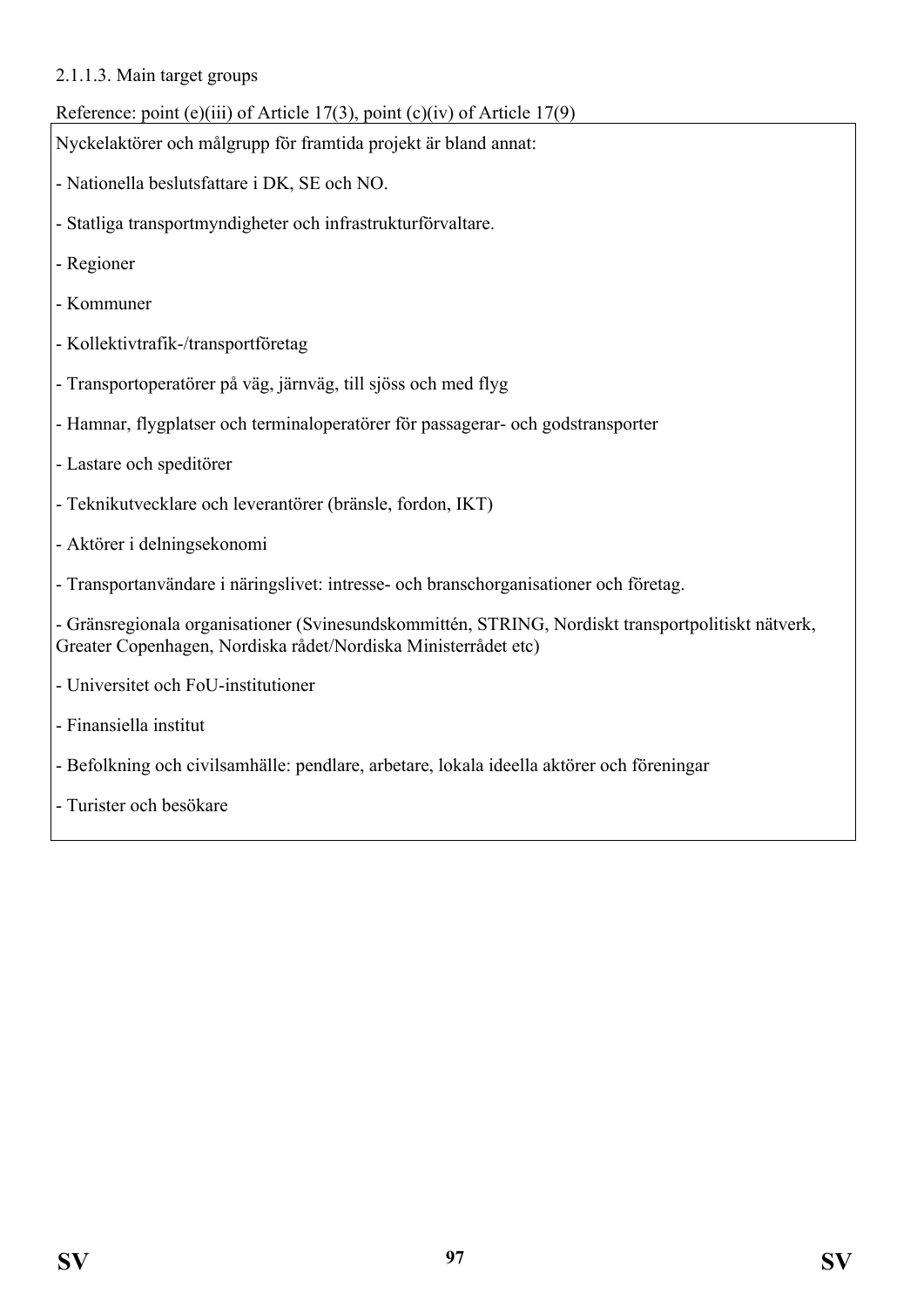#### 2.1.1.3. Main target groups

## Reference: point (e)(iii) of Article 17(3), point (c)(iv) of Article 17(9)

Nyckelaktörer och målgrupp för framtida projekt är bland annat:

- Nationella beslutsfattare i DK, SE och NO.
- Statliga transportmyndigheter och infrastrukturförvaltare.
- Regioner
- Kommuner
- Kollektivtrafik-/transportföretag
- Transportoperatörer på väg, järnväg, till sjöss och med flyg
- Hamnar, flygplatser och terminaloperatörer för passagerar- och godstransporter
- Lastare och speditörer
- Teknikutvecklare och leverantörer (bränsle, fordon, IKT)
- Aktörer i delningsekonomi
- Transportanvändare i näringslivet: intresse- och branschorganisationer och företag.

- Gränsregionala organisationer (Svinesundskommittén, STRING, Nordiskt transportpolitiskt nätverk, Greater Copenhagen, Nordiska rådet/Nordiska Ministerrådet etc)

- Universitet och FoU-institutioner
- Finansiella institut
- Befolkning och civilsamhälle: pendlare, arbetare, lokala ideella aktörer och föreningar
- Turister och besökare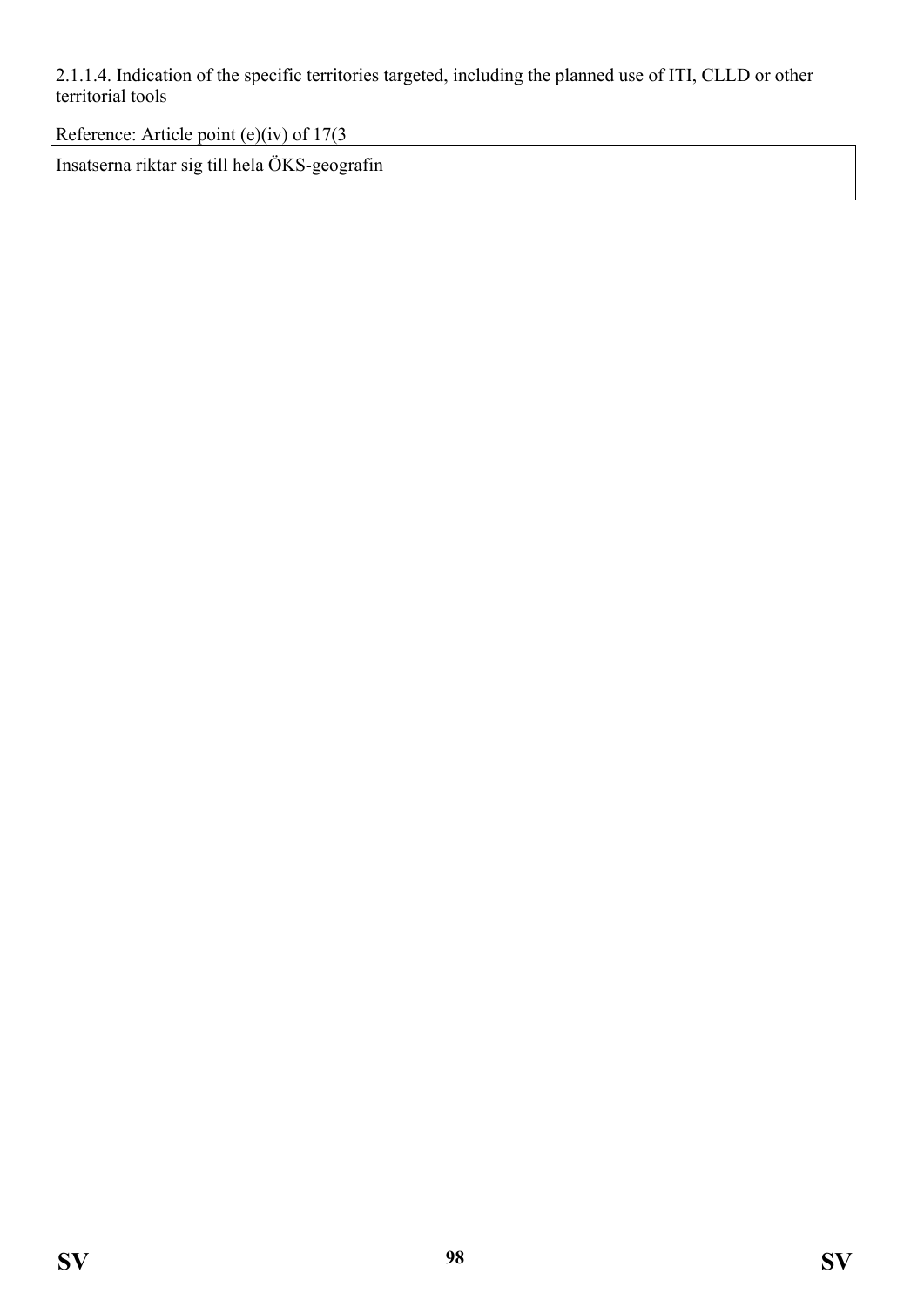2.1.1.4. Indication of the specific territories targeted, including the planned use of ITI, CLLD or other territorial tools

Reference: Article point (e)(iv) of 17(3

Insatserna riktar sig till hela ÖKS-geografin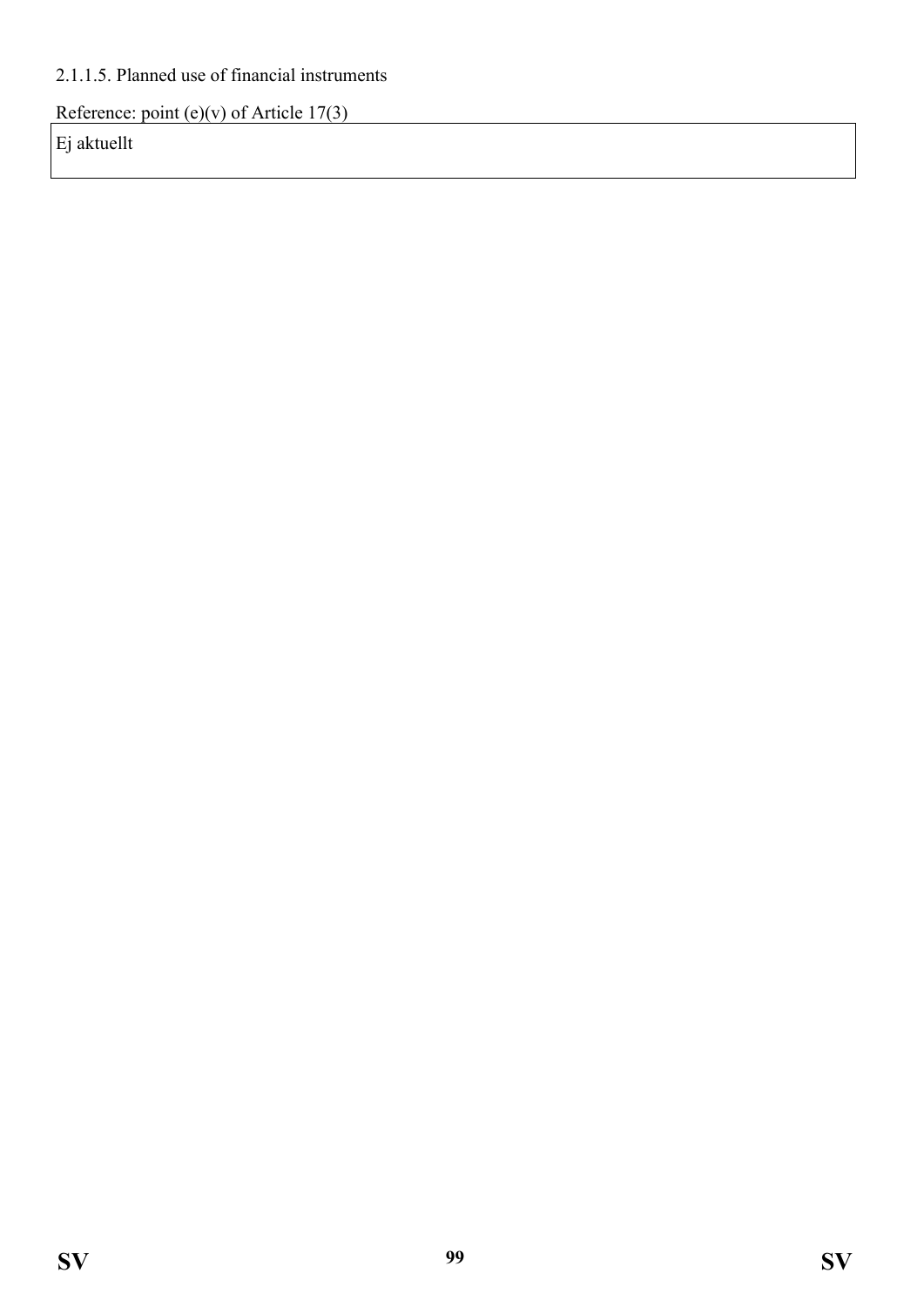## 2.1.1.5. Planned use of financial instruments

Reference: point (e)(v) of Article  $17(3)$ 

Ej aktuellt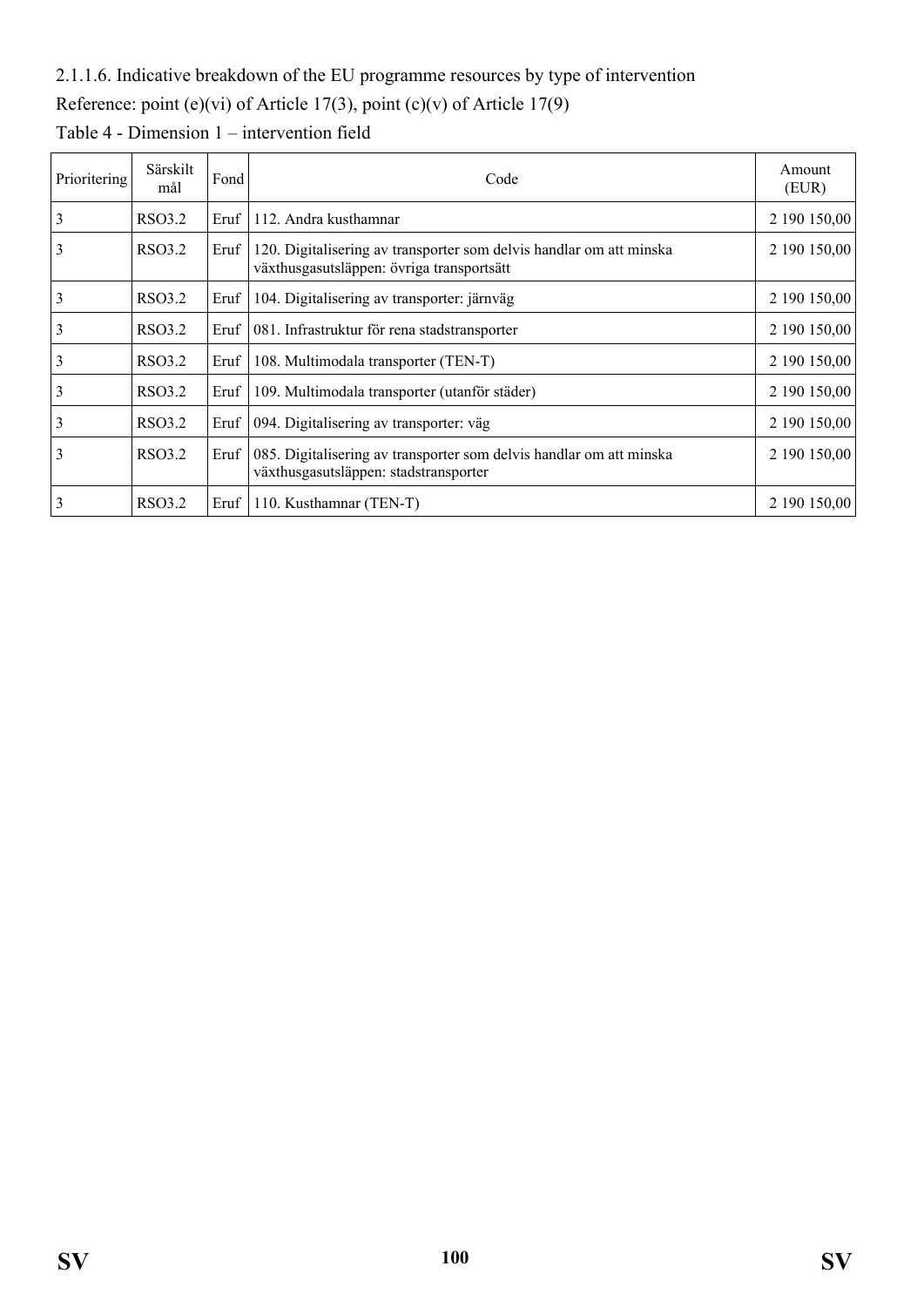## 2.1.1.6. Indicative breakdown of the EU programme resources by type of intervention

# Reference: point (e)(vi) of Article 17(3), point (c)(v) of Article 17(9)

| Prioritering | Särskilt<br>mål | Fond | Code                                                                                                             | Amount<br>(EUR) |
|--------------|-----------------|------|------------------------------------------------------------------------------------------------------------------|-----------------|
| 3            | RSO3.2          | Eruf | 112. Andra kusthamnar                                                                                            | 2 190 150,00    |
| 3            | <b>RSO3.2</b>   | Eruf | 120. Digitalisering av transporter som delvis handlar om att minska<br>växthusgasutsläppen: övriga transportsätt | 2 190 150,00    |
| 3            | RSO3.2          | Eruf | 104. Digitalisering av transporter: järnväg                                                                      | 2 190 150,00    |
| 3            | <b>RSO3.2</b>   | Eruf | 081. Infrastruktur för rena stadstransporter                                                                     | 2 190 150,00    |
|              | RSO3.2          | Eruf | 108. Multimodala transporter (TEN-T)                                                                             | 2 190 150,00    |
| 3            | <b>RSO3.2</b>   | Eruf | 109. Multimodala transporter (utanför städer)                                                                    | 2 190 150,00    |
| 3            | RSO3.2          | Eruf | 094. Digitalisering av transporter: väg                                                                          | 2 190 150,00    |
| 3            | <b>RSO3.2</b>   | Eruf | 085. Digitalisering av transporter som delvis handlar om att minska<br>växthusgasutsläppen: stadstransporter     | 2 190 150,00    |
| 3            | RSO3.2          | Eruf | 110. Kusthamnar (TEN-T)                                                                                          | 2 190 150,00    |

Table 4 - Dimension 1 – intervention field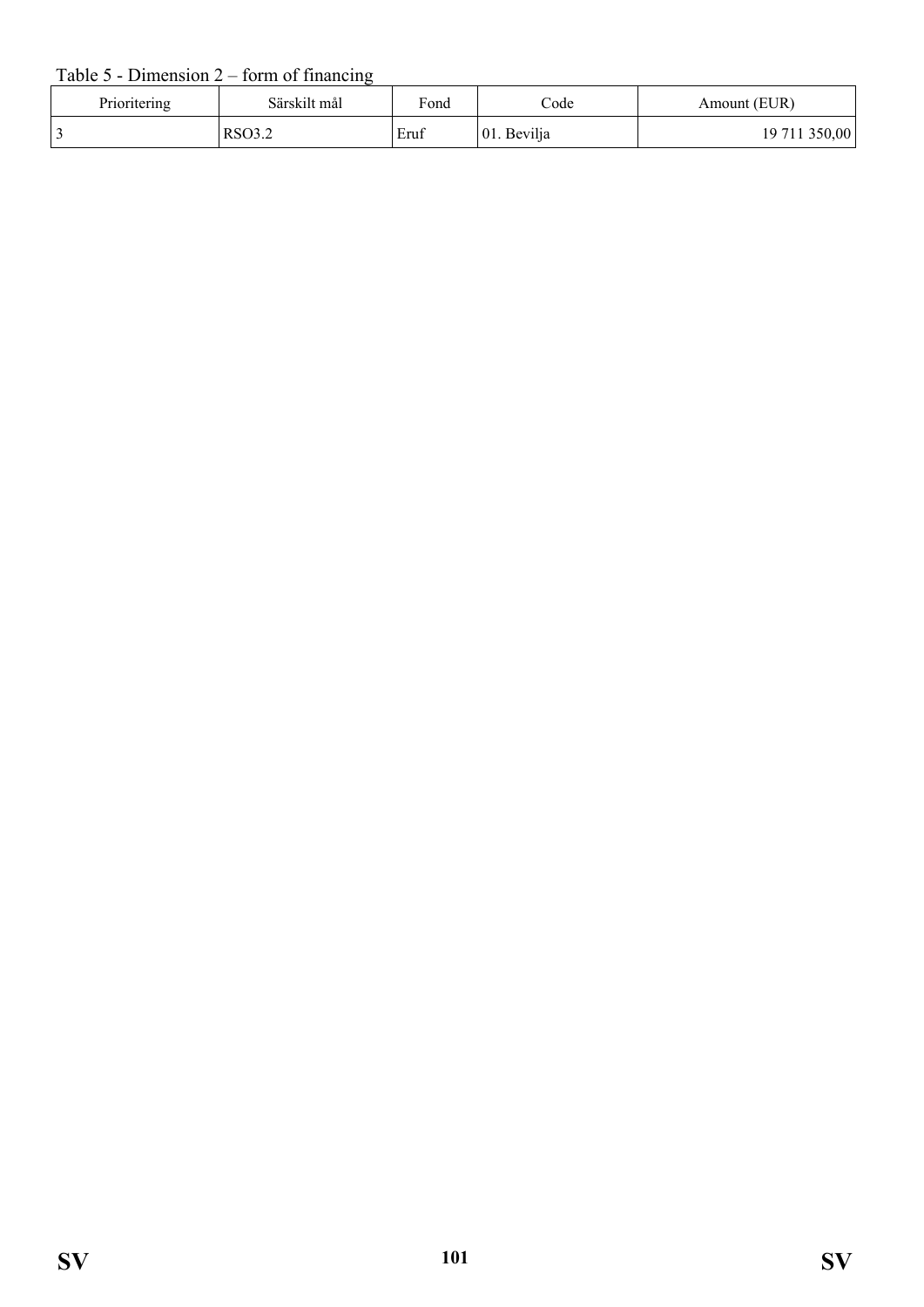#### Table  $5$  - Dimension  $2$  – form of financing

| Prioritering | Särskilt mål | Fond | $\mathrm{Code}$ | Amount (EUR)  |
|--------------|--------------|------|-----------------|---------------|
|              | RSO3.2       | Eruf | 01. Bevilja     | 19 711 350,00 |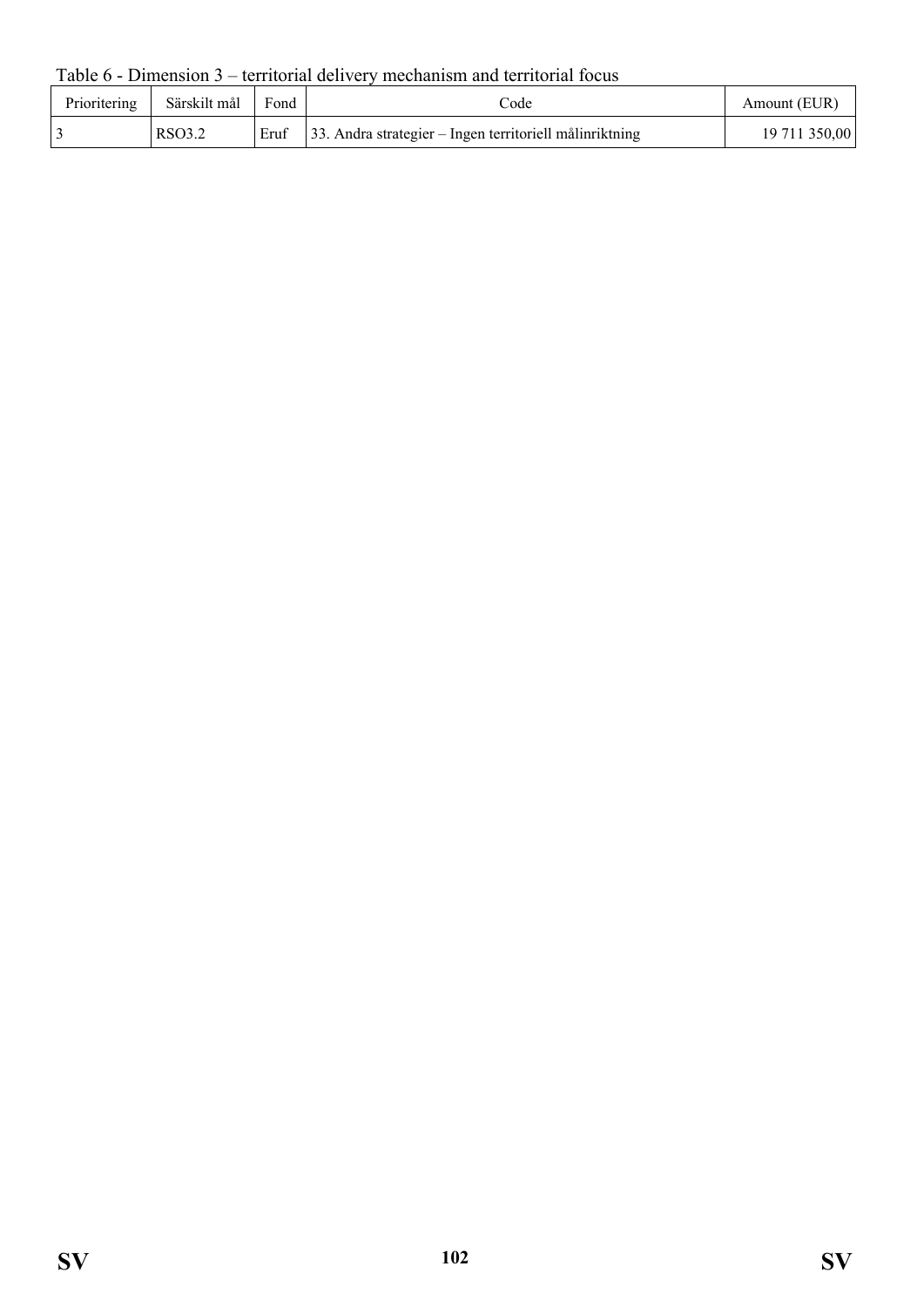Table 6 - Dimension 3 – territorial delivery mechanism and territorial focus

| Prioritering | Särskilt mål | Fond | code                                                           | Amount (EUR)  |
|--------------|--------------|------|----------------------------------------------------------------|---------------|
|              | RSO3.2       |      | Eruf   33. Andra strategier – Ingen territoriell målinriktning | 19 711 350,00 |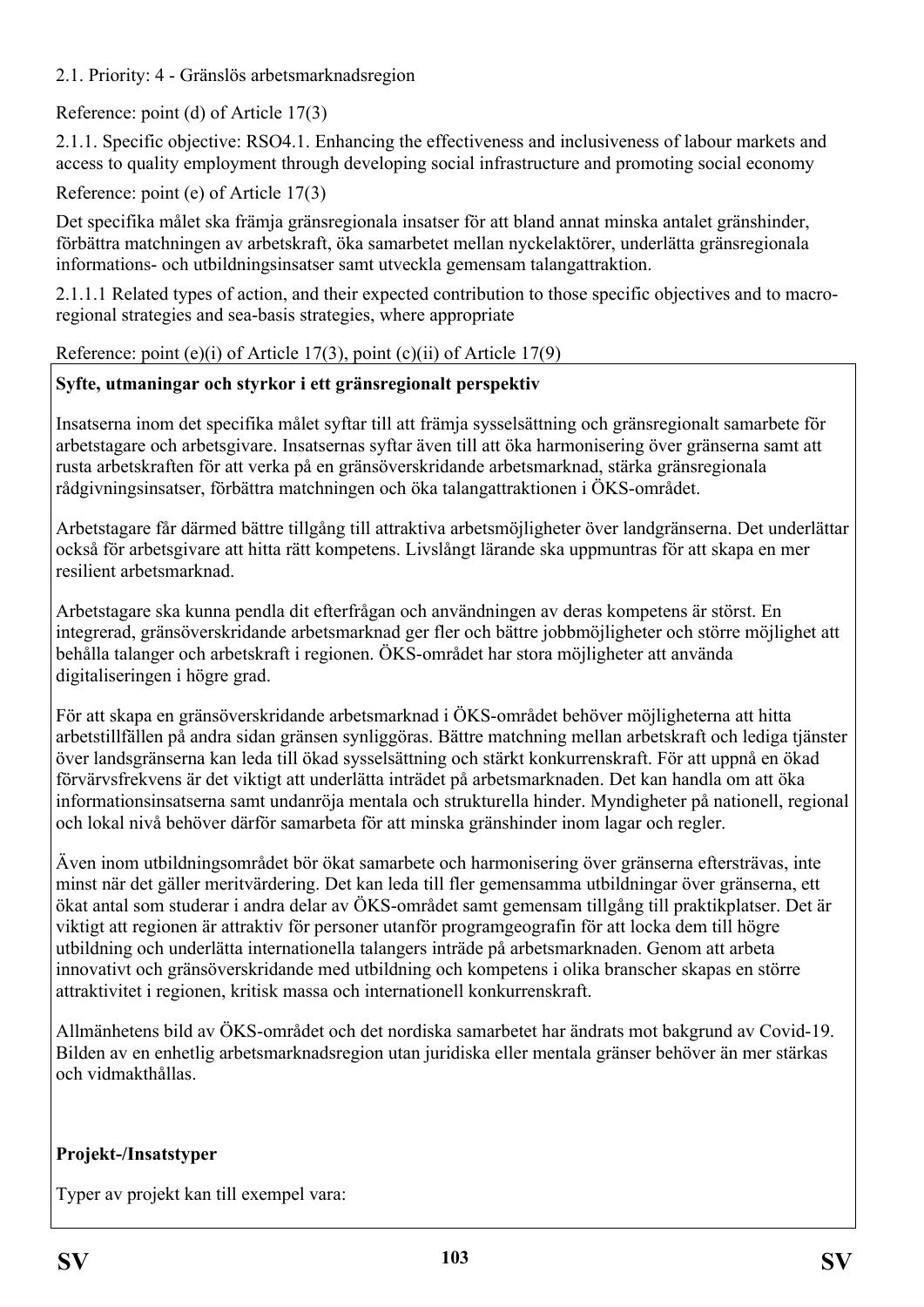2.1. Priority: 4 - Gränslös arbetsmarknadsregion

## Reference: point (d) of Article 17(3)

2.1.1. Specific objective: RSO4.1. Enhancing the effectiveness and inclusiveness of labour markets and access to quality employment through developing social infrastructure and promoting social economy

## Reference: point (e) of Article 17(3)

Det specifika målet ska främja gränsregionala insatser för att bland annat minska antalet gränshinder, förbättra matchningen av arbetskraft, öka samarbetet mellan nyckelaktörer, underlätta gränsregionala informations- och utbildningsinsatser samt utveckla gemensam talangattraktion.

2.1.1.1 Related types of action, and their expected contribution to those specific objectives and to macroregional strategies and sea-basis strategies, where appropriate

#### Reference: point (e)(i) of Article 17(3), point (c)(ii) of Article 17(9)

## **Syfte, utmaningar och styrkor i ett gränsregionalt perspektiv**

Insatserna inom det specifika målet syftar till att främja sysselsättning och gränsregionalt samarbete för arbetstagare och arbetsgivare. Insatsernas syftar även till att öka harmonisering över gränserna samt att rusta arbetskraften för att verka på en gränsöverskridande arbetsmarknad, stärka gränsregionala rådgivningsinsatser, förbättra matchningen och öka talangattraktionen i ÖKS-området.

Arbetstagare får därmed bättre tillgång till attraktiva arbetsmöjligheter över landgränserna. Det underlättar också för arbetsgivare att hitta rätt kompetens. Livslångt lärande ska uppmuntras för att skapa en mer resilient arbetsmarknad.

Arbetstagare ska kunna pendla dit efterfrågan och användningen av deras kompetens är störst. En integrerad, gränsöverskridande arbetsmarknad ger fler och bättre jobbmöjligheter och större möjlighet att behålla talanger och arbetskraft i regionen. ÖKS-området har stora möjligheter att använda digitaliseringen i högre grad.

För att skapa en gränsöverskridande arbetsmarknad i ÖKS-området behöver möjligheterna att hitta arbetstillfällen på andra sidan gränsen synliggöras. Bättre matchning mellan arbetskraft och lediga tjänster över landsgränserna kan leda till ökad sysselsättning och stärkt konkurrenskraft. För att uppnå en ökad förvärvsfrekvens är det viktigt att underlätta inträdet på arbetsmarknaden. Det kan handla om att öka informationsinsatserna samt undanröja mentala och strukturella hinder. Myndigheter på nationell, regional och lokal nivå behöver därför samarbeta för att minska gränshinder inom lagar och regler.

Även inom utbildningsområdet bör ökat samarbete och harmonisering över gränserna eftersträvas, inte minst när det gäller meritvärdering. Det kan leda till fler gemensamma utbildningar över gränserna, ett ökat antal som studerar i andra delar av ÖKS-området samt gemensam tillgång till praktikplatser. Det är viktigt att regionen är attraktiv för personer utanför programgeografin för att locka dem till högre utbildning och underlätta internationella talangers inträde på arbetsmarknaden. Genom att arbeta innovativt och gränsöverskridande med utbildning och kompetens i olika branscher skapas en större attraktivitet i regionen, kritisk massa och internationell konkurrenskraft.

Allmänhetens bild av ÖKS-området och det nordiska samarbetet har ändrats mot bakgrund av Covid-19. Bilden av en enhetlig arbetsmarknadsregion utan juridiska eller mentala gränser behöver än mer stärkas och vidmakthållas.

## **Projekt-/Insatstyper**

Typer av projekt kan till exempel vara: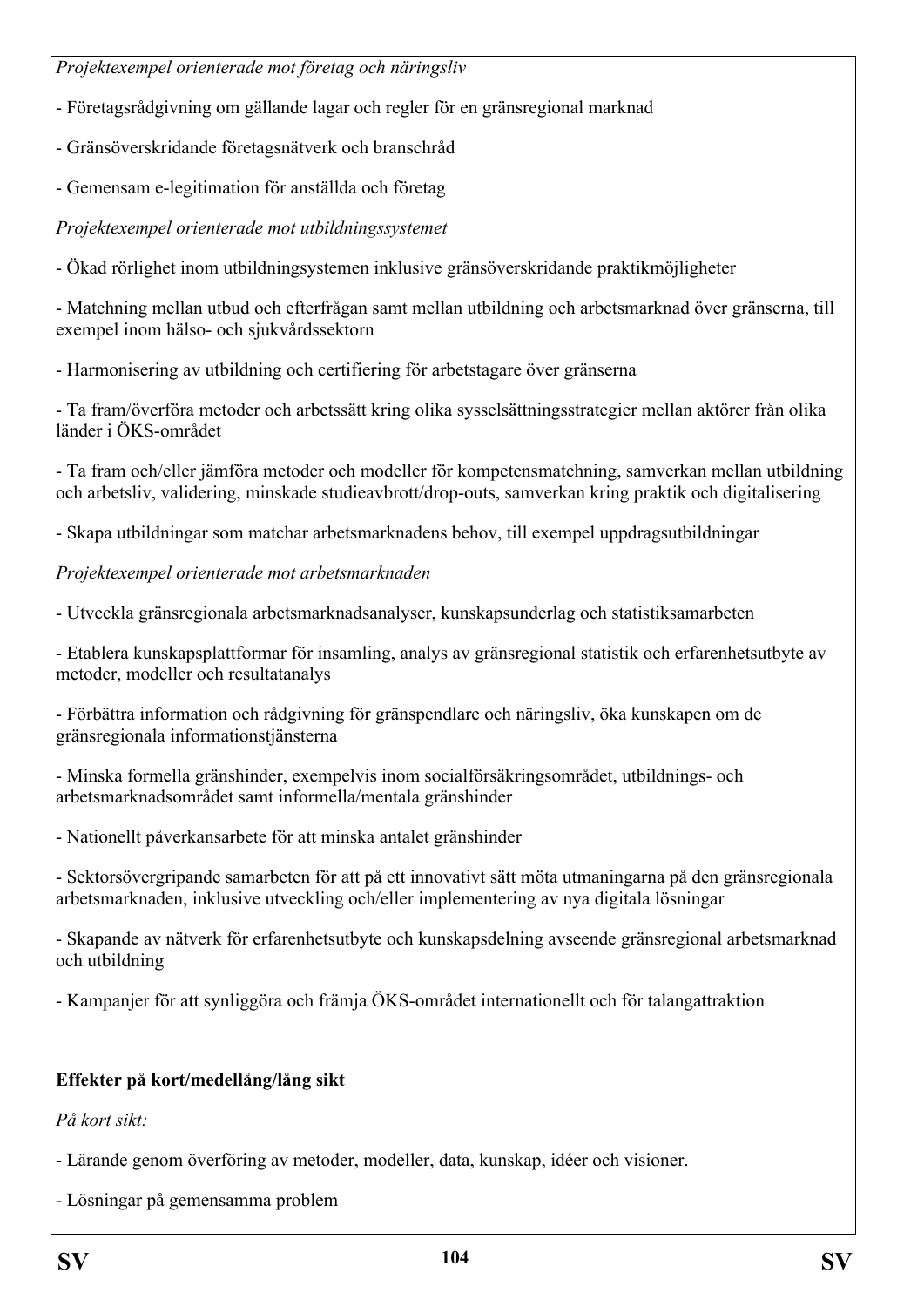*Projektexempel orienterade mot företag och näringsliv*

- Företagsrådgivning om gällande lagar och regler för en gränsregional marknad

- Gränsöverskridande företagsnätverk och branschråd

- Gemensam e-legitimation för anställda och företag

*Projektexempel orienterade mot utbildningssystemet*

- Ökad rörlighet inom utbildningsystemen inklusive gränsöverskridande praktikmöjligheter

- Matchning mellan utbud och efterfrågan samt mellan utbildning och arbetsmarknad över gränserna, till exempel inom hälso- och sjukvårdssektorn

- Harmonisering av utbildning och certifiering för arbetstagare över gränserna

- Ta fram/överföra metoder och arbetssätt kring olika sysselsättningsstrategier mellan aktörer från olika länder i ÖKS-området

- Ta fram och/eller jämföra metoder och modeller för kompetensmatchning, samverkan mellan utbildning och arbetsliv, validering, minskade studieavbrott/drop-outs, samverkan kring praktik och digitalisering

- Skapa utbildningar som matchar arbetsmarknadens behov, till exempel uppdragsutbildningar

*Projektexempel orienterade mot arbetsmarknaden* 

- Utveckla gränsregionala arbetsmarknadsanalyser, kunskapsunderlag och statistiksamarbeten

- Etablera kunskapsplattformar för insamling, analys av gränsregional statistik och erfarenhetsutbyte av metoder, modeller och resultatanalys

- Förbättra information och rådgivning för gränspendlare och näringsliv, öka kunskapen om de gränsregionala informationstjänsterna

- Minska formella gränshinder, exempelvis inom socialförsäkringsområdet, utbildnings- och arbetsmarknadsområdet samt informella/mentala gränshinder

- Nationellt påverkansarbete för att minska antalet gränshinder

- Sektorsövergripande samarbeten för att på ett innovativt sätt möta utmaningarna på den gränsregionala arbetsmarknaden, inklusive utveckling och/eller implementering av nya digitala lösningar

- Skapande av nätverk för erfarenhetsutbyte och kunskapsdelning avseende gränsregional arbetsmarknad och utbildning

- Kampanjer för att synliggöra och främja ÖKS-området internationellt och för talangattraktion

# **Effekter på kort/medellång/lång sikt**

*På kort sikt:*

- Lärande genom överföring av metoder, modeller, data, kunskap, idéer och visioner.

- Lösningar på gemensamma problem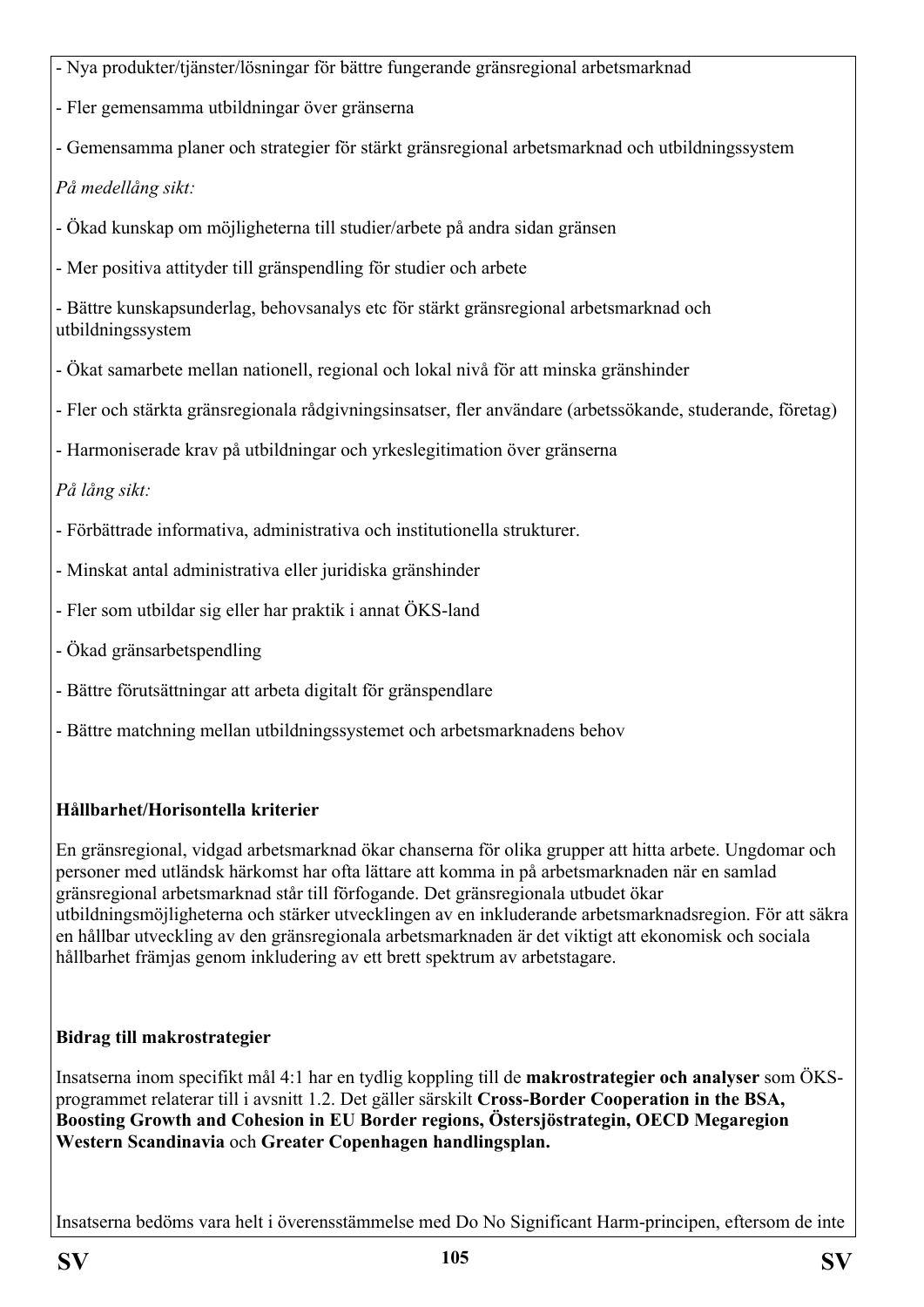- Nya produkter/tjänster/lösningar för bättre fungerande gränsregional arbetsmarknad

- Fler gemensamma utbildningar över gränserna

- Gemensamma planer och strategier för stärkt gränsregional arbetsmarknad och utbildningssystem

*På medellång sikt:*

- Ökad kunskap om möjligheterna till studier/arbete på andra sidan gränsen

- Mer positiva attityder till gränspendling för studier och arbete

- Bättre kunskapsunderlag, behovsanalys etc för stärkt gränsregional arbetsmarknad och utbildningssystem

- Ökat samarbete mellan nationell, regional och lokal nivå för att minska gränshinder
- Fler och stärkta gränsregionala rådgivningsinsatser, fler användare (arbetssökande, studerande, företag)
- Harmoniserade krav på utbildningar och yrkeslegitimation över gränserna

*På lång sikt:*

- Förbättrade informativa, administrativa och institutionella strukturer.
- Minskat antal administrativa eller juridiska gränshinder
- Fler som utbildar sig eller har praktik i annat ÖKS-land
- Ökad gränsarbetspendling
- Bättre förutsättningar att arbeta digitalt för gränspendlare
- Bättre matchning mellan utbildningssystemet och arbetsmarknadens behov

#### **Hållbarhet/Horisontella kriterier**

En gränsregional, vidgad arbetsmarknad ökar chanserna för olika grupper att hitta arbete. Ungdomar och personer med utländsk härkomst har ofta lättare att komma in på arbetsmarknaden när en samlad gränsregional arbetsmarknad står till förfogande. Det gränsregionala utbudet ökar utbildningsmöjligheterna och stärker utvecklingen av en inkluderande arbetsmarknadsregion. För att säkra en hållbar utveckling av den gränsregionala arbetsmarknaden är det viktigt att ekonomisk och sociala hållbarhet främjas genom inkludering av ett brett spektrum av arbetstagare.

## **Bidrag till makrostrategier**

Insatserna inom specifikt mål 4:1 har en tydlig koppling till de **makrostrategier och analyser** som ÖKSprogrammet relaterar till i avsnitt 1.2. Det gäller särskilt **Cross-Border Cooperation in the BSA, Boosting Growth and Cohesion in EU Border regions, Östersjöstrategin, OECD Megaregion Western Scandinavia** och **Greater Copenhagen handlingsplan.**

Insatserna bedöms vara helt i överensstämmelse med Do No Significant Harm-principen, eftersom de inte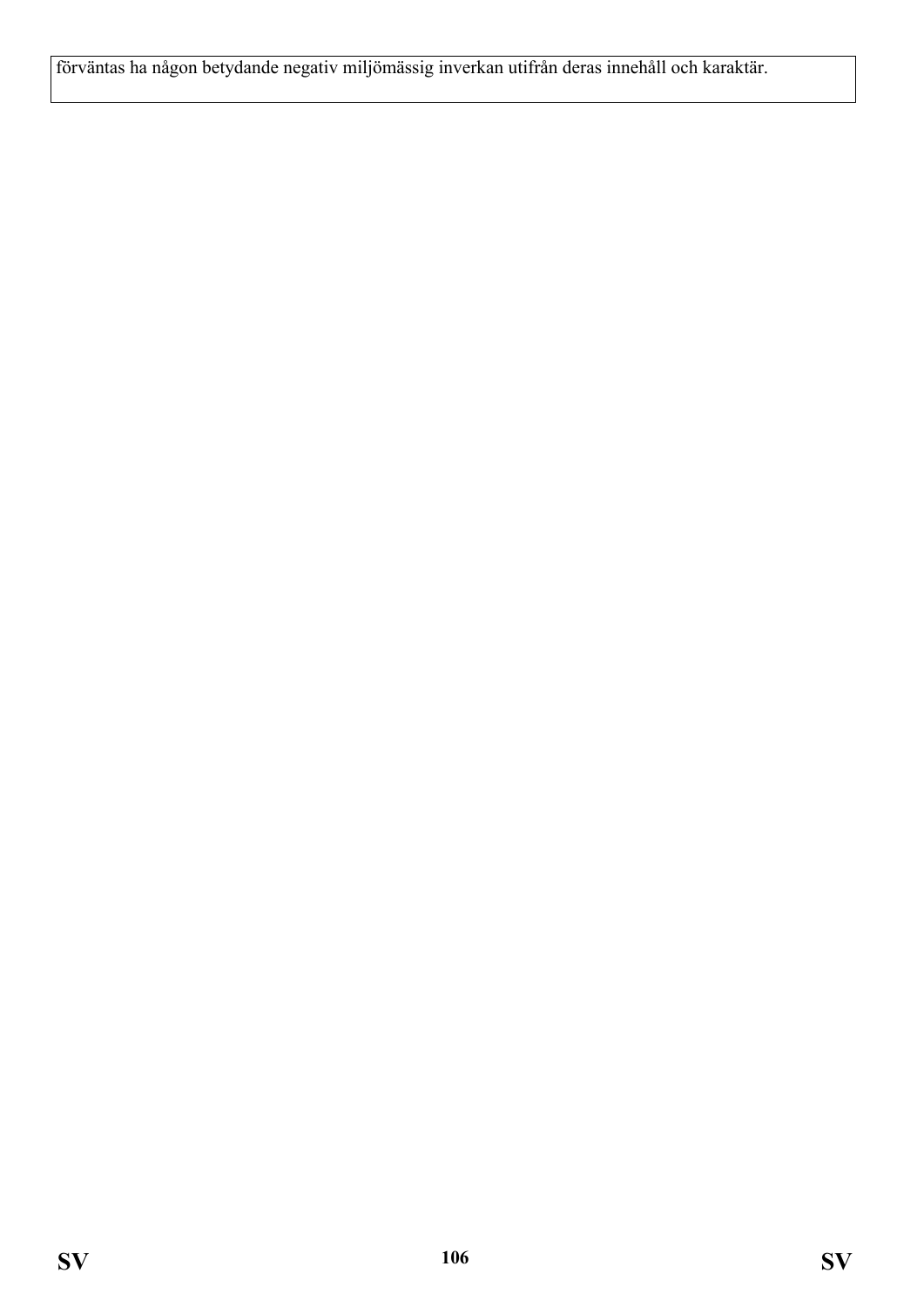förväntas ha någon betydande negativ miljömässig inverkan utifrån deras innehåll och karaktär.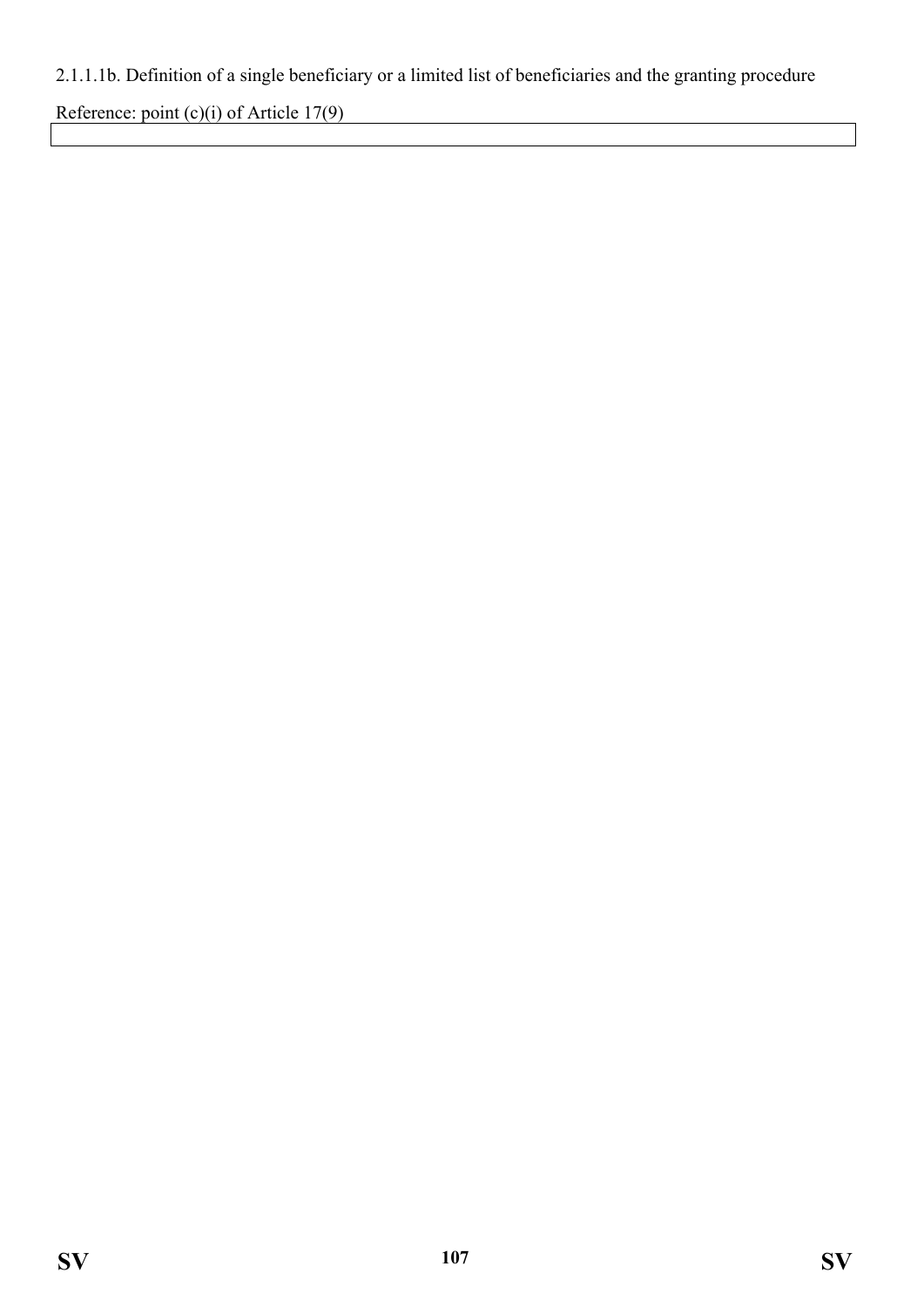# 2.1.1.1b. Definition of a single beneficiary or a limited list of beneficiaries and the granting procedure

Reference: point (c)(i) of Article 17(9)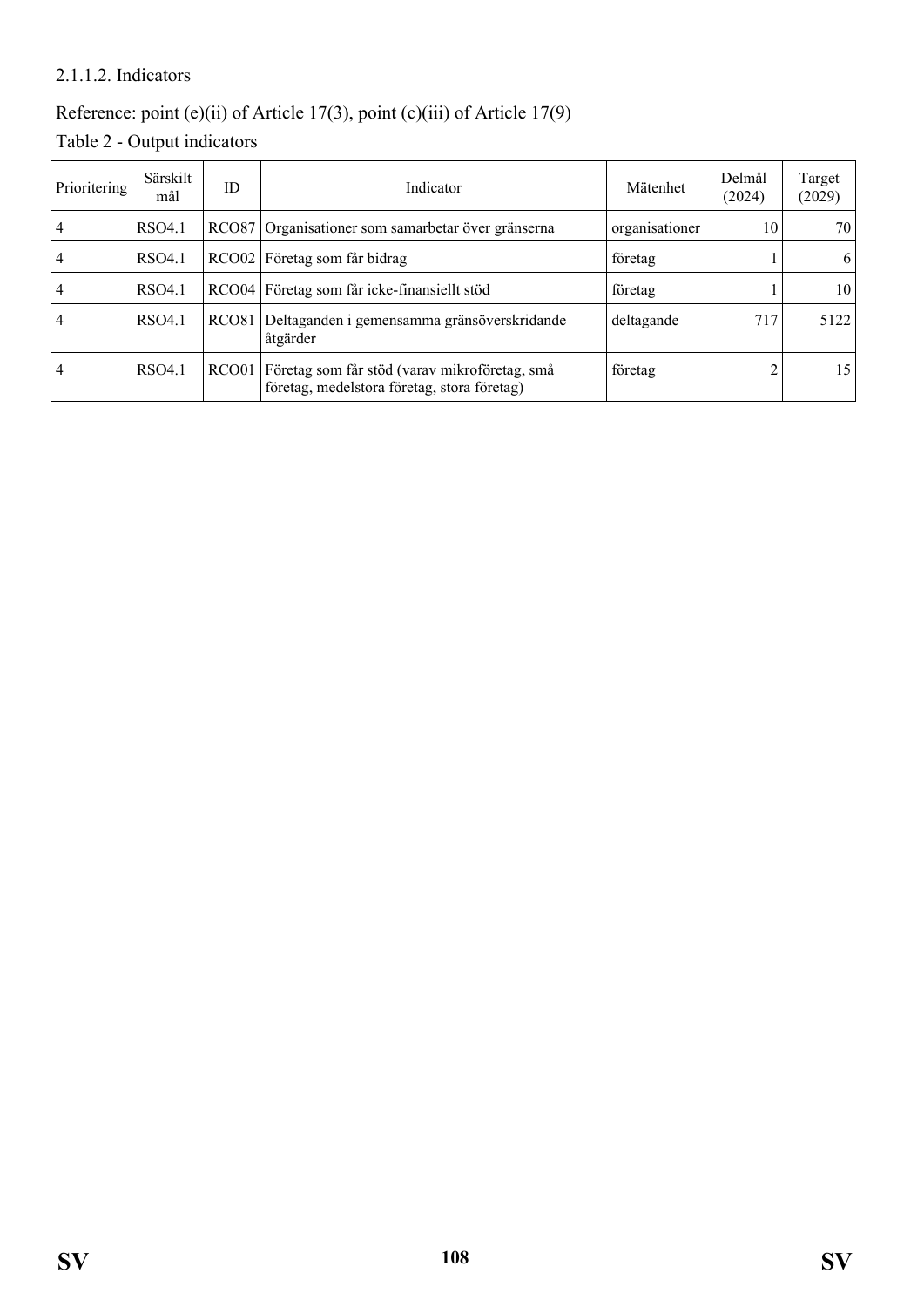#### 2.1.1.2. Indicators

## Reference: point (e)(ii) of Article 17(3), point (c)(iii) of Article 17(9)

Table 2 - Output indicators

| Prioritering   | Särskilt<br>mål | ID                | Indicator                                                                                    | Mätenhet       | Delmål<br>(2024) | Target<br>(2029) |
|----------------|-----------------|-------------------|----------------------------------------------------------------------------------------------|----------------|------------------|------------------|
| 4              | RSO4.1          | <b>RCO87</b>      | Organisationer som samarbetar över gränserna                                                 | organisationer | 10               | 70               |
| 4              | RSO4.1          |                   | RCO02 Företag som får bidrag                                                                 | företag        |                  | <sup>6</sup>     |
| $\frac{4}{4}$  | RSO4.1          |                   | RCO04 Företag som får icke-finansiellt stöd                                                  | företag        |                  | 10 <sup>1</sup>  |
| $\overline{4}$ | RSO4.1          | RCO <sub>81</sub> | Deltaganden i gemensamma gränsöverskridande<br>åtgärder                                      | deltagande     | 717              | 5122             |
| 4              | RSO4.1          | RCO01             | Företag som får stöd (varav mikroföretag, små<br>företag, medelstora företag, stora företag) | företag        |                  | 15 <sup>1</sup>  |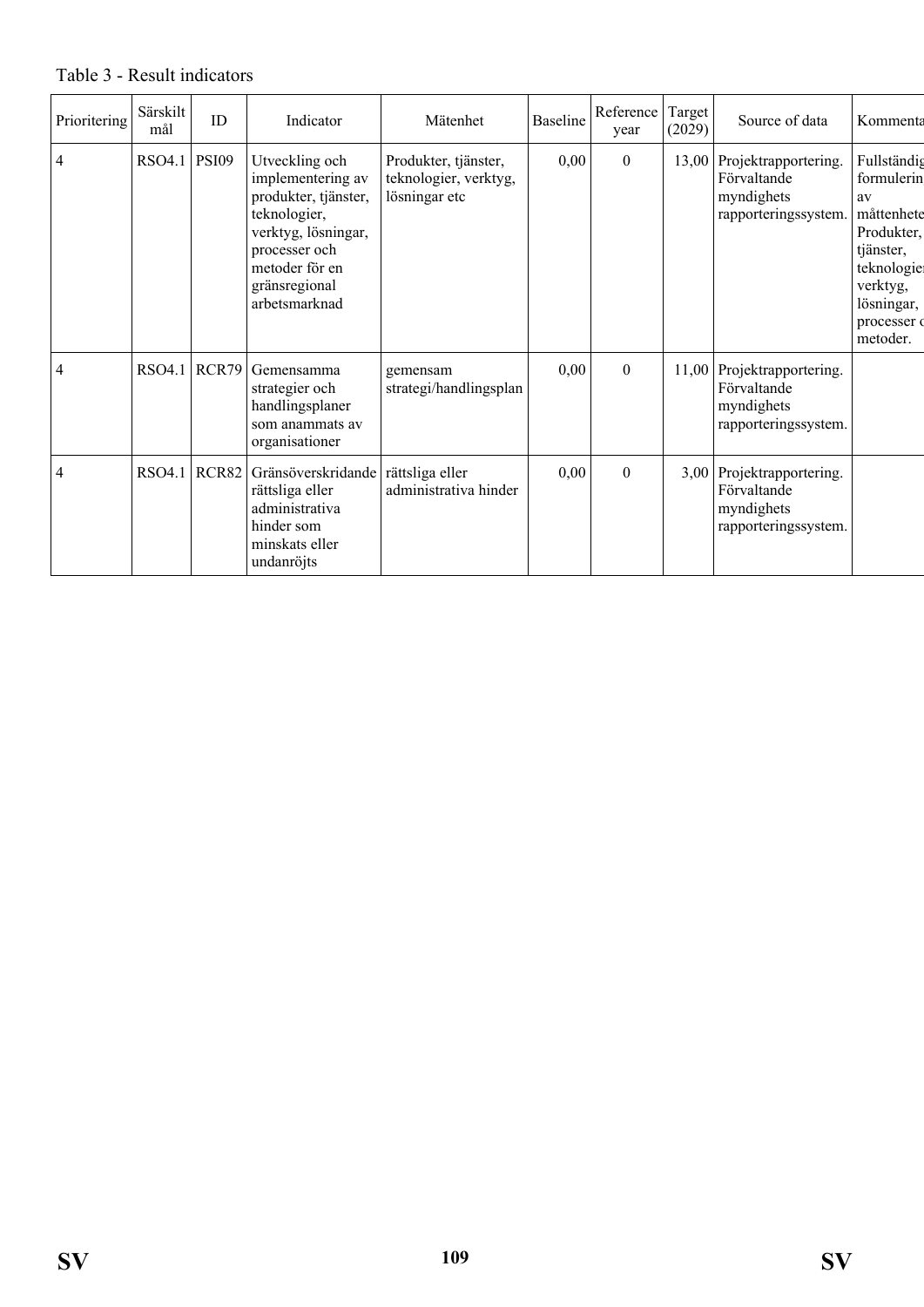#### Prioritering Särskilt irskilt ID Indicator Mätenhet Baseline Reference<br>mål ID Indicator Mätenhet Baseline Reference year Target<br> $(2029)$ Source of data | Kommenta  $\left| \text{RSO4.1} \right|$  PSI09 Utveckling och implementering av produkter, tjänster, teknologier, verktyg, lösningar, processer och metoder för en gränsregional arbetsmarknad Produkter, tjänster, teknologier, verktyg, lösningar etc  $0,00$  0 13,00 Projektrapportering. Förvaltande myndighets rapporteringssystem. Fullständig formulerin av måttenhete Produkter, tjänster, teknologie verktyg, lösningar, processer of metoder. 4 RSO4.1 RCR79 Gemensamma strategier och handlingsplaner som anammats av organisationer gemensam strategi/handlingsplan  $\vert 0,00 \vert$  0 11,00 Projektrapportering. Förvaltande myndighets rapporteringssystem. 4 RSO4.1 RCR82 Gränsöverskridande rättsliga eller administrativa hinder som minskats eller undanröjts rättsliga eller administrativa hinder  $0,00$  0 3,00 Projektrapportering. Förvaltande myndighets rapporteringssystem.

#### Table 3 - Result indicators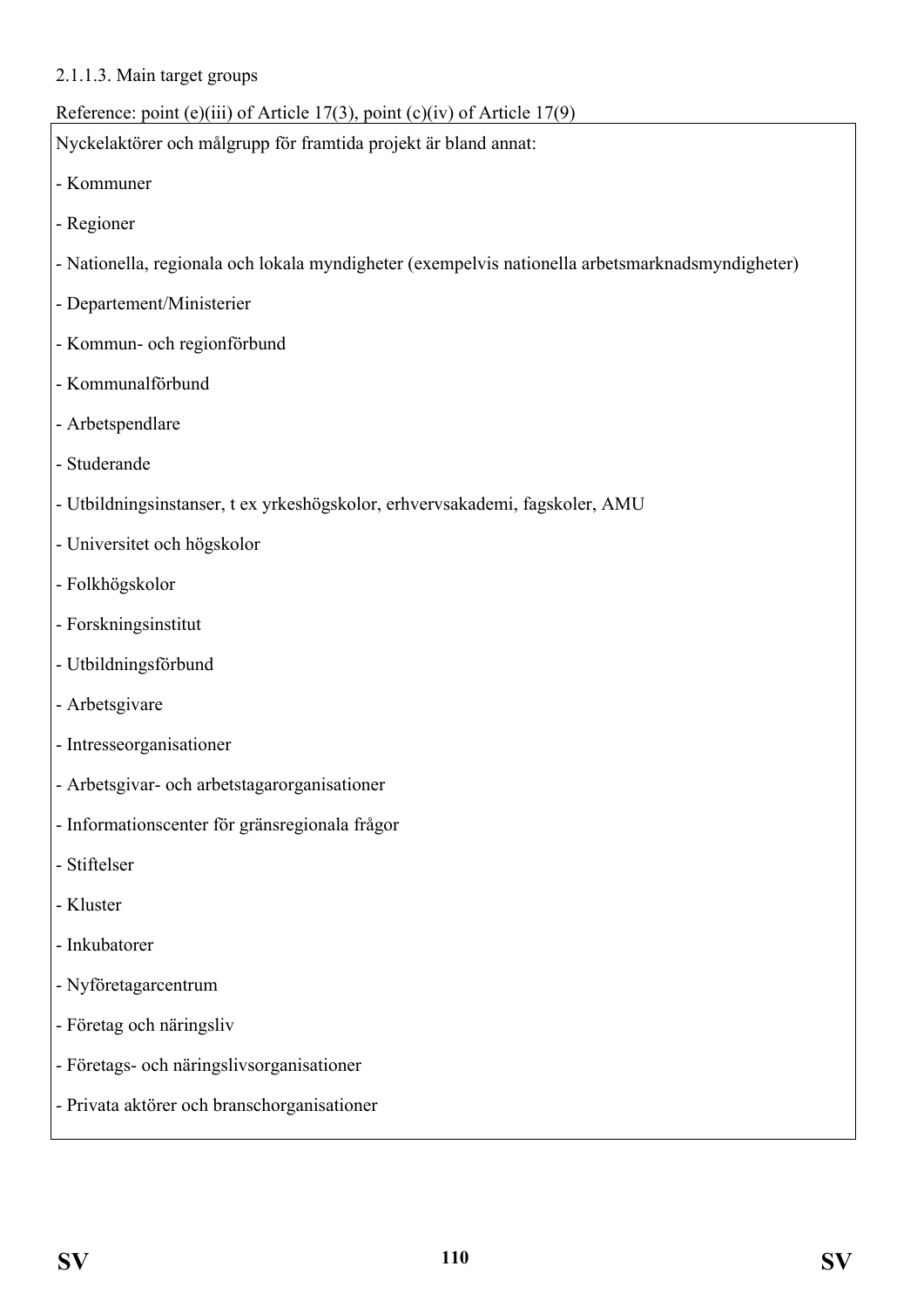#### 2.1.1.3. Main target groups

#### Reference: point (e)(iii) of Article 17(3), point (c)(iv) of Article 17(9)

Nyckelaktörer och målgrupp för framtida projekt är bland annat:

- Kommuner
- Regioner
- Nationella, regionala och lokala myndigheter (exempelvis nationella arbetsmarknadsmyndigheter)
- Departement/Ministerier
- Kommun- och regionförbund
- Kommunalförbund
- Arbetspendlare
- Studerande
- Utbildningsinstanser, t ex yrkeshögskolor, erhvervsakademi, fagskoler, AMU
- Universitet och högskolor
- Folkhögskolor
- Forskningsinstitut
- Utbildningsförbund
- Arbetsgivare
- Intresseorganisationer
- Arbetsgivar- och arbetstagarorganisationer
- Informationscenter för gränsregionala frågor
- Stiftelser
- Kluster
- Inkubatorer
- Nyföretagarcentrum
- Företag och näringsliv
- Företags- och näringslivsorganisationer
- Privata aktörer och branschorganisationer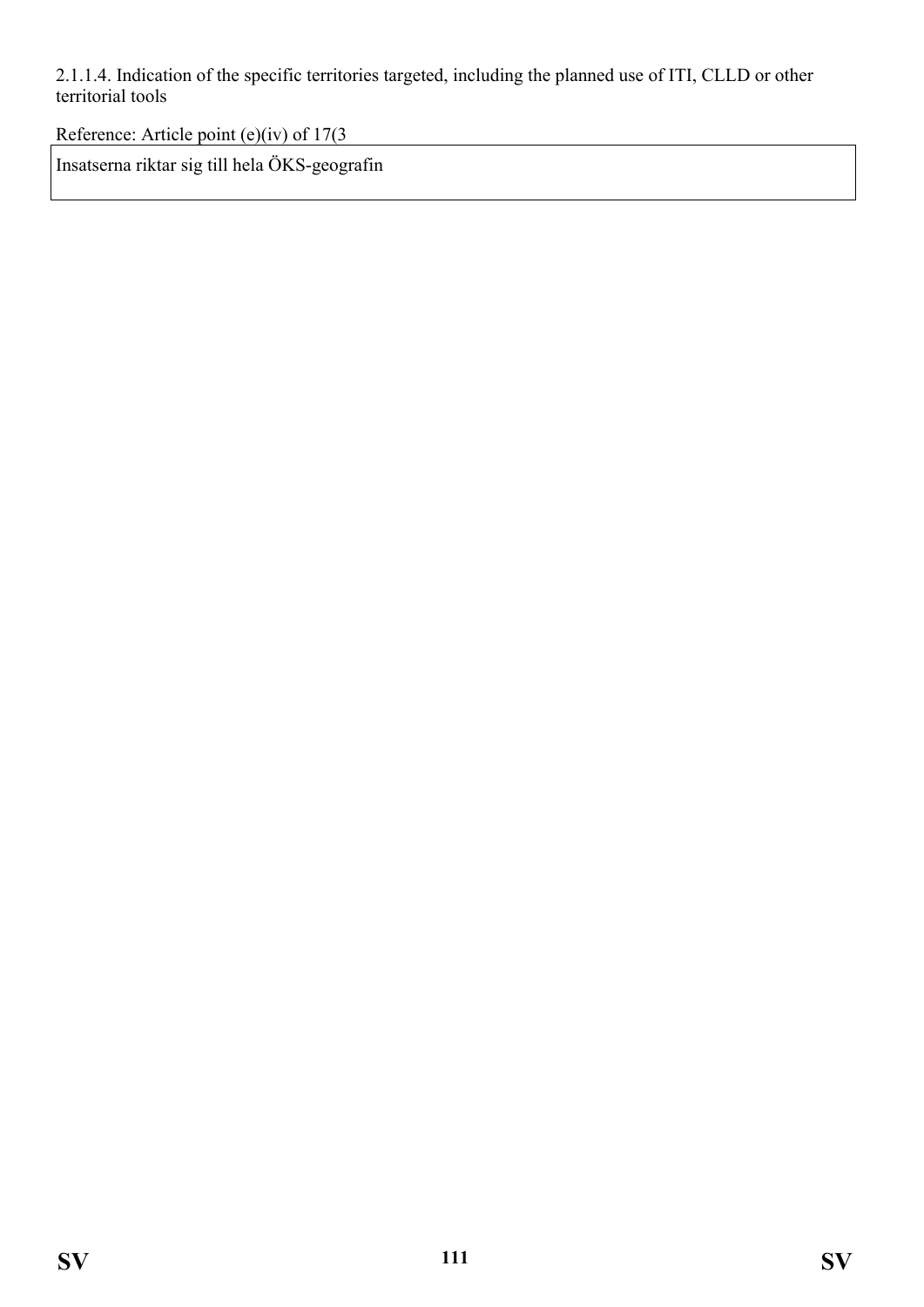2.1.1.4. Indication of the specific territories targeted, including the planned use of ITI, CLLD or other territorial tools

Reference: Article point (e)(iv) of 17(3

Insatserna riktar sig till hela ÖKS-geografin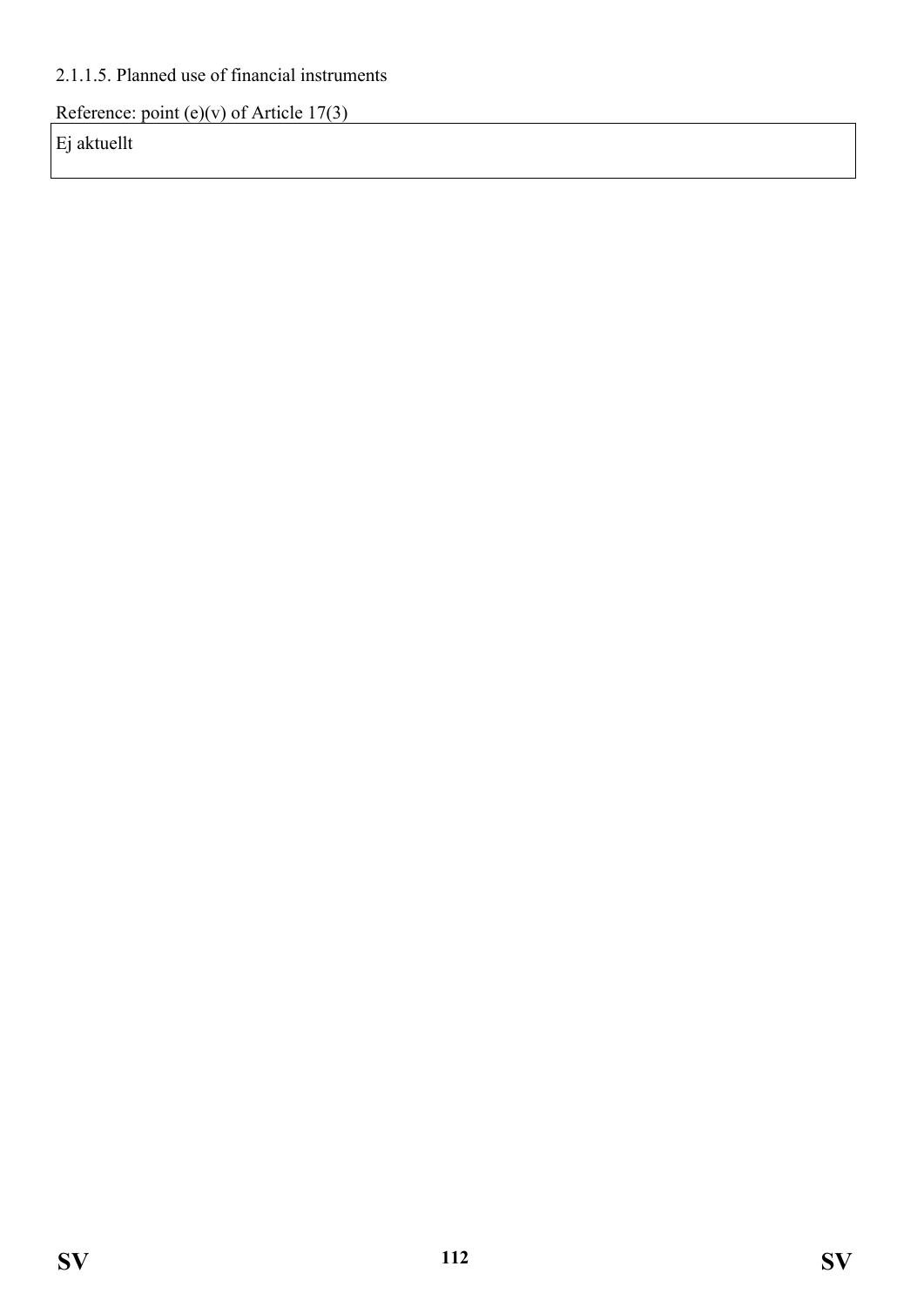## 2.1.1.5. Planned use of financial instruments

Reference: point (e)(v) of Article 17(3)

Ej aktuellt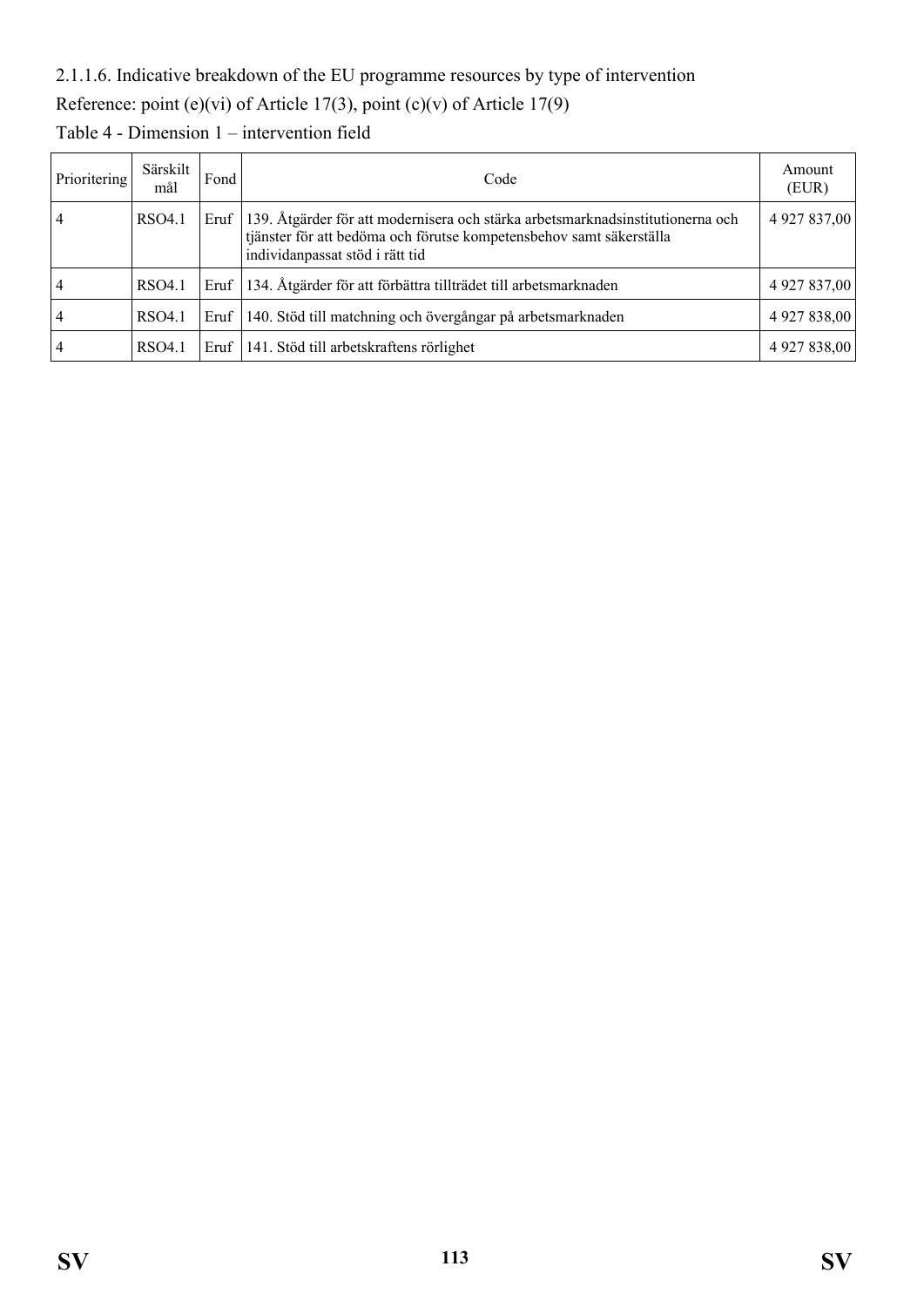## 2.1.1.6. Indicative breakdown of the EU programme resources by type of intervention

Reference: point (e)(vi) of Article 17(3), point (c)(v) of Article 17(9)

| Prioritering | Särskilt<br>mål | Fond | Code                                                                                                                                                                                     | Amount<br>(EUR) |
|--------------|-----------------|------|------------------------------------------------------------------------------------------------------------------------------------------------------------------------------------------|-----------------|
|              | RSO4.1          | Eruf | 139. Åtgärder för att modernisera och stärka arbetsmarknadsinstitutionerna och<br>tjänster för att bedöma och förutse kompetensbehov samt säkerställa<br>individanpassat stöd i rätt tid | 4 9 27 8 37,00  |
|              | RSO4.1          | Eruf | 134. Åtgärder för att förbättra tillträdet till arbetsmarknaden                                                                                                                          | 4 9 27 8 37,00  |
|              | RSO4.1          | Eruf | 140. Stöd till matchning och övergångar på arbetsmarknaden                                                                                                                               | 4 9 27 8 38,00  |
|              | RSO4.1          | Eruf | 141. Stöd till arbetskraftens rörlighet                                                                                                                                                  | 4 9 27 8 38,00  |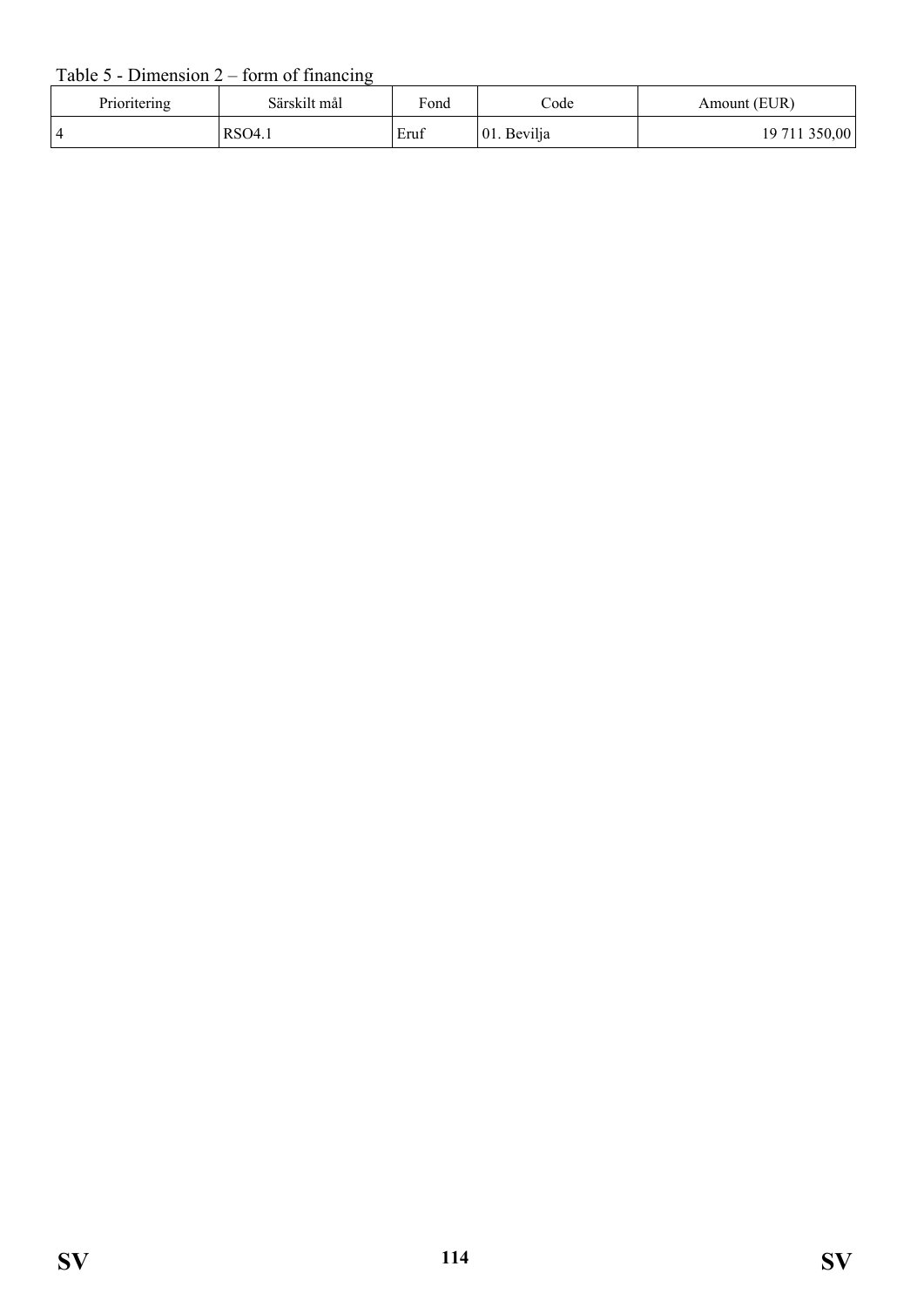## Table 5 - Dimension 2 – form of financing

| Prioritering   | Särskilt mål | Fond | $\mathrm{Code}$ | Amount (EUR)  |
|----------------|--------------|------|-----------------|---------------|
| $\overline{4}$ | RSO4.1       | Eruf | 01. Bevilja     | 19 711 350,00 |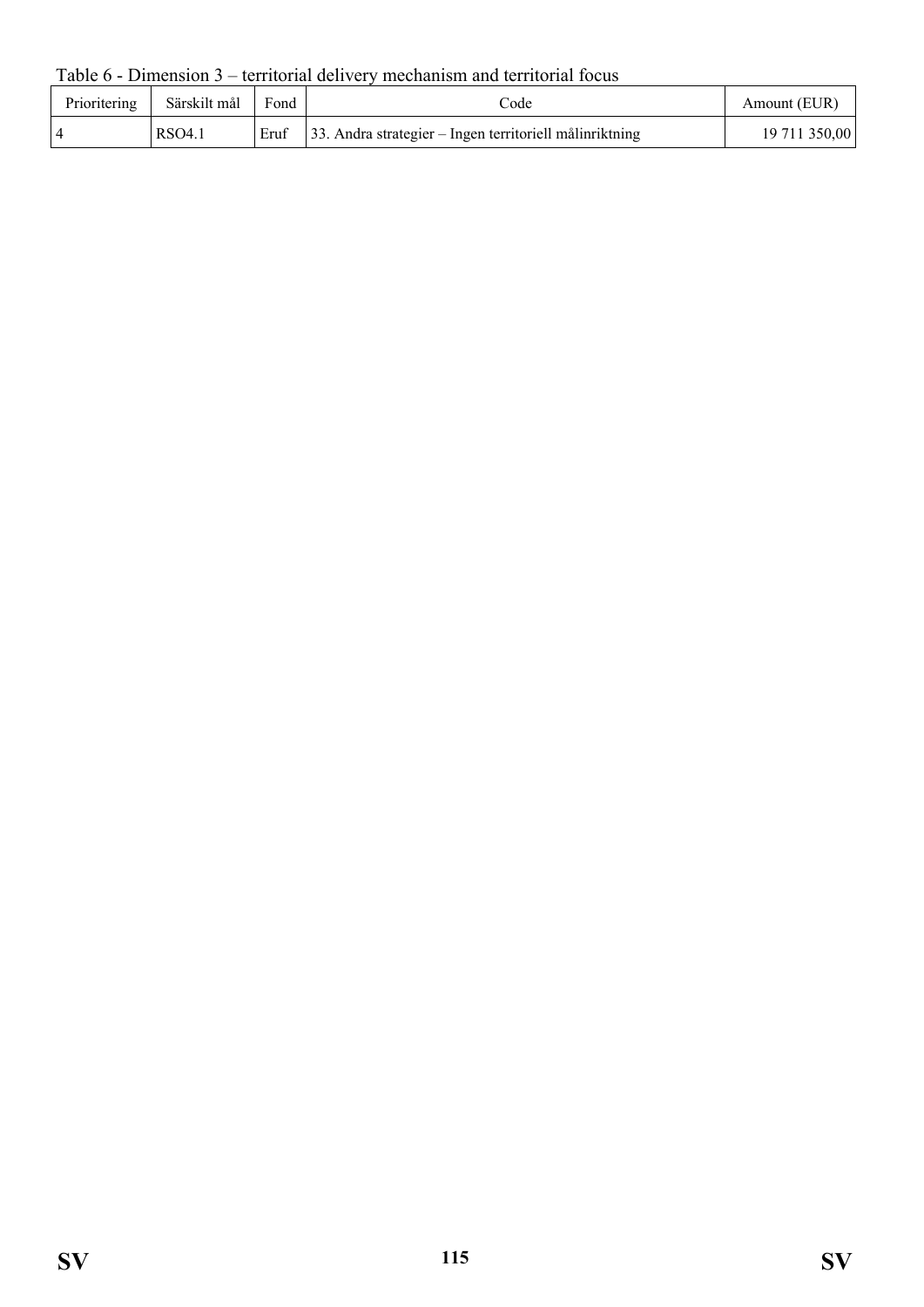Table 6 - Dimension 3 – territorial delivery mechanism and territorial focus

| Prioritering   | Särskilt mål | Fond | code                                                           | Amount (EUR)  |
|----------------|--------------|------|----------------------------------------------------------------|---------------|
| $\overline{4}$ | RSO4.1       |      | Eruf   33. Andra strategier – Ingen territoriell målinriktning | 19 711 350,00 |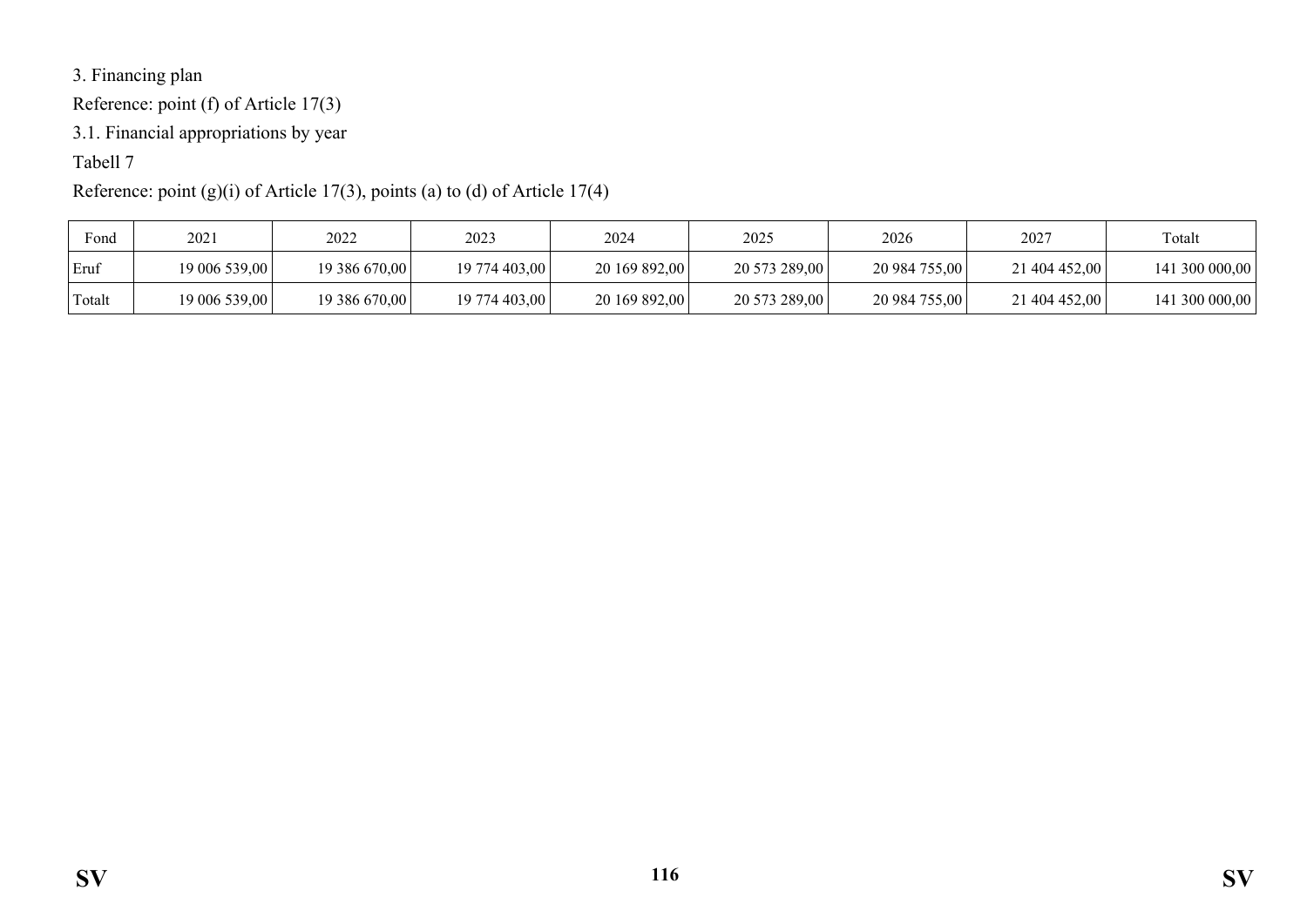3. Financing plan

Reference: point (f) of Article 17(3)

3.1. Financial appropriations by year

# Tabell 7

# Reference: point (g)(i) of Article 17(3), points (a) to (d) of Article 17(4)

| Fond   | $202^{\circ}$ | 2022          | 2023          | 2024          | 2025          | 2026          | 2027          | Totalt         |
|--------|---------------|---------------|---------------|---------------|---------------|---------------|---------------|----------------|
| Eruf   | 19 006 539,00 | 19 386 670,00 | 19 774 403,00 | 20 169 892,00 | 20 573 289,00 | 20 984 755,00 | 21 404 452,00 | 141 300 000,00 |
| Totalt | 19 006 539,00 | 19 386 670,00 | 19 774 403.00 | 20 169 892,00 | 20 573 289,00 | 20 984 755,00 | 21 404 452,00 | 141 300 000,00 |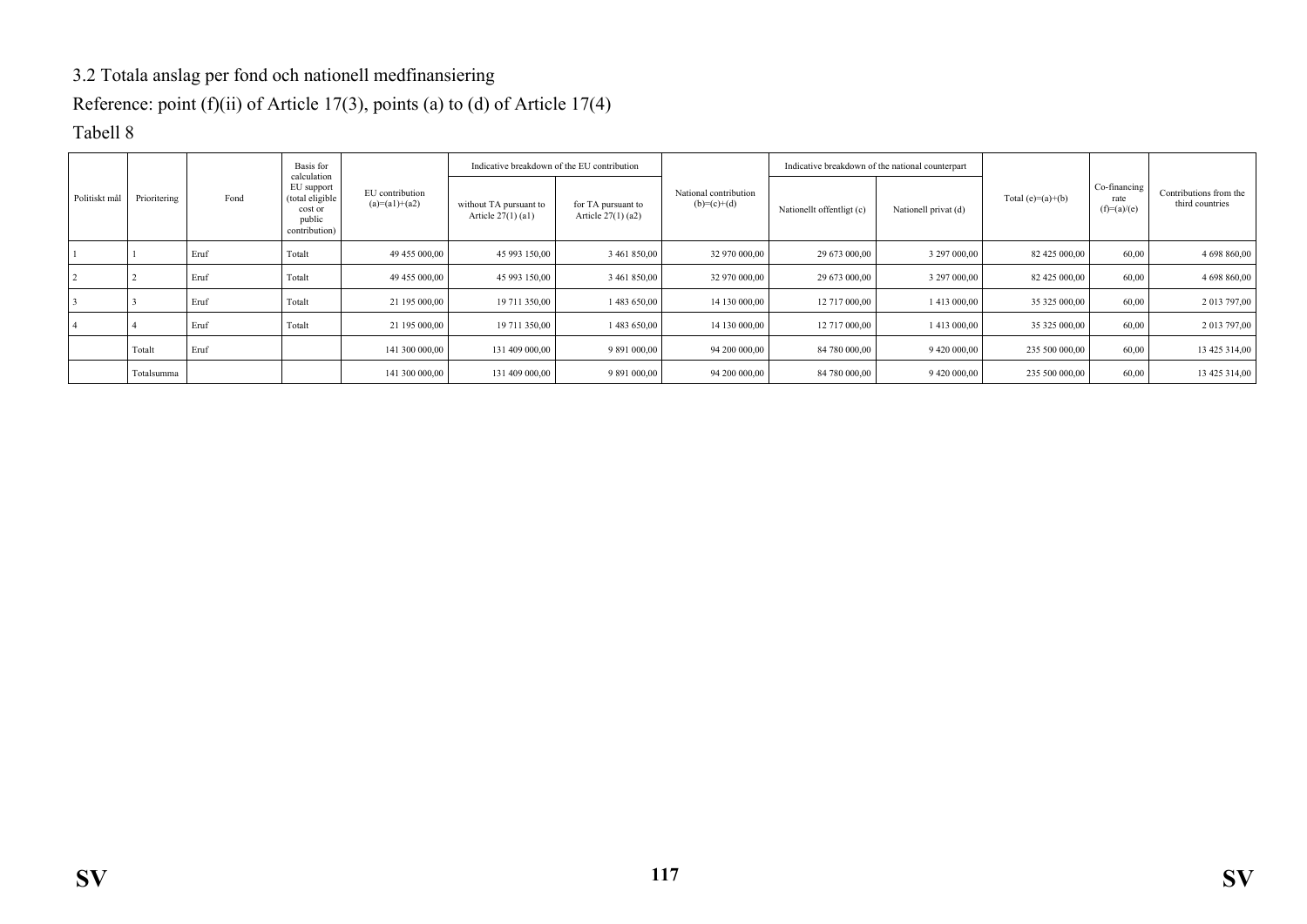## 3.2 Totala anslag per fond och nationell medfinansiering

Reference: point (f)(ii) of Article 17(3), points (a) to (d) of Article 17(4)

#### Tabell 8

|               |              |      | Basis for<br>calculation                                            |                                    |                                                | Indicative breakdown of the EU contribution |                                        | Indicative breakdown of the national counterpart |                      |                     |                                       |                                           |  |
|---------------|--------------|------|---------------------------------------------------------------------|------------------------------------|------------------------------------------------|---------------------------------------------|----------------------------------------|--------------------------------------------------|----------------------|---------------------|---------------------------------------|-------------------------------------------|--|
| Politiskt mål | Prioritering | Fond | EU support<br>(total eligible<br>cost or<br>public<br>contribution) | EU contribution<br>$(a)=(a1)+(a2)$ | without TA pursuant to<br>Article $27(1)$ (a1) | for TA pursuant to<br>Article 27(1) (a2)    | National contribution<br>$(b)=(c)+(d)$ | Nationallt offentligt (c)                        | Nationell privat (d) | Total $(e)=(a)+(b)$ | Co-financing<br>rate<br>$(f)=(a)/(e)$ | Contributions from the<br>third countries |  |
|               |              | Eruf | Totalt                                                              | 49 455 000,00                      | 45 993 150,00                                  | 3 461 850,00                                | 32 970 000,00                          | 29 673 000,00                                    | 3 297 000,00         | 82 425 000,00       | 60,00                                 | 4 698 860,00                              |  |
|               |              | Eruf | Totalt                                                              | 49 455 000,00                      | 45 993 150,00                                  | 3 461 850,00                                | 32 970 000,00                          | 29 673 000,00                                    | 3 297 000,00         | 82 425 000,00       | 60,00                                 | 4 698 860,00                              |  |
|               |              | Eruf | Totalt                                                              | 21 195 000,00                      | 19 711 350,00                                  | 1 483 650,00                                | 14 130 000,00                          | 12 717 000,00                                    | 1413 000,00          | 35 325 000,00       | 60,00                                 | 2 013 797,00                              |  |
|               |              | Eruf | Totalt                                                              | 21 195 000,00                      | 19 711 350,00                                  | 1 483 650,00                                | 14 130 000.00                          | 12 717 000,00                                    | 1413 000,00          | 35 325 000,00       | 60,00                                 | 2 013 797,00                              |  |
|               | Totalt       | Eruf |                                                                     | 141 300 000,00                     | 131 409 000,00                                 | 9 891 000,00                                | 94 200 000,00                          | 84 780 000,00                                    | 9 420 000,00         | 235 500 000,00      | 60,00                                 | 13 425 314,00                             |  |
|               | Totalsumma   |      |                                                                     | 141 300 000,00                     | 131 409 000,00                                 | 9 891 000,00                                | 94 200 000,00                          | 84 780 000,00                                    | 9 420 000,00         | 235 500 000,00      | 60,00                                 | 13 425 314,00                             |  |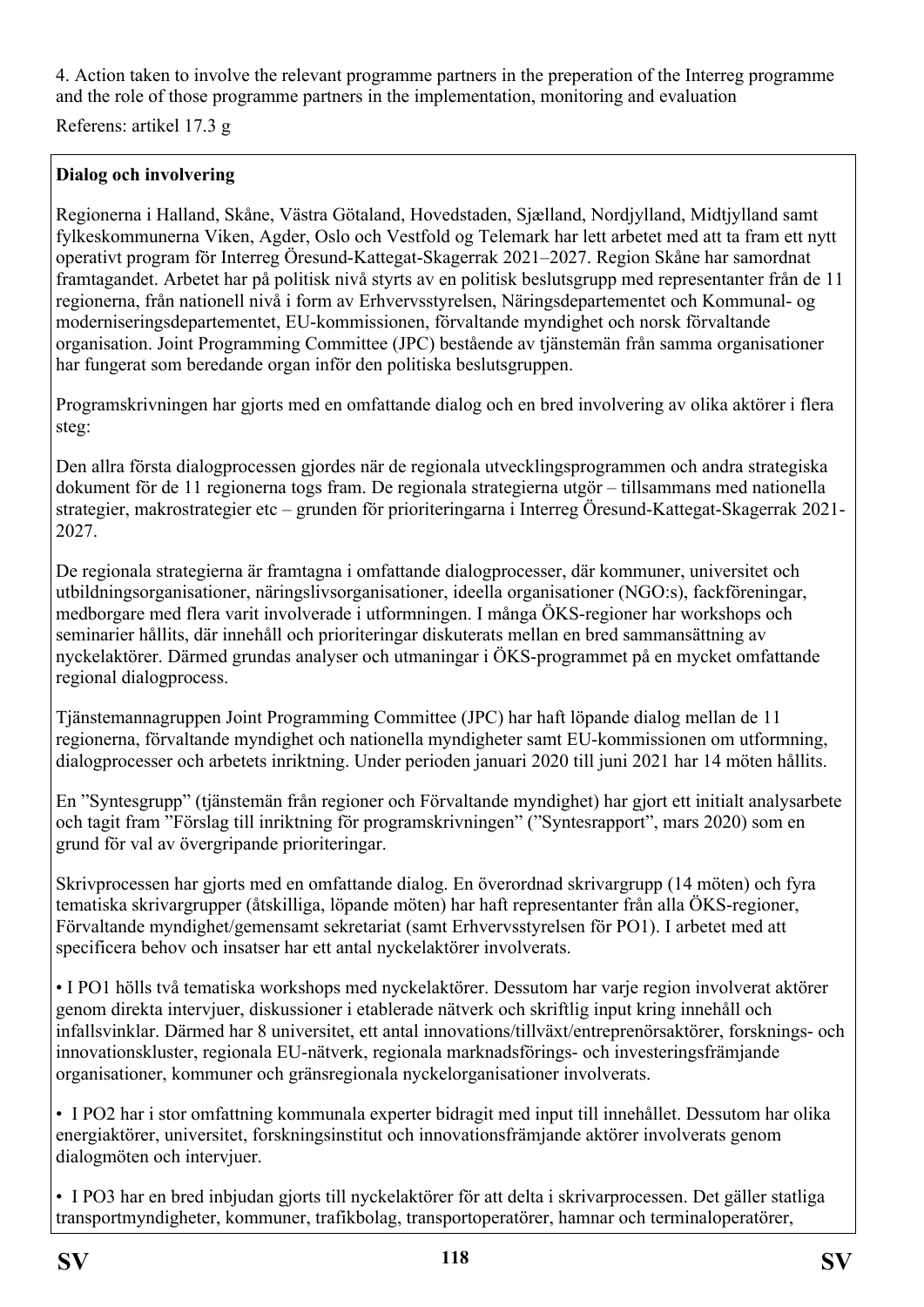4. Action taken to involve the relevant programme partners in the preperation of the Interreg programme and the role of those programme partners in the implementation, monitoring and evaluation

Referens: artikel 17.3 g

## **Dialog och involvering**

Regionerna i Halland, Skåne, Västra Götaland, Hovedstaden, Sjælland, Nordjylland, Midtjylland samt fylkeskommunerna Viken, Agder, Oslo och Vestfold og Telemark har lett arbetet med att ta fram ett nytt operativt program för Interreg Öresund-Kattegat-Skagerrak 2021–2027. Region Skåne har samordnat framtagandet. Arbetet har på politisk nivå styrts av en politisk beslutsgrupp med representanter från de 11 regionerna, från nationell nivå i form av Erhvervsstyrelsen, Näringsdepartementet och Kommunal- og moderniseringsdepartementet, EU-kommissionen, förvaltande myndighet och norsk förvaltande organisation. Joint Programming Committee (JPC) bestående av tjänstemän från samma organisationer har fungerat som beredande organ inför den politiska beslutsgruppen.

Programskrivningen har gjorts med en omfattande dialog och en bred involvering av olika aktörer i flera steg:

Den allra första dialogprocessen gjordes när de regionala utvecklingsprogrammen och andra strategiska dokument för de 11 regionerna togs fram. De regionala strategierna utgör – tillsammans med nationella strategier, makrostrategier etc – grunden för prioriteringarna i Interreg Öresund-Kattegat-Skagerrak 2021- 2027.

De regionala strategierna är framtagna i omfattande dialogprocesser, där kommuner, universitet och utbildningsorganisationer, näringslivsorganisationer, ideella organisationer (NGO:s), fackföreningar, medborgare med flera varit involverade i utformningen. I många ÖKS-regioner har workshops och seminarier hållits, där innehåll och prioriteringar diskuterats mellan en bred sammansättning av nyckelaktörer. Därmed grundas analyser och utmaningar i ÖKS-programmet på en mycket omfattande regional dialogprocess.

Tjänstemannagruppen Joint Programming Committee (JPC) har haft löpande dialog mellan de 11 regionerna, förvaltande myndighet och nationella myndigheter samt EU-kommissionen om utformning, dialogprocesser och arbetets inriktning. Under perioden januari 2020 till juni 2021 har 14 möten hållits.

En "Syntesgrupp" (tjänstemän från regioner och Förvaltande myndighet) har gjort ett initialt analysarbete och tagit fram "Förslag till inriktning för programskrivningen" ("Syntesrapport", mars 2020) som en grund för val av övergripande prioriteringar.

Skrivprocessen har gjorts med en omfattande dialog. En överordnad skrivargrupp (14 möten) och fyra tematiska skrivargrupper (åtskilliga, löpande möten) har haft representanter från alla ÖKS-regioner, Förvaltande myndighet/gemensamt sekretariat (samt Erhvervsstyrelsen för PO1). I arbetet med att specificera behov och insatser har ett antal nyckelaktörer involverats.

• I PO1 hölls två tematiska workshops med nyckelaktörer. Dessutom har varje region involverat aktörer genom direkta intervjuer, diskussioner i etablerade nätverk och skriftlig input kring innehåll och infallsvinklar. Därmed har 8 universitet, ett antal innovations/tillväxt/entreprenörsaktörer, forsknings- och innovationskluster, regionala EU-nätverk, regionala marknadsförings- och investeringsfrämjande organisationer, kommuner och gränsregionala nyckelorganisationer involverats.

• I PO2 har i stor omfattning kommunala experter bidragit med input till innehållet. Dessutom har olika energiaktörer, universitet, forskningsinstitut och innovationsfrämjande aktörer involverats genom dialogmöten och intervjuer.

• I PO3 har en bred inbjudan gjorts till nyckelaktörer för att delta i skrivarprocessen. Det gäller statliga transportmyndigheter, kommuner, trafikbolag, transportoperatörer, hamnar och terminaloperatörer,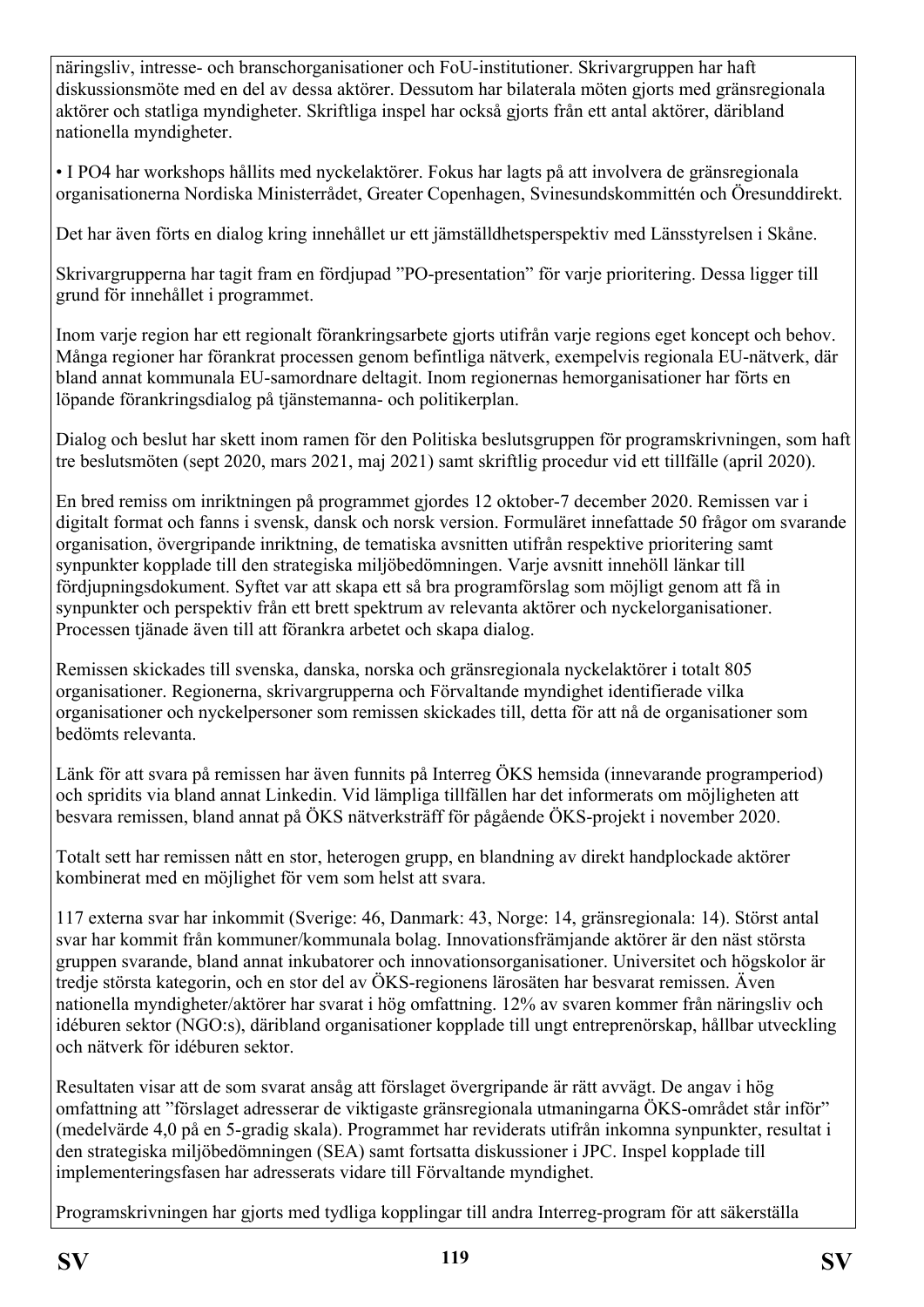näringsliv, intresse- och branschorganisationer och FoU-institutioner. Skrivargruppen har haft diskussionsmöte med en del av dessa aktörer. Dessutom har bilaterala möten gjorts med gränsregionala aktörer och statliga myndigheter. Skriftliga inspel har också gjorts från ett antal aktörer, däribland nationella myndigheter.

• I PO4 har workshops hållits med nyckelaktörer. Fokus har lagts på att involvera de gränsregionala organisationerna Nordiska Ministerrådet, Greater Copenhagen, Svinesundskommittén och Öresunddirekt.

Det har även förts en dialog kring innehållet ur ett jämställdhetsperspektiv med Länsstyrelsen i Skåne.

Skrivargrupperna har tagit fram en fördjupad "PO-presentation" för varje prioritering. Dessa ligger till grund för innehållet i programmet.

Inom varje region har ett regionalt förankringsarbete gjorts utifrån varje regions eget koncept och behov. Många regioner har förankrat processen genom befintliga nätverk, exempelvis regionala EU-nätverk, där bland annat kommunala EU-samordnare deltagit. Inom regionernas hemorganisationer har förts en löpande förankringsdialog på tjänstemanna- och politikerplan.

Dialog och beslut har skett inom ramen för den Politiska beslutsgruppen för programskrivningen, som haft tre beslutsmöten (sept 2020, mars 2021, maj 2021) samt skriftlig procedur vid ett tillfälle (april 2020).

En bred remiss om inriktningen på programmet gjordes 12 oktober-7 december 2020. Remissen var i digitalt format och fanns i svensk, dansk och norsk version. Formuläret innefattade 50 frågor om svarande organisation, övergripande inriktning, de tematiska avsnitten utifrån respektive prioritering samt synpunkter kopplade till den strategiska miljöbedömningen. Varje avsnitt innehöll länkar till fördjupningsdokument. Syftet var att skapa ett så bra programförslag som möjligt genom att få in synpunkter och perspektiv från ett brett spektrum av relevanta aktörer och nyckelorganisationer. Processen tjänade även till att förankra arbetet och skapa dialog.

Remissen skickades till svenska, danska, norska och gränsregionala nyckelaktörer i totalt 805 organisationer. Regionerna, skrivargrupperna och Förvaltande myndighet identifierade vilka organisationer och nyckelpersoner som remissen skickades till, detta för att nå de organisationer som bedömts relevanta.

Länk för att svara på remissen har även funnits på Interreg ÖKS hemsida (innevarande programperiod) och spridits via bland annat Linkedin. Vid lämpliga tillfällen har det informerats om möjligheten att besvara remissen, bland annat på ÖKS nätverksträff för pågående ÖKS-projekt i november 2020.

Totalt sett har remissen nått en stor, heterogen grupp, en blandning av direkt handplockade aktörer kombinerat med en möjlighet för vem som helst att svara.

117 externa svar har inkommit (Sverige: 46, Danmark: 43, Norge: 14, gränsregionala: 14). Störst antal svar har kommit från kommuner/kommunala bolag. Innovationsfrämjande aktörer är den näst största gruppen svarande, bland annat inkubatorer och innovationsorganisationer. Universitet och högskolor är tredje största kategorin, och en stor del av ÖKS-regionens lärosäten har besvarat remissen. Även nationella myndigheter/aktörer har svarat i hög omfattning. 12% av svaren kommer från näringsliv och idéburen sektor (NGO:s), däribland organisationer kopplade till ungt entreprenörskap, hållbar utveckling och nätverk för idéburen sektor.

Resultaten visar att de som svarat ansåg att förslaget övergripande är rätt avvägt. De angav i hög omfattning att "förslaget adresserar de viktigaste gränsregionala utmaningarna ÖKS-området står inför" (medelvärde 4,0 på en 5-gradig skala). Programmet har reviderats utifrån inkomna synpunkter, resultat i den strategiska miljöbedömningen (SEA) samt fortsatta diskussioner i JPC. Inspel kopplade till implementeringsfasen har adresserats vidare till Förvaltande myndighet.

Programskrivningen har gjorts med tydliga kopplingar till andra Interreg-program för att säkerställa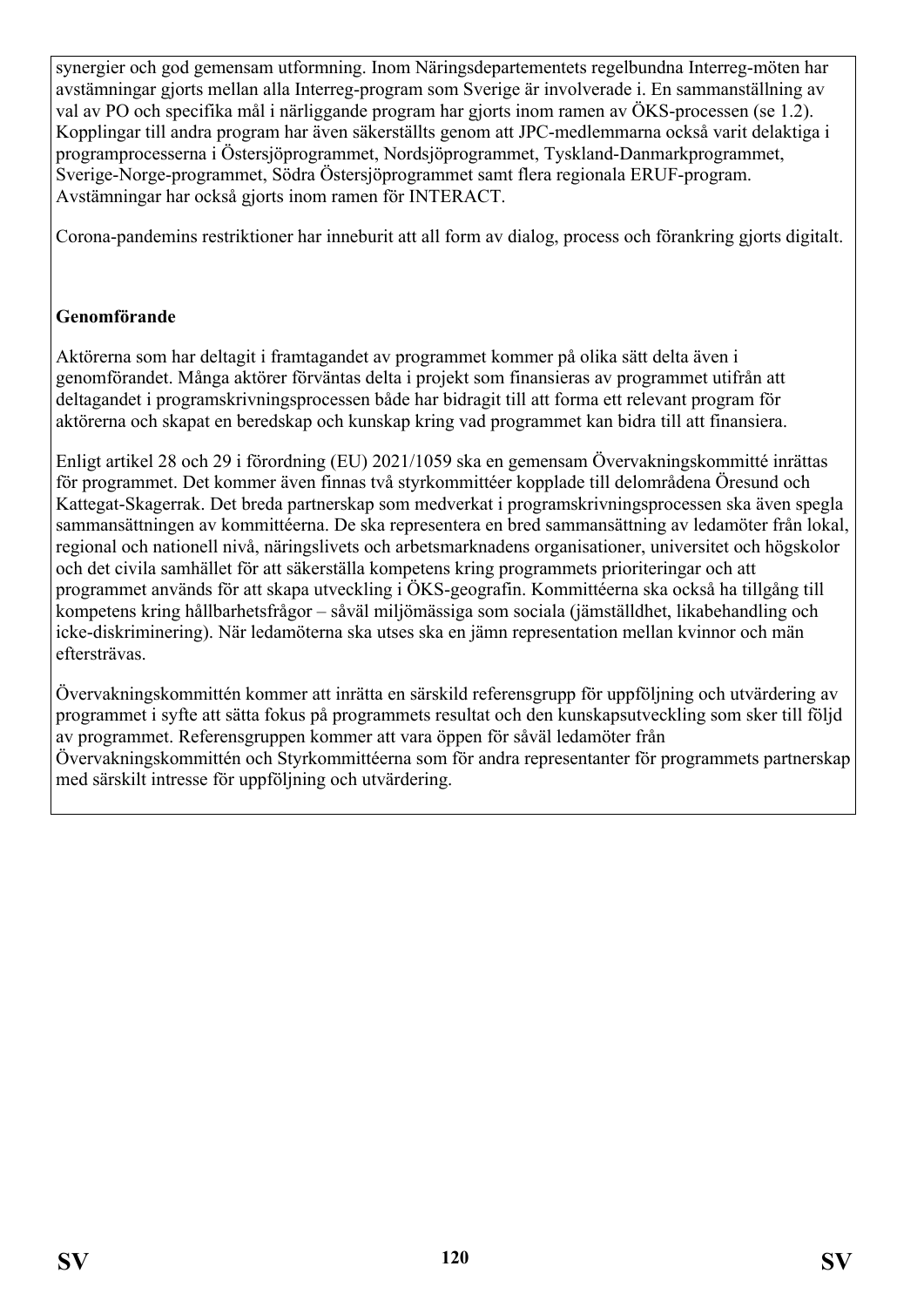synergier och god gemensam utformning. Inom Näringsdepartementets regelbundna Interreg-möten har avstämningar gjorts mellan alla Interreg-program som Sverige är involverade i. En sammanställning av val av PO och specifika mål i närliggande program har gjorts inom ramen av ÖKS-processen (se 1.2). Kopplingar till andra program har även säkerställts genom att JPC-medlemmarna också varit delaktiga i programprocesserna i Östersjöprogrammet, Nordsjöprogrammet, Tyskland-Danmarkprogrammet, Sverige-Norge-programmet, Södra Östersjöprogrammet samt flera regionala ERUF-program. Avstämningar har också gjorts inom ramen för INTERACT.

Corona-pandemins restriktioner har inneburit att all form av dialog, process och förankring gjorts digitalt.

#### **Genomförande**

Aktörerna som har deltagit i framtagandet av programmet kommer på olika sätt delta även i genomförandet. Många aktörer förväntas delta i projekt som finansieras av programmet utifrån att deltagandet i programskrivningsprocessen både har bidragit till att forma ett relevant program för aktörerna och skapat en beredskap och kunskap kring vad programmet kan bidra till att finansiera.

Enligt artikel 28 och 29 i förordning (EU) 2021/1059 ska en gemensam Övervakningskommitté inrättas för programmet. Det kommer även finnas två styrkommittéer kopplade till delområdena Öresund och Kattegat-Skagerrak. Det breda partnerskap som medverkat i programskrivningsprocessen ska även spegla sammansättningen av kommittéerna. De ska representera en bred sammansättning av ledamöter från lokal, regional och nationell nivå, näringslivets och arbetsmarknadens organisationer, universitet och högskolor och det civila samhället för att säkerställa kompetens kring programmets prioriteringar och att programmet används för att skapa utveckling i ÖKS-geografin. Kommittéerna ska också ha tillgång till kompetens kring hållbarhetsfrågor – såväl miljömässiga som sociala (jämställdhet, likabehandling och icke-diskriminering). När ledamöterna ska utses ska en jämn representation mellan kvinnor och män eftersträvas.

Övervakningskommittén kommer att inrätta en särskild referensgrupp för uppföljning och utvärdering av programmet i syfte att sätta fokus på programmets resultat och den kunskapsutveckling som sker till följd av programmet. Referensgruppen kommer att vara öppen för såväl ledamöter från Övervakningskommittén och Styrkommittéerna som för andra representanter för programmets partnerskap med särskilt intresse för uppföljning och utvärdering.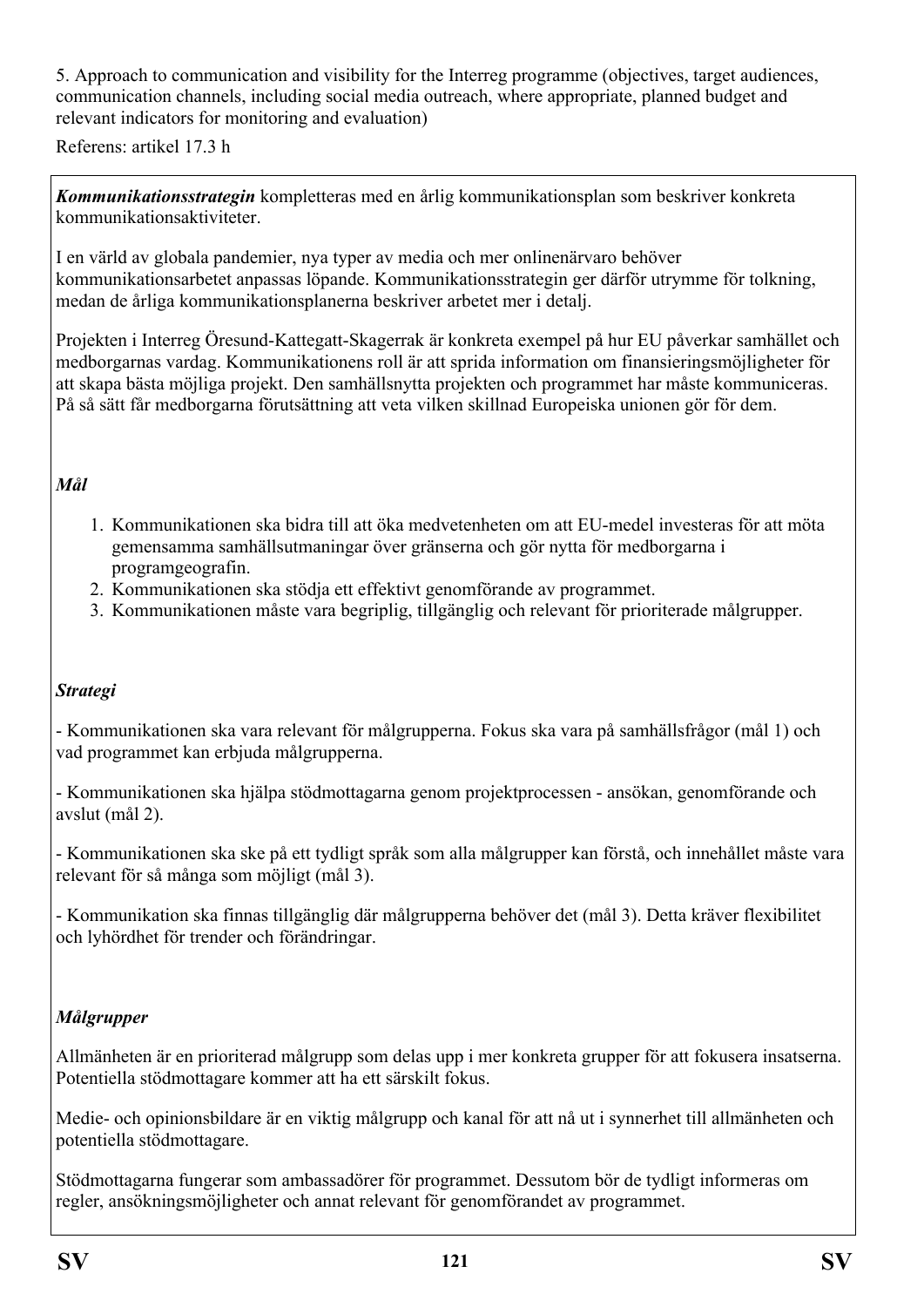5. Approach to communication and visibility for the Interreg programme (objectives, target audiences, communication channels, including social media outreach, where appropriate, planned budget and relevant indicators for monitoring and evaluation)

Referens: artikel 17.3 h

*Kommunikationsstrategin* kompletteras med en årlig kommunikationsplan som beskriver konkreta kommunikationsaktiviteter.

I en värld av globala pandemier, nya typer av media och mer onlinenärvaro behöver kommunikationsarbetet anpassas löpande. Kommunikationsstrategin ger därför utrymme för tolkning, medan de årliga kommunikationsplanerna beskriver arbetet mer i detalj.

Projekten i Interreg Öresund-Kattegatt-Skagerrak är konkreta exempel på hur EU påverkar samhället och medborgarnas vardag. Kommunikationens roll är att sprida information om finansieringsmöjligheter för att skapa bästa möjliga projekt. Den samhällsnytta projekten och programmet har måste kommuniceras. På så sätt får medborgarna förutsättning att veta vilken skillnad Europeiska unionen gör för dem.

#### *Mål*

- 1. Kommunikationen ska bidra till att öka medvetenheten om att EU-medel investeras för att möta gemensamma samhällsutmaningar över gränserna och gör nytta för medborgarna i programgeografin.
- 2. Kommunikationen ska stödja ett effektivt genomförande av programmet.
- 3. Kommunikationen måste vara begriplig, tillgänglig och relevant för prioriterade målgrupper.

#### *Strategi*

- Kommunikationen ska vara relevant för målgrupperna. Fokus ska vara på samhällsfrågor (mål 1) och vad programmet kan erbjuda målgrupperna.

- Kommunikationen ska hjälpa stödmottagarna genom projektprocessen - ansökan, genomförande och avslut (mål 2).

- Kommunikationen ska ske på ett tydligt språk som alla målgrupper kan förstå, och innehållet måste vara relevant för så många som möjligt (mål 3).

- Kommunikation ska finnas tillgänglig där målgrupperna behöver det (mål 3). Detta kräver flexibilitet och lyhördhet för trender och förändringar.

#### *Målgrupper*

Allmänheten är en prioriterad målgrupp som delas upp i mer konkreta grupper för att fokusera insatserna. Potentiella stödmottagare kommer att ha ett särskilt fokus.

Medie- och opinionsbildare är en viktig målgrupp och kanal för att nå ut i synnerhet till allmänheten och potentiella stödmottagare.

Stödmottagarna fungerar som ambassadörer för programmet. Dessutom bör de tydligt informeras om regler, ansökningsmöjligheter och annat relevant för genomförandet av programmet.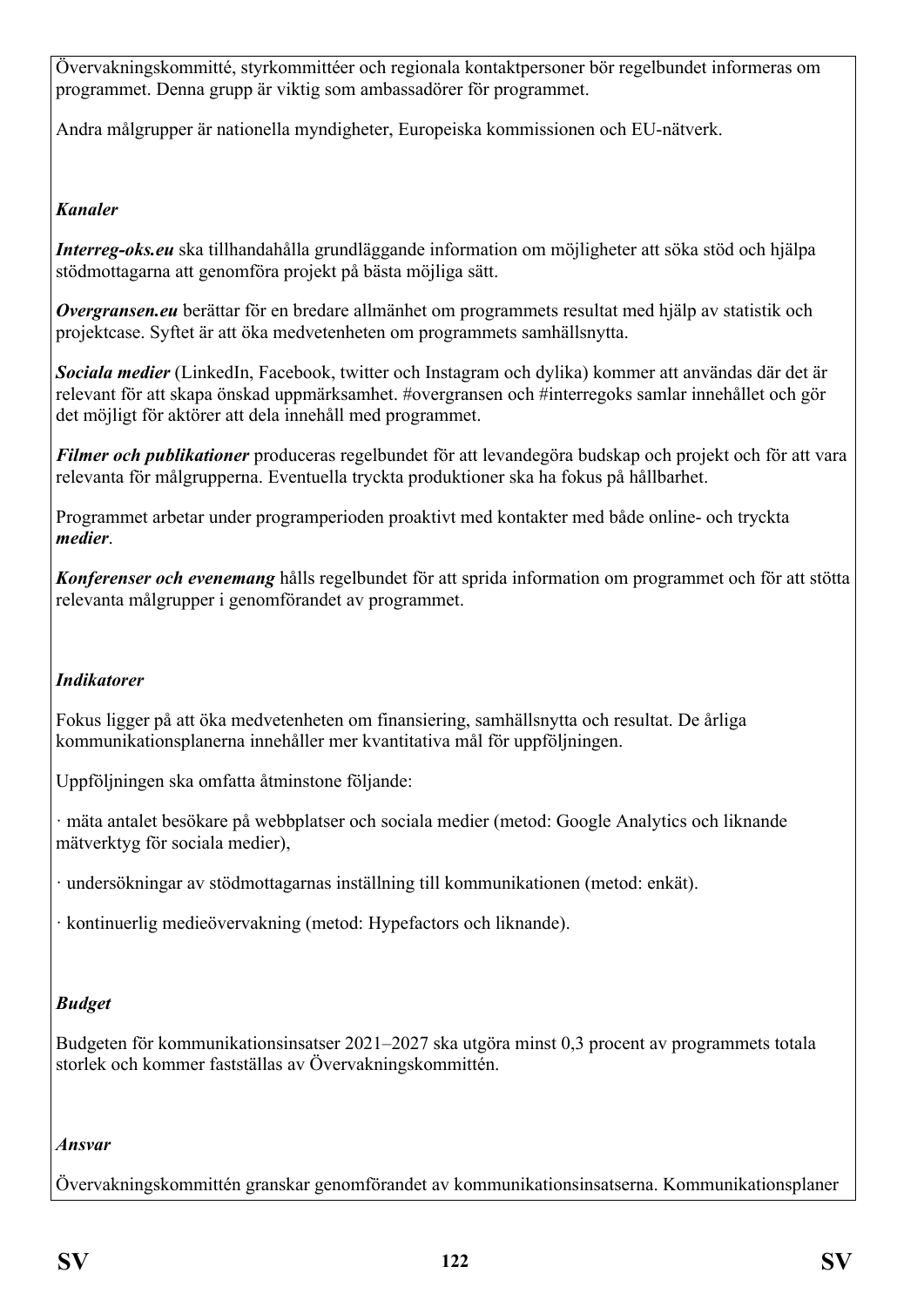Övervakningskommitté, styrkommittéer och regionala kontaktpersoner bör regelbundet informeras om programmet. Denna grupp är viktig som ambassadörer för programmet.

Andra målgrupper är nationella myndigheter, Europeiska kommissionen och EU-nätverk.

#### *Kanaler*

*Interreg-oks.eu* ska tillhandahålla grundläggande information om möjligheter att söka stöd och hjälpa stödmottagarna att genomföra projekt på bästa möjliga sätt.

*Overgransen.eu* berättar för en bredare allmänhet om programmets resultat med hjälp av statistik och projektcase. Syftet är att öka medvetenheten om programmets samhällsnytta.

*Sociala medier* (LinkedIn, Facebook, twitter och Instagram och dylika) kommer att användas där det är relevant för att skapa önskad uppmärksamhet. #overgransen och #interregoks samlar innehållet och gör det möjligt för aktörer att dela innehåll med programmet.

*Filmer och publikationer* produceras regelbundet för att levandegöra budskap och projekt och för att vara relevanta för målgrupperna. Eventuella tryckta produktioner ska ha fokus på hållbarhet.

Programmet arbetar under programperioden proaktivt med kontakter med både online- och tryckta *medier*.

*Konferenser och evenemang* hålls regelbundet för att sprida information om programmet och för att stötta relevanta målgrupper i genomförandet av programmet.

## *Indikatorer*

Fokus ligger på att öka medvetenheten om finansiering, samhällsnytta och resultat. De årliga kommunikationsplanerna innehåller mer kvantitativa mål för uppföljningen.

Uppföljningen ska omfatta åtminstone följande:

· mäta antalet besökare på webbplatser och sociala medier (metod: Google Analytics och liknande mätverktyg för sociala medier),

· undersökningar av stödmottagarnas inställning till kommunikationen (metod: enkät).

· kontinuerlig medieövervakning (metod: Hypefactors och liknande).

## *Budget*

Budgeten för kommunikationsinsatser 2021–2027 ska utgöra minst 0,3 procent av programmets totala storlek och kommer fastställas av Övervakningskommittén.

#### *Ansvar*

Övervakningskommittén granskar genomförandet av kommunikationsinsatserna. Kommunikationsplaner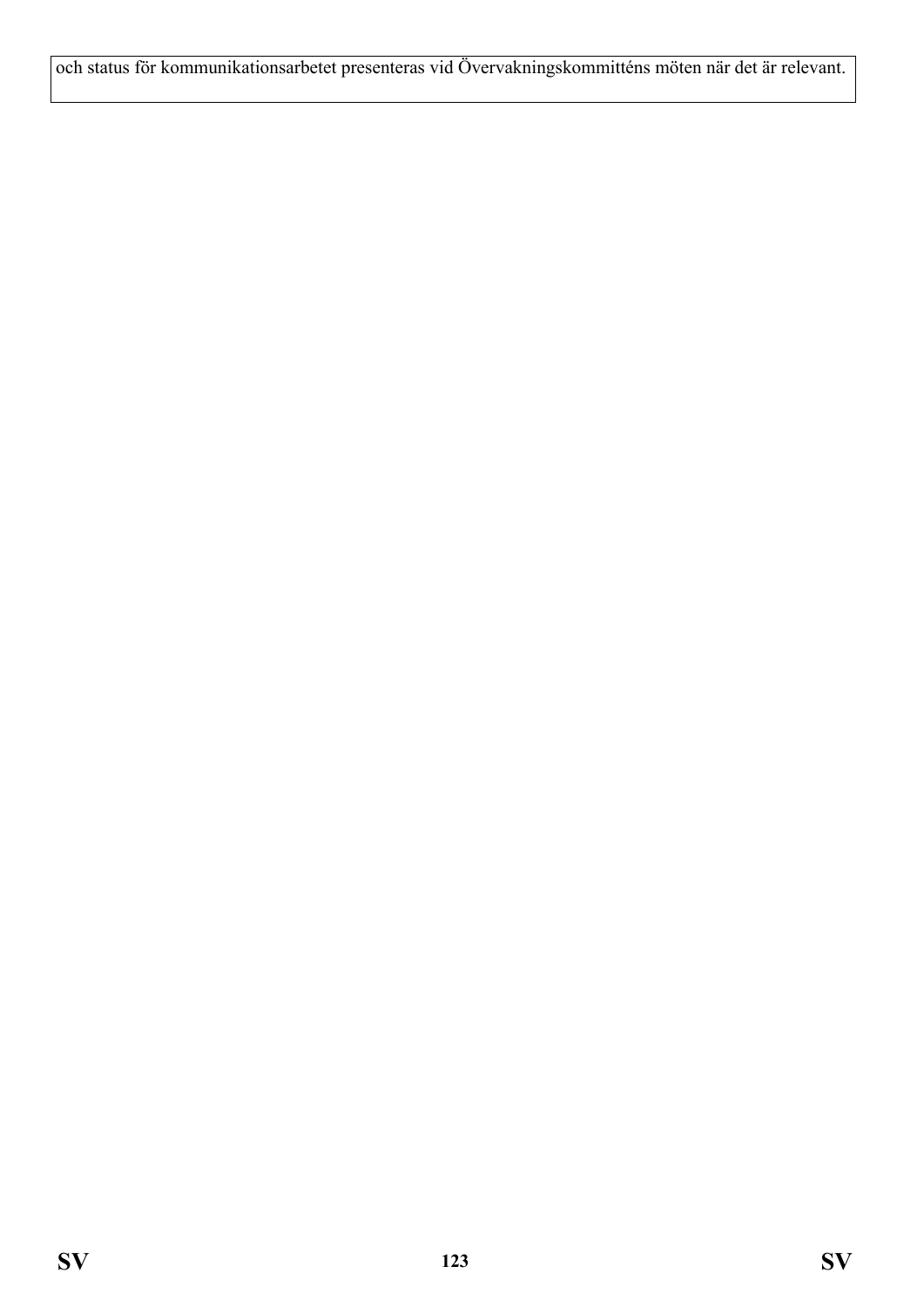och status för kommunikationsarbetet presenteras vid Övervakningskommitténs möten när det är relevant.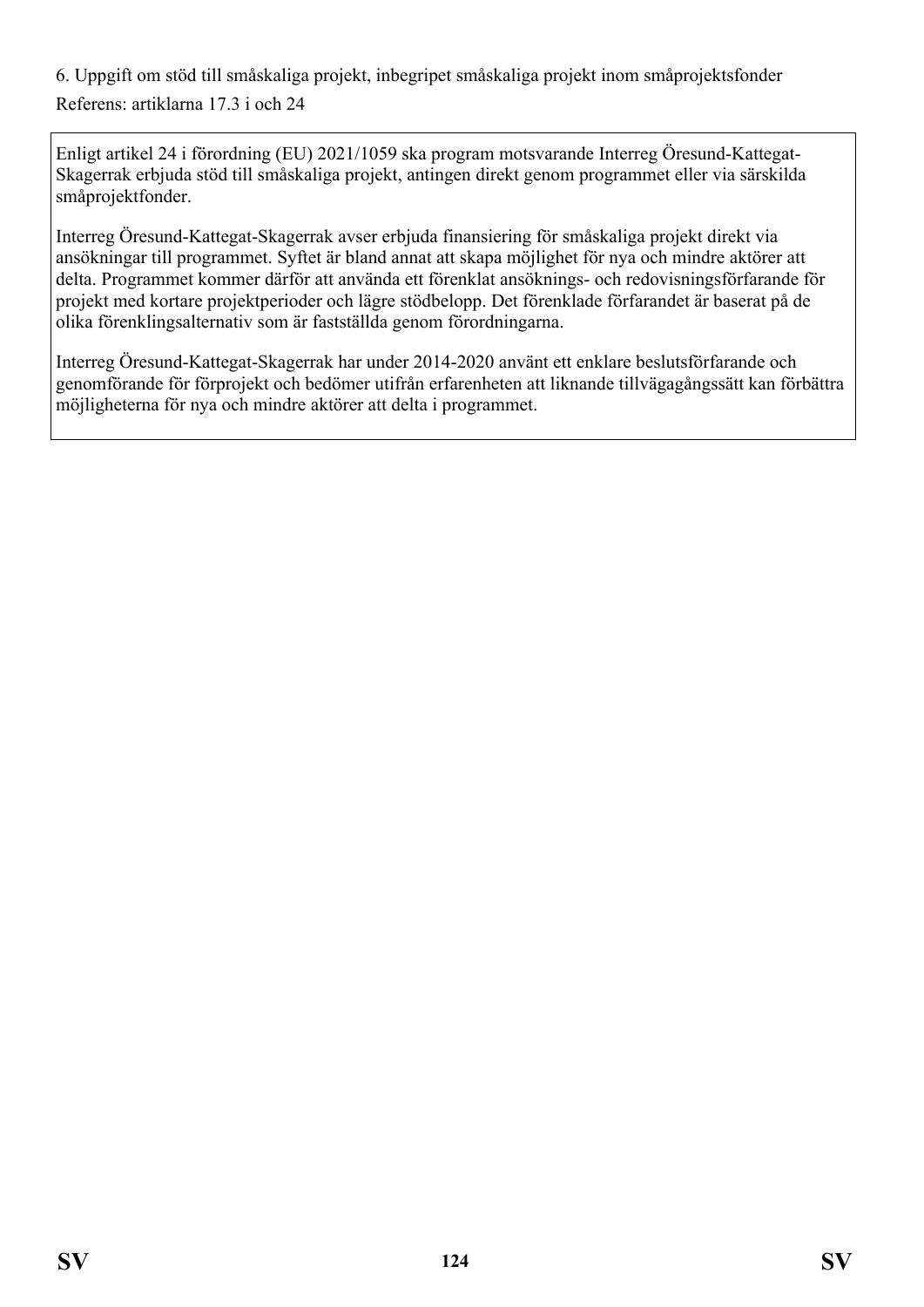6. Uppgift om stöd till småskaliga projekt, inbegripet småskaliga projekt inom småprojektsfonder Referens: artiklarna 17.3 i och 24

Enligt artikel 24 i förordning (EU) 2021/1059 ska program motsvarande Interreg Öresund-Kattegat-Skagerrak erbjuda stöd till småskaliga projekt, antingen direkt genom programmet eller via särskilda småprojektfonder.

Interreg Öresund-Kattegat-Skagerrak avser erbjuda finansiering för småskaliga projekt direkt via ansökningar till programmet. Syftet är bland annat att skapa möjlighet för nya och mindre aktörer att delta. Programmet kommer därför att använda ett förenklat ansöknings- och redovisningsförfarande för projekt med kortare projektperioder och lägre stödbelopp. Det förenklade förfarandet är baserat på de olika förenklingsalternativ som är fastställda genom förordningarna.

Interreg Öresund-Kattegat-Skagerrak har under 2014-2020 använt ett enklare beslutsförfarande och genomförande för förprojekt och bedömer utifrån erfarenheten att liknande tillvägagångssätt kan förbättra möjligheterna för nya och mindre aktörer att delta i programmet.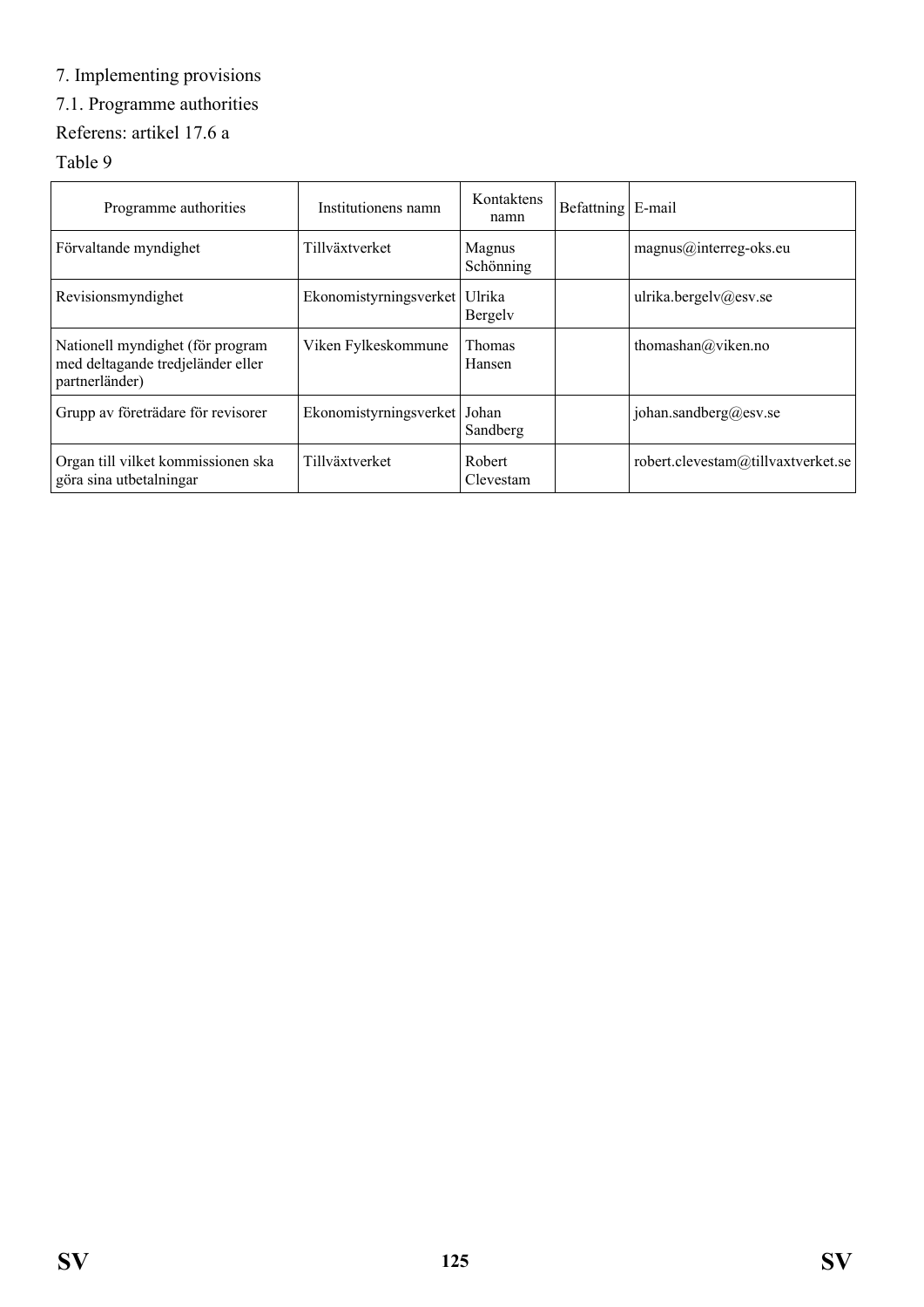# 7. Implementing provisions

# 7.1. Programme authorities

# Referens: artikel 17.6 a

#### Table 9

| Programme authorities                                                                   | Institutionens namn    | Kontaktens<br>namn      | Befattning   E-mail |                                    |
|-----------------------------------------------------------------------------------------|------------------------|-------------------------|---------------------|------------------------------------|
| Förvaltande myndighet                                                                   | Tillväxtverket         | Magnus<br>Schönning     |                     | $magnus@interreg-oks.eu$           |
| Revisionsmyndighet                                                                      | Ekonomistyrningsverket | Ulrika<br>Bergely       |                     | ulrika.bergelv@esv.se              |
| Nationell myndighet (för program<br>med deltagande tredjeländer eller<br>partnerländer) | Viken Fylkeskommune    | <b>Thomas</b><br>Hansen |                     | thomashan@viken.no                 |
| Grupp av företrädare för revisorer                                                      | Ekonomistyrningsverket | Johan<br>Sandberg       |                     | johan.sandberg@esv.se              |
| Organ till vilket kommissionen ska<br>göra sina utbetalningar                           | Tillväxtverket         | Robert<br>Clevestam     |                     | robert.clevestam@tillvaxtverket.se |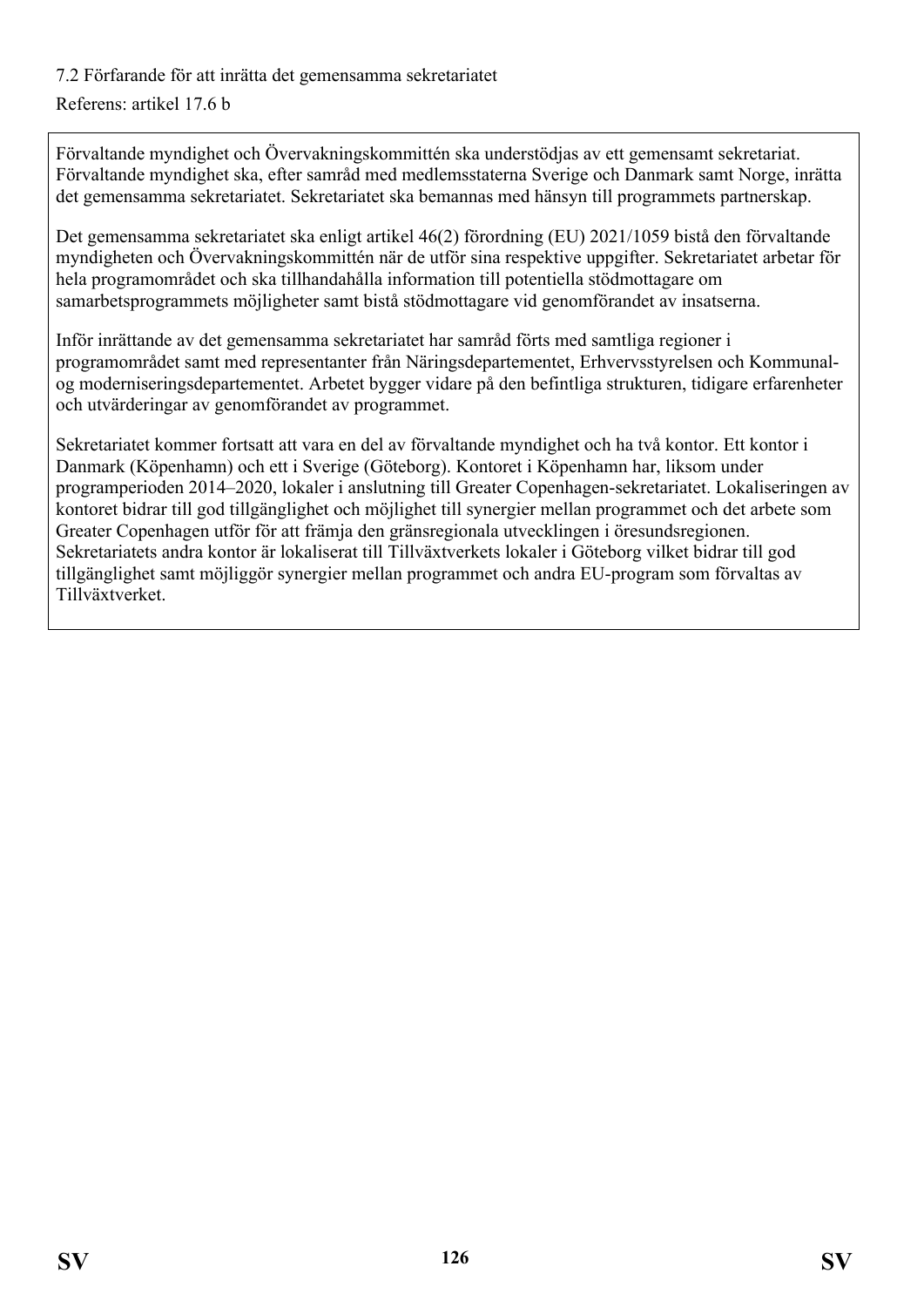# 7.2 Förfarande för att inrätta det gemensamma sekretariatet

#### Referens: artikel 17.6 b

Förvaltande myndighet och Övervakningskommittén ska understödjas av ett gemensamt sekretariat. Förvaltande myndighet ska, efter samråd med medlemsstaterna Sverige och Danmark samt Norge, inrätta det gemensamma sekretariatet. Sekretariatet ska bemannas med hänsyn till programmets partnerskap.

Det gemensamma sekretariatet ska enligt artikel 46(2) förordning (EU) 2021/1059 bistå den förvaltande myndigheten och Övervakningskommittén när de utför sina respektive uppgifter. Sekretariatet arbetar för hela programområdet och ska tillhandahålla information till potentiella stödmottagare om samarbetsprogrammets möjligheter samt bistå stödmottagare vid genomförandet av insatserna.

Inför inrättande av det gemensamma sekretariatet har samråd förts med samtliga regioner i programområdet samt med representanter från Näringsdepartementet, Erhvervsstyrelsen och Kommunalog moderniseringsdepartementet. Arbetet bygger vidare på den befintliga strukturen, tidigare erfarenheter och utvärderingar av genomförandet av programmet.

Sekretariatet kommer fortsatt att vara en del av förvaltande myndighet och ha två kontor. Ett kontor i Danmark (Köpenhamn) och ett i Sverige (Göteborg). Kontoret i Köpenhamn har, liksom under programperioden 2014–2020, lokaler i anslutning till Greater Copenhagen-sekretariatet. Lokaliseringen av kontoret bidrar till god tillgänglighet och möjlighet till synergier mellan programmet och det arbete som Greater Copenhagen utför för att främja den gränsregionala utvecklingen i öresundsregionen. Sekretariatets andra kontor är lokaliserat till Tillväxtverkets lokaler i Göteborg vilket bidrar till god tillgänglighet samt möjliggör synergier mellan programmet och andra EU-program som förvaltas av Tillväxtverket.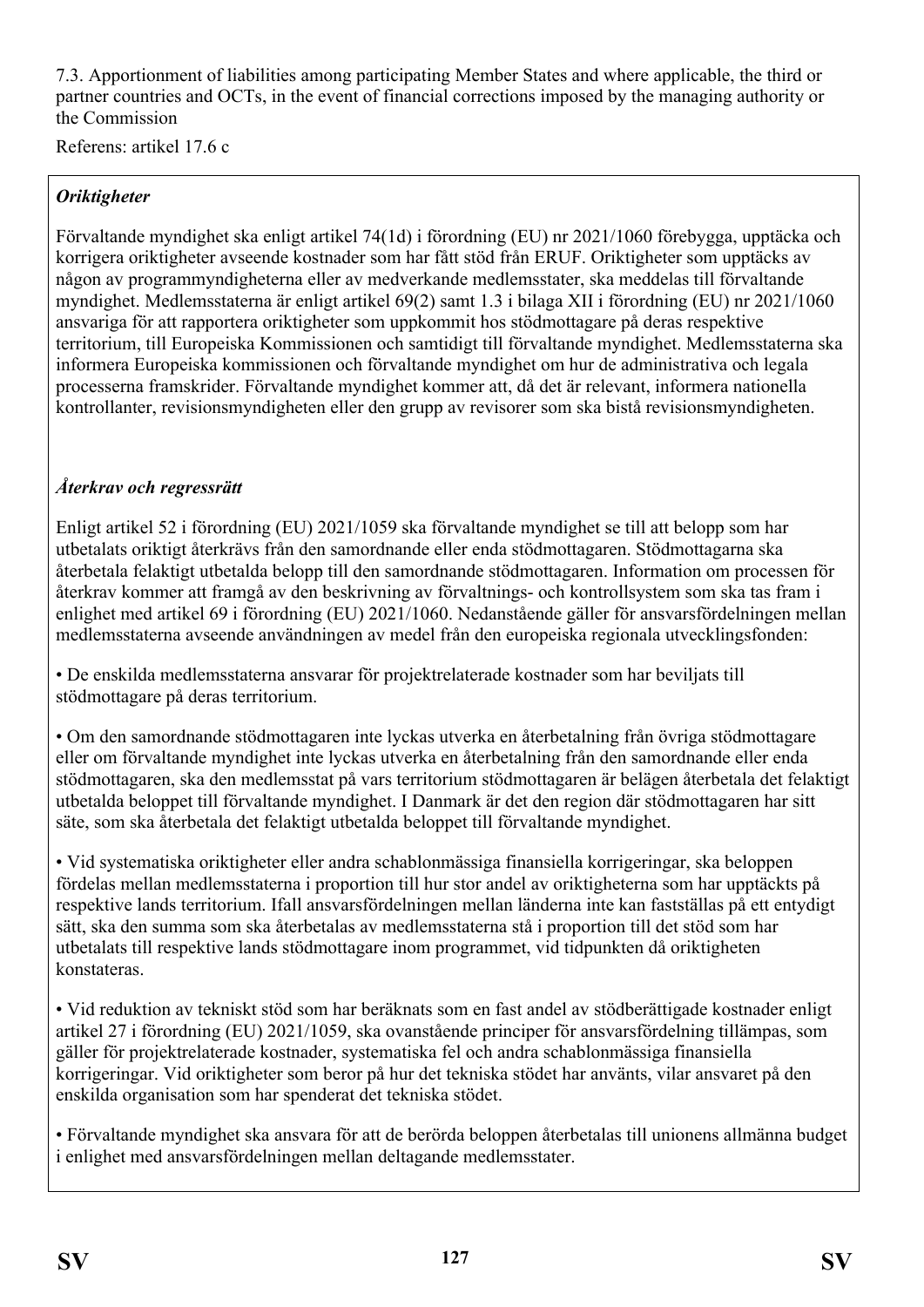7.3. Apportionment of liabilities among participating Member States and where applicable, the third or partner countries and OCTs, in the event of financial corrections imposed by the managing authority or the Commission

Referens: artikel 17.6 c

## *Oriktigheter*

Förvaltande myndighet ska enligt artikel 74(1d) i förordning (EU) nr 2021/1060 förebygga, upptäcka och korrigera oriktigheter avseende kostnader som har fått stöd från ERUF. Oriktigheter som upptäcks av någon av programmyndigheterna eller av medverkande medlemsstater, ska meddelas till förvaltande myndighet. Medlemsstaterna är enligt artikel 69(2) samt 1.3 i bilaga XII i förordning (EU) nr 2021/1060 ansvariga för att rapportera oriktigheter som uppkommit hos stödmottagare på deras respektive territorium, till Europeiska Kommissionen och samtidigt till förvaltande myndighet. Medlemsstaterna ska informera Europeiska kommissionen och förvaltande myndighet om hur de administrativa och legala processerna framskrider. Förvaltande myndighet kommer att, då det är relevant, informera nationella kontrollanter, revisionsmyndigheten eller den grupp av revisorer som ska bistå revisionsmyndigheten.

#### *Återkrav och regressrätt*

Enligt artikel 52 i förordning (EU) 2021/1059 ska förvaltande myndighet se till att belopp som har utbetalats oriktigt återkrävs från den samordnande eller enda stödmottagaren. Stödmottagarna ska återbetala felaktigt utbetalda belopp till den samordnande stödmottagaren. Information om processen för återkrav kommer att framgå av den beskrivning av förvaltnings- och kontrollsystem som ska tas fram i enlighet med artikel 69 i förordning (EU) 2021/1060. Nedanstående gäller för ansvarsfördelningen mellan medlemsstaterna avseende användningen av medel från den europeiska regionala utvecklingsfonden:

• De enskilda medlemsstaterna ansvarar för projektrelaterade kostnader som har beviljats till stödmottagare på deras territorium.

• Om den samordnande stödmottagaren inte lyckas utverka en återbetalning från övriga stödmottagare eller om förvaltande myndighet inte lyckas utverka en återbetalning från den samordnande eller enda stödmottagaren, ska den medlemsstat på vars territorium stödmottagaren är belägen återbetala det felaktigt utbetalda beloppet till förvaltande myndighet. I Danmark är det den region där stödmottagaren har sitt säte, som ska återbetala det felaktigt utbetalda beloppet till förvaltande myndighet.

• Vid systematiska oriktigheter eller andra schablonmässiga finansiella korrigeringar, ska beloppen fördelas mellan medlemsstaterna i proportion till hur stor andel av oriktigheterna som har upptäckts på respektive lands territorium. Ifall ansvarsfördelningen mellan länderna inte kan fastställas på ett entydigt sätt, ska den summa som ska återbetalas av medlemsstaterna stå i proportion till det stöd som har utbetalats till respektive lands stödmottagare inom programmet, vid tidpunkten då oriktigheten konstateras.

• Vid reduktion av tekniskt stöd som har beräknats som en fast andel av stödberättigade kostnader enligt artikel 27 i förordning (EU) 2021/1059, ska ovanstående principer för ansvarsfördelning tillämpas, som gäller för projektrelaterade kostnader, systematiska fel och andra schablonmässiga finansiella korrigeringar. Vid oriktigheter som beror på hur det tekniska stödet har använts, vilar ansvaret på den enskilda organisation som har spenderat det tekniska stödet.

• Förvaltande myndighet ska ansvara för att de berörda beloppen återbetalas till unionens allmänna budget i enlighet med ansvarsfördelningen mellan deltagande medlemsstater.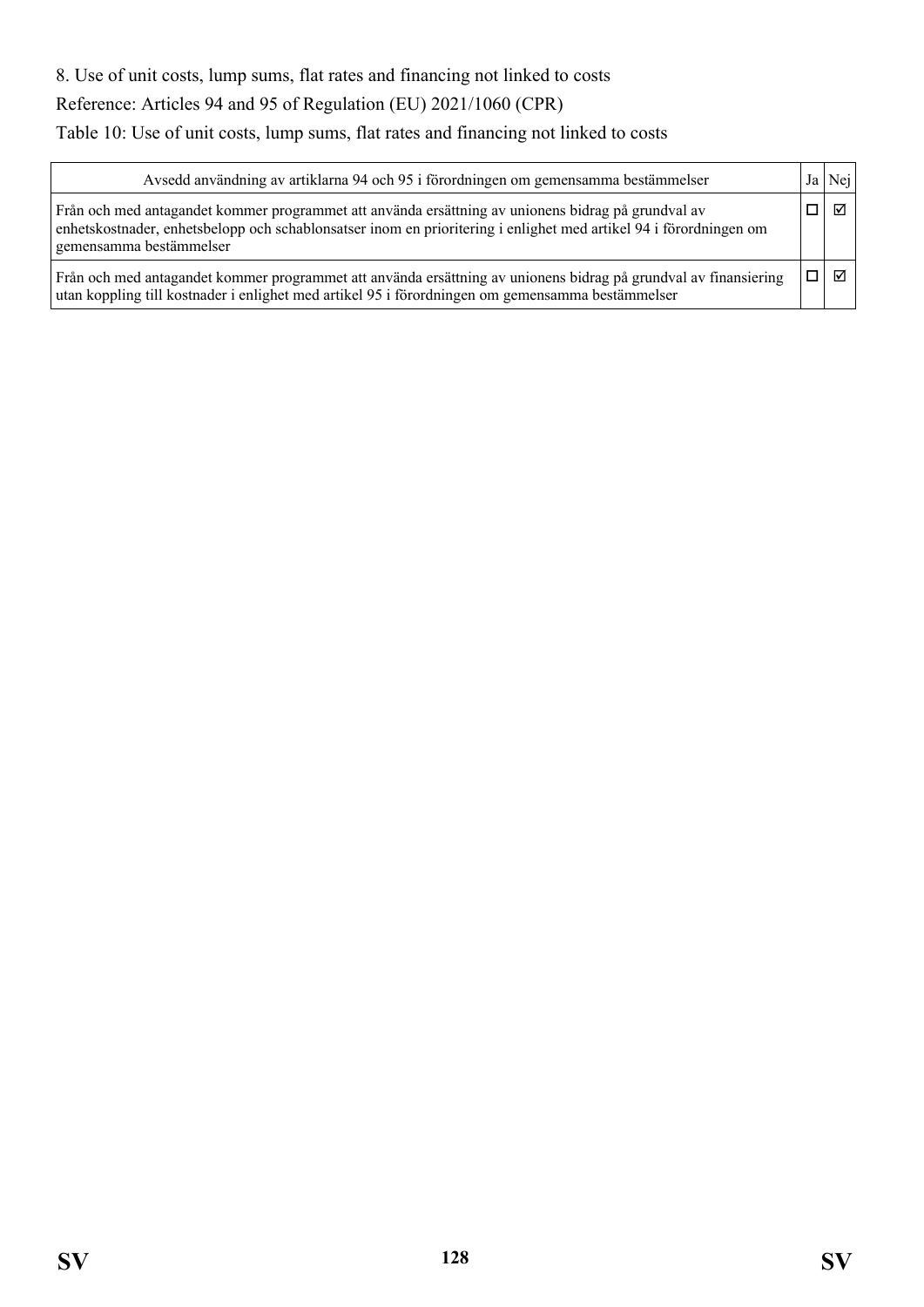# 8. Use of unit costs, lump sums, flat rates and financing not linked to costs Reference: Articles 94 and 95 of Regulation (EU) 2021/1060 (CPR)

Table 10: Use of unit costs, lump sums, flat rates and financing not linked to costs

| Avsedd användning av artiklarna 94 och 95 i förordningen om gemensamma bestämmelser                                                                                                                                                                | Ja | Nei |
|----------------------------------------------------------------------------------------------------------------------------------------------------------------------------------------------------------------------------------------------------|----|-----|
| Från och med antagandet kommer programmet att använda ersättning av unionens bidrag på grundval av<br>enhetskostnader, enhetsbelopp och schablonsatser inom en prioritering i enlighet med artikel 94 i förordningen om<br>gemensamma bestämmelser |    | ☑   |
| Från och med antagandet kommer programmet att använda ersättning av unionens bidrag på grundval av finansiering<br>utan koppling till kostnader i enlighet med artikel 95 i förordningen om gemensamma bestämmelser                                |    | ⊠   |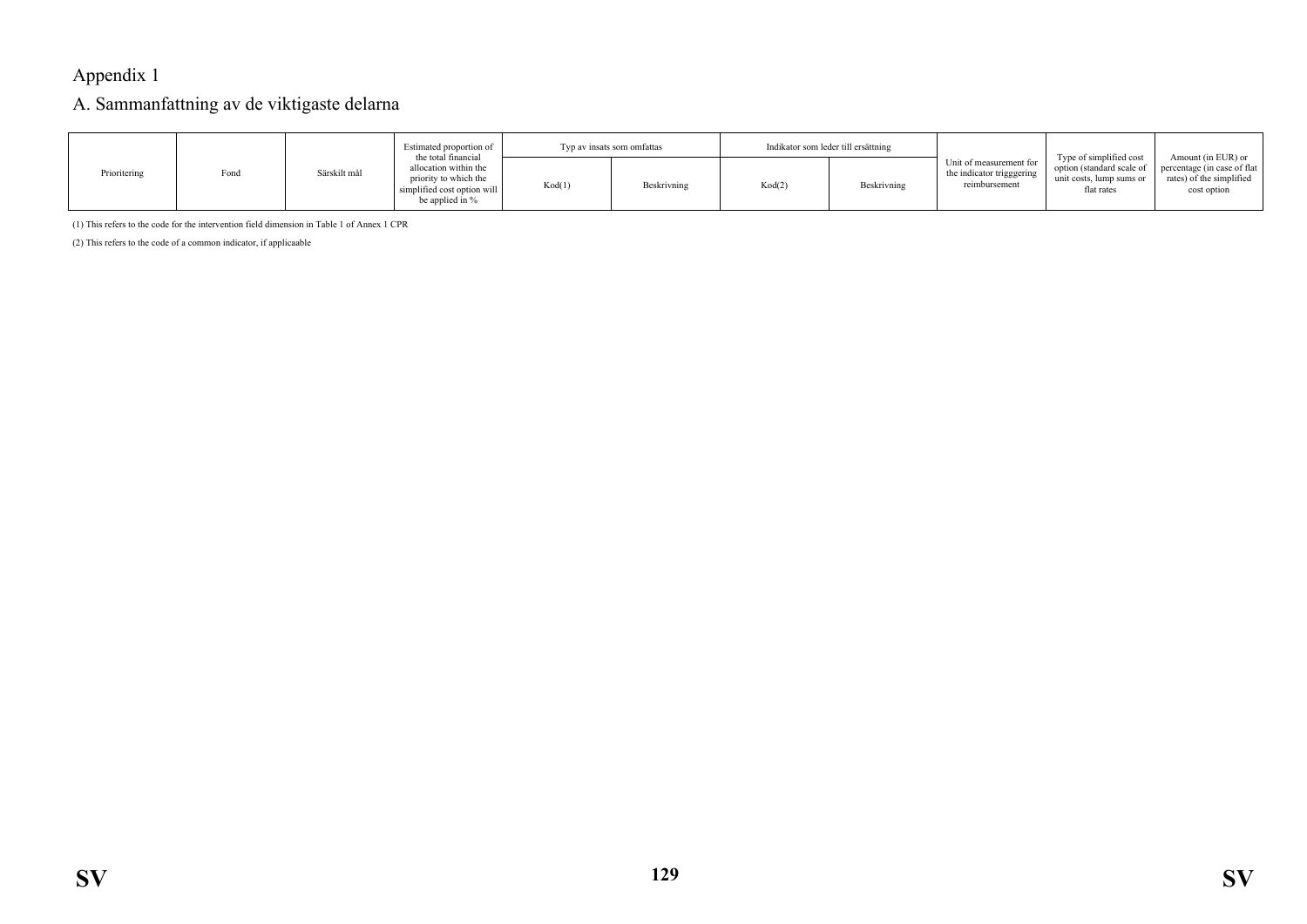# Appendix 1

#### A. Sammanfattning av de viktigaste delarna

|              |      |              | Estimated proportion of<br>the total financial                                                   | Typ av insats som omfattas |             | Indikator som leder till ersättning |             |                                                                       | Type of simplified cost                                             | Amount (in EUR) or $\vert$                                              |
|--------------|------|--------------|--------------------------------------------------------------------------------------------------|----------------------------|-------------|-------------------------------------|-------------|-----------------------------------------------------------------------|---------------------------------------------------------------------|-------------------------------------------------------------------------|
| Prioritering | Fond | Särskilt mål | allocation within the<br>priority to which the<br>simplified cost option will<br>be applied in % | Kod(1)                     | Beskrivning | Kod(2)                              | Beskrivning | Unit of measurement for<br>the indicator trigggering<br>reimbursement | option (standard scale of<br>unit costs, lump sums or<br>flat rates | percentage (in case of flat)<br>rates) of the simplified<br>cost option |

(1) This refers to the code for the intervention field dimension in Table 1 of Annex 1 CPR

(2) This refers to the code of a common indicator, if applicaable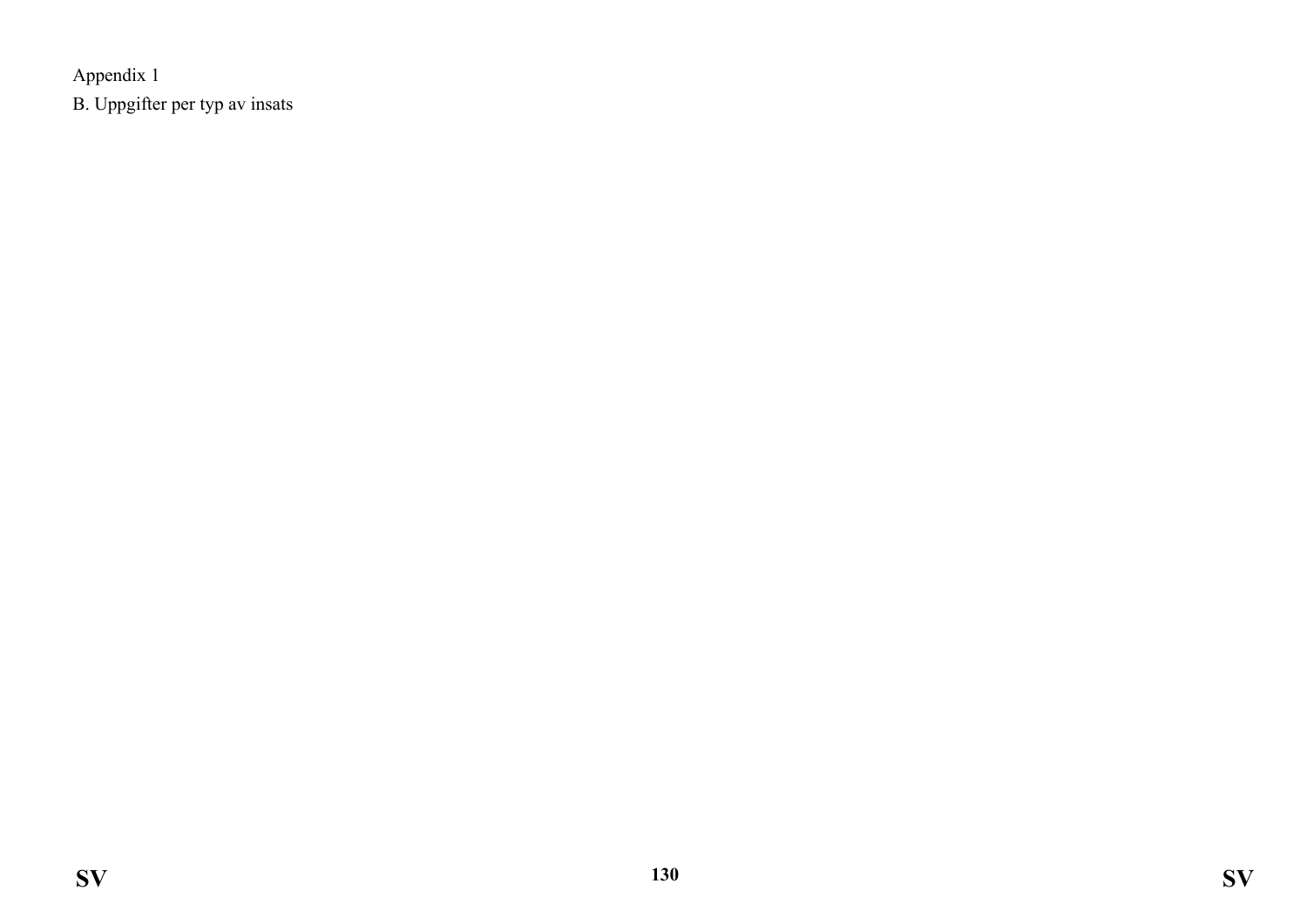Appendix 1 B. Uppgifter per typ av insats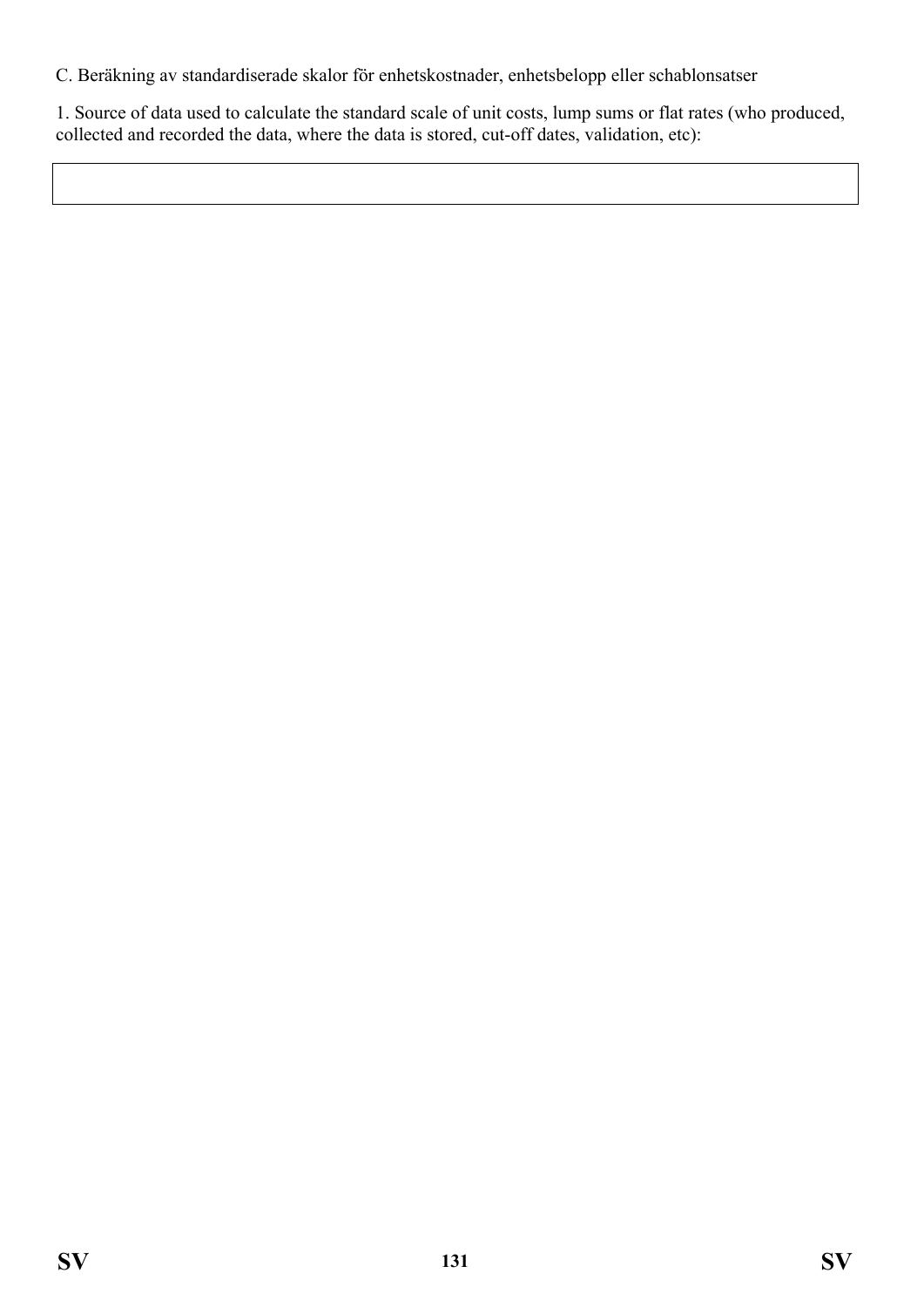C. Beräkning av standardiserade skalor för enhetskostnader, enhetsbelopp eller schablonsatser

1. Source of data used to calculate the standard scale of unit costs, lump sums or flat rates (who produced, collected and recorded the data, where the data is stored, cut-off dates, validation, etc):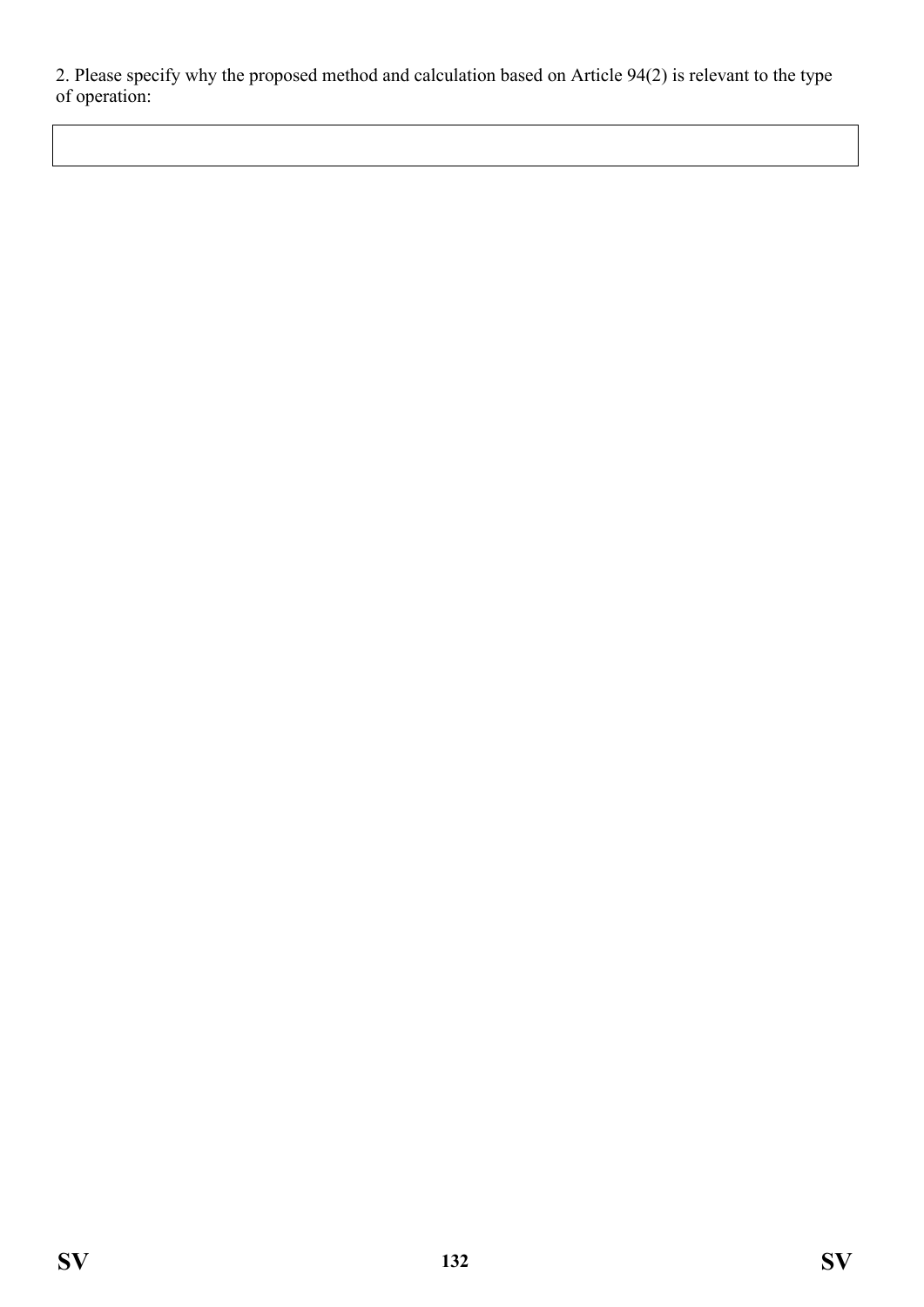2. Please specify why the proposed method and calculation based on Article 94(2) is relevant to the type of operation: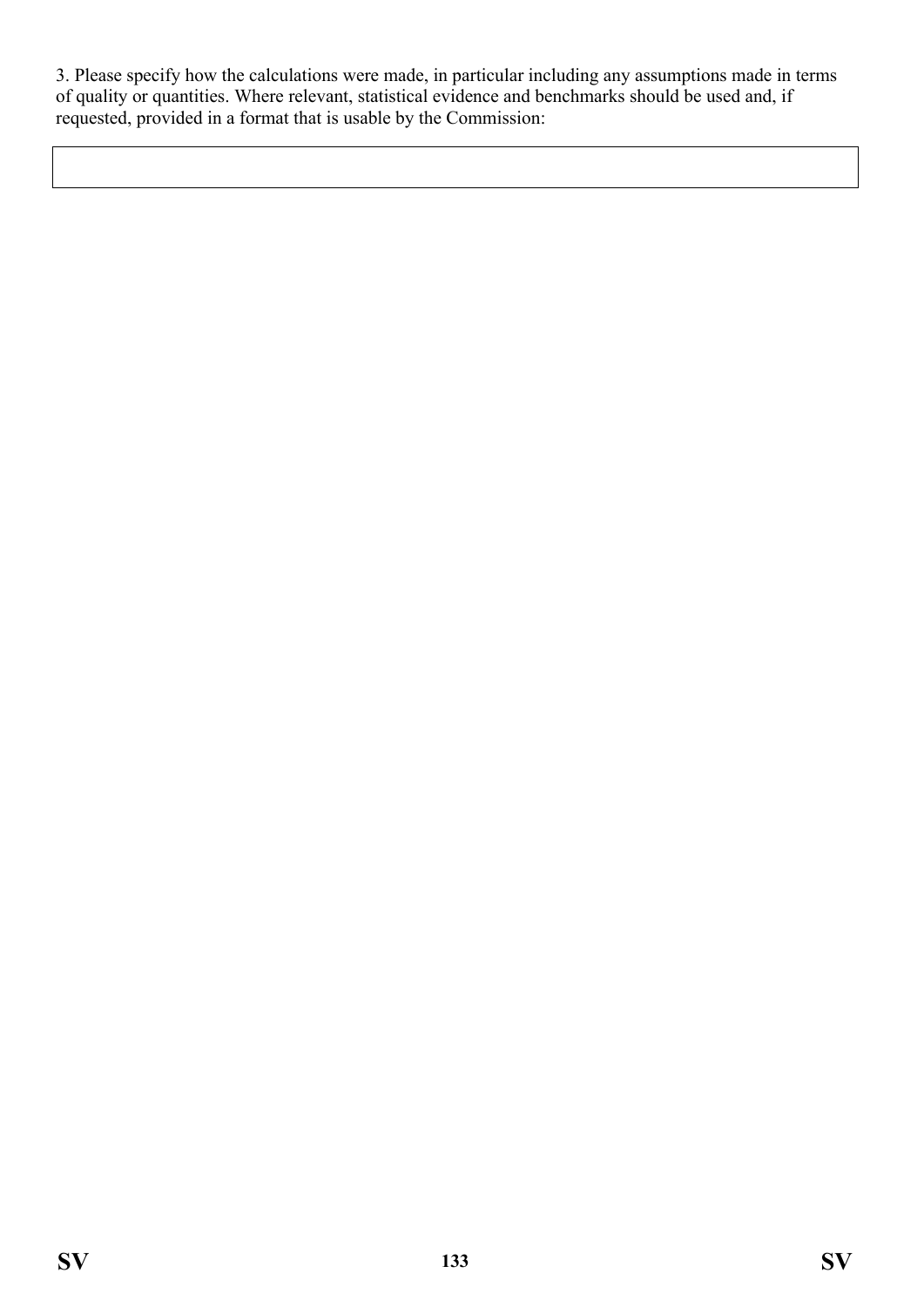3. Please specify how the calculations were made, in particular including any assumptions made in terms of quality or quantities. Where relevant, statistical evidence and benchmarks should be used and, if requested, provided in a format that is usable by the Commission: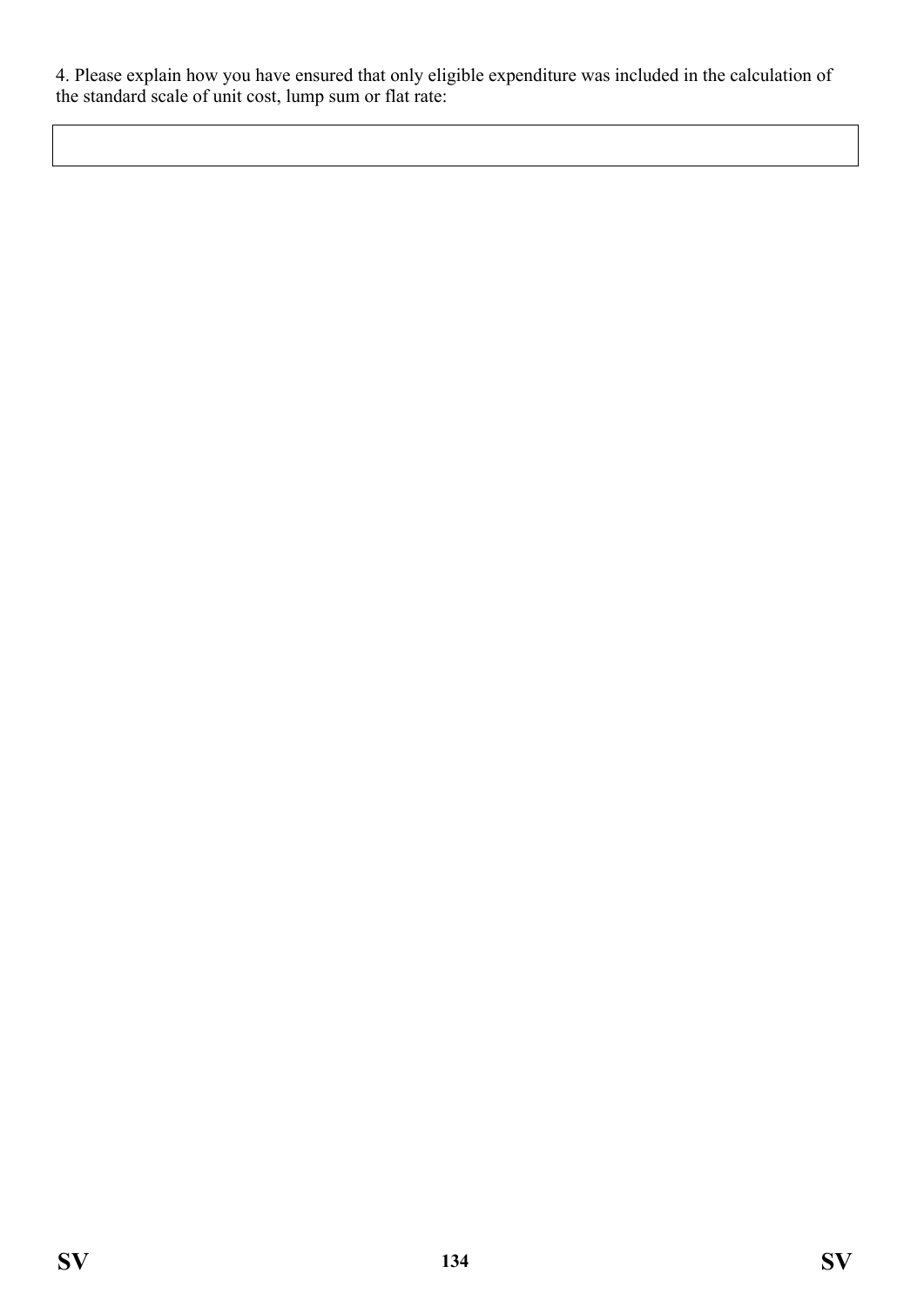4. Please explain how you have ensured that only eligible expenditure was included in the calculation of the standard scale of unit cost, lump sum or flat rate: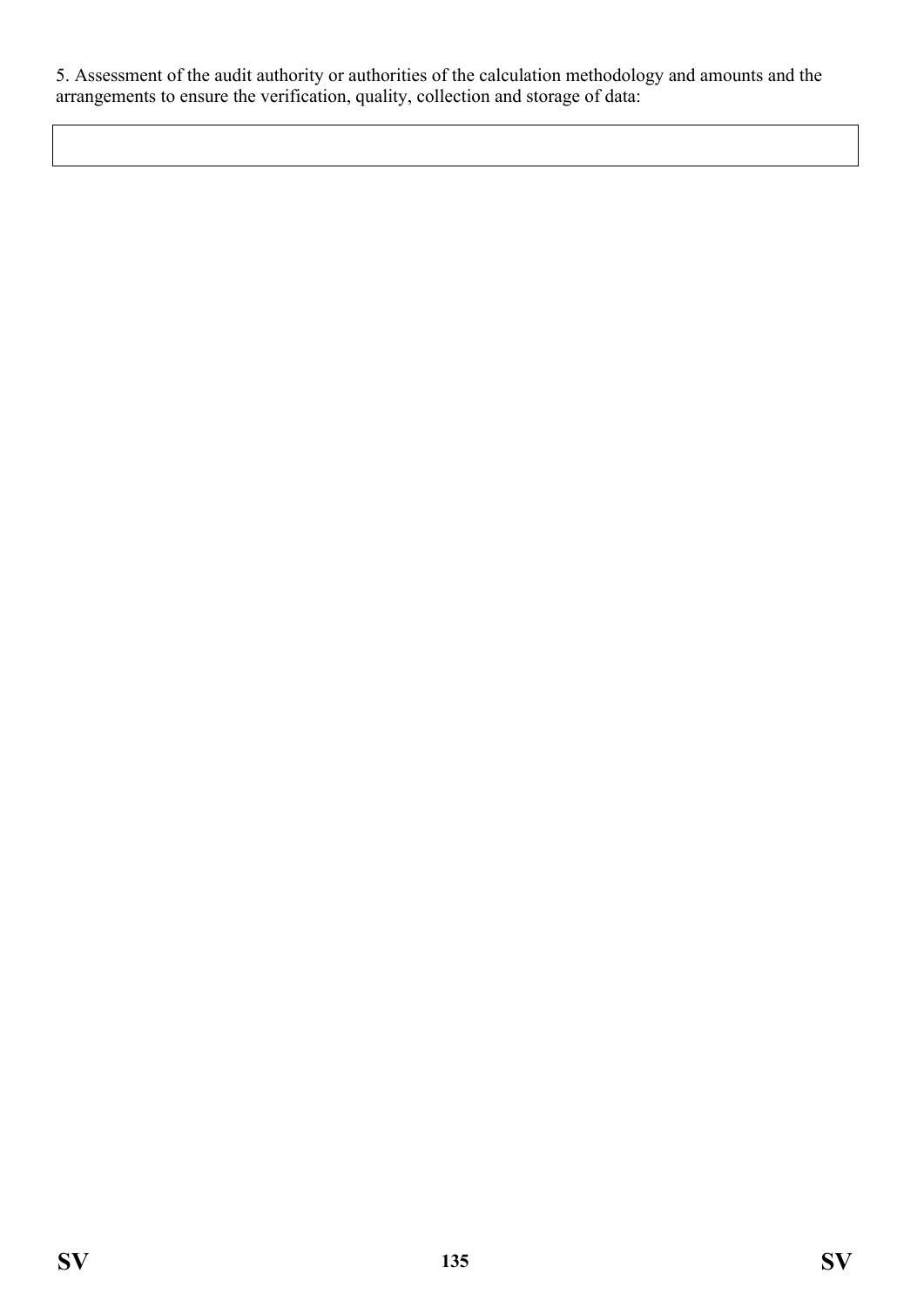5. Assessment of the audit authority or authorities of the calculation methodology and amounts and the arrangements to ensure the verification, quality, collection and storage of data: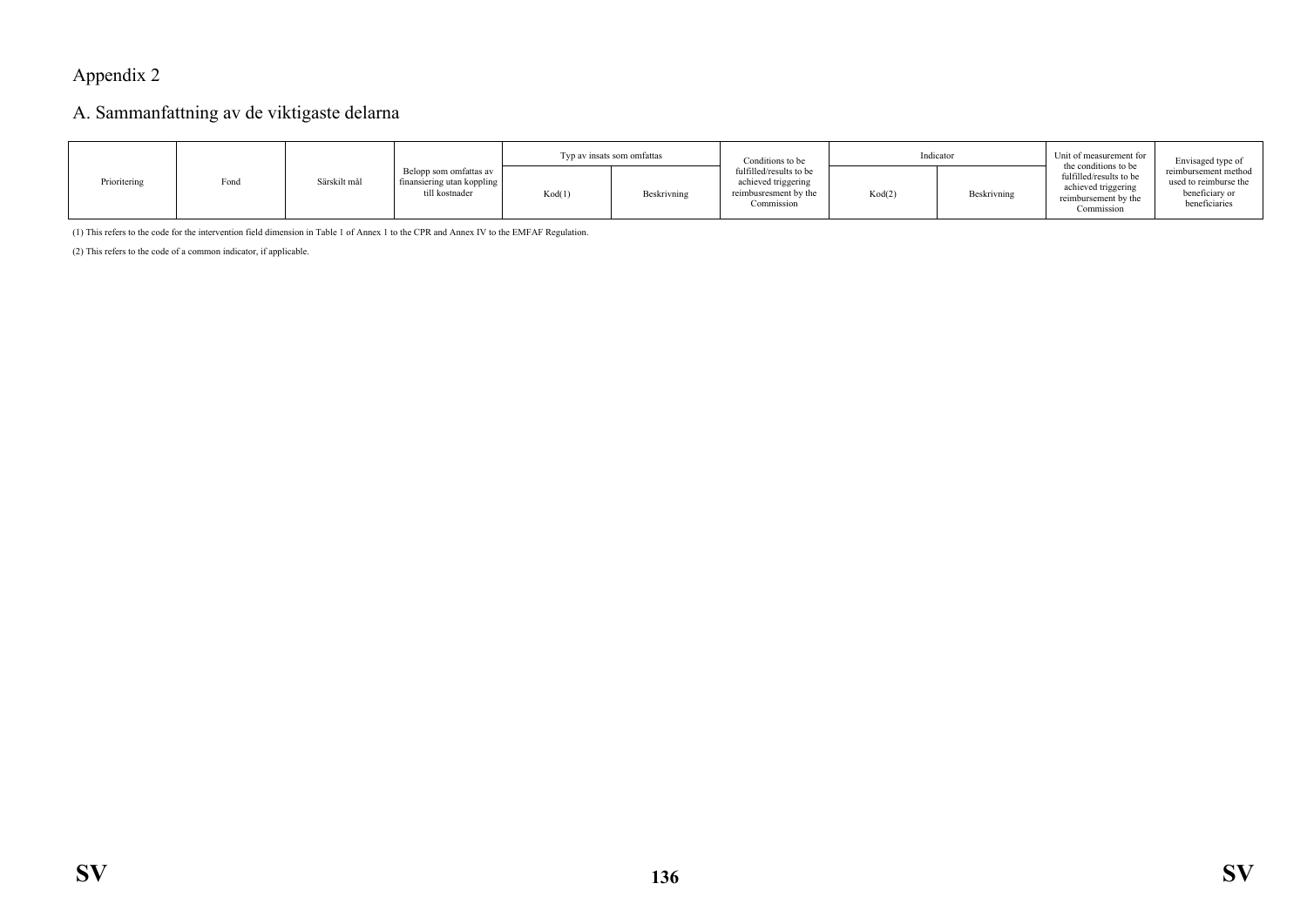# Appendix 2

## A. Sammanfattning av de viktigaste delarna

|              |      |              |                                                                        | Typ av insats som omfattas |             | Conditions to be                                                                      | Indicator |             | Unit of measurement for<br>the conditions to be                                      | Envisaged type of                                                                |
|--------------|------|--------------|------------------------------------------------------------------------|----------------------------|-------------|---------------------------------------------------------------------------------------|-----------|-------------|--------------------------------------------------------------------------------------|----------------------------------------------------------------------------------|
| Prioritering | Fond | Särskilt mål | Belopp som omfattas av<br>finansiering utan koppling<br>till kostnader | Kod(1)                     | Beskrivning | fulfilled/results to be<br>achieved triggering<br>reimbusresment by the<br>Commission | Kod(2)    | Beskrivning | fulfilled/results to be<br>achieved triggering<br>reimbursement by the<br>Commission | reimbursement method<br>used to reimburse the<br>beneficiary or<br>beneficiaries |

(1) This refers to the code for the intervention field dimension in Table 1 of Annex 1 to the CPR and Annex IV to the EMFAF Regulation.

(2) This refers to the code of a common indicator, if applicable.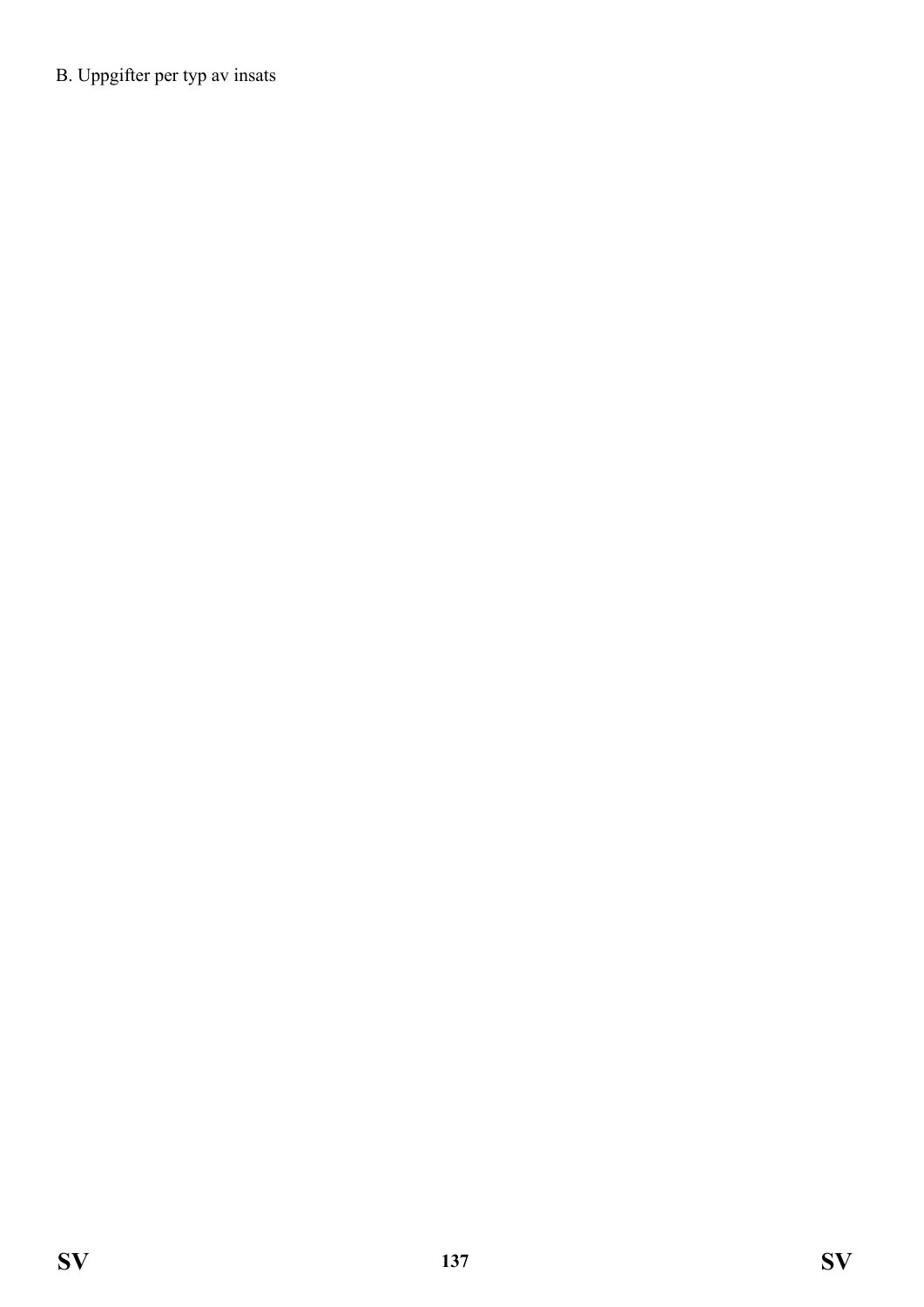B. Uppgifter per typ av insats